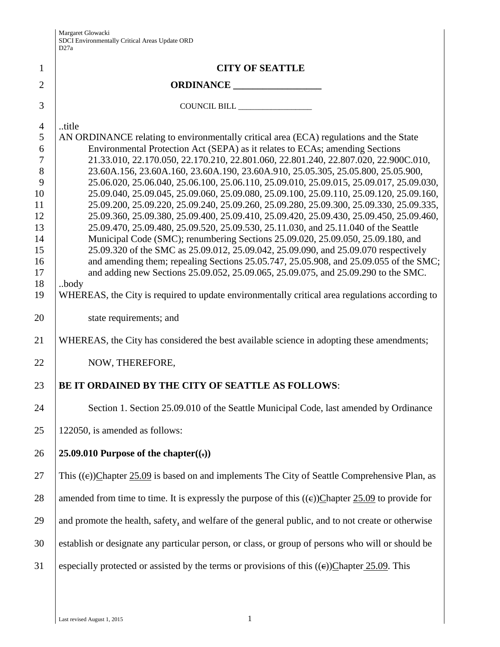| $\mathbf{1}$        | <b>CITY OF SEATTLE</b>                                                                                 |
|---------------------|--------------------------------------------------------------------------------------------------------|
| $\overline{2}$      | ORDINANCE                                                                                              |
| 3                   | COUNCIL BILL ____________________                                                                      |
|                     |                                                                                                        |
| $\overline{4}$<br>5 | title<br>AN ORDINANCE relating to environmentally critical area (ECA) regulations and the State        |
| 6                   | Environmental Protection Act (SEPA) as it relates to ECAs; amending Sections                           |
| $\tau$              | 21.33.010, 22.170.050, 22.170.210, 22.801.060, 22.801.240, 22.807.020, 22.900C.010,                    |
| 8                   | 23.60A.156, 23.60A.160, 23.60A.190, 23.60A.910, 25.05.305, 25.05.800, 25.05.900,                       |
| 9                   | 25.06.020, 25.06.040, 25.06.100, 25.06.110, 25.09.010, 25.09.015, 25.09.017, 25.09.030,                |
| 10                  | 25.09.040, 25.09.045, 25.09.060, 25.09.080, 25.09.100, 25.09.110, 25.09.120, 25.09.160,                |
| 11                  | 25.09.200, 25.09.220, 25.09.240, 25.09.260, 25.09.280, 25.09.300, 25.09.330, 25.09.335,                |
| 12                  | 25.09.360, 25.09.380, 25.09.400, 25.09.410, 25.09.420, 25.09.430, 25.09.450, 25.09.460,                |
| 13                  | 25.09.470, 25.09.480, 25.09.520, 25.09.530, 25.11.030, and 25.11.040 of the Seattle                    |
| 14                  | Municipal Code (SMC); renumbering Sections 25.09.020, 25.09.050, 25.09.180, and                        |
| 15                  | 25.09.320 of the SMC as 25.09.012, 25.09.042, 25.09.090, and 25.09.070 respectively                    |
| 16                  | and amending them; repealing Sections 25.05.747, 25.05.908, and 25.09.055 of the SMC;                  |
| 17                  | and adding new Sections 25.09.052, 25.09.065, 25.09.075, and 25.09.290 to the SMC.                     |
| 18<br>19            | body<br>WHEREAS, the City is required to update environmentally critical area regulations according to |
|                     |                                                                                                        |
| 20                  | state requirements; and                                                                                |
| 21                  | WHEREAS, the City has considered the best available science in adopting these amendments;              |
| 22                  | NOW, THEREFORE,                                                                                        |
| 23                  | BE IT ORDAINED BY THE CITY OF SEATTLE AS FOLLOWS:                                                      |
| 24                  | Section 1. Section 25.09.010 of the Seattle Municipal Code, last amended by Ordinance                  |
| 25                  | 122050, is amended as follows:                                                                         |
| 26                  | 25.09.010 Purpose of the chapter( $(i)$ )                                                              |
| 27                  | This $((e))$ Chapter 25.09 is based on and implements The City of Seattle Comprehensive Plan, as       |
| 28                  | amended from time to time. It is expressly the purpose of this $((e))$ Chapter 25.09 to provide for    |
| 29                  | and promote the health, safety, and welfare of the general public, and to not create or otherwise      |
| 30                  | establish or designate any particular person, or class, or group of persons who will or should be      |
| 31                  | especially protected or assisted by the terms or provisions of this $((e))$ Chapter 25.09. This        |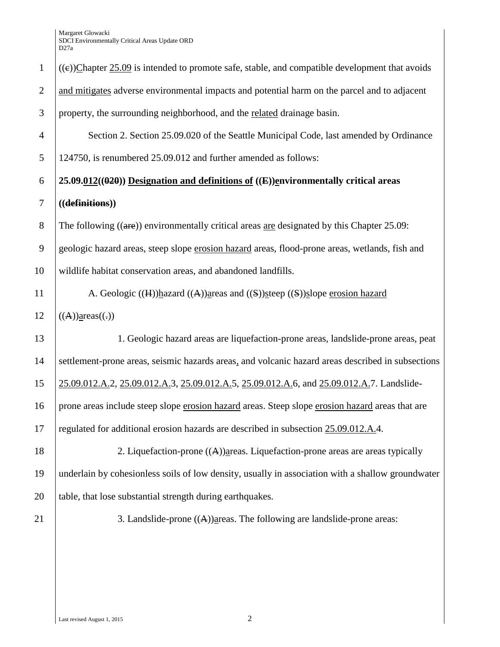| $\mathbf{1}$   | $((e))$ Chapter 25.09 is intended to promote safe, stable, and compatible development that avoids   |
|----------------|-----------------------------------------------------------------------------------------------------|
| $\overline{2}$ | and mitigates adverse environmental impacts and potential harm on the parcel and to adjacent        |
| 3              | property, the surrounding neighborhood, and the related drainage basin.                             |
| $\overline{4}$ | Section 2. Section 25.09.020 of the Seattle Municipal Code, last amended by Ordinance               |
| 5              | 124750, is renumbered 25.09.012 and further amended as follows:                                     |
| 6              | $25.09.012((0.20))$ Designation and definitions of $((E))$ environmentally critical areas           |
| 7              | ((definitions))                                                                                     |
| 8              | The following $((\text{are}))$ environmentally critical areas are designated by this Chapter 25.09: |
| 9              | geologic hazard areas, steep slope erosion hazard areas, flood-prone areas, wetlands, fish and      |
| 10             | wildlife habitat conservation areas, and abandoned landfills.                                       |
| 11             | A. Geologic ((H)) $h$ azard ((A)) $h$ areas and ((S)) $h$ steep ((S)) $h$ slope erosion hazard      |
| 12             | $((A))$ areas $((.)$                                                                                |
| 13             | 1. Geologic hazard areas are liquefaction-prone areas, landslide-prone areas, peat                  |
| 14             | settlement-prone areas, seismic hazards areas, and volcanic hazard areas described in subsections   |
| 15             | 25.09.012.A.2, 25.09.012.A.3, 25.09.012.A.5, 25.09.012.A.6, and 25.09.012.A.7. Landslide-           |
| 16             | prone areas include steep slope erosion hazard areas. Steep slope erosion hazard areas that are     |
| 17             | regulated for additional erosion hazards are described in subsection 25.09.012.A.4.                 |
| 18             | 2. Liquefaction-prone $((A))$ areas. Liquefaction-prone areas are areas typically                   |
| 19             | underlain by cohesionless soils of low density, usually in association with a shallow groundwater   |
| 20             | table, that lose substantial strength during earthquakes.                                           |
| 21             | 3. Landslide-prone $((A))$ areas. The following are landslide-prone areas:                          |
|                |                                                                                                     |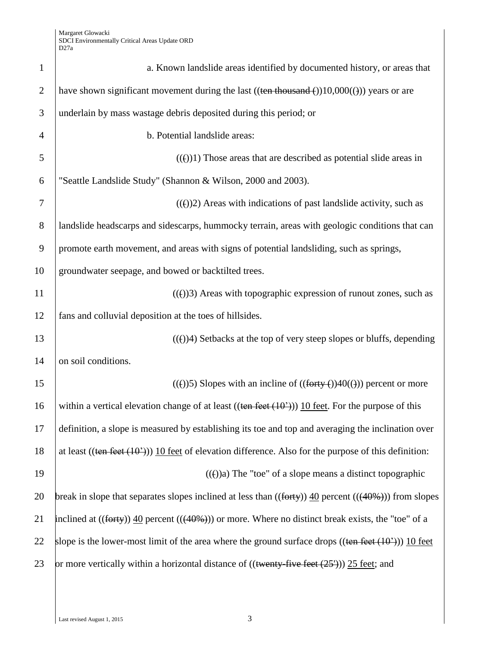| $\mathbf{1}$   | a. Known landslide areas identified by documented history, or areas that                                       |
|----------------|----------------------------------------------------------------------------------------------------------------|
| $\overline{2}$ | have shown significant movement during the last ((ten thousand $\epsilon$ ))10,000( $\epsilon$ )) years or are |
| 3              | underlain by mass wastage debris deposited during this period; or                                              |
| $\overline{4}$ | b. Potential landslide areas:                                                                                  |
| 5              | $((e))1$ ) Those areas that are described as potential slide areas in                                          |
| 6              | "Seattle Landslide Study" (Shannon & Wilson, 2000 and 2003).                                                   |
| 7              | $((e))2$ ) Areas with indications of past landslide activity, such as                                          |
| 8              | landslide headscarps and sidescarps, hummocky terrain, areas with geologic conditions that can                 |
| 9              | promote earth movement, and areas with signs of potential landsliding, such as springs,                        |
| 10             | groundwater seepage, and bowed or backtilted trees.                                                            |
| 11             | $(())$ 3) Areas with topographic expression of runout zones, such as                                           |
| 12             | fans and colluvial deposition at the toes of hillsides.                                                        |
| 13             | $((e))$ 4) Setbacks at the top of very steep slopes or bluffs, depending                                       |
| 14             | on soil conditions.                                                                                            |
| 15             | $((e))$ Slopes with an incline of $((forty - e))40((f))$ percent or more                                       |
| 16             | within a vertical elevation change of at least $((\text{ten feet} (10^2)))$ 10 feet. For the purpose of this   |
| 17             | definition, a slope is measured by establishing its toe and top and averaging the inclination over             |
| 18             | at least ((ten feet $(10^2)$ )) 10 feet of elevation difference. Also for the purpose of this definition:      |
| 19             | $((f))$ a) The "toe" of a slope means a distinct topographic                                                   |
| 20             | break in slope that separates slopes inclined at less than $((forty))$ 40 percent $((40%)$ ) from slopes       |
| 21             | inclined at $((forty))$ 40 percent $(((40\%)))$ or more. Where no distinct break exists, the "toe" of a        |
| 22             | slope is the lower-most limit of the area where the ground surface drops $((\text{ten feet } (10^2)))$ 10 feet |
| 23             | or more vertically within a horizontal distance of ((twenty-five feet (25 <sup>1</sup> ))) 25 feet; and        |
|                |                                                                                                                |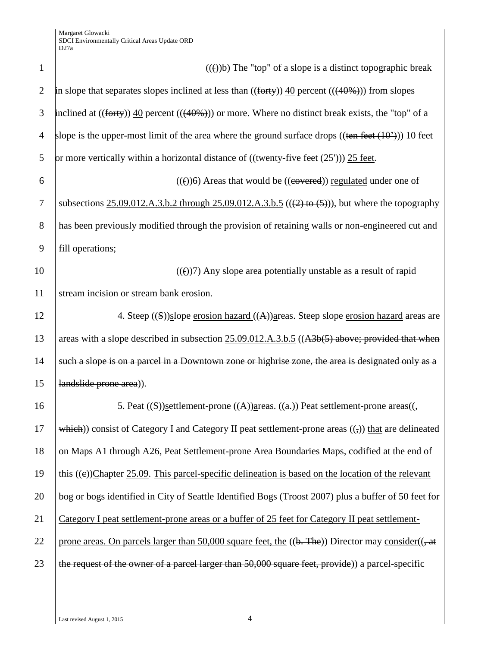| $\mathbf{1}$   | $((e))$ b) The "top" of a slope is a distinct topographic break                                                |
|----------------|----------------------------------------------------------------------------------------------------------------|
| $\mathbf{2}$   | in slope that separates slopes inclined at less than $((forty))$ 40 percent $(((40\%)))$ from slopes           |
| 3              | inclined at $((forty))$ 40 percent $(((40\%)))$ or more. Where no distinct break exists, the "top" of a        |
| $\overline{4}$ | slope is the upper-most limit of the area where the ground surface drops $((\text{ten feet } (10^2)))$ 10 feet |
| 5              | or more vertically within a horizontal distance of $((\text{twenty-five feet } (25'))) 25 \text{ feet.})$      |
| 6              | $(())6$ ) Areas that would be $((eovered))$ regulated under one of                                             |
| 7              | subsections $25.09.012.A.3.b.2$ through $25.09.012.A.3.b.5$ (((2) to (5))), but where the topography           |
| 8              | has been previously modified through the provision of retaining walls or non-engineered cut and                |
| 9              | fill operations;                                                                                               |
| 10             | $(())$ 7) Any slope area potentially unstable as a result of rapid                                             |
| 11             | stream incision or stream bank erosion.                                                                        |
| 12             | 4. Steep ((S))slope erosion hazard ((A))areas. Steep slope erosion hazard areas are                            |
| 13             | areas with a slope described in subsection 25.09.012.A.3.b.5 ((A3b(5) above; provided that when                |
| 14             | such a slope is on a parcel in a Downtown zone or highrise zone, the area is designated only as a              |
| 15             | landslide prone area)).                                                                                        |
| 16             | 5. Peat $((S))$ settlement-prone $((A))$ areas. $((a))$ Peat settlement-prone areas $((\frac{1}{2})$           |
| 17             | which)) consist of Category I and Category II peat settlement-prone areas $((,))$ that are delineated          |
| 18             | on Maps A1 through A26, Peat Settlement-prone Area Boundaries Maps, codified at the end of                     |
| 19             | this $((e))$ Chapter 25.09. This parcel-specific delineation is based on the location of the relevant          |
| 20             | bog or bogs identified in City of Seattle Identified Bogs (Troost 2007) plus a buffer of 50 feet for           |
| 21             | Category I peat settlement-prone areas or a buffer of 25 feet for Category II peat settlement-                 |
| 22             | prone areas. On parcels larger than 50,000 square feet, the $((b, The))$ Director may consider $((, at)$       |
| 23             | the request of the owner of a parcel larger than 50,000 square feet, provide)) a parcel-specific               |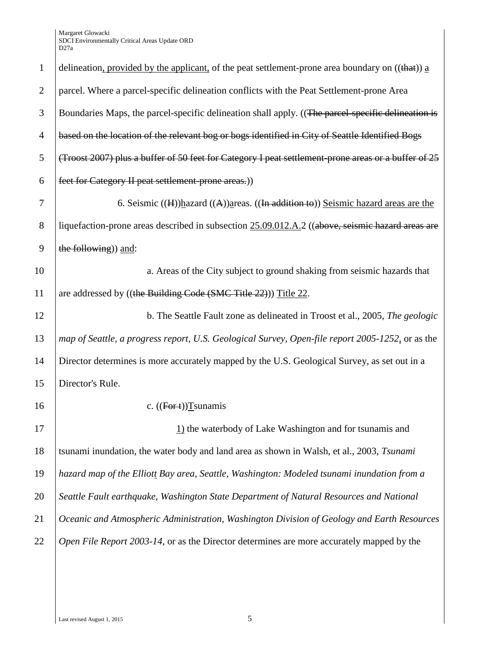| $\mathbf{1}$   | delineation, provided by the applicant, of the peat settlement-prone area boundary on $((that))$ a  |
|----------------|-----------------------------------------------------------------------------------------------------|
| $\overline{2}$ | parcel. Where a parcel-specific delineation conflicts with the Peat Settlement-prone Area           |
| 3              | Boundaries Maps, the parcel-specific delineation shall apply. ((The parcel-specific delineation is  |
| $\overline{4}$ | based on the location of the relevant bog or bogs identified in City of Seattle Identified Bogs     |
| 5              | (Troost 2007) plus a buffer of 50 feet for Category I peat settlement prone areas or a buffer of 25 |
| 6              | feet for Category II peat settlement prone areas.))                                                 |
| 7              | 6. Seismic $((H))$ hazard $((A))$ areas. $((In addition to))$ Seismic hazard areas are the          |
| 8              | liquefaction-prone areas described in subsection 25.09.012.A.2 ((above, seismic hazard areas are    |
| 9              | the following)) and:                                                                                |
| 10             | a. Areas of the City subject to ground shaking from seismic hazards that                            |
| 11             | are addressed by ((the Building Code (SMC Title 22))) Title 22.                                     |
| 12             | b. The Seattle Fault zone as delineated in Troost et al., 2005, The geologic                        |
| 13             | map of Seattle, a progress report, U.S. Geological Survey, Open-file report 2005-1252, or as the    |
| 14             | Director determines is more accurately mapped by the U.S. Geological Survey, as set out in a        |
| 15             | Director's Rule.                                                                                    |
| 16             | c. $((For t))$ Tsunamis                                                                             |
| 17             | $\underline{1}$ the waterbody of Lake Washington and for tsunamis and                               |
| 18             | tsunami inundation, the water body and land area as shown in Walsh, et al., 2003, Tsunami           |
| 19             | hazard map of the Elliott Bay area, Seattle, Washington: Modeled tsunami inundation from a          |
| 20             | Seattle Fault earthquake, Washington State Department of Natural Resources and National             |
| 21             | Oceanic and Atmospheric Administration, Washington Division of Geology and Earth Resources          |
| 22             | Open File Report 2003-14, or as the Director determines are more accurately mapped by the           |
|                |                                                                                                     |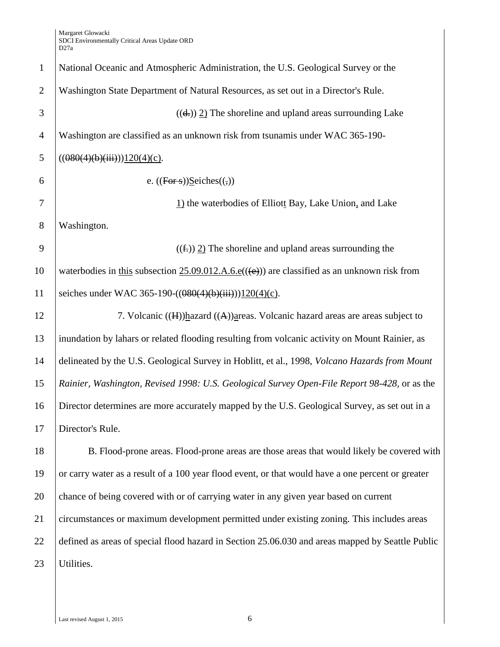National Oceanic and Atmospheric Administration, the U.S. Geological Survey or the Washington State Department of Natural Resources, as set out in a Director's Rule.  $(4)$  ((d,)) 2) The shoreline and upland areas surrounding Lake Washington are classified as an unknown risk from tsunamis under WAC 365-190-  $((080(4)(b)(iii))120(4)(c).$ 6 e.  $((\overline{Fors}))\cdot \text{Seiches}(\overline{f}$  1) the waterbodies of Elliott Bay, Lake Union, and Lake Washington. 9 ((fe) 2) The shoreline and upland areas surrounding the 10 waterbodies in this subsection 25.09.012.A.6.e( $(\text{(e)})$ ) are classified as an unknown risk from 11 | seiches under WAC 365-190- $((080(4)(b)(iii))120(4)(c)$ . 12 7. Volcanic ((H))hazard ((A))areas. Volcanic hazard areas are areas subject to inundation by lahars or related flooding resulting from volcanic activity on Mount Rainier, as delineated by the U.S. Geological Survey in Hoblitt, et al., 1998, *Volcano Hazards from Mount Rainier, Washington, Revised 1998: U.S. Geological Survey Open-File Report 98-428,* or as the Director determines are more accurately mapped by the U.S. Geological Survey, as set out in a Director's Rule. B. Flood-prone areas. Flood-prone areas are those areas that would likely be covered with or carry water as a result of a 100 year flood event, or that would have a one percent or greater 20 chance of being covered with or of carrying water in any given year based on current circumstances or maximum development permitted under existing zoning. This includes areas defined as areas of special flood hazard in Section 25.06.030 and areas mapped by Seattle Public Utilities.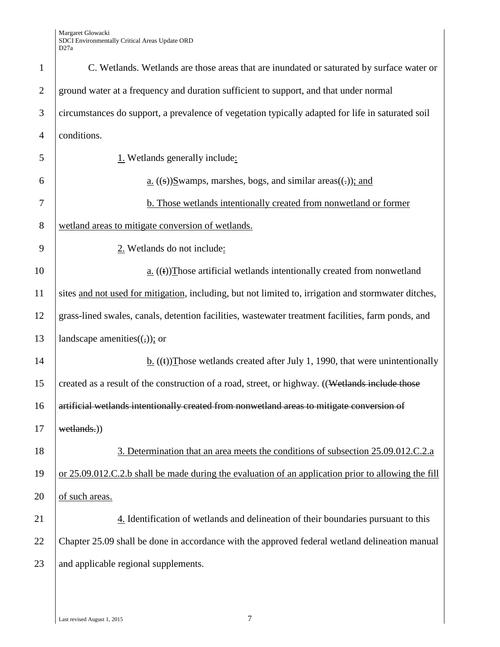| $\mathbf{1}$   | C. Wetlands. Wetlands are those areas that are inundated or saturated by surface water or            |
|----------------|------------------------------------------------------------------------------------------------------|
| $\mathbf{2}$   | ground water at a frequency and duration sufficient to support, and that under normal                |
| 3              | circumstances do support, a prevalence of vegetation typically adapted for life in saturated soil    |
| $\overline{4}$ | conditions.                                                                                          |
| 5              | 1. Wetlands generally include:                                                                       |
| 6              | $\underline{a}$ . ((s)) $\underline{S}$ wamps, marshes, bogs, and similar areas((-)); and            |
| 7              | <b>b.</b> Those wetlands intentionally created from nonwetland or former                             |
| 8              | wetland areas to mitigate conversion of wetlands.                                                    |
| 9              | 2. Wetlands do not include:                                                                          |
| 10             | $\underline{a}$ . ((t)) Those artificial wetlands intentionally created from nonwetland              |
| 11             | sites and not used for mitigation, including, but not limited to, irrigation and stormwater ditches, |
| 12             | grass-lined swales, canals, detention facilities, wastewater treatment facilities, farm ponds, and   |
| 13             | landscape amenities $((,))$ ; or                                                                     |
| 14             | $\underline{b}$ . ((t)) Those wetlands created after July 1, 1990, that were unintentionally         |
| 15             | created as a result of the construction of a road, street, or highway. ((Wetlands include those      |
| 16             | artificial wetlands intentionally created from nonwetland areas to mitigate conversion of            |
| 17             | wetlands.))                                                                                          |
| 18             | 3. Determination that an area meets the conditions of subsection 25.09.012.C.2.a.                    |
| 19             | or 25.09.012.C.2.b shall be made during the evaluation of an application prior to allowing the fill  |
| 20             | of such areas.                                                                                       |
| 21             | 4. Identification of wetlands and delineation of their boundaries pursuant to this                   |
| 22             | Chapter 25.09 shall be done in accordance with the approved federal wetland delineation manual       |
| 23             | and applicable regional supplements.                                                                 |
|                |                                                                                                      |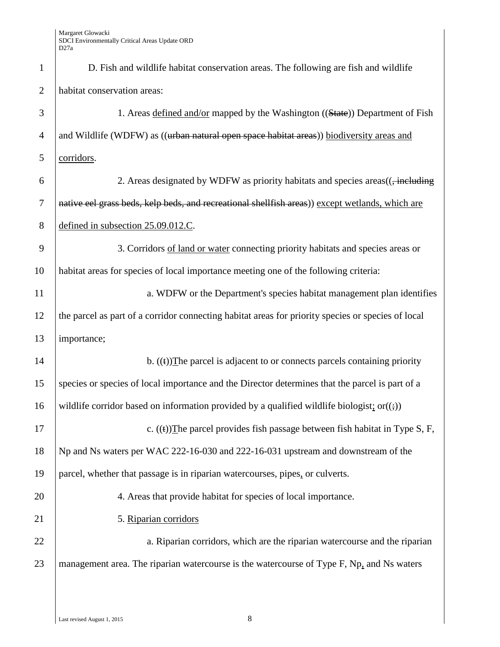| $\mathbf{1}$   | D. Fish and wildlife habitat conservation areas. The following are fish and wildlife                     |
|----------------|----------------------------------------------------------------------------------------------------------|
| $\overline{2}$ | habitat conservation areas:                                                                              |
| $\mathfrak{Z}$ | 1. Areas defined and/or mapped by the Washington ((State)) Department of Fish                            |
| $\overline{4}$ | and Wildlife (WDFW) as ((urban natural open space habitat areas)) biodiversity areas and                 |
| 5              | corridors.                                                                                               |
| 6              | 2. Areas designated by WDFW as priority habitats and species areas((, including                          |
| $\overline{7}$ | native eel grass beds, kelp beds, and recreational shellfish areas)) except wetlands, which are          |
| 8              | defined in subsection 25.09.012.C.                                                                       |
| 9              | 3. Corridors of land or water connecting priority habitats and species areas or                          |
| 10             | habitat areas for species of local importance meeting one of the following criteria:                     |
| 11             | a. WDFW or the Department's species habitat management plan identifies                                   |
| 12             | the parcel as part of a corridor connecting habitat areas for priority species or species of local       |
| 13             | importance;                                                                                              |
| 14             | b. $((t))$ The parcel is adjacent to or connects parcels containing priority                             |
| 15             | species or species of local importance and the Director determines that the parcel is part of a          |
| 16             | wildlife corridor based on information provided by a qualified wildlife biologist; or( $(\frac{1}{2})$ ) |
| 17             | c. $((t))$ The parcel provides fish passage between fish habitat in Type S, F,                           |
| 18             | Np and Ns waters per WAC 222-16-030 and 222-16-031 upstream and downstream of the                        |
| 19             | parcel, whether that passage is in riparian watercourses, pipes, or culverts.                            |
| 20             | 4. Areas that provide habitat for species of local importance.                                           |
| 21             | 5. Riparian corridors                                                                                    |
| 22             | a. Riparian corridors, which are the riparian watercourse and the riparian                               |
| 23             | management area. The riparian watercourse is the watercourse of Type F, Np, and Ns waters                |
|                |                                                                                                          |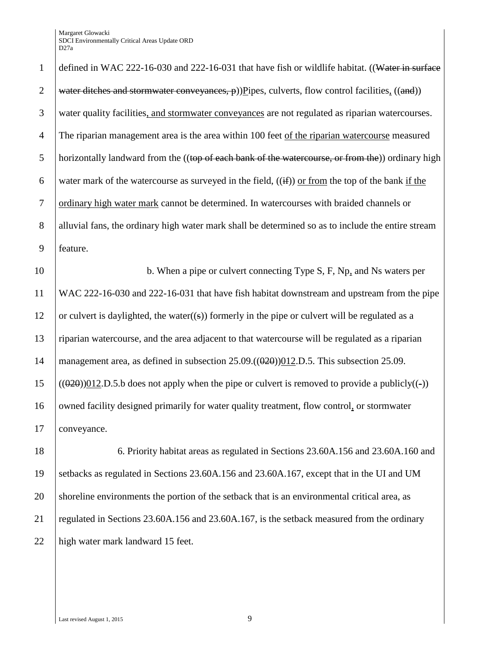1 defined in WAC 222-16-030 and 222-16-031 that have fish or wildlife habitat. ((Water in surface 2 water ditches and stormwater conveyances,  $\phi$ ))Pipes, culverts, flow control facilities, ((and)) 3 water quality facilities, and stormwater conveyances are not regulated as riparian watercourses. 4 The riparian management area is the area within 100 feet of the riparian watercourse measured 5 | horizontally landward from the  $((top of each bank of the watercourse, or from the))$  ordinary high 6 water mark of the watercourse as surveyed in the field,  $((\mathbf{if}))$  or from the top of the bank if the 7 ordinary high water mark cannot be determined. In watercourses with braided channels or 8 alluvial fans, the ordinary high water mark shall be determined so as to include the entire stream 9 feature. 10 b. When a pipe or culvert connecting Type S, F, Np, and Ns waters per

11 WAC 222-16-030 and 222-16-031 that have fish habitat downstream and upstream from the pipe 12 or culvert is daylighted, the water((s)) formerly in the pipe or culvert will be regulated as a 13 riparian watercourse, and the area adjacent to that watercourse will be regulated as a riparian 14 | management area, as defined in subsection  $25.09 \cdot ((\theta \cdot 2\theta))012 \cdot D \cdot 5$ . This subsection 25.09.  $15$  (( $(020)$ ))012.D.5.b does not apply when the pipe or culvert is removed to provide a publicly( $(-)$ ) 16 owned facility designed primarily for water quality treatment, flow control, or stormwater 17 conveyance.

18 6. Priority habitat areas as regulated in Sections 23.60A.156 and 23.60A.160 and 19 setbacks as regulated in Sections 23.60A.156 and 23.60A.167, except that in the UI and UM 20 shoreline environments the portion of the setback that is an environmental critical area, as 21 regulated in Sections 23.60A.156 and 23.60A.167, is the setback measured from the ordinary 22 | high water mark landward 15 feet.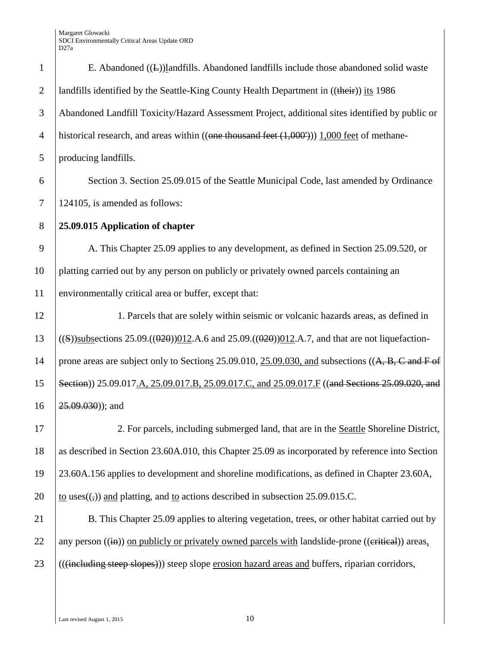| $\mathbf{1}$   | E. Abandoned $((\underline{L}))$ and fills. Abandoned land fills include those abandoned solid waste                        |
|----------------|-----------------------------------------------------------------------------------------------------------------------------|
| $\overline{2}$ | landfills identified by the Seattle-King County Health Department in ((their)) its 1986                                     |
| 3              | Abandoned Landfill Toxicity/Hazard Assessment Project, additional sites identified by public or                             |
| $\overline{4}$ | historical research, and areas within $((\text{one thousand feet } (1,000'))) 1,000 \text{ feet of methane-})$              |
| 5              | producing landfills.                                                                                                        |
| 6              | Section 3. Section 25.09.015 of the Seattle Municipal Code, last amended by Ordinance                                       |
| 7              | 124105, is amended as follows:                                                                                              |
| $8\phantom{1}$ | 25.09.015 Application of chapter                                                                                            |
| 9              | A. This Chapter 25.09 applies to any development, as defined in Section 25.09.520, or                                       |
| 10             | platting carried out by any person on publicly or privately owned parcels containing an                                     |
| 11             | environmentally critical area or buffer, except that:                                                                       |
| 12             | 1. Parcels that are solely within seismic or volcanic hazards areas, as defined in                                          |
| 13             | ((S))subsections 25.09.(( $0.20$ )) $0.12$ . A.6 and 25.09.(( $0.20$ )) $0.12$ . A.7, and that are not liquefaction-        |
| 14             | prone areas are subject only to Sections 25.09.010, $25.09.030$ , and subsections ( $(A, B, C \text{ and } F \text{ of } )$ |
| 15             | Section)) 25.09.017.A, 25.09.017.B, 25.09.017.C, and 25.09.017.F ((and Sections 25.09.020, and                              |
| 16             | $25.09.030$ ); and                                                                                                          |
| 17             | 2. For parcels, including submerged land, that are in the Seattle Shoreline District,                                       |
| 18             | as described in Section 23.60A.010, this Chapter 25.09 as incorporated by reference into Section                            |
| 19             | 23.60A.156 applies to development and shoreline modifications, as defined in Chapter 23.60A,                                |
| 20             | to uses( $\left(\frac{1}{2}\right)$ ) and platting, and to actions described in subsection 25.09.015.C.                     |
| 21             | B. This Chapter 25.09 applies to altering vegetation, trees, or other habitat carried out by                                |
| 22             | any person $((\mathbf{in}))$ on publicly or privately owned parcels with landslide-prone $((\mathbf{critical}))$ areas.     |
| 23             | (((including steep slopes)) steep slope erosion hazard areas and buffers, riparian corridors,                               |
|                |                                                                                                                             |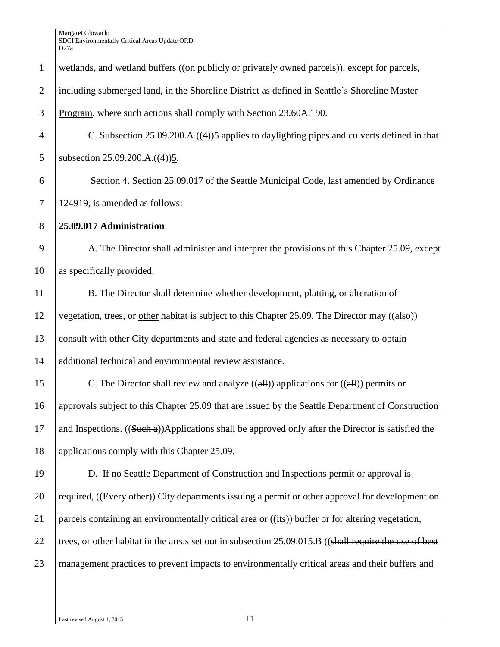| $\mathbf{1}$   | wetlands, and wetland buffers ((on publicly or privately owned parcels)), except for parcels,                 |
|----------------|---------------------------------------------------------------------------------------------------------------|
| $\mathbf{2}$   | including submerged land, in the Shoreline District as defined in Seattle's Shoreline Master                  |
| 3              | Program, where such actions shall comply with Section 23.60A.190.                                             |
| $\overline{4}$ | C. Subsection $25.09.200.A.((4))5$ applies to daylighting pipes and culverts defined in that                  |
| 5              | subsection 25.09.200.A.((4))5.                                                                                |
| 6              | Section 4. Section 25.09.017 of the Seattle Municipal Code, last amended by Ordinance                         |
| $\tau$         | 124919, is amended as follows:                                                                                |
| 8              | 25.09.017 Administration                                                                                      |
| 9              | A. The Director shall administer and interpret the provisions of this Chapter 25.09, except                   |
| 10             | as specifically provided.                                                                                     |
| 11             | B. The Director shall determine whether development, platting, or alteration of                               |
| 12             | vegetation, trees, or other habitat is subject to this Chapter 25.09. The Director may ((also))               |
| 13             | consult with other City departments and state and federal agencies as necessary to obtain                     |
| 14             | additional technical and environmental review assistance.                                                     |
| 15             | C. The Director shall review and analyze $((\text{all}))$ applications for $((\text{all}))$ permits or        |
| 16             | approvals subject to this Chapter 25.09 that are issued by the Seattle Department of Construction             |
| 17             | and Inspections. $((\text{Such } a))$ Applications shall be approved only after the Director is satisfied the |
| 18             | applications comply with this Chapter 25.09.                                                                  |
| 19             | D. If no Seattle Department of Construction and Inspections permit or approval is                             |
| 20             | required, ((Every other)) City departments issuing a permit or other approval for development on              |
| 21             | parcels containing an environmentally critical area or ((its)) buffer or for altering vegetation,             |
| 22             | trees, or other habitat in the areas set out in subsection 25.09.015.B ((shall require the use of best        |
| 23             | management practices to prevent impacts to environmentally critical areas and their buffers and               |
|                |                                                                                                               |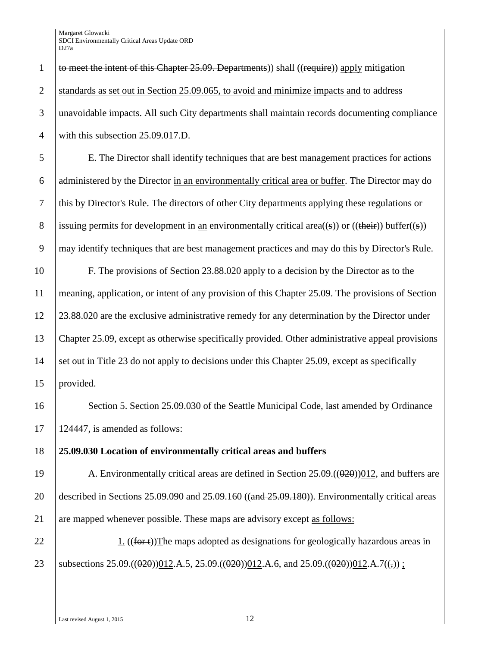1  $\vert$  to meet the intent of this Chapter 25.09. Departments)) shall ((require)) apply mitigation 2 Standards as set out in Section 25.09.065, to avoid and minimize impacts and to address 3 unavoidable impacts. All such City departments shall maintain records documenting compliance 4 with this subsection 25.09.017.D.

 E. The Director shall identify techniques that are best management practices for actions administered by the Director in an environmentally critical area or buffer. The Director may do this by Director's Rule. The directors of other City departments applying these regulations or 8 issuing permits for development in an environmentally critical area((s)) or ((their)) buffer((s)) may identify techniques that are best management practices and may do this by Director's Rule.

 F. The provisions of Section 23.88.020 apply to a decision by the Director as to the meaning, application, or intent of any provision of this Chapter 25.09. The provisions of Section 23.88.020 are the exclusive administrative remedy for any determination by the Director under Chapter 25.09, except as otherwise specifically provided. Other administrative appeal provisions 14 set out in Title 23 do not apply to decisions under this Chapter 25.09, except as specifically provided.

16 Section 5. Section 25.09.030 of the Seattle Municipal Code, last amended by Ordinance 17 124447, is amended as follows:

18 **25.09.030 Location of environmentally critical areas and buffers**

19 A. Environmentally critical areas are defined in Section  $25.09 \cdot ((0.20)(0.12)$ , and buffers are 20 described in Sections 25.09.090 and 25.09.160 ((and 25.09.180)). Environmentally critical areas 21 are mapped whenever possible. These maps are advisory except as follows:

22 1.  $((**for t**))$ The maps adopted as designations for geologically hazardous areas in 23 Subsections 25.09.(( $\theta$ 2 $\theta$ )) $\theta$ 12.A.5, 25.09.(( $\theta$ 2 $\theta$ )) $\theta$ 12.A.6, and 25.09.(( $\theta$ 2 $\theta$ )) $\theta$ 12.A.7(( $\tau$ )) ;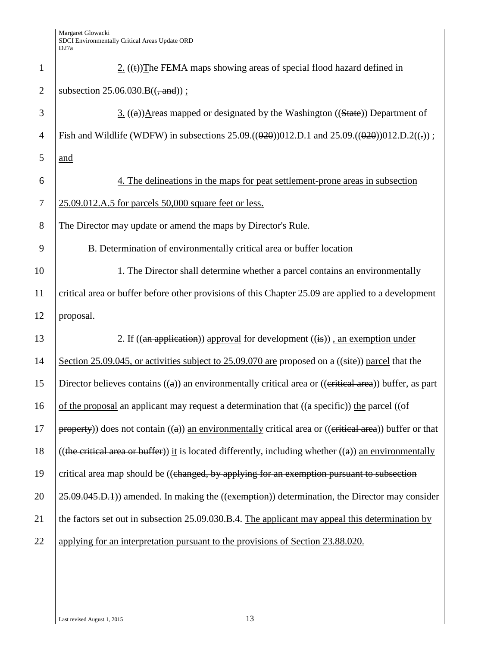| $\mathbf{1}$   | $2.$ ((t)) The FEMA maps showing areas of special flood hazard defined in                                                      |
|----------------|--------------------------------------------------------------------------------------------------------------------------------|
| $\overline{2}$ | subsection $25.06.030.B((\frac{1}{2}and))$ ;                                                                                   |
| 3              | 3. $((a))$ Areas mapped or designated by the Washington $((State))$ Department of                                              |
| $\overline{4}$ | Fish and Wildlife (WDFW) in subsections 25.09.(( $\theta$ 20)) $\theta$ 12.D.1 and 25.09.( $\theta$ 20)) $\theta$ 12.D.2((.)); |
| 5              | and                                                                                                                            |
| 6              | 4. The delineations in the maps for peat settlement-prone areas in subsection                                                  |
| $\overline{7}$ | 25.09.012.A.5 for parcels 50,000 square feet or less.                                                                          |
| 8              | The Director may update or amend the maps by Director's Rule.                                                                  |
| 9              | B. Determination of environmentally critical area or buffer location                                                           |
| 10             | 1. The Director shall determine whether a parcel contains an environmentally                                                   |
| 11             | critical area or buffer before other provisions of this Chapter 25.09 are applied to a development                             |
| 12             | proposal.                                                                                                                      |
| 13             | 2. If $((an application))$ approval for development $((i).)$ , an exemption under                                              |
| 14             | Section 25.09.045, or activities subject to 25.09.070 are proposed on a ((site)) parcel that the                               |
| 15             | Director believes contains $((a))$ an environmentally critical area or $((critical area))$ buffer, as part                     |
| 16             | of the proposal an applicant may request a determination that $((a \text{ specific}))$ the parcel $((of$                       |
| 17             | $property)$ ) does not contain $((a))$ an environmentally critical area or $((critical area))$ buffer or that                  |
| 18             | ((the critical area or buffer)) it is located differently, including whether $((a))$ an environmentally                        |
| 19             | critical area map should be ((changed, by applying for an exemption pursuant to subsection                                     |
| 20             | 25.09.045.D.1) amended. In making the ((exemption)) determination, the Director may consider                                   |
|                |                                                                                                                                |
| 21             | the factors set out in subsection 25.09.030.B.4. The applicant may appeal this determination by                                |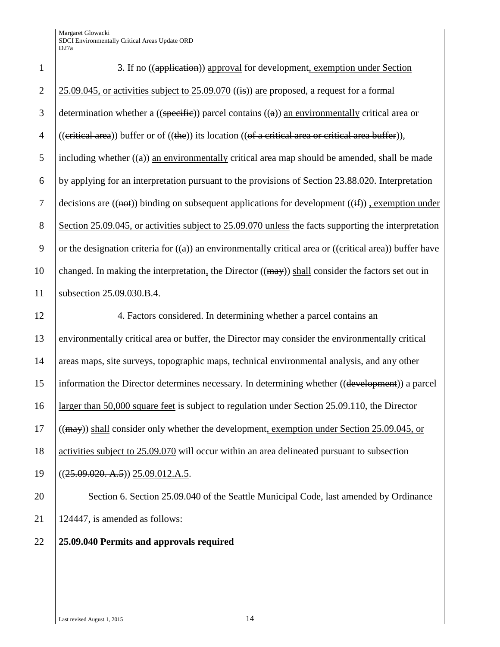| $\mathbf{1}$   | 3. If no ((application)) approval for development, exemption under Section                                                             |
|----------------|----------------------------------------------------------------------------------------------------------------------------------------|
| $\overline{2}$ | $25.09.045$ , or activities subject to $25.09.070$ ((is)) are proposed, a request for a formal                                         |
| 3              | determination whether a $((\text{specific}))$ parcel contains $((a))$ an environmentally critical area or                              |
| $\overline{4}$ | ((eritical area)) buffer or of ((the)) its location ((of a critical area or critical area buffer)),                                    |
| 5              | including whether $((a))$ an environmentally critical area map should be amended, shall be made                                        |
| 6              | by applying for an interpretation pursuant to the provisions of Section 23.88.020. Interpretation                                      |
| $\tau$         | decisions are $((\overline{n} + \overline{a})$ binding on subsequent applications for development $((\overline{m}))$ , exemption under |
| $8\,$          | Section 25.09.045, or activities subject to 25.09.070 unless the facts supporting the interpretation                                   |
| 9              | or the designation criteria for $((a))$ an environmentally critical area or $((\text{critical area}))$ buffer have                     |
| 10             | changed. In making the interpretation, the Director $((may))$ shall consider the factors set out in                                    |
| 11             | subsection 25.09.030.B.4.                                                                                                              |
|                |                                                                                                                                        |
| 12             | 4. Factors considered. In determining whether a parcel contains an                                                                     |
| 13             | environmentally critical area or buffer, the Director may consider the environmentally critical                                        |
| 14             | areas maps, site surveys, topographic maps, technical environmental analysis, and any other                                            |
| 15             | information the Director determines necessary. In determining whether ((development)) a parcel                                         |
| 16             | larger than 50,000 square feet is subject to regulation under Section 25.09.110, the Director                                          |
| 17             | $((\text{may}))$ shall consider only whether the development, exemption under Section 25.09.045, or                                    |
| 18             | activities subject to 25.09.070 will occur within an area delineated pursuant to subsection                                            |
| 19             | $((25.09.020, A.5))$ 25.09.012.A.5.                                                                                                    |
| 20             | Section 6. Section 25.09.040 of the Seattle Municipal Code, last amended by Ordinance                                                  |
| 21             | 124447, is amended as follows:                                                                                                         |

## **25.09.040 Permits and approvals required**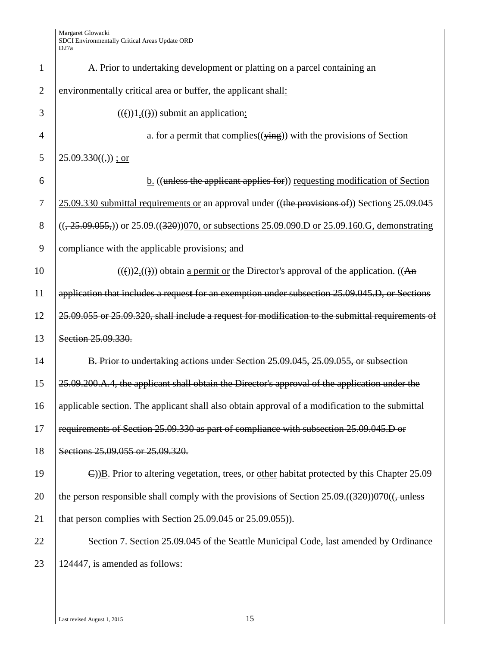| $\mathbf{1}$   | A. Prior to undertaking development or platting on a parcel containing an                                             |
|----------------|-----------------------------------------------------------------------------------------------------------------------|
| $\overline{2}$ | environmentally critical area or buffer, the applicant shall:                                                         |
| 3              | $((e))1.(f))$ submit an application:                                                                                  |
| $\overline{4}$ | a. for a permit that complies $((\overline{y}$ ing) with the provisions of Section                                    |
| 5              | $25.09.330((,))$ ; or                                                                                                 |
| 6              | $\underline{b}$ . ((unless the applicant applies for)) requesting modification of Section                             |
| $\overline{7}$ | 25.09.330 submittal requirements or an approval under ((the provisions of)) Sections 25.09.045                        |
| 8              | $((25.09.055))$ or 25.09. $((320))$ 070, or subsections 25.09.090. D or 25.09.160. G, demonstrating                   |
| 9              | compliance with the applicable provisions; and                                                                        |
| 10             | $((e))2((e))$ obtain <u>a permit or</u> the Director's approval of the application. ((An                              |
| 11             | application that includes a request for an exemption under subsection 25.09.045.D, or Sections                        |
| 12             | 25.09.055 or 25.09.320, shall include a request for modification to the submittal requirements of                     |
| 13             | Section 25.09.330.                                                                                                    |
| 14             | B. Prior to undertaking actions under Section 25.09.045, 25.09.055, or subsection                                     |
| 15             | 25.09.200.A.4, the applicant shall obtain the Director's approval of the application under the                        |
| 16             | applicable section. The applicant shall also obtain approval of a modification to the submittal                       |
| 17             | requirements of Section 25.09.330 as part of compliance with subsection 25.09.045.D or                                |
| 18             | Sections 25.09.055 or 25.09.320.                                                                                      |
| 19             | $\epsilon$ )) $\underline{B}$ . Prior to altering vegetation, trees, or other habitat protected by this Chapter 25.09 |
| 20             | the person responsible shall comply with the provisions of Section $25.09 \cdot ((320))070((-$                        |
| 21             | that person complies with Section 25.09.045 or 25.09.055)).                                                           |
| 22             | Section 7. Section 25.09.045 of the Seattle Municipal Code, last amended by Ordinance                                 |
| 23             | 124447, is amended as follows:                                                                                        |
|                |                                                                                                                       |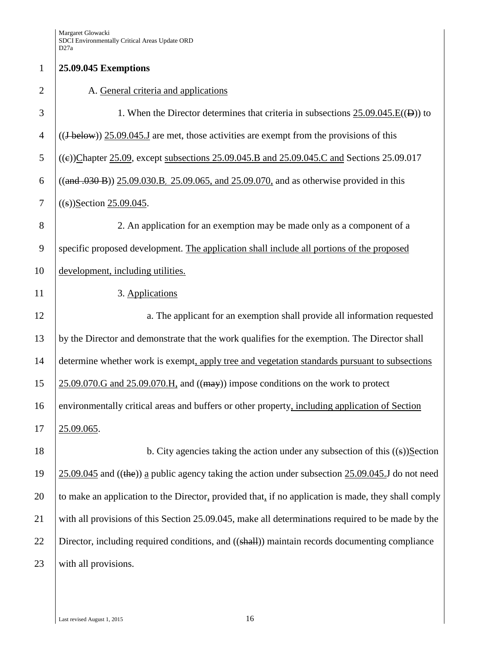## 1 **25.09.045 Exemptions** 2 A. General criteria and applications 3 1. When the Director determines that criteria in subsections 25.09.045.E((D)) to  $\left($  ((J below)) 25.09.045. J are met, those activities are exempt from the provisions of this 5 ((e))Chapter 25.09, except subsections 25.09.045.B and 25.09.045.C and Sections 25.09.017 6 ((and .030 B)) 25.09.030.B, 25.09.065, and 25.09.070, and as otherwise provided in this 7 ((s))Section 25.09.045. 8 2. An application for an exemption may be made only as a component of a 9 specific proposed development. The application shall include all portions of the proposed 10 development, including utilities. 11 3. Applications 12 a. The applicant for an exemption shall provide all information requested 13 by the Director and demonstrate that the work qualifies for the exemption. The Director shall 14 determine whether work is exempt, apply tree and vegetation standards pursuant to subsections  $15 \quad 25.09.070$  G and  $25.09.070$  H, and  $((\text{max}))$  impose conditions on the work to protect 16 environmentally critical areas and buffers or other property, including application of Section 17 25.09.065. 18 b. City agencies taking the action under any subsection of this ((s))Section 19 25.09.045 and ((the)) a public agency taking the action under subsection 25.09.045.J do not need 20 to make an application to the Director, provided that, if no application is made, they shall comply 21 with all provisions of this Section 25.09.045, make all determinations required to be made by the 22 Director, including required conditions, and ((shall)) maintain records documenting compliance 23 with all provisions.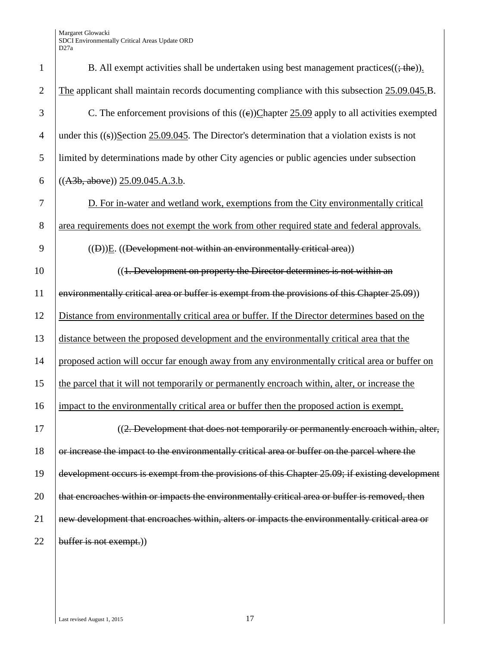| $\mathbf{1}$   | B. All exempt activities shall be undertaken using best management practices( $(\frac{1}{2}$ the)). |
|----------------|-----------------------------------------------------------------------------------------------------|
| $\overline{2}$ | The applicant shall maintain records documenting compliance with this subsection 25.09.045.B.       |
| 3              | C. The enforcement provisions of this $((e))$ Chapter 25.09 apply to all activities exempted        |
| $\overline{4}$ | under this $((s))$ Section 25.09.045. The Director's determination that a violation exists is not   |
| 5              | limited by determinations made by other City agencies or public agencies under subsection           |
| 6              | $((A3b, above))$ 25.09.045.A.3.b.                                                                   |
| 7              | D. For in-water and wetland work, exemptions from the City environmentally critical                 |
| 8              | area requirements does not exempt the work from other required state and federal approvals.         |
| 9              | $((D))E$ . ((Development not within an environmentally critical area))                              |
| 10             | ((1. Development on property the Director determines is not within an                               |
| 11             | environmentally critical area or buffer is exempt from the provisions of this Chapter 25.09))       |
| 12             | Distance from environmentally critical area or buffer. If the Director determines based on the      |
| 13             | distance between the proposed development and the environmentally critical area that the            |
| 14             | proposed action will occur far enough away from any environmentally critical area or buffer on      |
| 15             | the parcel that it will not temporarily or permanently encroach within, alter, or increase the      |
| 16             | impact to the environmentally critical area or buffer then the proposed action is exempt.           |
| 17             | ((2. Development that does not temporarily or permanently encroach within, alter,                   |
| 18             | or increase the impact to the environmentally critical area or buffer on the parcel where the       |
| 19             | development occurs is exempt from the provisions of this Chapter 25.09; if existing development     |
| 20             | that encroaches within or impacts the environmentally critical area or buffer is removed, then      |
| 21             | new development that encroaches within, alters or impacts the environmentally critical area or      |
| 22             | buffer is not exempt.)                                                                              |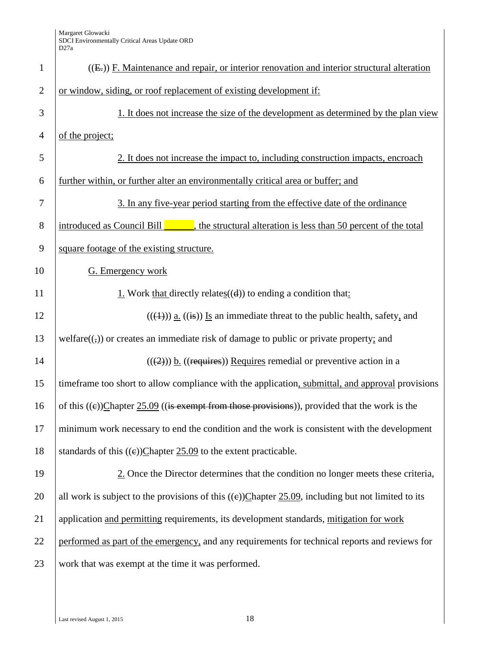| $\mathbf{1}$   | $((E))$ F. Maintenance and repair, or interior renovation and interior structural alteration                |
|----------------|-------------------------------------------------------------------------------------------------------------|
| $\overline{2}$ | or window, siding, or roof replacement of existing development if:                                          |
| 3              | 1. It does not increase the size of the development as determined by the plan view                          |
| $\overline{4}$ | of the project;                                                                                             |
| 5              | 2. It does not increase the impact to, including construction impacts, encroach                             |
| 6              | further within, or further alter an environmentally critical area or buffer; and                            |
| 7              | 3. In any five-year period starting from the effective date of the ordinance                                |
| $8\phantom{1}$ | introduced as Council Bill <b>Exercise</b> , the structural alteration is less than 50 percent of the total |
| 9              | square footage of the existing structure.                                                                   |
| 10             | G. Emergency work                                                                                           |
| 11             | 1. Work that directly relates $((d))$ to ending a condition that:                                           |
| 12             | $((\text{(*)}))$ <u>a.</u> ((is)) Is an immediate threat to the public health, safety, and                  |
| 13             | $welfare((,))$ or creates an immediate risk of damage to public or private property; and                    |
| 14             | $((2))$ ) b. ((requires)) Requires remedial or preventive action in a                                       |
| 15             | timeframe too short to allow compliance with the application, submittal, and approval provisions            |
| 16             | of this $((e))$ Chapter 25.09 ((is exempt from those provisions)), provided that the work is the            |
| 17             | minimum work necessary to end the condition and the work is consistent with the development                 |
| 18             | standards of this $((e))$ Chapter 25.09 to the extent practicable.                                          |
| 19             | 2. Once the Director determines that the condition no longer meets these criteria,                          |
| 20             | all work is subject to the provisions of this $((e))$ Chapter 25.09, including but not limited to its       |
| 21             | application and permitting requirements, its development standards, mitigation for work                     |
| 22             | performed as part of the emergency, and any requirements for technical reports and reviews for              |
| 23             | work that was exempt at the time it was performed.                                                          |
|                |                                                                                                             |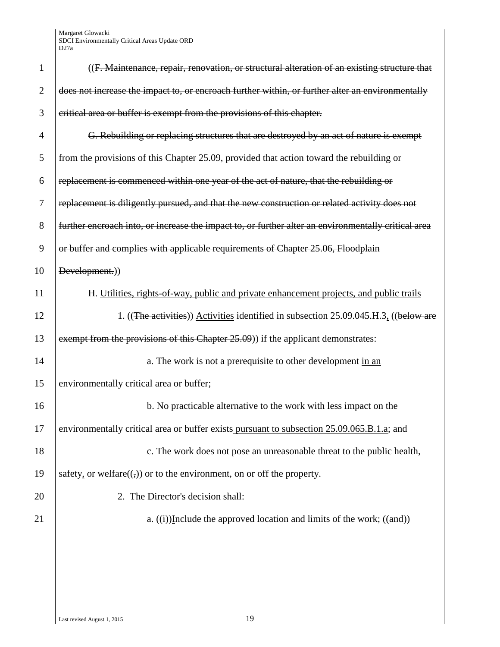| $\mathbf{1}$   | ((F. Maintenance, repair, renovation, or structural alteration of an existing structure that        |
|----------------|-----------------------------------------------------------------------------------------------------|
| $\overline{2}$ | does not increase the impact to, or encroach further within, or further alter an environmentally    |
| 3              | critical area or buffer is exempt from the provisions of this chapter.                              |
| 4              | G. Rebuilding or replacing structures that are destroyed by an act of nature is exempt              |
| 5              | from the provisions of this Chapter 25.09, provided that action toward the rebuilding or            |
| 6              | replacement is commenced within one year of the act of nature, that the rebuilding or               |
| 7              | replacement is diligently pursued, and that the new construction or related activity does not       |
| 8              | further encroach into, or increase the impact to, or further alter an environmentally critical area |
| 9              | or buffer and complies with applicable requirements of Chapter 25.06, Floodplain                    |
| 10             | Development.))                                                                                      |
| 11             | H. Utilities, rights-of-way, public and private enhancement projects, and public trails             |
| 12             | 1. ((The activities)) Activities identified in subsection 25.09.045.H.3. ((below are                |
| 13             | exempt from the provisions of this Chapter 25.09)) if the applicant demonstrates:                   |
| 14             | a. The work is not a prerequisite to other development in an                                        |
| 15             | environmentally critical area or buffer;                                                            |
| 16             | b. No practicable alternative to the work with less impact on the                                   |
| 17             | environmentally critical area or buffer exists pursuant to subsection 25.09.065.B.1.a; and          |
| 18             | c. The work does not pose an unreasonable threat to the public health,                              |
| 19             | safety, or welfare( $(\tau)$ ) or to the environment, on or off the property.                       |
| 20             | 2. The Director's decision shall:                                                                   |
| 21             | a. $((i))$ Include the approved location and limits of the work; $((and))$                          |
|                |                                                                                                     |
|                |                                                                                                     |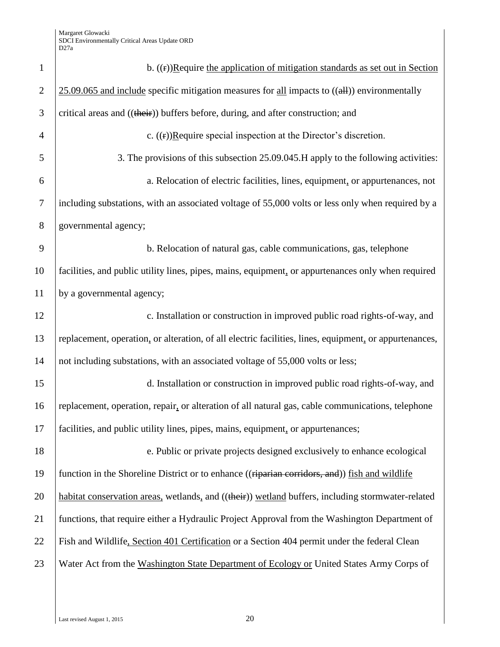| $\mathbf{1}$   | b. $((f))$ Require the application of mitigation standards as set out in Section                         |
|----------------|----------------------------------------------------------------------------------------------------------|
| $\overline{2}$ | $25.09.065$ and include specific mitigation measures for all impacts to $((\text{all}))$ environmentally |
| 3              | critical areas and ((their)) buffers before, during, and after construction; and                         |
| $\overline{4}$ | c. $((r))$ Require special inspection at the Director's discretion.                                      |
| 5              | 3. The provisions of this subsection 25.09.045. H apply to the following activities:                     |
| 6              | a. Relocation of electric facilities, lines, equipment, or appurtenances, not                            |
| $\tau$         | including substations, with an associated voltage of 55,000 volts or less only when required by a        |
| 8              | governmental agency;                                                                                     |
| 9              | b. Relocation of natural gas, cable communications, gas, telephone                                       |
| 10             | facilities, and public utility lines, pipes, mains, equipment, or appurtenances only when required       |
| 11             | by a governmental agency;                                                                                |
| 12             | c. Installation or construction in improved public road rights-of-way, and                               |
| 13             | replacement, operation, or alteration, of all electric facilities, lines, equipment, or appurtenances,   |
| 14             | not including substations, with an associated voltage of 55,000 volts or less;                           |
| 15             | d. Installation or construction in improved public road rights-of-way, and                               |
| 16             | replacement, operation, repair, or alteration of all natural gas, cable communications, telephone        |
| 17             | facilities, and public utility lines, pipes, mains, equipment, or appurtenances;                         |
| 18             | e. Public or private projects designed exclusively to enhance ecological                                 |
| 19             | function in the Shoreline District or to enhance ((riparian corridors, and)) fish and wildlife           |
| 20             | habitat conservation areas, wetlands, and ((their)) wetland buffers, including stormwater-related        |
| 21             | functions, that require either a Hydraulic Project Approval from the Washington Department of            |
| 22             | Fish and Wildlife, Section 401 Certification or a Section 404 permit under the federal Clean             |
| 23             | Water Act from the Washington State Department of Ecology or United States Army Corps of                 |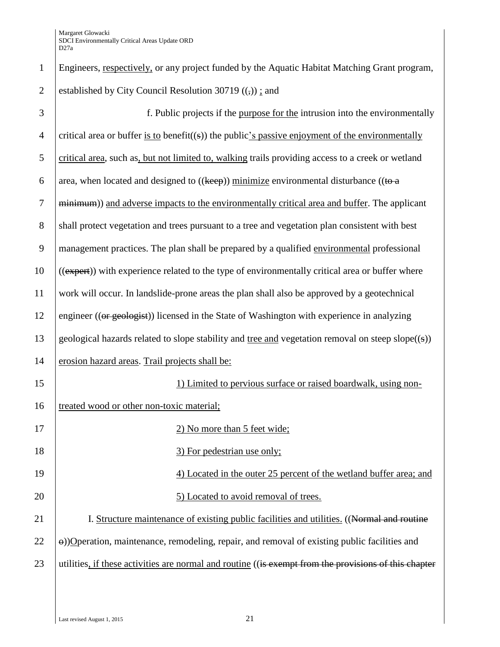| $\mathbf{1}$     | Engineers, respectively, or any project funded by the Aquatic Habitat Matching Grant program,            |
|------------------|----------------------------------------------------------------------------------------------------------|
| $\overline{2}$   | established by City Council Resolution 30719 $((,))$ : and                                               |
| 3                | f. Public projects if the purpose for the intrusion into the environmentally                             |
| $\overline{4}$   | critical area or buffer is to benefit( $(s)$ ) the public's passive enjoyment of the environmentally     |
| 5                | critical area, such as, but not limited to, walking trails providing access to a creek or wetland        |
| 6                | area, when located and designed to $((\text{keep}))$ minimize environmental disturbance $((\text{to a})$ |
| $\boldsymbol{7}$ | minimum)) and adverse impacts to the environmentally critical area and buffer. The applicant             |
| 8                | shall protect vegetation and trees pursuant to a tree and vegetation plan consistent with best           |
| 9                | management practices. The plan shall be prepared by a qualified environmental professional               |
| 10               | ((expert)) with experience related to the type of environmentally critical area or buffer where          |
| 11               | work will occur. In landslide-prone areas the plan shall also be approved by a geotechnical              |
| 12               | engineer ((or geologist)) licensed in the State of Washington with experience in analyzing               |
| 13               | geological hazards related to slope stability and tree and vegetation removal on steep slope $((s))$     |
| 14               | erosion hazard areas. Trail projects shall be:                                                           |
| 15               | 1) Limited to pervious surface or raised boardwalk, using non-                                           |
| 16               | treated wood or other non-toxic material;                                                                |
| 17               | 2) No more than 5 feet wide;                                                                             |
| 18               | 3) For pedestrian use only;                                                                              |
| 19               | 4) Located in the outer 25 percent of the wetland buffer area; and                                       |
| 20               | 5) Located to avoid removal of trees.                                                                    |
| 21               | I. Structure maintenance of existing public facilities and utilities. ((Normal and routine               |
| 22               | e))O peration, maintenance, remodeling, repair, and removal of existing public facilities and            |
| 23               | utilities, if these activities are normal and routine ((is exempt from the provisions of this chapter    |
|                  |                                                                                                          |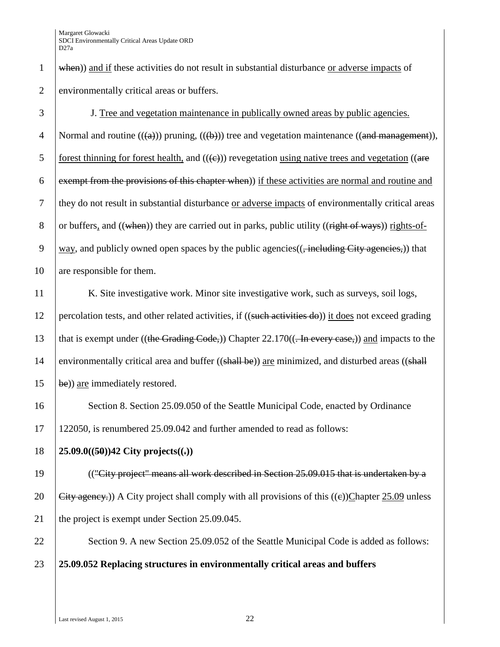3 J. Tree and vegetation maintenance in publically owned areas by public agencies. 4 Normal and routine  $((a))$  pruning,  $((b))$  tree and vegetation maintenance  $((and *management*)),$ 5 forest thinning for forest health, and  $((\epsilon))$  revegetation using native trees and vegetation ((are 6 exempt from the provisions of this chapter when) if these activities are normal and routine and 7 they do not result in substantial disturbance or adverse impacts of environmentally critical areas 8 or buffers, and  $((\text{when}))$  they are carried out in parks, public utility  $((\text{right of ways}))$  rights-of-9 way, and publicly owned open spaces by the public agencies( $(\frac{1}{2} \frac{1}{2}$  metal  $\frac{1}{2}$  metal  $\frac{1}{2}$  metal  $\frac{1}{2}$  metal  $\frac{1}{2}$  metal  $\frac{1}{2}$  metal  $\frac{1}{2}$  metal  $\frac{1}{2}$  metal  $\frac{1}{2}$  metal  $\frac{1}{2}$ 10 are responsible for them.

11 K. Site investigative work. Minor site investigative work, such as surveys, soil logs, 12 percolation tests, and other related activities, if ((such activities do)) it does not exceed grading 13 that is exempt under ((the Grading Code,)) Chapter  $22.170$ (( $\overline{.}$  In every case,)) and impacts to the 14 environmentally critical area and buffer  $((shall be))$  are minimized, and disturbed areas  $((shall$  $15$  be)) are immediately restored.

16 Section 8. Section 25.09.050 of the Seattle Municipal Code, enacted by Ordinance 17 122050, is renumbered 25.09.042 and further amended to read as follows:

18 **25.09.0((50))42 City projects((.))**

19 (("City project" means all work described in Section 25.09.015 that is undertaken by a 20 Gity agency.)) A City project shall comply with all provisions of this  $((e))$ Chapter 25.09 unless 21 the project is exempt under Section 25.09.045.

22 Section 9. A new Section 25.09.052 of the Seattle Municipal Code is added as follows:

23 **25.09.052 Replacing structures in environmentally critical areas and buffers**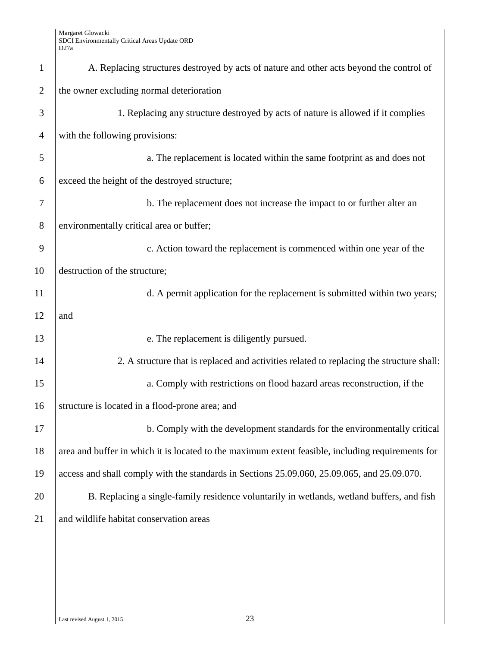| $\mathbf{1}$   | A. Replacing structures destroyed by acts of nature and other acts beyond the control of          |
|----------------|---------------------------------------------------------------------------------------------------|
| $\overline{2}$ | the owner excluding normal deterioration                                                          |
| 3              | 1. Replacing any structure destroyed by acts of nature is allowed if it complies                  |
| $\overline{4}$ | with the following provisions:                                                                    |
| 5              | a. The replacement is located within the same footprint as and does not                           |
| 6              | exceed the height of the destroyed structure;                                                     |
| 7              | b. The replacement does not increase the impact to or further alter an                            |
| 8              | environmentally critical area or buffer;                                                          |
| 9              | c. Action toward the replacement is commenced within one year of the                              |
| 10             | destruction of the structure;                                                                     |
| 11             | d. A permit application for the replacement is submitted within two years;                        |
| 12             | and                                                                                               |
| 13             | e. The replacement is diligently pursued.                                                         |
| 14             | 2. A structure that is replaced and activities related to replacing the structure shall:          |
| 15             | a. Comply with restrictions on flood hazard areas reconstruction, if the                          |
| 16             | structure is located in a flood-prone area; and                                                   |
| 17             | b. Comply with the development standards for the environmentally critical                         |
| 18             | area and buffer in which it is located to the maximum extent feasible, including requirements for |
| 19             | access and shall comply with the standards in Sections 25.09.060, 25.09.065, and 25.09.070.       |
| 20             | B. Replacing a single-family residence voluntarily in wetlands, wetland buffers, and fish         |
| 21             | and wildlife habitat conservation areas                                                           |
|                |                                                                                                   |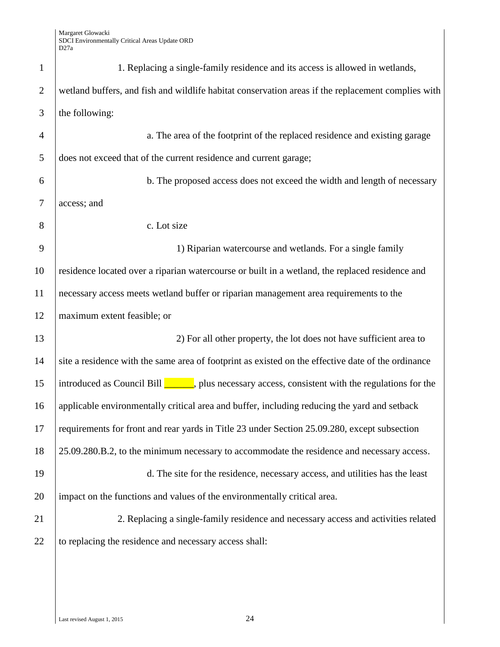| $\mathbf{1}$   | 1. Replacing a single-family residence and its access is allowed in wetlands,                                     |
|----------------|-------------------------------------------------------------------------------------------------------------------|
| $\overline{2}$ | wetland buffers, and fish and wildlife habitat conservation areas if the replacement complies with                |
| 3              | the following:                                                                                                    |
| $\overline{4}$ | a. The area of the footprint of the replaced residence and existing garage                                        |
| 5              | does not exceed that of the current residence and current garage;                                                 |
| 6              | b. The proposed access does not exceed the width and length of necessary                                          |
| $\tau$         | access; and                                                                                                       |
| 8              | c. Lot size                                                                                                       |
| 9              | 1) Riparian watercourse and wetlands. For a single family                                                         |
| 10             | residence located over a riparian watercourse or built in a wetland, the replaced residence and                   |
| 11             | necessary access meets wetland buffer or riparian management area requirements to the                             |
| 12             | maximum extent feasible; or                                                                                       |
| 13             | 2) For all other property, the lot does not have sufficient area to                                               |
| 14             | site a residence with the same area of footprint as existed on the effective date of the ordinance                |
| 15             | introduced as Council Bill $\boxed{\phantom{a}}$ , plus necessary access, consistent with the regulations for the |
| 16             | applicable environmentally critical area and buffer, including reducing the yard and setback                      |
| 17             | requirements for front and rear yards in Title 23 under Section 25.09.280, except subsection                      |
| 18             | 25.09.280.B.2, to the minimum necessary to accommodate the residence and necessary access.                        |
| 19             | d. The site for the residence, necessary access, and utilities has the least                                      |
| 20             | impact on the functions and values of the environmentally critical area.                                          |
| 21             | 2. Replacing a single-family residence and necessary access and activities related                                |
| 22             | to replacing the residence and necessary access shall:                                                            |
|                |                                                                                                                   |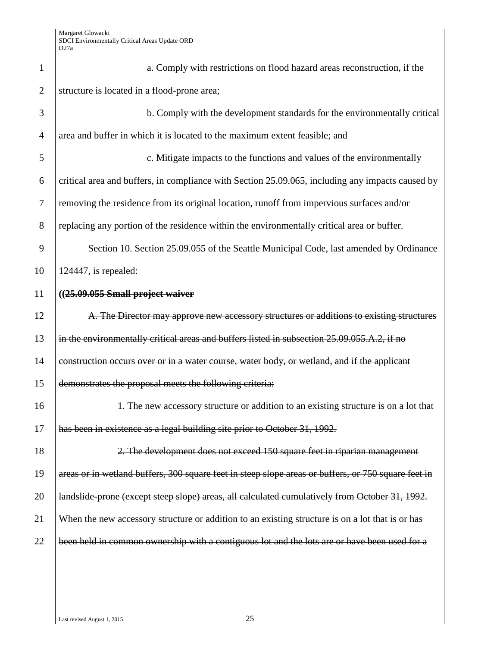| $\mathbf{1}$   | a. Comply with restrictions on flood hazard areas reconstruction, if the                            |
|----------------|-----------------------------------------------------------------------------------------------------|
| $\overline{2}$ | structure is located in a flood-prone area;                                                         |
| 3              | b. Comply with the development standards for the environmentally critical                           |
| $\overline{4}$ | area and buffer in which it is located to the maximum extent feasible; and                          |
| 5              | c. Mitigate impacts to the functions and values of the environmentally                              |
| 6              | critical area and buffers, in compliance with Section 25.09.065, including any impacts caused by    |
| $\tau$         | removing the residence from its original location, runoff from impervious surfaces and/or           |
| 8              | replacing any portion of the residence within the environmentally critical area or buffer.          |
| 9              | Section 10. Section 25.09.055 of the Seattle Municipal Code, last amended by Ordinance              |
| 10             | $124447$ , is repealed:                                                                             |
| 11             | $((25.09.055 Small$ project waiver                                                                  |
| 12             | A. The Director may approve new accessory structures or additions to existing structures            |
| 13             | in the environmentally critical areas and buffers listed in subsection 25.09.055.A.2, if no         |
| 14             | construction occurs over or in a water course, water body, or wetland, and if the applicant         |
| 15             | demonstrates the proposal meets the following criteria:                                             |
| 16             | 1. The new accessory structure or addition to an existing structure is on a lot that                |
| 17             | has been in existence as a legal building site prior to October 31, 1992.                           |
| 18             | 2. The development does not exceed 150 square feet in riparian management                           |
| 19             | areas or in wetland buffers, 300 square feet in steep slope areas or buffers, or 750 square feet in |
| 20             | landslide-prone (except steep slope) areas, all calculated cumulatively from October 31, 1992.      |
| 21             | When the new accessory structure or addition to an existing structure is on a lot that is or has    |
| 22             | been held in common ownership with a contiguous lot and the lots are or have been used for a        |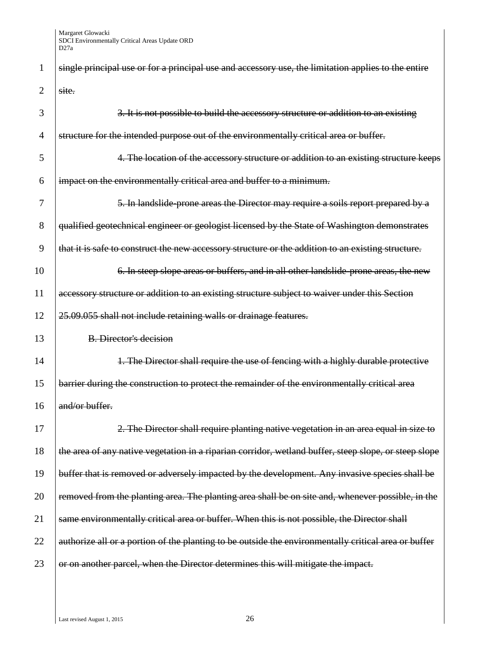| 1              | single principal use or for a principal use and accessory use, the limitation applies to the entire   |
|----------------|-------------------------------------------------------------------------------------------------------|
| 2              | site.                                                                                                 |
| 3              | 3. It is not possible to build the accessory structure or addition to an existing                     |
| $\overline{4}$ | structure for the intended purpose out of the environmentally critical area or buffer.                |
| 5              | 4. The location of the accessory structure or addition to an existing structure keeps                 |
| 6              | impact on the environmentally critical area and buffer to a minimum.                                  |
| 7              | 5. In landslide-prone areas the Director may require a soils report prepared by a                     |
| 8              | qualified geotechnical engineer or geologist licensed by the State of Washington demonstrates         |
| 9              | that it is safe to construct the new accessory structure or the addition to an existing structure.    |
| 10             | 6. In steep slope areas or buffers, and in all other landslide-prone areas, the new                   |
| 11             | accessory structure or addition to an existing structure subject to waiver under this Section         |
| 12             | 25.09.055 shall not include retaining walls or drainage features.                                     |
| 13             | <b>B.</b> Director's decision                                                                         |
| 14             | 1. The Director shall require the use of fencing with a highly durable protective                     |
| 15             | barrier during the construction to protect the remainder of the environmentally critical area         |
| 16             | $and/or$ buffer.                                                                                      |
| 17             | 2. The Director shall require planting native vegetation in an area equal in size to                  |
| 18             | the area of any native vegetation in a riparian corridor, wetland buffer, steep slope, or steep slope |
| 19             | buffer that is removed or adversely impacted by the development. Any invasive species shall be        |
| 20             | removed from the planting area. The planting area shall be on site and, whenever possible, in the     |
| 21             | same environmentally critical area or buffer. When this is not possible, the Director shall           |
| 22             | authorize all or a portion of the planting to be outside the environmentally critical area or buffer  |
| 23             | or on another parcel, when the Director determines this will mitigate the impact.                     |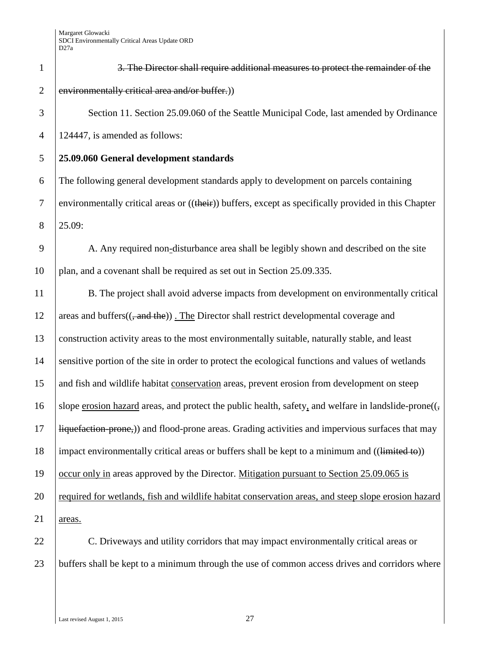| $\mathbf{1}$   | 3. The Director shall require additional measures to protect the remainder of the                         |
|----------------|-----------------------------------------------------------------------------------------------------------|
| $\overline{2}$ | environmentally critical area and/or buffer.))                                                            |
| 3              | Section 11. Section 25.09.060 of the Seattle Municipal Code, last amended by Ordinance                    |
| $\overline{4}$ | 124447, is amended as follows:                                                                            |
| 5              | 25.09.060 General development standards                                                                   |
| 6              | The following general development standards apply to development on parcels containing                    |
| $\tau$         | environmentally critical areas or ((their)) buffers, except as specifically provided in this Chapter      |
| 8              | 25.09:                                                                                                    |
| 9              | A. Any required non-disturbance area shall be legibly shown and described on the site                     |
| 10             | plan, and a covenant shall be required as set out in Section 25.09.335.                                   |
| 11             | B. The project shall avoid adverse impacts from development on environmentally critical                   |
| 12             | areas and buffers(( <del>, and the</del> )). The Director shall restrict developmental coverage and       |
| 13             | construction activity areas to the most environmentally suitable, naturally stable, and least             |
| 14             | sensitive portion of the site in order to protect the ecological functions and values of wetlands         |
| 15             | and fish and wildlife habitat conservation areas, prevent erosion from development on steep               |
| 16             | slope erosion hazard areas, and protect the public health, safety, and welfare in landslide-prone $((, )$ |
| 17             | Hiquefaction-prone,)) and flood-prone areas. Grading activities and impervious surfaces that may          |
| 18             | impact environmentally critical areas or buffers shall be kept to a minimum and ((limited to))            |
| 19             | occur only in areas approved by the Director. Mitigation pursuant to Section 25.09.065 is                 |
| 20             | required for wetlands, fish and wildlife habitat conservation areas, and steep slope erosion hazard       |
| 21             | areas.                                                                                                    |
| 22             | C. Driveways and utility corridors that may impact environmentally critical areas or                      |

23 buffers shall be kept to a minimum through the use of common access drives and corridors where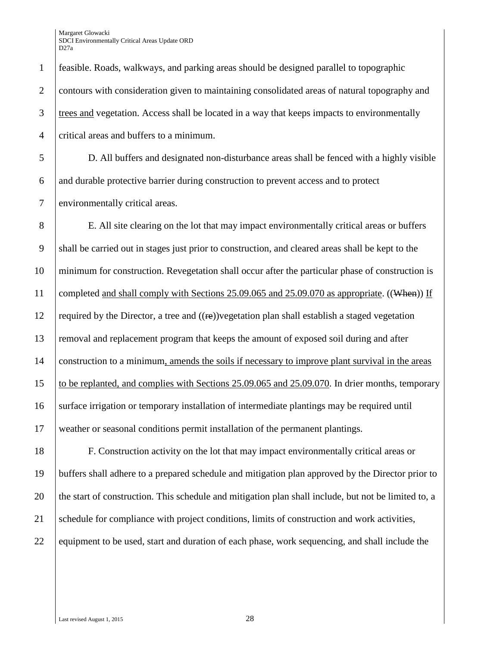1 feasible. Roads, walkways, and parking areas should be designed parallel to topographic 2 contours with consideration given to maintaining consolidated areas of natural topography and 3 trees and vegetation. Access shall be located in a way that keeps impacts to environmentally 4 critical areas and buffers to a minimum.

5 D. All buffers and designated non-disturbance areas shall be fenced with a highly visible 6 and durable protective barrier during construction to prevent access and to protect 7 environmentally critical areas.

8 E. All site clearing on the lot that may impact environmentally critical areas or buffers 9 shall be carried out in stages just prior to construction, and cleared areas shall be kept to the 10 minimum for construction. Revegetation shall occur after the particular phase of construction is 11 completed and shall comply with Sections 25.09.065 and 25.09.070 as appropriate. ((When)) If 12 required by the Director, a tree and  $((\mathbf{r}\mathbf{e}))$ vegetation plan shall establish a staged vegetation 13 removal and replacement program that keeps the amount of exposed soil during and after 14 construction to a minimum, amends the soils if necessary to improve plant survival in the areas 15 to be replanted, and complies with Sections 25.09.065 and 25.09.070. In drier months, temporary 16 surface irrigation or temporary installation of intermediate plantings may be required until 17 weather or seasonal conditions permit installation of the permanent plantings.

18 F. Construction activity on the lot that may impact environmentally critical areas or 19 buffers shall adhere to a prepared schedule and mitigation plan approved by the Director prior to 20 the start of construction. This schedule and mitigation plan shall include, but not be limited to, a 21 Schedule for compliance with project conditions, limits of construction and work activities, 22 equipment to be used, start and duration of each phase, work sequencing, and shall include the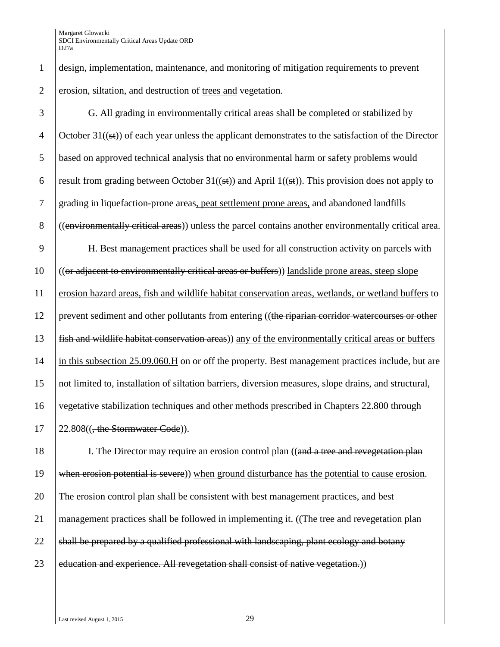1 design, implementation, maintenance, and monitoring of mitigation requirements to prevent 2 erosion, siltation, and destruction of trees and vegetation.

 G. All grading in environmentally critical areas shall be completed or stabilized by 4 Coctober  $31((\pm \mathbf{i}))$  of each year unless the applicant demonstrates to the satisfaction of the Director based on approved technical analysis that no environmental harm or safety problems would 6 result from grading between October 31((st)) and April 1((st)). This provision does not apply to grading in liquefaction-prone areas, peat settlement prone areas, and abandoned landfills ((environmentally critical areas)) unless the parcel contains another environmentally critical area. H. Best management practices shall be used for all construction activity on parcels with ((or adjacent to environmentally critical areas or buffers)) landslide prone areas, steep slope erosion hazard areas, fish and wildlife habitat conservation areas, wetlands, or wetland buffers to 12 prevent sediment and other pollutants from entering ((the riparian corridor watercourses or other fish and wildlife habitat conservation areas) any of the environmentally critical areas or buffers 14 in this subsection 25.09.060.H on or off the property. Best management practices include, but are not limited to, installation of siltation barriers, diversion measures, slope drains, and structural, vegetative stabilization techniques and other methods prescribed in Chapters 22.800 through  $17 \quad 22.808((, the **Stormwater Code**)).$ 

18 I. The Director may require an erosion control plan ((and a tree and revegetation plan 19 when erosion potential is severe) when ground disturbance has the potential to cause erosion. 20 The erosion control plan shall be consistent with best management practices, and best 21 management practices shall be followed in implementing it. ((The tree and revegetation plan 22  $\parallel$  shall be prepared by a qualified professional with landscaping, plant ecology and botany 23 education and experience. All revegetation shall consist of native vegetation.)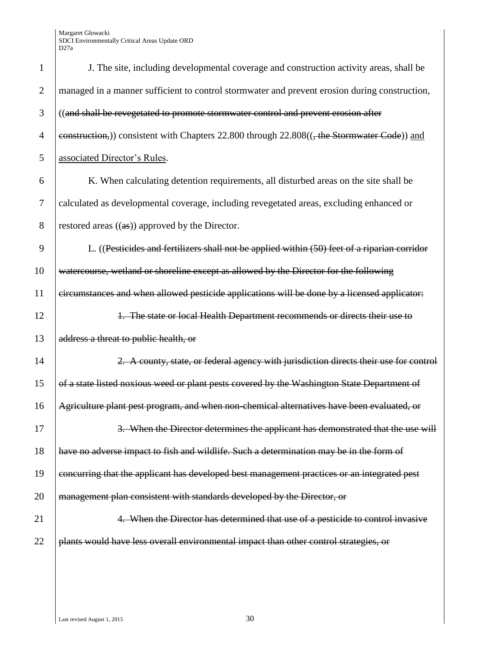| $\mathbf{1}$   | J. The site, including developmental coverage and construction activity areas, shall be       |
|----------------|-----------------------------------------------------------------------------------------------|
| $\overline{2}$ | managed in a manner sufficient to control stormwater and prevent erosion during construction, |
| 3              | ((and shall be revegetated to promote stormwater control and prevent erosion after            |
| $\overline{4}$ | eonstruction,) consistent with Chapters 22.800 through 22.808((, the Stormwater Code)) and    |
| 5              | associated Director's Rules.                                                                  |
| 6              | K. When calculating detention requirements, all disturbed areas on the site shall be          |
| $\overline{7}$ | calculated as developmental coverage, including revegetated areas, excluding enhanced or      |
| 8              | restored areas $((as))$ approved by the Director.                                             |
| 9              | L. ((Pesticides and fertilizers shall not be applied within (50) feet of a riparian corridor  |
| 10             | watercourse, wetland or shoreline except as allowed by the Director for the following         |
| 11             | circumstances and when allowed pesticide applications will be done by a licensed applicator:  |
| 12             | 1. The state or local Health Department recommends or directs their use to                    |
| 13             | address a threat to public health, or                                                         |
| 14             | 2. A county, state, or federal agency with jurisdiction directs their use for control         |
| 15             | of a state listed noxious weed or plant pests covered by the Washington State Department of   |
| 16             | Agriculture plant pest program, and when non-chemical alternatives have been evaluated, or    |
| 17             | 3. When the Director determines the applicant has demonstrated that the use will              |
| 18             | have no adverse impact to fish and wildlife. Such a determination may be in the form of       |
| 19             | concurring that the applicant has developed best management practices or an integrated pest   |
| 20             | management plan consistent with standards developed by the Director, or                       |
| 21             | 4. When the Director has determined that use of a pesticide to control invasive               |
| 22             | plants would have less overall environmental impact than other control strategies, or         |
|                |                                                                                               |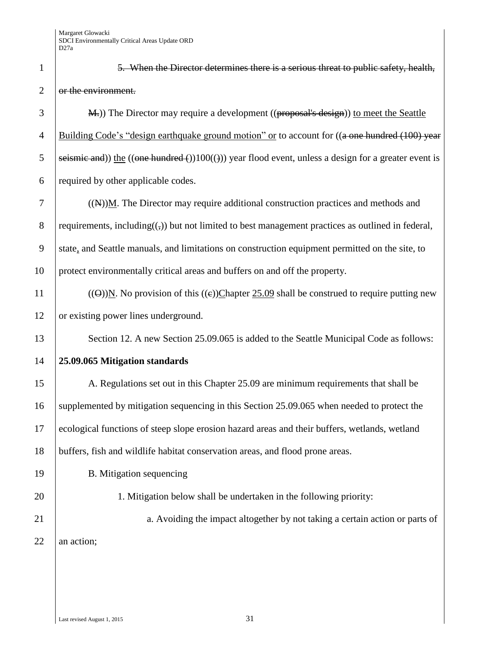| $\mathbf{1}$   | 5. When the Director determines there is a serious threat to public safety, health,                                           |
|----------------|-------------------------------------------------------------------------------------------------------------------------------|
| $\mathbf{2}$   | or the environment.                                                                                                           |
| 3              | M.)) The Director may require a development ((proposal's design)) to meet the Seattle                                         |
| $\overline{4}$ | Building Code's "design earthquake ground motion" or to account for ((a one hundred (100) year                                |
| 5              | seismic and)) the $((one hundred)(100(())$ year flood event, unless a design for a greater event is                           |
| 6              | required by other applicable codes.                                                                                           |
| $\tau$         | $((N))$ M. The Director may require additional construction practices and methods and                                         |
| $8\,$          | requirements, including( $\left(\frac{1}{2}\right)$ ) but not limited to best management practices as outlined in federal,    |
| 9              | state, and Seattle manuals, and limitations on construction equipment permitted on the site, to                               |
| 10             | protect environmentally critical areas and buffers on and off the property.                                                   |
| 11             | (( $\Theta$ )) $\underline{N}$ . No provision of this (( $\epsilon$ ))Chapter 25.09 shall be construed to require putting new |
| 12             | or existing power lines underground.                                                                                          |
| 13             | Section 12. A new Section 25.09.065 is added to the Seattle Municipal Code as follows:                                        |
| 14             | 25.09.065 Mitigation standards                                                                                                |
| 15             | A. Regulations set out in this Chapter 25.09 are minimum requirements that shall be                                           |
| 16             | supplemented by mitigation sequencing in this Section 25.09.065 when needed to protect the                                    |
| 17             | ecological functions of steep slope erosion hazard areas and their buffers, wetlands, wetland                                 |
| 18             | buffers, fish and wildlife habitat conservation areas, and flood prone areas.                                                 |
| 19             | B. Mitigation sequencing                                                                                                      |
| 20             | 1. Mitigation below shall be undertaken in the following priority:                                                            |
| 21             | a. Avoiding the impact altogether by not taking a certain action or parts of                                                  |
| 22             | an action;                                                                                                                    |
|                |                                                                                                                               |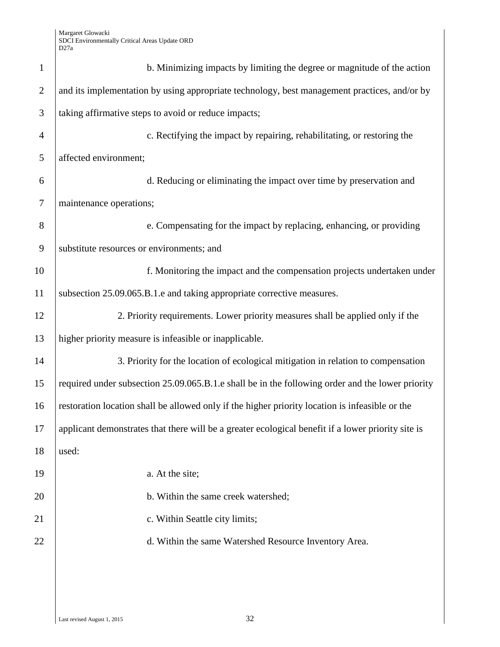| $\mathbf{1}$   | b. Minimizing impacts by limiting the degree or magnitude of the action                            |
|----------------|----------------------------------------------------------------------------------------------------|
| $\overline{2}$ | and its implementation by using appropriate technology, best management practices, and/or by       |
| 3              | taking affirmative steps to avoid or reduce impacts;                                               |
| $\overline{4}$ | c. Rectifying the impact by repairing, rehabilitating, or restoring the                            |
| 5              | affected environment;                                                                              |
| 6              | d. Reducing or eliminating the impact over time by preservation and                                |
| $\overline{7}$ | maintenance operations;                                                                            |
| 8              | e. Compensating for the impact by replacing, enhancing, or providing                               |
| 9              | substitute resources or environments; and                                                          |
| 10             | f. Monitoring the impact and the compensation projects undertaken under                            |
| 11             | subsection 25.09.065.B.1.e and taking appropriate corrective measures.                             |
| 12             | 2. Priority requirements. Lower priority measures shall be applied only if the                     |
| 13             | higher priority measure is infeasible or inapplicable.                                             |
| 14             | 3. Priority for the location of ecological mitigation in relation to compensation                  |
| 15             | required under subsection 25.09.065.B.1.e shall be in the following order and the lower priority   |
| 16             | restoration location shall be allowed only if the higher priority location is infeasible or the    |
| 17             | applicant demonstrates that there will be a greater ecological benefit if a lower priority site is |
| 18             | used:                                                                                              |
| 19             | a. At the site;                                                                                    |
| 20             | b. Within the same creek watershed;                                                                |
| 21             | c. Within Seattle city limits;                                                                     |
| 22             | d. Within the same Watershed Resource Inventory Area.                                              |
|                |                                                                                                    |
|                |                                                                                                    |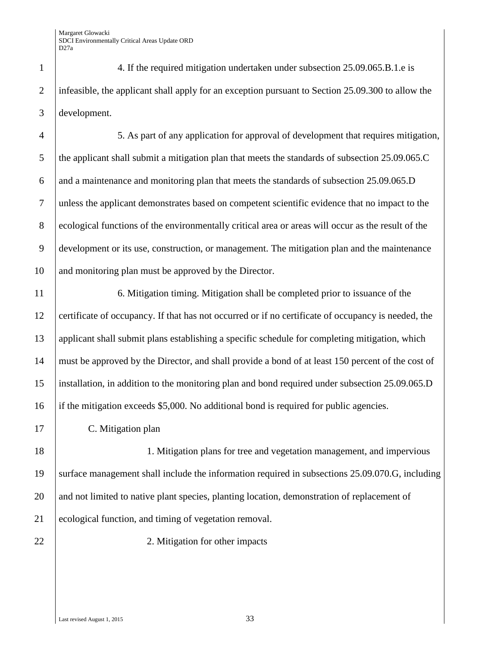1 4. If the required mitigation undertaken under subsection 25.09.065.B.1.e is 2 infeasible, the applicant shall apply for an exception pursuant to Section 25.09.300 to allow the 3 development.

4 5. As part of any application for approval of development that requires mitigation, 5 the applicant shall submit a mitigation plan that meets the standards of subsection 25.09.065.C 6 and a maintenance and monitoring plan that meets the standards of subsection  $25.09.065$ . D 7 unless the applicant demonstrates based on competent scientific evidence that no impact to the 8 ecological functions of the environmentally critical area or areas will occur as the result of the 9 development or its use, construction, or management. The mitigation plan and the maintenance 10 and monitoring plan must be approved by the Director.

 6. Mitigation timing. Mitigation shall be completed prior to issuance of the certificate of occupancy. If that has not occurred or if no certificate of occupancy is needed, the applicant shall submit plans establishing a specific schedule for completing mitigation, which must be approved by the Director, and shall provide a bond of at least 150 percent of the cost of installation, in addition to the monitoring plan and bond required under subsection 25.09.065.D if the mitigation exceeds \$5,000. No additional bond is required for public agencies.

17 C. Mitigation plan

18 18 1. Mitigation plans for tree and vegetation management, and impervious 19 surface management shall include the information required in subsections 25.09.070.G, including 20 and not limited to native plant species, planting location, demonstration of replacement of 21 ecological function, and timing of vegetation removal.

22 2. Mitigation for other impacts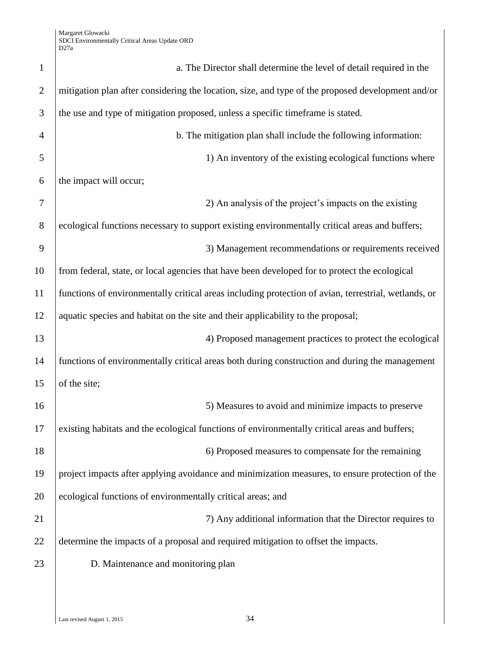| $\mathbf{1}$   | a. The Director shall determine the level of detail required in the                                  |
|----------------|------------------------------------------------------------------------------------------------------|
| $\overline{2}$ | mitigation plan after considering the location, size, and type of the proposed development and/or    |
| 3              | the use and type of mitigation proposed, unless a specific timeframe is stated.                      |
| 4              | b. The mitigation plan shall include the following information:                                      |
| 5              | 1) An inventory of the existing ecological functions where                                           |
| 6              | the impact will occur;                                                                               |
| 7              | 2) An analysis of the project's impacts on the existing                                              |
| 8              | ecological functions necessary to support existing environmentally critical areas and buffers;       |
| 9              | 3) Management recommendations or requirements received                                               |
| 10             | from federal, state, or local agencies that have been developed for to protect the ecological        |
| 11             | functions of environmentally critical areas including protection of avian, terrestrial, wetlands, or |
| 12             | aquatic species and habitat on the site and their applicability to the proposal;                     |
| 13             | 4) Proposed management practices to protect the ecological                                           |
| 14             | functions of environmentally critical areas both during construction and during the management       |
| 15             | of the site;                                                                                         |
| 16             | 5) Measures to avoid and minimize impacts to preserve                                                |
| 17             | existing habitats and the ecological functions of environmentally critical areas and buffers;        |
| 18             | 6) Proposed measures to compensate for the remaining                                                 |
| 19             | project impacts after applying avoidance and minimization measures, to ensure protection of the      |
| 20             | ecological functions of environmentally critical areas; and                                          |
| 21             | 7) Any additional information that the Director requires to                                          |
| 22             | determine the impacts of a proposal and required mitigation to offset the impacts.                   |
| 23             | D. Maintenance and monitoring plan                                                                   |
|                |                                                                                                      |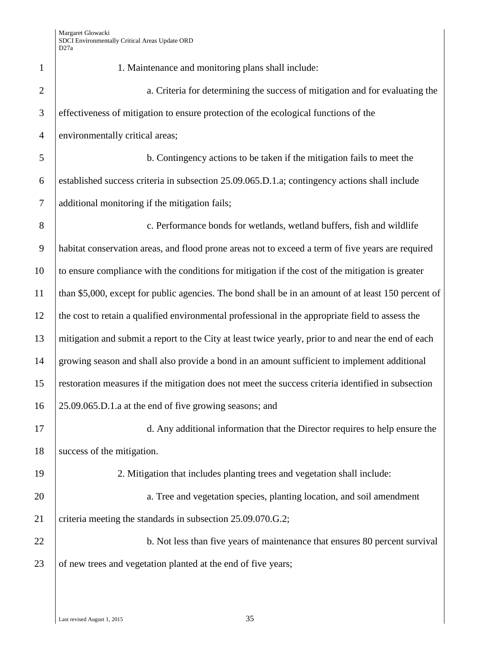| 1              | 1. Maintenance and monitoring plans shall include:                                                  |
|----------------|-----------------------------------------------------------------------------------------------------|
| $\mathbf{2}$   | a. Criteria for determining the success of mitigation and for evaluating the                        |
| $\mathfrak{Z}$ | effectiveness of mitigation to ensure protection of the ecological functions of the                 |
| $\overline{4}$ | environmentally critical areas;                                                                     |
| 5              | b. Contingency actions to be taken if the mitigation fails to meet the                              |
| 6              | established success criteria in subsection 25.09.065.D.1.a; contingency actions shall include       |
| $\tau$         | additional monitoring if the mitigation fails;                                                      |
| 8              | c. Performance bonds for wetlands, wetland buffers, fish and wildlife                               |
| $\overline{9}$ | habitat conservation areas, and flood prone areas not to exceed a term of five years are required   |
| 10             | to ensure compliance with the conditions for mitigation if the cost of the mitigation is greater    |
| 11             | than \$5,000, except for public agencies. The bond shall be in an amount of at least 150 percent of |
| 12             | the cost to retain a qualified environmental professional in the appropriate field to assess the    |
| 13             | mitigation and submit a report to the City at least twice yearly, prior to and near the end of each |
| 14             | growing season and shall also provide a bond in an amount sufficient to implement additional        |
| 15             | restoration measures if the mitigation does not meet the success criteria identified in subsection  |
| 16             | 25.09.065.D.1.a at the end of five growing seasons; and                                             |
| 17             | d. Any additional information that the Director requires to help ensure the                         |
| 18             | success of the mitigation.                                                                          |
| 19             | 2. Mitigation that includes planting trees and vegetation shall include:                            |
| 20             | a. Tree and vegetation species, planting location, and soil amendment                               |
| 21             | criteria meeting the standards in subsection 25.09.070.G.2;                                         |
| 22             | b. Not less than five years of maintenance that ensures 80 percent survival                         |
| 23             | of new trees and vegetation planted at the end of five years;                                       |
|                |                                                                                                     |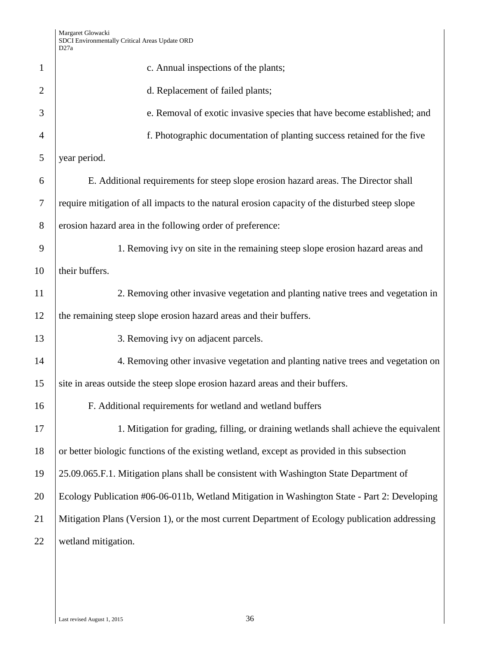|                | D <sub>27a</sub>                                                                               |
|----------------|------------------------------------------------------------------------------------------------|
| 1              | c. Annual inspections of the plants;                                                           |
| $\overline{2}$ | d. Replacement of failed plants;                                                               |
| 3              | e. Removal of exotic invasive species that have become established; and                        |
| $\overline{4}$ | f. Photographic documentation of planting success retained for the five                        |
| 5              | year period.                                                                                   |
| 6              | E. Additional requirements for steep slope erosion hazard areas. The Director shall            |
| 7              | require mitigation of all impacts to the natural erosion capacity of the disturbed steep slope |
| 8              | erosion hazard area in the following order of preference:                                      |
| 9              | 1. Removing ivy on site in the remaining steep slope erosion hazard areas and                  |
| 10             | their buffers.                                                                                 |
| 11             | 2. Removing other invasive vegetation and planting native trees and vegetation in              |
| 12             | the remaining steep slope erosion hazard areas and their buffers.                              |
| 13             | 3. Removing ivy on adjacent parcels.                                                           |
| 14             | 4. Removing other invasive vegetation and planting native trees and vegetation on              |
| 15             | site in areas outside the steep slope erosion hazard areas and their buffers.                  |
| 16             | F. Additional requirements for wetland and wetland buffers                                     |
| 17             | 1. Mitigation for grading, filling, or draining wetlands shall achieve the equivalent          |
| 18             | or better biologic functions of the existing wetland, except as provided in this subsection    |
| 19             | 25.09.065.F.1. Mitigation plans shall be consistent with Washington State Department of        |
| 20             | Ecology Publication #06-06-011b, Wetland Mitigation in Washington State - Part 2: Developing   |
| 21             | Mitigation Plans (Version 1), or the most current Department of Ecology publication addressing |
| 22             | wetland mitigation.                                                                            |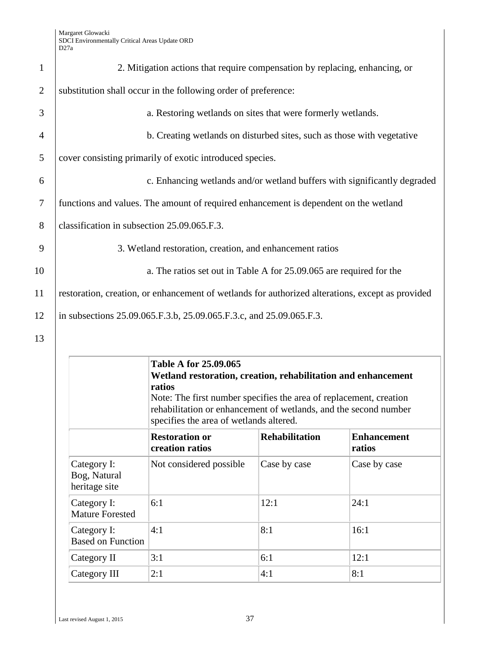| $\mathbf{1}$   | 2. Mitigation actions that require compensation by replacing, enhancing, or                      |
|----------------|--------------------------------------------------------------------------------------------------|
| $\overline{2}$ | substitution shall occur in the following order of preference:                                   |
| 3              | a. Restoring wetlands on sites that were formerly wetlands.                                      |
| $\overline{4}$ | b. Creating wetlands on disturbed sites, such as those with vegetative                           |
| 5              | cover consisting primarily of exotic introduced species.                                         |
| 6              | c. Enhancing wetlands and/or wetland buffers with significantly degraded                         |
| $\tau$         | functions and values. The amount of required enhancement is dependent on the wetland             |
| 8              | classification in subsection 25.09.065.F.3.                                                      |
| 9              | 3. Wetland restoration, creation, and enhancement ratios                                         |
| 10             | a. The ratios set out in Table A for 25.09.065 are required for the                              |
| 11             | restoration, creation, or enhancement of wetlands for authorized alterations, except as provided |
| 12             | in subsections 25.09.065.F.3.b, 25.09.065.F.3.c, and 25.09.065.F.3.                              |
| 13             |                                                                                                  |

|                                              | Table A for 25.09.065<br>Wetland restoration, creation, rehabilitation and enhancement<br>ratios<br>Note: The first number specifies the area of replacement, creation<br>rehabilitation or enhancement of wetlands, and the second number<br>specifies the area of wetlands altered. |                       |                              |
|----------------------------------------------|---------------------------------------------------------------------------------------------------------------------------------------------------------------------------------------------------------------------------------------------------------------------------------------|-----------------------|------------------------------|
|                                              | <b>Restoration or</b><br>creation ratios                                                                                                                                                                                                                                              | <b>Rehabilitation</b> | <b>Enhancement</b><br>ratios |
| Category I:<br>Bog, Natural<br>heritage site | Not considered possible                                                                                                                                                                                                                                                               | Case by case          | Case by case                 |
| Category I:<br><b>Mature Forested</b>        | 6:1                                                                                                                                                                                                                                                                                   | 12:1                  | 24:1                         |
| Category I:<br><b>Based on Function</b>      | 4:1                                                                                                                                                                                                                                                                                   | 8:1                   | 16:1                         |
| Category II                                  | 3:1                                                                                                                                                                                                                                                                                   | 6:1                   | 12:1                         |
| Category III                                 | 2:1                                                                                                                                                                                                                                                                                   | 4:1                   | 8:1                          |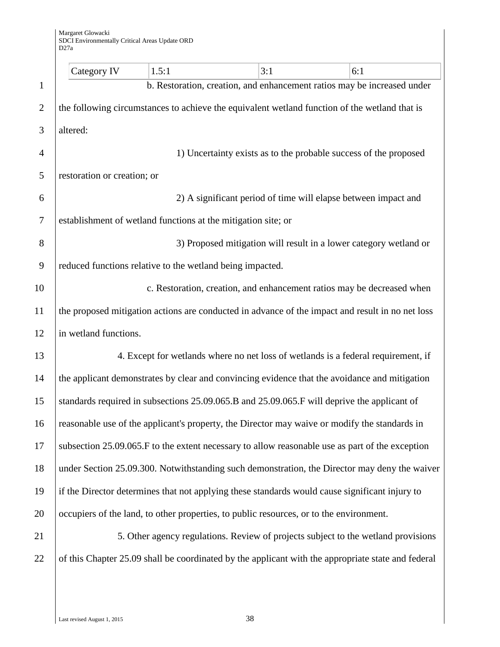|                | Category IV                                                   | 1.5:1 | 3:1 | 6:1                                                                                                |
|----------------|---------------------------------------------------------------|-------|-----|----------------------------------------------------------------------------------------------------|
| $\mathbf{1}$   |                                                               |       |     | b. Restoration, creation, and enhancement ratios may be increased under                            |
| $\overline{2}$ |                                                               |       |     | the following circumstances to achieve the equivalent wetland function of the wetland that is      |
| 3              | altered:                                                      |       |     |                                                                                                    |
| $\overline{4}$ |                                                               |       |     | 1) Uncertainty exists as to the probable success of the proposed                                   |
| 5              | restoration or creation; or                                   |       |     |                                                                                                    |
| 6              |                                                               |       |     | 2) A significant period of time will elapse between impact and                                     |
| $\overline{7}$ | establishment of wetland functions at the mitigation site; or |       |     |                                                                                                    |
| 8              |                                                               |       |     | 3) Proposed mitigation will result in a lower category wetland or                                  |
| 9              | reduced functions relative to the wetland being impacted.     |       |     |                                                                                                    |
| 10             |                                                               |       |     | c. Restoration, creation, and enhancement ratios may be decreased when                             |
| 11             |                                                               |       |     | the proposed mitigation actions are conducted in advance of the impact and result in no net loss   |
| 12             | in wetland functions.                                         |       |     |                                                                                                    |
| 13             |                                                               |       |     | 4. Except for wetlands where no net loss of wetlands is a federal requirement, if                  |
| 14             |                                                               |       |     | the applicant demonstrates by clear and convincing evidence that the avoidance and mitigation      |
| 15             |                                                               |       |     | standards required in subsections 25.09.065.B and 25.09.065.F will deprive the applicant of        |
| 16             |                                                               |       |     | reasonable use of the applicant's property, the Director may waive or modify the standards in      |
| 17             |                                                               |       |     | subsection 25.09.065. F to the extent necessary to allow reasonable use as part of the exception   |
| 18             |                                                               |       |     | under Section 25.09.300. Notwithstanding such demonstration, the Director may deny the waiver      |
| 19             |                                                               |       |     | if the Director determines that not applying these standards would cause significant injury to     |
| 20             |                                                               |       |     | occupiers of the land, to other properties, to public resources, or to the environment.            |
| 21             |                                                               |       |     | 5. Other agency regulations. Review of projects subject to the wetland provisions                  |
| 22             |                                                               |       |     | of this Chapter 25.09 shall be coordinated by the applicant with the appropriate state and federal |
|                |                                                               |       |     |                                                                                                    |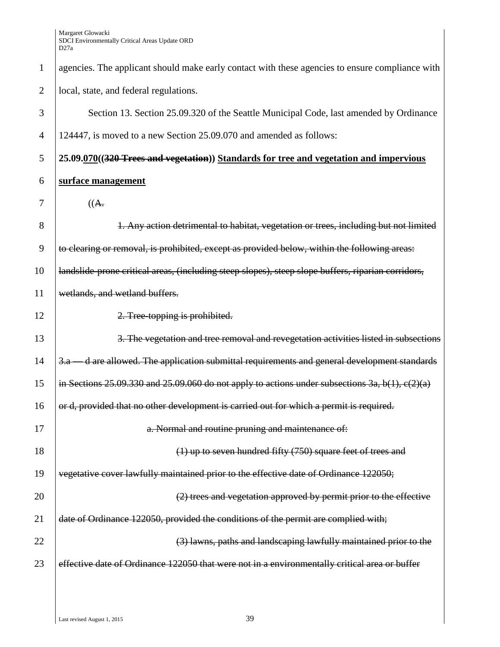| $\mathbf{1}$   | agencies. The applicant should make early contact with these agencies to ensure compliance with      |
|----------------|------------------------------------------------------------------------------------------------------|
| $\overline{2}$ | local, state, and federal regulations.                                                               |
| 3              | Section 13. Section 25.09.320 of the Seattle Municipal Code, last amended by Ordinance               |
| $\overline{4}$ | 124447, is moved to a new Section 25.09.070 and amended as follows:                                  |
| 5              | 25.09.070((320 Trees and vegetation)) Standards for tree and vegetation and impervious               |
| 6              | surface management                                                                                   |
| 7              | ((A.                                                                                                 |
| 8              | 1. Any action detrimental to habitat, vegetation or trees, including but not limited                 |
| 9              | to clearing or removal, is prohibited, except as provided below, within the following areas:         |
| 10             | landslide-prone critical areas, (including steep slopes), steep slope buffers, riparian corridors,   |
| 11             | wetlands, and wetland buffers.                                                                       |
| 12             | 2. Tree-topping is prohibited.                                                                       |
| 13             | 3. The vegetation and tree removal and revegetation activities listed in subsections                 |
| 14             | d are allowed. The application submittal requirements and general development standards<br>3.a       |
| 15             | in Sections 25.09.330 and 25.09.060 do not apply to actions under subsections 3a, $b(1)$ , $c(2)(a)$ |
| 16             | or d, provided that no other development is carried out for which a permit is required.              |
| 17             | a. Normal and routine pruning and maintenance of:                                                    |
| 18             | $(1)$ up to seven hundred fifty $(750)$ square feet of trees and                                     |
| 19             | vegetative cover lawfully maintained prior to the effective date of Ordinance 122050;                |
| 20             | (2) trees and vegetation approved by permit prior to the effective                                   |
| 21             | date of Ordinance 122050, provided the conditions of the permit are complied with;                   |
| 22             | (3) lawns, paths and landscaping lawfully maintained prior to the                                    |
| 23             | effective date of Ordinance 122050 that were not in a environmentally critical area or buffer        |
|                |                                                                                                      |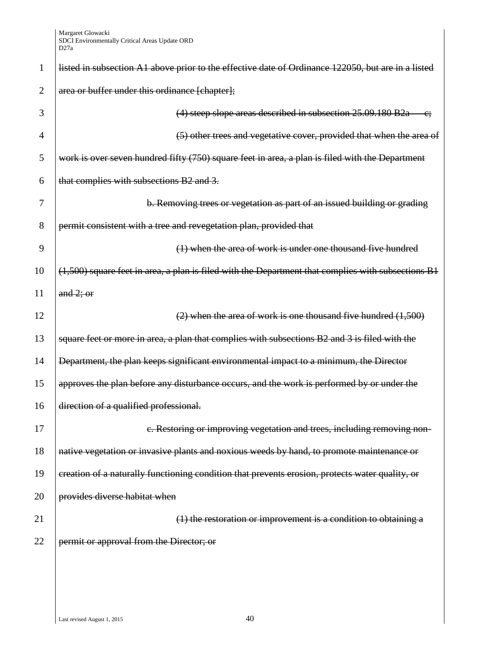| 1              | listed in subsection A1 above prior to the effective date of Ordinance 122050, but are in a listed |
|----------------|----------------------------------------------------------------------------------------------------|
| $\overline{2}$ | area or buffer under this ordinance [chapter];                                                     |
| 3              | (4) steep slope areas described in subsection 25.09.180 B2a                                        |
| $\overline{4}$ | (5) other trees and vegetative cover, provided that when the area of                               |
| 5              | work is over seven hundred fifty (750) square feet in area, a plan is filed with the Department    |
| 6              | that complies with subsections B2 and 3.                                                           |
| 7              | b. Removing trees or vegetation as part of an issued building or grading                           |
| 8              | permit consistent with a tree and revegetation plan, provided that                                 |
| 9              | (1) when the area of work is under one thousand five hundred                                       |
| 10             | (1,500) square feet in area, a plan is filed with the Department that complies with subsections B1 |
| 11             | and $2$ ; or                                                                                       |
| 12             | $(2)$ when the area of work is one thousand five hundred $(1,500)$                                 |
| 13             | square feet or more in area, a plan that complies with subsections B2 and 3 is filed with the      |
| 14             | Department, the plan keeps significant environmental impact to a minimum, the Director             |
| 15             | approves the plan before any disturbance occurs, and the work is performed by or under the         |
| 16             | direction of a qualified professional.                                                             |
| 17             | e. Restoring or improving vegetation and trees, including removing non-                            |
| 18             | native vegetation or invasive plants and noxious weeds by hand, to promote maintenance or          |
| 19             | creation of a naturally functioning condition that prevents erosion, protects water quality, or    |
| 20             | provides diverse habitat when                                                                      |
| 21             | $(1)$ the restoration or improvement is a condition to obtaining a                                 |
| 22             | permit or approval from the Director; or                                                           |
|                |                                                                                                    |
|                |                                                                                                    |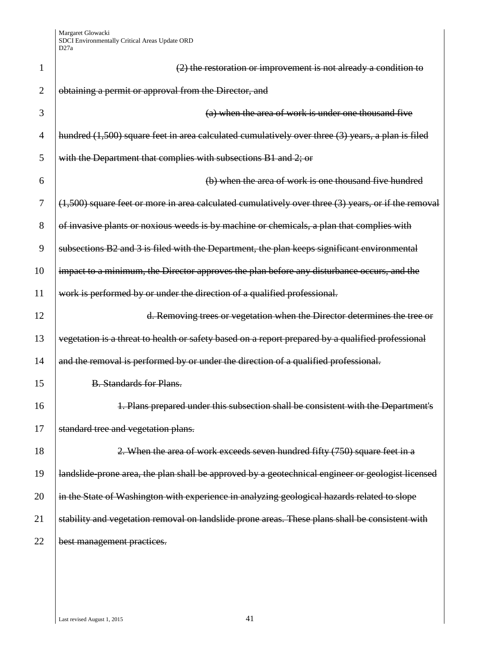| 1              | $(2)$ the restoration or improvement is not already a condition to                                      |
|----------------|---------------------------------------------------------------------------------------------------------|
| $\overline{2}$ | obtaining a permit or approval from the Director, and                                                   |
| 3              | (a) when the area of work is under one thousand five                                                    |
| 4              | hundred (1,500) square feet in area calculated cumulatively over three (3) years, a plan is filed       |
| 5              | with the Department that complies with subsections B1 and 2; or                                         |
| 6              | (b) when the area of work is one thousand five hundred                                                  |
| 7              | $(1,500)$ square feet or more in area calculated cumulatively over three $(3)$ years, or if the removal |
| 8              | of invasive plants or noxious weeds is by machine or chemicals, a plan that complies with               |
| 9              | subsections B2 and 3 is filed with the Department, the plan keeps significant environmental             |
| 10             | impact to a minimum, the Director approves the plan before any disturbance occurs, and the              |
| 11             | work is performed by or under the direction of a qualified professional.                                |
| 12             | d. Removing trees or vegetation when the Director determines the tree or                                |
| 13             | vegetation is a threat to health or safety based on a report prepared by a qualified professional       |
| 14             | and the removal is performed by or under the direction of a qualified professional.                     |
| 15             | <b>B.</b> Standards for Plans.                                                                          |
| 16             | 1. Plans prepared under this subsection shall be consistent with the Department's                       |
| 17             | standard tree and vegetation plans.                                                                     |
| 18             | 2. When the area of work exceeds seven hundred fifty (750) square feet in a                             |
| 19             | landslide-prone area, the plan shall be approved by a geotechnical engineer or geologist licensed       |
| 20             | in the State of Washington with experience in analyzing geological hazards related to slope             |
| 21             | stability and vegetation removal on landslide prone areas. These plans shall be consistent with         |
| 22             | best management practices.                                                                              |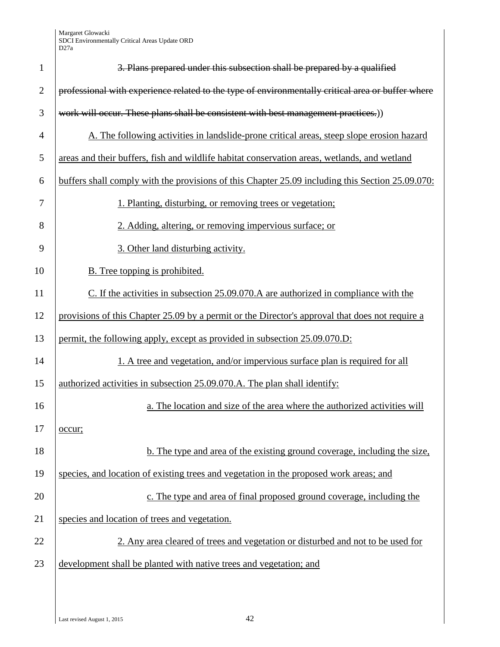| $\mathbf{1}$   | 3. Plans prepared under this subsection shall be prepared by a qualified                          |
|----------------|---------------------------------------------------------------------------------------------------|
| $\overline{2}$ | professional with experience related to the type of environmentally critical area or buffer where |
| 3              | work will occur. These plans shall be consistent with best management practices.)                 |
| $\overline{4}$ | A. The following activities in landslide-prone critical areas, steep slope erosion hazard         |
| 5              | areas and their buffers, fish and wildlife habitat conservation areas, wetlands, and wetland      |
| 6              | buffers shall comply with the provisions of this Chapter 25.09 including this Section 25.09.070:  |
| 7              | 1. Planting, disturbing, or removing trees or vegetation;                                         |
| 8              | 2. Adding, altering, or removing impervious surface; or                                           |
| 9              | 3. Other land disturbing activity.                                                                |
| 10             | <b>B.</b> Tree topping is prohibited.                                                             |
| 11             | C. If the activities in subsection 25.09.070.A are authorized in compliance with the              |
| 12             | provisions of this Chapter 25.09 by a permit or the Director's approval that does not require a   |
| 13             | permit, the following apply, except as provided in subsection 25.09.070.D:                        |
| 14             | 1. A tree and vegetation, and/or impervious surface plan is required for all                      |
| 15             | authorized activities in subsection 25.09.070.A. The plan shall identify:                         |
| 16             | a. The location and size of the area where the authorized activities will                         |
| 17             | occur;                                                                                            |
| 18             | b. The type and area of the existing ground coverage, including the size,                         |
| 19             | species, and location of existing trees and vegetation in the proposed work areas; and            |
| 20             | c. The type and area of final proposed ground coverage, including the                             |
| 21             | species and location of trees and vegetation.                                                     |
| 22             | 2. Any area cleared of trees and vegetation or disturbed and not to be used for                   |
| 23             | development shall be planted with native trees and vegetation; and                                |
|                |                                                                                                   |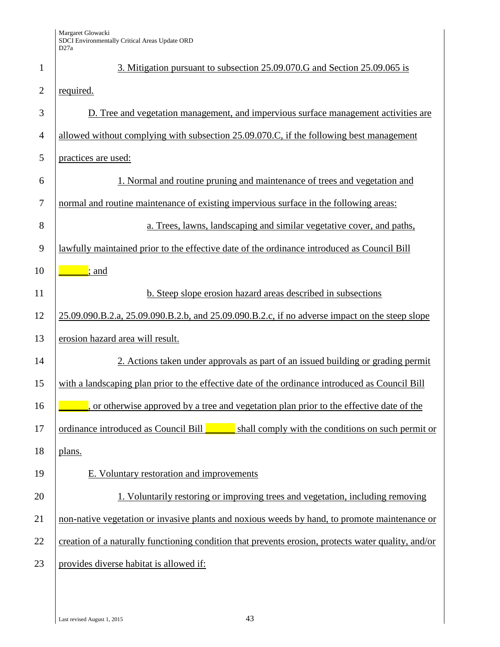| 1              | 3. Mitigation pursuant to subsection 25.09.070.G and Section 25.09.065 is                           |
|----------------|-----------------------------------------------------------------------------------------------------|
| $\overline{2}$ | required.                                                                                           |
| 3              | D. Tree and vegetation management, and impervious surface management activities are                 |
| $\overline{4}$ | allowed without complying with subsection 25.09.070.C, if the following best management             |
| 5              | practices are used:                                                                                 |
| 6              | 1. Normal and routine pruning and maintenance of trees and vegetation and                           |
| $\overline{7}$ | normal and routine maintenance of existing impervious surface in the following areas:               |
| 8              | a. Trees, lawns, landscaping and similar vegetative cover, and paths,                               |
| 9              | lawfully maintained prior to the effective date of the ordinance introduced as Council Bill         |
| 10             | $\frac{1}{2}$ ; and                                                                                 |
| 11             | b. Steep slope erosion hazard areas described in subsections                                        |
| 12             | 25.09.090.B.2.a, 25.09.090.B.2.b, and 25.09.090.B.2.c, if no adverse impact on the steep slope      |
| 13             | erosion hazard area will result.                                                                    |
| 14             | 2. Actions taken under approvals as part of an issued building or grading permit                    |
| 15             | with a landscaping plan prior to the effective date of the ordinance introduced as Council Bill     |
| 16             | or otherwise approved by a tree and vegetation plan prior to the effective date of the              |
| 17             | shall comply with the conditions on such permit or<br>ordinance introduced as Council Bill          |
| 18             | plans.                                                                                              |
| 19             | E. Voluntary restoration and improvements                                                           |
| 20             | 1. Voluntarily restoring or improving trees and vegetation, including removing                      |
| 21             | non-native vegetation or invasive plants and noxious weeds by hand, to promote maintenance or       |
| 22             | creation of a naturally functioning condition that prevents erosion, protects water quality, and/or |
| 23             | provides diverse habitat is allowed if:                                                             |
|                |                                                                                                     |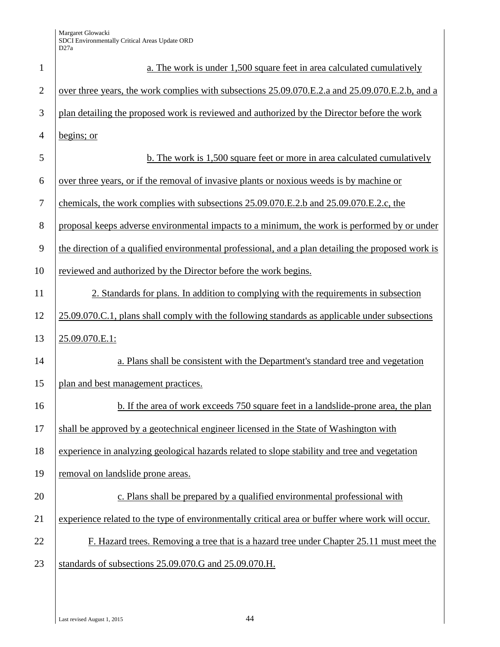| $\mathbf{1}$   | a. The work is under 1,500 square feet in area calculated cumulatively                             |
|----------------|----------------------------------------------------------------------------------------------------|
| $\overline{2}$ | over three years, the work complies with subsections 25.09.070.E.2.a and 25.09.070.E.2.b, and a    |
| 3              | plan detailing the proposed work is reviewed and authorized by the Director before the work        |
| $\overline{4}$ | begins; or                                                                                         |
| 5              | b. The work is 1,500 square feet or more in area calculated cumulatively                           |
| 6              | over three years, or if the removal of invasive plants or noxious weeds is by machine or           |
| 7              | chemicals, the work complies with subsections 25.09.070.E.2.b and 25.09.070.E.2.c, the             |
| 8              | proposal keeps adverse environmental impacts to a minimum, the work is performed by or under       |
| 9              | the direction of a qualified environmental professional, and a plan detailing the proposed work is |
| 10             | reviewed and authorized by the Director before the work begins.                                    |
| 11             | 2. Standards for plans. In addition to complying with the requirements in subsection               |
| 12             | 25.09.070.C.1, plans shall comply with the following standards as applicable under subsections     |
| 13             | 25.09.070.E.1:                                                                                     |
| 14             | a. Plans shall be consistent with the Department's standard tree and vegetation                    |
| 15             | plan and best management practices.                                                                |
| 16             | b. If the area of work exceeds 750 square feet in a landslide-prone area, the plan                 |
| 17             | shall be approved by a geotechnical engineer licensed in the State of Washington with              |
| 18             | experience in analyzing geological hazards related to slope stability and tree and vegetation      |
| 19             | removal on landslide prone areas.                                                                  |
| 20             | c. Plans shall be prepared by a qualified environmental professional with                          |
| 21             | experience related to the type of environmentally critical area or buffer where work will occur.   |
| 22             | F. Hazard trees. Removing a tree that is a hazard tree under Chapter 25.11 must meet the           |
| 23             | standards of subsections 25.09.070.G and 25.09.070.H.                                              |
|                |                                                                                                    |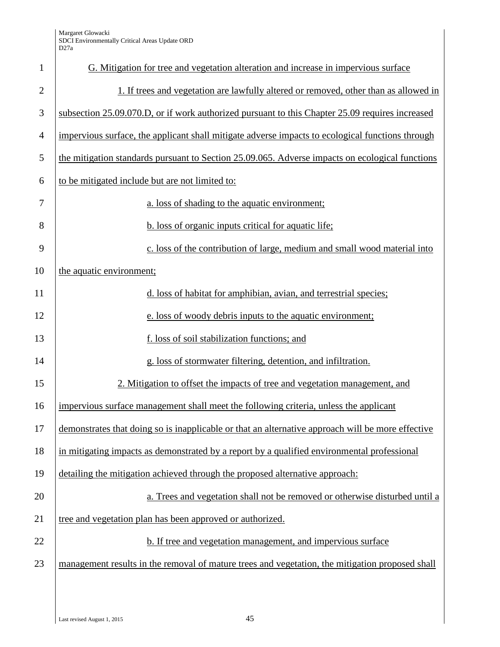| $\mathbf{1}$   | G. Mitigation for tree and vegetation alteration and increase in impervious surface               |
|----------------|---------------------------------------------------------------------------------------------------|
| $\overline{2}$ | 1. If trees and vegetation are lawfully altered or removed, other than as allowed in              |
| 3              | subsection 25.09.070.D, or if work authorized pursuant to this Chapter 25.09 requires increased   |
| $\overline{4}$ | impervious surface, the applicant shall mitigate adverse impacts to ecological functions through  |
| 5              | the mitigation standards pursuant to Section 25.09.065. Adverse impacts on ecological functions   |
| 6              | to be mitigated include but are not limited to:                                                   |
| 7              | a. loss of shading to the aquatic environment;                                                    |
| 8              | b. loss of organic inputs critical for aquatic life;                                              |
| 9              | c. loss of the contribution of large, medium and small wood material into                         |
| 10             | the aquatic environment;                                                                          |
| 11             | d. loss of habitat for amphibian, avian, and terrestrial species;                                 |
| 12             | e. loss of woody debris inputs to the aquatic environment;                                        |
| 13             | f. loss of soil stabilization functions; and                                                      |
| 14             | g. loss of stormwater filtering, detention, and infiltration.                                     |
| 15             | 2. Mitigation to offset the impacts of tree and vegetation management, and                        |
| 16             | impervious surface management shall meet the following criteria, unless the applicant             |
| 17             | demonstrates that doing so is inapplicable or that an alternative approach will be more effective |
| 18             | in mitigating impacts as demonstrated by a report by a qualified environmental professional       |
| 19             | detailing the mitigation achieved through the proposed alternative approach:                      |
| 20             | a. Trees and vegetation shall not be removed or otherwise disturbed until a                       |
| 21             | tree and vegetation plan has been approved or authorized.                                         |
| 22             | b. If tree and vegetation management, and impervious surface                                      |
| 23             | management results in the removal of mature trees and vegetation, the mitigation proposed shall   |
|                |                                                                                                   |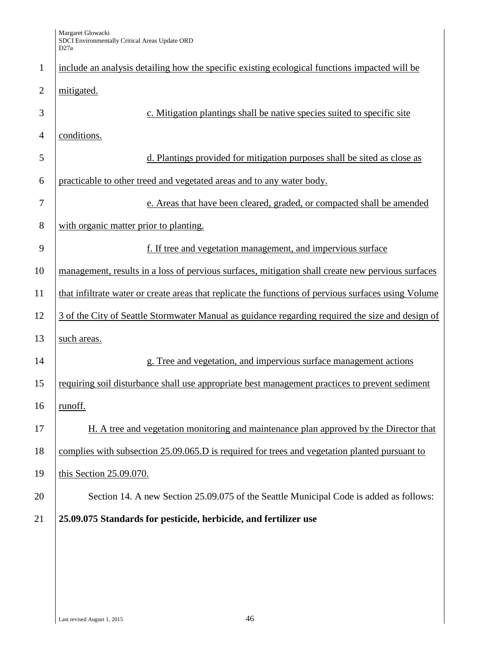| $\mathbf{1}$   | include an analysis detailing how the specific existing ecological functions impacted will be        |
|----------------|------------------------------------------------------------------------------------------------------|
| $\overline{2}$ | mitigated.                                                                                           |
| 3              | c. Mitigation plantings shall be native species suited to specific site                              |
| $\overline{4}$ | conditions.                                                                                          |
| 5              | d. Plantings provided for mitigation purposes shall be sited as close as                             |
| 6              | practicable to other treed and vegetated areas and to any water body.                                |
| 7              | e. Areas that have been cleared, graded, or compacted shall be amended                               |
| 8              | with organic matter prior to planting.                                                               |
| 9              | f. If tree and vegetation management, and impervious surface                                         |
| 10             | management, results in a loss of pervious surfaces, mitigation shall create new pervious surfaces    |
| 11             | that infiltrate water or create areas that replicate the functions of pervious surfaces using Volume |
| 12             | 3 of the City of Seattle Stormwater Manual as guidance regarding required the size and design of     |
| 13             | such areas.                                                                                          |
| 14             | g. Tree and vegetation, and impervious surface management actions                                    |
| 15             | requiring soil disturbance shall use appropriate best management practices to prevent sediment       |
| 16             | runoff.                                                                                              |
| 17             | H. A tree and vegetation monitoring and maintenance plan approved by the Director that               |
| 18             | complies with subsection 25.09.065.D is required for trees and vegetation planted pursuant to        |
| 19             | this Section 25.09.070.                                                                              |
| 20             | Section 14. A new Section 25.09.075 of the Seattle Municipal Code is added as follows:               |
| 21             | 25.09.075 Standards for pesticide, herbicide, and fertilizer use                                     |
|                |                                                                                                      |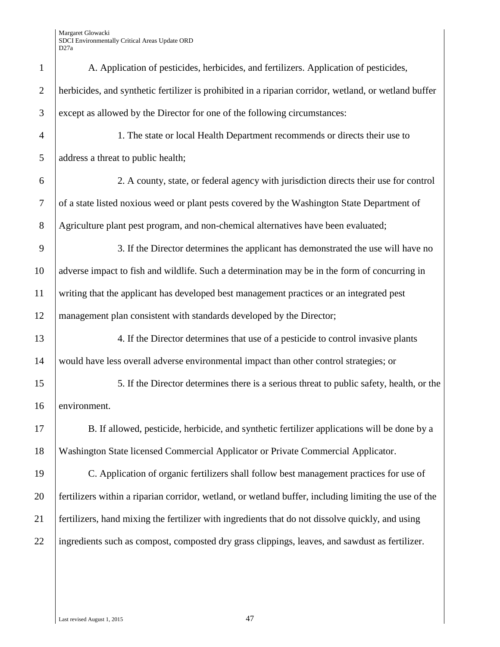| $\mathbf{1}$   | A. Application of pesticides, herbicides, and fertilizers. Application of pesticides,                 |
|----------------|-------------------------------------------------------------------------------------------------------|
| $\overline{2}$ | herbicides, and synthetic fertilizer is prohibited in a riparian corridor, wetland, or wetland buffer |
| 3              | except as allowed by the Director for one of the following circumstances:                             |
| $\overline{4}$ | 1. The state or local Health Department recommends or directs their use to                            |
| 5              | address a threat to public health;                                                                    |
| 6              | 2. A county, state, or federal agency with jurisdiction directs their use for control                 |
| $\tau$         | of a state listed noxious weed or plant pests covered by the Washington State Department of           |
| $8\phantom{.}$ | Agriculture plant pest program, and non-chemical alternatives have been evaluated;                    |
| 9              | 3. If the Director determines the applicant has demonstrated the use will have no                     |
| 10             | adverse impact to fish and wildlife. Such a determination may be in the form of concurring in         |
| 11             | writing that the applicant has developed best management practices or an integrated pest              |
| 12             | management plan consistent with standards developed by the Director;                                  |
| 13             | 4. If the Director determines that use of a pesticide to control invasive plants                      |
| 14             | would have less overall adverse environmental impact than other control strategies; or                |
| 15             | 5. If the Director determines there is a serious threat to public safety, health, or the              |
| 16             | environment.                                                                                          |
| 17             | B. If allowed, pesticide, herbicide, and synthetic fertilizer applications will be done by a          |
| 18             | Washington State licensed Commercial Applicator or Private Commercial Applicator.                     |
| 19             | C. Application of organic fertilizers shall follow best management practices for use of               |
| 20             | fertilizers within a riparian corridor, wetland, or wetland buffer, including limiting the use of the |
| 21             | fertilizers, hand mixing the fertilizer with ingredients that do not dissolve quickly, and using      |
| 22             | ingredients such as compost, composted dry grass clippings, leaves, and sawdust as fertilizer.        |
|                |                                                                                                       |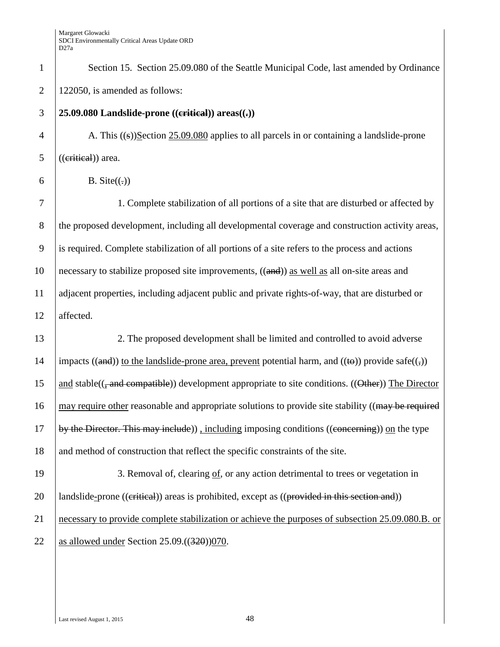| Section 15. Section 25.09.080 of the Seattle Municipal Code, last amended by Ordinance                                                      |  |
|---------------------------------------------------------------------------------------------------------------------------------------------|--|
| 122050, is amended as follows:                                                                                                              |  |
| 25.09.080 Landslide-prone $(($ eritical $))$ areas $(()$                                                                                    |  |
| A. This $((s))$ Section 25.09.080 applies to all parcels in or containing a landslide-prone                                                 |  |
| ((eritical)) area.                                                                                                                          |  |
| B. Site $((.)$                                                                                                                              |  |
| 1. Complete stabilization of all portions of a site that are disturbed or affected by                                                       |  |
| the proposed development, including all developmental coverage and construction activity areas,                                             |  |
| is required. Complete stabilization of all portions of a site refers to the process and actions                                             |  |
| necessary to stabilize proposed site improvements, ((and)) as well as all on-site areas and                                                 |  |
| adjacent properties, including adjacent public and private rights-of-way, that are disturbed or                                             |  |
| affected.                                                                                                                                   |  |
| 2. The proposed development shall be limited and controlled to avoid adverse                                                                |  |
| impacts ((and)) to the landslide-prone area, prevent potential harm, and (( $\leftrightarrow$ )) provide safe( $\left(\frac{1}{2}\right)$ ) |  |
| and stable( $\left(\frac{1}{2}$ and compatible)) development appropriate to site conditions. ((Other)) The Director                         |  |
| may require other reasonable and appropriate solutions to provide site stability ((may be required                                          |  |
| by the Director. This may include)), including imposing conditions ((concerning)) on the type                                               |  |
| and method of construction that reflect the specific constraints of the site.                                                               |  |
| 3. Removal of, clearing of, or any action detrimental to trees or vegetation in                                                             |  |
| landslide-prone ((critical)) areas is prohibited, except as ((provided in this section and))                                                |  |
| necessary to provide complete stabilization or achieve the purposes of subsection 25.09.080.B. or                                           |  |
| as allowed under Section $25.09 \cdot ((320))070$ .                                                                                         |  |
|                                                                                                                                             |  |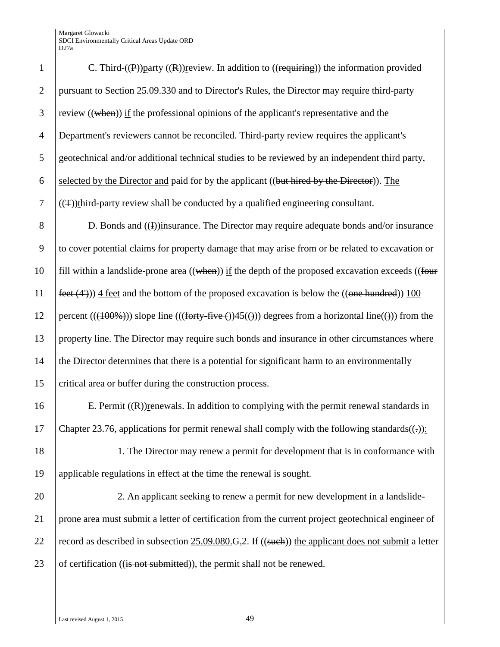| $\mathbf{1}$     | C. Third- $(\mathbf{P})$ ) party $(\mathbf{R})$ ) review. In addition to $((\mathbf{requireing}))$ the information provided |
|------------------|-----------------------------------------------------------------------------------------------------------------------------|
| $\overline{2}$   | pursuant to Section 25.09.330 and to Director's Rules, the Director may require third-party                                 |
| 3                | review $((\text{when}))$ if the professional opinions of the applicant's representative and the                             |
| $\overline{4}$   | Department's reviewers cannot be reconciled. Third-party review requires the applicant's                                    |
| 5                | geotechnical and/or additional technical studies to be reviewed by an independent third party,                              |
| $\boldsymbol{6}$ | selected by the Director and paid for by the applicant ((but hired by the Director)). The                                   |
| $\boldsymbol{7}$ | $((\pm))$ third-party review shall be conducted by a qualified engineering consultant.                                      |
| 8                | D. Bonds and $(4)$ ) insurance. The Director may require adequate bonds and/or insurance                                    |
| 9                | to cover potential claims for property damage that may arise from or be related to excavation or                            |
| 10               | fill within a landslide-prone area $((\text{when}))$ if the depth of the proposed excavation exceeds $((\text{four}$        |
| 11               | feet $(4')$ ) 4 feet and the bottom of the proposed excavation is below the $((one hundred))$ 100                           |
| 12               | percent $(( (100\%)))$ slope line $(((forty - five +))45(())$ degrees from a horizontal line(())) from the                  |
| 13               | property line. The Director may require such bonds and insurance in other circumstances where                               |
| 14               | the Director determines that there is a potential for significant harm to an environmentally                                |
| 15               | critical area or buffer during the construction process.                                                                    |
| 16               | E. Permit $((R))$ renewals. In addition to complying with the permit renewal standards in                                   |
| 17               | Chapter 23.76, applications for permit renewal shall comply with the following standards( $(\cdot)$ ):                      |
| 18               | 1. The Director may renew a permit for development that is in conformance with                                              |
| 19               | applicable regulations in effect at the time the renewal is sought.                                                         |
| 20               | 2. An applicant seeking to renew a permit for new development in a landslide-                                               |
| 21               | prone area must submit a letter of certification from the current project geotechnical engineer of                          |
| 22               | record as described in subsection $25.09.080$ . G.2. If ((such)) the applicant does not submit a letter                     |
| 23               | of certification ((is not submitted)), the permit shall not be renewed.                                                     |
|                  |                                                                                                                             |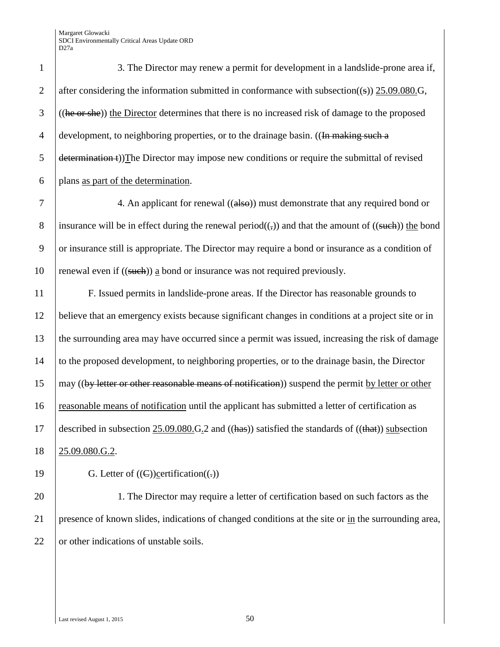1 3. The Director may renew a permit for development in a landslide-prone area if, 2 after considering the information submitted in conformance with subsection((s)) 25.09.080.G,  $3$  ((he or she)) the Director determines that there is no increased risk of damage to the proposed 4 development, to neighboring properties, or to the drainage basin. ((In making such a  $\frac{1}{5}$  determination (i))The Director may impose new conditions or require the submittal of revised  $\begin{bmatrix} 6 \\ 1 \end{bmatrix}$  plans as part of the determination.

7 4. An applicant for renewal ((also)) must demonstrate that any required bond or 8 insurance will be in effect during the renewal period(( $\epsilon$ )) and that the amount of ((such)) the bond 9 or insurance still is appropriate. The Director may require a bond or insurance as a condition of 10 renewal even if  $((\text{such}) )$  a bond or insurance was not required previously.

 F. Issued permits in landslide-prone areas. If the Director has reasonable grounds to believe that an emergency exists because significant changes in conditions at a project site or in the surrounding area may have occurred since a permit was issued, increasing the risk of damage to the proposed development, to neighboring properties, or to the drainage basin, the Director may ((by letter or other reasonable means of notification)) suspend the permit by letter or other reasonable means of notification until the applicant has submitted a letter of certification as 17 described in subsection 25.09.080.G.2 and  $((\text{has}))$  satisfied the standards of  $((\text{that}))$  subsection 25.09.080.G.2.

19 G. Letter of  $((\text{C}))$ certification $((\cdot))$ 

20 1. The Director may require a letter of certification based on such factors as the 21 presence of known slides, indications of changed conditions at the site or in the surrounding area, 22 or other indications of unstable soils.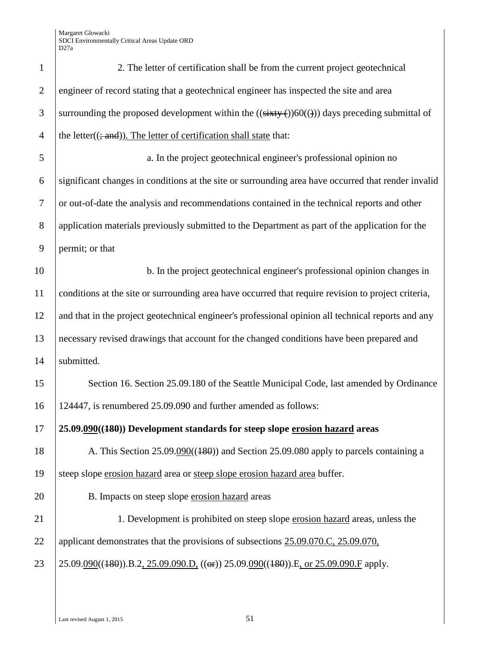| $\mathbf{1}$   | 2. The letter of certification shall be from the current project geotechnical                       |
|----------------|-----------------------------------------------------------------------------------------------------|
| $\overline{2}$ | engineer of record stating that a geotechnical engineer has inspected the site and area             |
| 3              | surrounding the proposed development within the $((sixty)(60))$ days preceding submittal of         |
| $\overline{4}$ | the letter((; and)). The letter of certification shall state that:                                  |
| 5              | a. In the project geotechnical engineer's professional opinion no                                   |
| 6              | significant changes in conditions at the site or surrounding area have occurred that render invalid |
| $\tau$         | or out-of-date the analysis and recommendations contained in the technical reports and other        |
| $8\,$          | application materials previously submitted to the Department as part of the application for the     |
| 9              | permit; or that                                                                                     |
| 10             | b. In the project geotechnical engineer's professional opinion changes in                           |
| 11             | conditions at the site or surrounding area have occurred that require revision to project criteria, |
| 12             | and that in the project geotechnical engineer's professional opinion all technical reports and any  |
| 13             | necessary revised drawings that account for the changed conditions have been prepared and           |
| 14             | submitted.                                                                                          |
| 15             | Section 16. Section 25.09.180 of the Seattle Municipal Code, last amended by Ordinance              |
| 16             | 124447, is renumbered 25.09.090 and further amended as follows:                                     |
| 17             | 25.09.090((180)) Development standards for steep slope erosion hazard areas                         |
| 18             | A. This Section 25.09.090((180)) and Section 25.09.080 apply to parcels containing a                |
| 19             | steep slope erosion hazard area or steep slope erosion hazard area buffer.                          |
| 20             | B. Impacts on steep slope erosion hazard areas                                                      |
| 21             | 1. Development is prohibited on steep slope erosion hazard areas, unless the                        |
| 22             | applicant demonstrates that the provisions of subsections 25.09.070.C, 25.09.070,                   |
| 23             | 25.09.090((480)).B.2, 25.09.090.D, ((or)) 25.09.090((480)).E, or 25.09.090.F apply.                 |
|                |                                                                                                     |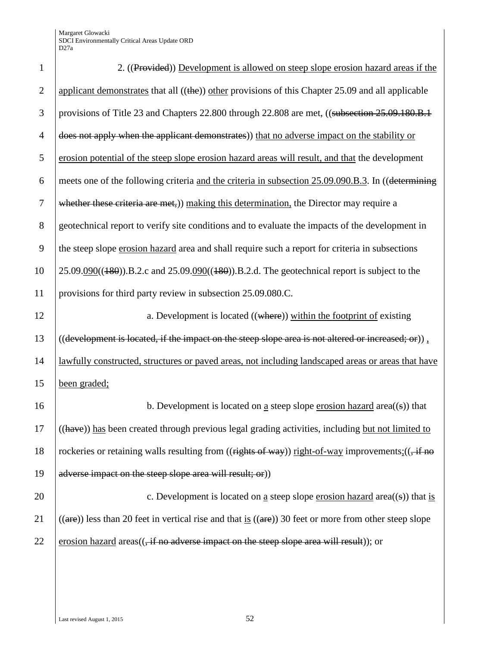| $\mathbf{1}$   | 2. ((Provided)) Development is allowed on steep slope erosion hazard areas if the                                       |
|----------------|-------------------------------------------------------------------------------------------------------------------------|
| $\overline{2}$ | applicant demonstrates that all $((the))$ other provisions of this Chapter 25.09 and all applicable                     |
| 3              | provisions of Title 23 and Chapters 22.800 through 22.808 are met, ((subsection 25.09.180.B.1)                          |
| $\overline{4}$ | does not apply when the applicant demonstrates) that no adverse impact on the stability or                              |
| 5              | erosion potential of the steep slope erosion hazard areas will result, and that the development                         |
| 6              | meets one of the following criteria and the criteria in subsection 25.09.090.B.3. In ((determining                      |
| $\overline{7}$ | whether these criteria are met,)) making this determination, the Director may require a                                 |
| $8\,$          | geotechnical report to verify site conditions and to evaluate the impacts of the development in                         |
| 9              | the steep slope erosion hazard area and shall require such a report for criteria in subsections                         |
| 10             | $25.09.090((180))$ .B.2.c and $25.09.090((180))$ .B.2.d. The geotechnical report is subject to the                      |
| 11             | provisions for third party review in subsection 25.09.080.C.                                                            |
| 12             | a. Development is located ((where)) within the footprint of existing                                                    |
| 13             | ((development is located, if the impact on the steep slope area is not altered or increased; or)),                      |
| 14             | lawfully constructed, structures or paved areas, not including landscaped areas or areas that have                      |
| 15             | been graded;                                                                                                            |
| 16             | b. Development is located on a steep slope erosion hazard area $((s))$ that                                             |
| 17             | ((have)) has been created through previous legal grading activities, including but not limited to                       |
| 18             | rockeries or retaining walls resulting from ((rights of way)) right-of-way improvements; ((, if no                      |
| 19             | adverse impact on the steep slope area will result; or)                                                                 |
| 20             | c. Development is located on <u>a</u> steep slope <u>erosion hazard</u> area( $(s)$ ) that is                           |
| 21             | $((\text{are}))$ less than 20 feet in vertical rise and that is $((\text{are}))$ 30 feet or more from other steep slope |
| 22             | erosion hazard areas $((, if no adverse impact on the steep slope area will result))$ ; or                              |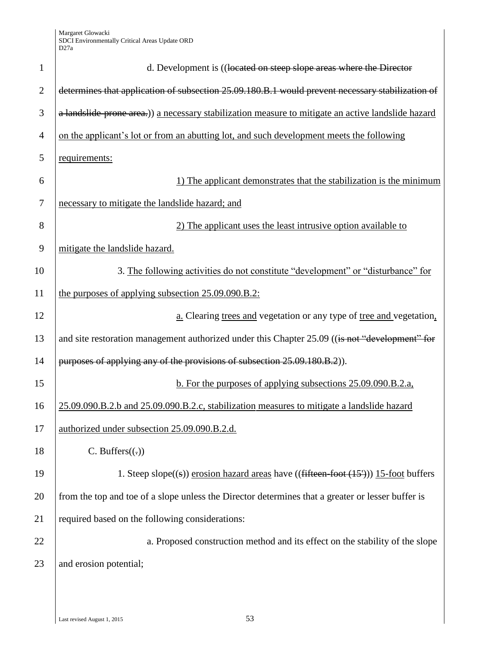| $\mathbf{1}$   | d. Development is ((located on steep slope areas where the Director                                |
|----------------|----------------------------------------------------------------------------------------------------|
| $\overline{2}$ | determines that application of subsection 25.09.180.B.1 would prevent necessary stabilization of   |
| 3              | a landslide prone area.)) a necessary stabilization measure to mitigate an active landslide hazard |
| $\overline{4}$ | on the applicant's lot or from an abutting lot, and such development meets the following           |
| 5              | requirements:                                                                                      |
| 6              | 1) The applicant demonstrates that the stabilization is the minimum                                |
| 7              | necessary to mitigate the landslide hazard; and                                                    |
| 8              | 2) The applicant uses the least intrusive option available to                                      |
| 9              | mitigate the landslide hazard.                                                                     |
| 10             | 3. The following activities do not constitute "development" or "disturbance" for                   |
| 11             | the purposes of applying subsection 25.09.090.B.2:                                                 |
| 12             | a. Clearing trees and vegetation or any type of tree and vegetation.                               |
| 13             | and site restoration management authorized under this Chapter 25.09 ((is not "development" for     |
| 14             | purposes of applying any of the provisions of subsection 25.09.180.B.2).                           |
| 15             | b. For the purposes of applying subsections 25.09.090.B.2.a.                                       |
| 16             | 25.09.090.B.2.b and 25.09.090.B.2.c, stabilization measures to mitigate a landslide hazard         |
| 17             | authorized under subsection 25.09.090.B.2.d.                                                       |
| 18             | C. Buffers $((.)$                                                                                  |
| 19             | 1. Steep slope $((s))$ erosion hazard areas have $((fifteen-foot (15'))) 15-foot buffers$          |
| 20             | from the top and toe of a slope unless the Director determines that a greater or lesser buffer is  |
| 21             | required based on the following considerations:                                                    |
| 22             | a. Proposed construction method and its effect on the stability of the slope                       |
| 23             | and erosion potential;                                                                             |
|                |                                                                                                    |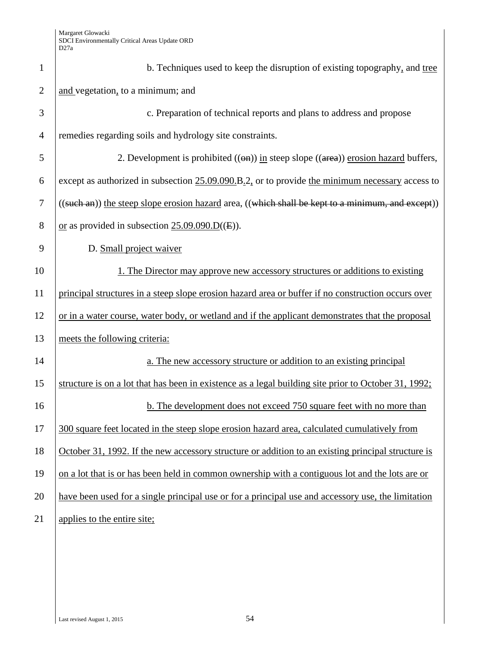| $\mathbf{1}$   | b. Techniques used to keep the disruption of existing topography, and tree                           |
|----------------|------------------------------------------------------------------------------------------------------|
| $\overline{2}$ | and vegetation, to a minimum; and                                                                    |
| 3              | c. Preparation of technical reports and plans to address and propose                                 |
| $\overline{4}$ | remedies regarding soils and hydrology site constraints.                                             |
| 5              | 2. Development is prohibited $((\Theta n))$ in steep slope $((\text{area}))$ erosion hazard buffers, |
| 6              | except as authorized in subsection $25.09.090$ . B.2, or to provide the minimum necessary access to  |
| 7              | ((such an)) the steep slope erosion hazard area, ((which shall be kept to a minimum, and except))    |
| 8              | or as provided in subsection $25.09.090 \cdot D(E)$ .                                                |
| 9              | D. Small project waiver                                                                              |
| 10             | 1. The Director may approve new accessory structures or additions to existing                        |
| 11             | principal structures in a steep slope erosion hazard area or buffer if no construction occurs over   |
| 12             | or in a water course, water body, or wetland and if the applicant demonstrates that the proposal     |
| 13             | meets the following criteria:                                                                        |
| 14             | a. The new accessory structure or addition to an existing principal                                  |
| 15             | structure is on a lot that has been in existence as a legal building site prior to October 31, 1992; |
| 16             | b. The development does not exceed 750 square feet with no more than                                 |
| 17             | 300 square feet located in the steep slope erosion hazard area, calculated cumulatively from         |
| 18             | October 31, 1992. If the new accessory structure or addition to an existing principal structure is   |
| 19             | on a lot that is or has been held in common ownership with a contiguous lot and the lots are or      |
| 20             | have been used for a single principal use or for a principal use and accessory use, the limitation   |
| 21             | applies to the entire site;                                                                          |
|                |                                                                                                      |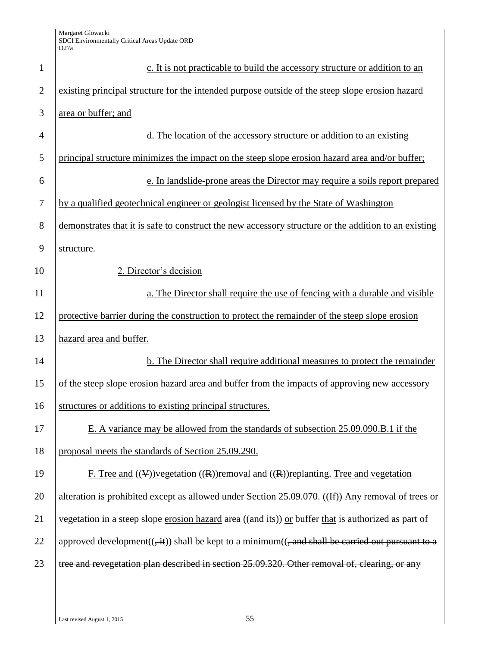| $\mathbf{1}$   | c. It is not practicable to build the accessory structure or addition to an                                              |
|----------------|--------------------------------------------------------------------------------------------------------------------------|
| $\overline{2}$ | existing principal structure for the intended purpose outside of the steep slope erosion hazard                          |
| 3              | area or buffer; and                                                                                                      |
| 4              | d. The location of the accessory structure or addition to an existing                                                    |
| 5              | principal structure minimizes the impact on the steep slope erosion hazard area and/or buffer;                           |
| 6              | e. In landslide-prone areas the Director may require a soils report prepared                                             |
| $\tau$         | by a qualified geotechnical engineer or geologist licensed by the State of Washington                                    |
| 8              | demonstrates that it is safe to construct the new accessory structure or the addition to an existing                     |
| 9              | structure.                                                                                                               |
| 10             | 2. Director's decision                                                                                                   |
| 11             | a. The Director shall require the use of fencing with a durable and visible                                              |
| 12             | protective barrier during the construction to protect the remainder of the steep slope erosion                           |
| 13             | hazard area and buffer.                                                                                                  |
| 14             | b. The Director shall require additional measures to protect the remainder                                               |
| 15             | of the steep slope erosion hazard area and buffer from the impacts of approving new accessory                            |
| 16             | structures or additions to existing principal structures.                                                                |
| 17             | E. A variance may be allowed from the standards of subsection 25.09.090.B.1 if the                                       |
| 18             | proposal meets the standards of Section 25.09.290.                                                                       |
| 19             | F. Tree and $((\nabla))$ regetation $((R))$ removal and $((R))$ replanting. Tree and vegetation                          |
| 20             | alteration is prohibited except as allowed under Section 25.09.070. ((#)) Any removal of trees or                        |
| 21             | vegetation in a steep slope erosion hazard area ((and its)) or buffer that is authorized as part of                      |
| 22             | approved development( $(\frac{1}{2}$ ) shall be kept to a minimum( $(\frac{1}{2}$ and shall be carried out pursuant to a |
| 23             | tree and revegetation plan described in section 25.09.320. Other removal of, clearing, or any                            |
|                |                                                                                                                          |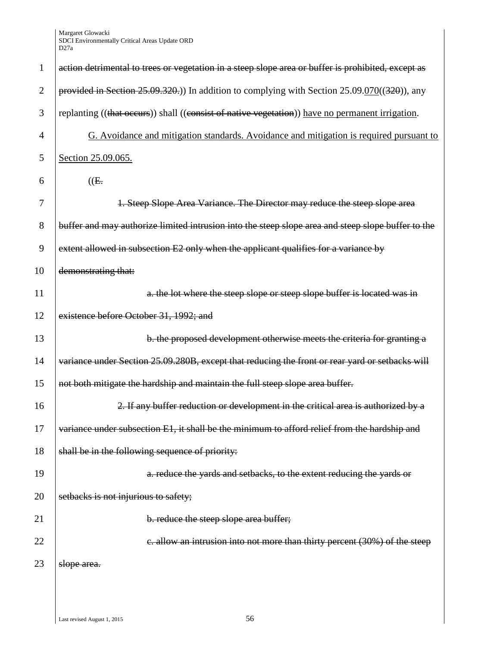| $\mathbf{1}$   | action detrimental to trees or vegetation in a steep slope area or buffer is prohibited, except as |
|----------------|----------------------------------------------------------------------------------------------------|
| $\overline{2}$ | provided in Section 25.09.320.) In addition to complying with Section $25.09.070((320))$ , any     |
| 3              | replanting ((that occurs)) shall ((consist of native vegetation)) have no permanent irrigation.    |
| $\overline{4}$ | G. Avoidance and mitigation standards. Avoidance and mitigation is required pursuant to            |
| 5              | Section 25.09.065.                                                                                 |
| 6              | (E.                                                                                                |
| 7              | 1. Steep Slope Area Variance. The Director may reduce the steep slope area                         |
| 8              | buffer and may authorize limited intrusion into the steep slope area and steep slope buffer to the |
| 9              | extent allowed in subsection E2 only when the applicant qualifies for a variance by                |
| 10             | demonstrating that:                                                                                |
| 11             | a. the lot where the steep slope or steep slope buffer is located was in                           |
| 12             | existence before October 31, 1992; and                                                             |
| 13             | b. the proposed development otherwise meets the criteria for granting a                            |
| 14             | variance under Section 25.09.280B, except that reducing the front or rear yard or setbacks will    |
| 15             | not both mitigate the hardship and maintain the full steep slope area buffer.                      |
| 16             | 2. If any buffer reduction or development in the critical area is authorized by a                  |
| 17             | variance under subsection E1, it shall be the minimum to afford relief from the hardship and       |
| 18             | shall be in the following sequence of priority:                                                    |
| 19             | a. reduce the yards and setbacks, to the extent reducing the yards or                              |
| 20             | setbacks is not injurious to safety;                                                               |
| 21             | b. reduce the steep slope area buffer;                                                             |
| 22             | e. allow an intrusion into not more than thirty percent (30%) of the steep                         |
| 23             | slope area.                                                                                        |
|                |                                                                                                    |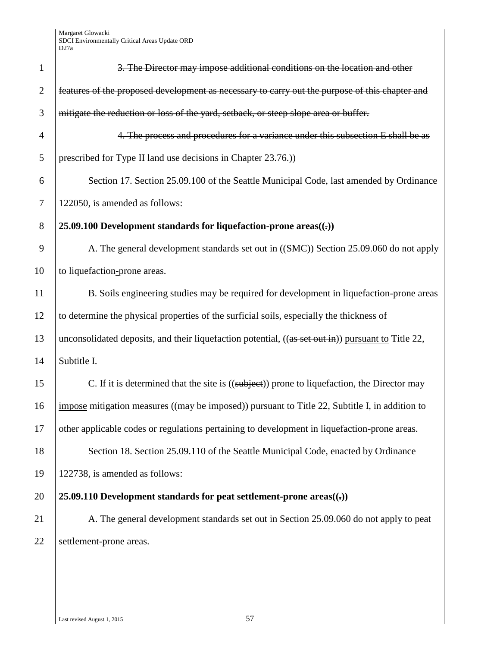| $\mathbf{1}$ | 3. The Director may impose additional conditions on the location and other                         |
|--------------|----------------------------------------------------------------------------------------------------|
| $\mathbf{2}$ | features of the proposed development as necessary to carry out the purpose of this chapter and     |
| 3            | mitigate the reduction or loss of the yard, setback, or steep slope area or buffer.                |
| 4            | 4. The process and procedures for a variance under this subsection E shall be as                   |
| 5            | prescribed for Type II land use decisions in Chapter 23.76.)                                       |
| 6            | Section 17. Section 25.09.100 of the Seattle Municipal Code, last amended by Ordinance             |
| 7            | 122050, is amended as follows:                                                                     |
| 8            | 25.09.100 Development standards for liquefaction-prone areas $((.)$                                |
| 9            | A. The general development standards set out in ((SMC)) Section 25.09.060 do not apply             |
| 10           | to liquefaction-prone areas.                                                                       |
| 11           | B. Soils engineering studies may be required for development in liquefaction-prone areas           |
| 12           | to determine the physical properties of the surficial soils, especially the thickness of           |
| 13           | unconsolidated deposits, and their liquefaction potential, ((as set out in)) pursuant to Title 22, |
| 14           | Subtitle I.                                                                                        |
| 15           | C. If it is determined that the site is ((subject)) prone to liquefaction, the Director may        |
| 16           | impose mitigation measures ((may be imposed)) pursuant to Title 22, Subtitle I, in addition to     |
| 17           | other applicable codes or regulations pertaining to development in liquefaction-prone areas.       |
| 18           | Section 18. Section 25.09.110 of the Seattle Municipal Code, enacted by Ordinance                  |
| 19           | 122738, is amended as follows:                                                                     |
| 20           | 25.09.110 Development standards for peat settlement-prone areas $((,))$                            |
| 21           | A. The general development standards set out in Section 25.09.060 do not apply to peat             |
| 22           | settlement-prone areas.                                                                            |
|              |                                                                                                    |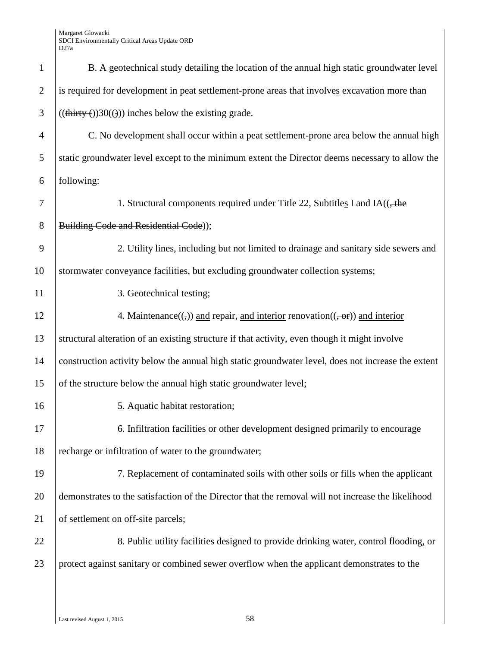| $\mathbf{1}$   | B. A geotechnical study detailing the location of the annual high static groundwater level                                               |
|----------------|------------------------------------------------------------------------------------------------------------------------------------------|
| $\overline{2}$ | is required for development in peat settlement-prone areas that involves excavation more than                                            |
| 3              | $((\text{thirty}(\cdot))30((\cdot)))$ inches below the existing grade.                                                                   |
| 4              | C. No development shall occur within a peat settlement-prone area below the annual high                                                  |
| 5              | static groundwater level except to the minimum extent the Director deems necessary to allow the                                          |
| 6              | following:                                                                                                                               |
| 7              | 1. Structural components required under Title 22, Subtitles I and $IA($ , the                                                            |
| 8              | Building Code and Residential Code));                                                                                                    |
| 9              | 2. Utility lines, including but not limited to drainage and sanitary side sewers and                                                     |
| 10             | stormwater conveyance facilities, but excluding groundwater collection systems;                                                          |
| 11             | 3. Geotechnical testing;                                                                                                                 |
| 12             | 4. Maintenance( $\left(\frac{1}{2}\right)$ ) and repair, and interior renovation( $\left(\frac{1}{2}, \frac{1}{2}\right)$ ) and interior |
| 13             | structural alteration of an existing structure if that activity, even though it might involve                                            |
| 14             | construction activity below the annual high static groundwater level, does not increase the extent                                       |
| 15             | of the structure below the annual high static groundwater level;                                                                         |
| 16             | 5. Aquatic habitat restoration;                                                                                                          |
| 17             | 6. Infiltration facilities or other development designed primarily to encourage                                                          |
| 18             | recharge or infiltration of water to the groundwater;                                                                                    |
| 19             | 7. Replacement of contaminated soils with other soils or fills when the applicant                                                        |
| 20             | demonstrates to the satisfaction of the Director that the removal will not increase the likelihood                                       |
| 21             | of settlement on off-site parcels;                                                                                                       |
| 22             | 8. Public utility facilities designed to provide drinking water, control flooding, or                                                    |
| 23             | protect against sanitary or combined sewer overflow when the applicant demonstrates to the                                               |
|                |                                                                                                                                          |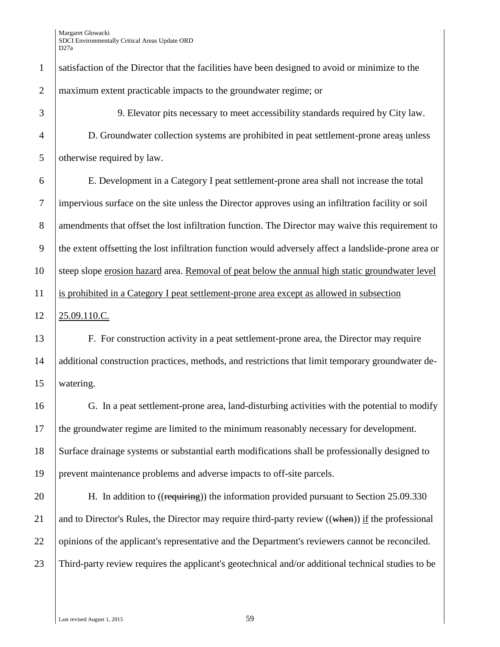| $\mathbf{1}$   | satisfaction of the Director that the facilities have been designed to avoid or minimize to the            |
|----------------|------------------------------------------------------------------------------------------------------------|
| $\overline{2}$ | maximum extent practicable impacts to the groundwater regime; or                                           |
| 3              | 9. Elevator pits necessary to meet accessibility standards required by City law.                           |
| $\overline{4}$ | D. Groundwater collection systems are prohibited in peat settlement-prone areas unless                     |
| 5              | otherwise required by law.                                                                                 |
| 6              | E. Development in a Category I peat settlement-prone area shall not increase the total                     |
| $\tau$         | impervious surface on the site unless the Director approves using an infiltration facility or soil         |
| 8              | amendments that offset the lost infiltration function. The Director may waive this requirement to          |
| 9              | the extent offsetting the lost infiltration function would adversely affect a landslide-prone area or      |
| 10             | steep slope erosion hazard area. Removal of peat below the annual high static groundwater level            |
| 11             | is prohibited in a Category I peat settlement-prone area except as allowed in subsection                   |
| 12             | 25.09.110.C.                                                                                               |
| 13             | F. For construction activity in a peat settlement-prone area, the Director may require                     |
| 14             | additional construction practices, methods, and restrictions that limit temporary groundwater de-          |
| 15             | watering.                                                                                                  |
| 16             | G. In a peat settlement-prone area, land-disturbing activities with the potential to modify                |
| 17             | the groundwater regime are limited to the minimum reasonably necessary for development.                    |
| 18             | Surface drainage systems or substantial earth modifications shall be professionally designed to            |
| 19             | prevent maintenance problems and adverse impacts to off-site parcels.                                      |
| 20             | H. In addition to ((requiring)) the information provided pursuant to Section 25.09.330                     |
| 21             | and to Director's Rules, the Director may require third-party review $((\text{when}))$ if the professional |
| 22             | opinions of the applicant's representative and the Department's reviewers cannot be reconciled.            |
| 23             | Third-party review requires the applicant's geotechnical and/or additional technical studies to be         |
|                |                                                                                                            |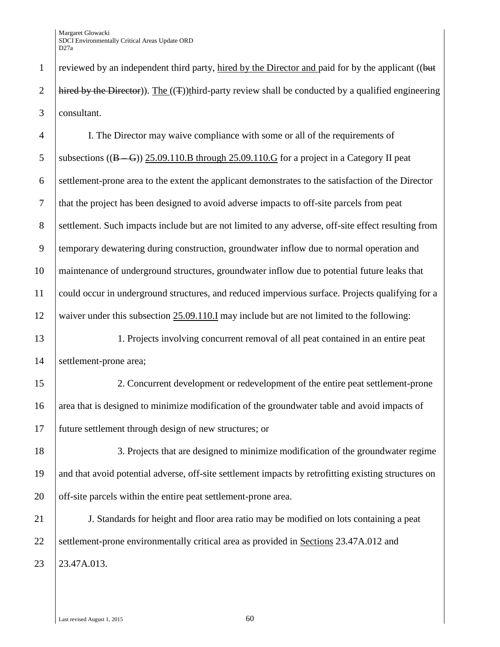1 reviewed by an independent third party, hired by the Director and paid for by the applicant ((but 2 hired by the Director)). The  $((T))$ third-party review shall be conducted by a qualified engineering 3 consultant.

 I. The Director may waive compliance with some or all of the requirements of 5 subsections  $((B - G))$  25.09.110.B through 25.09.110.G for a project in a Category II peat settlement-prone area to the extent the applicant demonstrates to the satisfaction of the Director that the project has been designed to avoid adverse impacts to off-site parcels from peat settlement. Such impacts include but are not limited to any adverse, off-site effect resulting from temporary dewatering during construction, groundwater inflow due to normal operation and maintenance of underground structures, groundwater inflow due to potential future leaks that could occur in underground structures, and reduced impervious surface. Projects qualifying for a waiver under this subsection 25.09.110.I may include but are not limited to the following:

13 1. Projects involving concurrent removal of all peat contained in an entire peat 14 Settlement-prone area;

15 2. Concurrent development or redevelopment of the entire peat settlement-prone 16 area that is designed to minimize modification of the groundwater table and avoid impacts of 17 future settlement through design of new structures; or

18 3. Projects that are designed to minimize modification of the groundwater regime 19 and that avoid potential adverse, off-site settlement impacts by retrofitting existing structures on 20 off-site parcels within the entire peat settlement-prone area.

21 J. Standards for height and floor area ratio may be modified on lots containing a peat 22 Settlement-prone environmentally critical area as provided in Sections 23.47A.012 and 23 23.47A.013.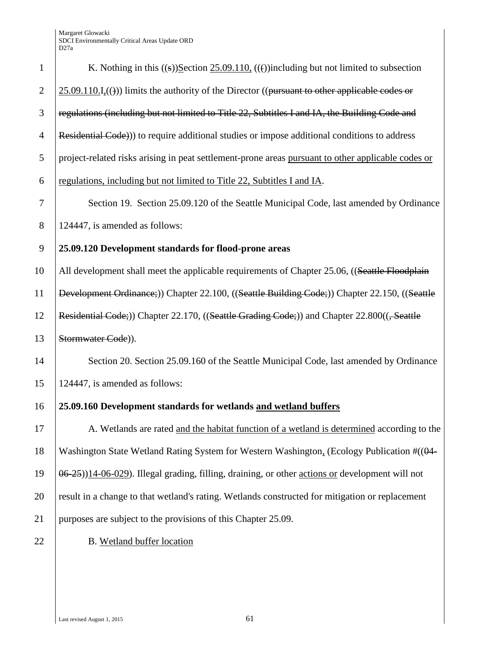| $\mathbf{1}$   | K. Nothing in this $((s))$ Section 25.09.110, $((t))$ including but not limited to subsection      |
|----------------|----------------------------------------------------------------------------------------------------|
| $\overline{2}$ | $25.09.110.I1(()$ ) limits the authority of the Director ((pursuant to other applicable codes or   |
| 3              | regulations (including but not limited to Title 22, Subtitles I and IA, the Building Code and      |
| $\overline{4}$ | Residential Code)) to require additional studies or impose additional conditions to address        |
| 5              | project-related risks arising in peat settlement-prone areas pursuant to other applicable codes or |
| 6              | regulations, including but not limited to Title 22, Subtitles I and IA.                            |
| 7              | Section 19. Section 25.09.120 of the Seattle Municipal Code, last amended by Ordinance             |
| 8              | 124447, is amended as follows:                                                                     |
| 9              | 25.09.120 Development standards for flood-prone areas                                              |
| 10             | All development shall meet the applicable requirements of Chapter 25.06, ((Seattle Floodplain      |
| 11             | Development Ordinance;)) Chapter 22.100, ((Seattle Building Code;)) Chapter 22.150, ((Seattle      |
| 12             | Residential Code;)) Chapter 22.170, ((Seattle Grading Code;)) and Chapter 22.800((, Seattle        |
| 13             | Stormwater Code)).                                                                                 |
| 14             | Section 20. Section 25.09.160 of the Seattle Municipal Code, last amended by Ordinance             |
| 15             | 124447, is amended as follows:                                                                     |
| 16             | 25.09.160 Development standards for wetlands and wetland buffers                                   |
| 17             | A. Wetlands are rated and the habitat function of a wetland is determined according to the         |
| 18             | Washington State Wetland Rating System for Western Washington, (Ecology Publication #((04-         |
| 19             | 06-25))14-06-029). Illegal grading, filling, draining, or other actions or development will not    |
| 20             | result in a change to that wetland's rating. Wetlands constructed for mitigation or replacement    |
| 21             | purposes are subject to the provisions of this Chapter 25.09.                                      |
| 22             | B. Wetland buffer location                                                                         |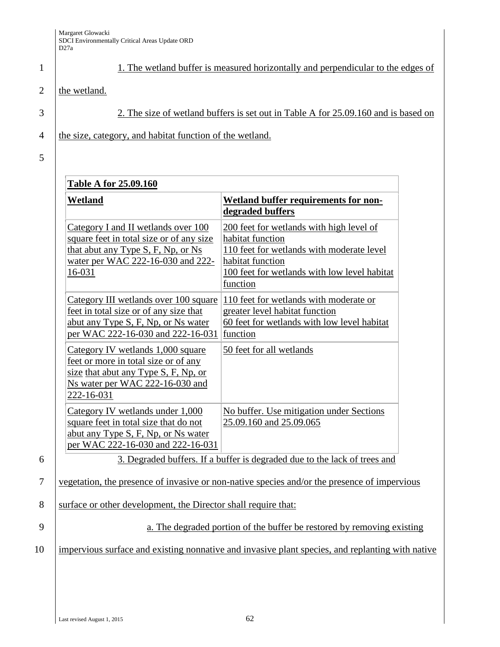1 1. The wetland buffer is measured horizontally and perpendicular to the edges of

# 2  $\vert$  the wetland.

3 2. The size of wetland buffers is set out in Table A for 25.09.160 and is based on

4 the size, category, and habitat function of the wetland.

5

| <b>Table A for 25.09.160</b>                                                                                                                                                      |                                                                                                                                                                                                                                    |
|-----------------------------------------------------------------------------------------------------------------------------------------------------------------------------------|------------------------------------------------------------------------------------------------------------------------------------------------------------------------------------------------------------------------------------|
| <u>Wetland</u>                                                                                                                                                                    | Wetland buffer requirements for non-<br>degraded buffers                                                                                                                                                                           |
| Category I and II wetlands over 100<br>square feet in total size or of any size<br>that abut any Type S, F, Np, or Ns<br>water per WAC 222-16-030 and 222-<br>$16 - 031$          | 200 feet for wetlands with high level of<br>habitat function<br>110 feet for wetlands with moderate level<br>habitat function<br>100 feet for wetlands with low level habitat<br>function                                          |
| Category III wetlands over 100 square<br>feet in total size or of any size that<br>abut any Type S, F, Np, or Ns water<br>per WAC 222-16-030 and 222-16-031                       | 110 feet for wetlands with moderate or<br>greater level habitat function<br>60 feet for wetlands with low level habitat<br>function                                                                                                |
| Category IV wetlands 1,000 square<br>feet or more in total size or of any<br>size that abut any Type S, F, Np, or<br>Ns water per WAC 222-16-030 and<br>222-16-031                | 50 feet for all wetlands                                                                                                                                                                                                           |
| Category IV wetlands under 1,000<br>square feet in total size that do not<br>abut any Type S, F, Np, or Ns water<br>per WAC 222-16-030 and 222-16-031<br>$2\sqrt{2}$ 1 11 CC TC 1 | No buffer. Use mitigation under Sections<br>25.09.160 and 25.09.065<br>$\cdot$ $\cdot$ $\cdot$<br>$\mathbf{1}$ $\mathbf{1}$ $\mathbf{1}$ $\mathbf{1}$ $\mathbf{1}$ $\mathbf{1}$ $\mathbf{1}$ $\mathbf{1}$ $\mathbf{1}$<br>$\alpha$ |

6 3. Degraded buffers. If a buffer is degraded due to the lack of trees and

## 7 vegetation, the presence of invasive or non-native species and/or the presence of impervious

8 Surface or other development, the Director shall require that:

9 a. The degraded portion of the buffer be restored by removing existing

# 10 impervious surface and existing nonnative and invasive plant species, and replanting with native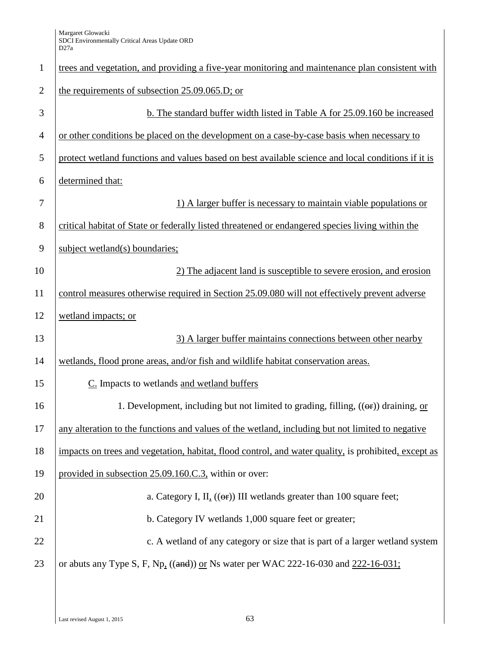| $\mathbf{1}$   | trees and vegetation, and providing a five-year monitoring and maintenance plan consistent with           |
|----------------|-----------------------------------------------------------------------------------------------------------|
| $\overline{2}$ | the requirements of subsection 25.09.065.D; or                                                            |
| 3              | b. The standard buffer width listed in Table A for 25.09.160 be increased                                 |
| $\overline{4}$ | or other conditions be placed on the development on a case-by-case basis when necessary to                |
| 5              | protect wetland functions and values based on best available science and local conditions if it is        |
| 6              | determined that:                                                                                          |
| 7              | 1) A larger buffer is necessary to maintain viable populations or                                         |
| 8              | critical habitat of State or federally listed threatened or endangered species living within the          |
| 9              | subject wetland(s) boundaries;                                                                            |
| 10             | 2) The adjacent land is susceptible to severe erosion, and erosion                                        |
| 11             | control measures otherwise required in Section 25.09.080 will not effectively prevent adverse             |
| 12             | wetland impacts; or                                                                                       |
| 13             | 3) A larger buffer maintains connections between other nearby                                             |
| 14             | wetlands, flood prone areas, and/or fish and wildlife habitat conservation areas.                         |
| 15             | C. Impacts to wetlands and wetland buffers                                                                |
| 16             | 1. Development, including but not limited to grading, filling, $((\theta \cdot \mathbf{r}))$ draining, or |
| 17             | any alteration to the functions and values of the wetland, including but not limited to negative          |
| 18             | impacts on trees and vegetation, habitat, flood control, and water quality, is prohibited, except as      |
| 19             | provided in subsection 25.09.160.C.3, within or over:                                                     |
| 20             | a. Category I, II, $((\theta \cdot \mathbf{r}))$ III wetlands greater than 100 square feet;               |
| 21             | b. Category IV wetlands 1,000 square feet or greater;                                                     |
| 22             | c. A wetland of any category or size that is part of a larger wetland system                              |
| 23             | or abuts any Type S, F, Np, $((and))$ or Ns water per WAC 222-16-030 and 222-16-031;                      |
|                |                                                                                                           |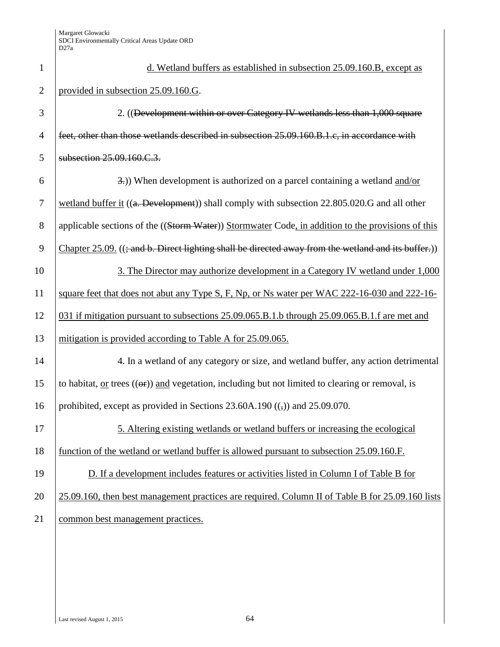| $\mathbf{1}$   | d. Wetland buffers as established in subsection 25.09.160.B, except as                                                  |
|----------------|-------------------------------------------------------------------------------------------------------------------------|
| $\overline{2}$ | provided in subsection 25.09.160.G.                                                                                     |
| 3              | 2. ((Development within or over Category IV wetlands less than 1,000 square                                             |
| $\overline{4}$ | feet, other than those wetlands described in subsection 25.09.160.B.1.c, in accordance with                             |
| 5              | subsection 25.09.160.C.3.                                                                                               |
| 6              | 3.) When development is authorized on a parcel containing a wetland and/or                                              |
| 7              | wetland buffer it ((a. Development)) shall comply with subsection 22.805.020.G and all other                            |
| 8              | applicable sections of the ((Storm Water)) Stormwater Code, in addition to the provisions of this                       |
| 9              | Chapter 25.09. ((; and b. Direct lighting shall be directed away from the wetland and its buffer.))                     |
| 10             | 3. The Director may authorize development in a Category IV wetland under 1,000                                          |
| 11             | square feet that does not abut any Type S, F, Np, or Ns water per WAC 222-16-030 and 222-16-                            |
| 12             | 031 if mitigation pursuant to subsections 25.09.065.B.1.b through 25.09.065.B.1.f are met and                           |
| 13             | mitigation is provided according to Table A for 25.09.065.                                                              |
| 14             | 4. In a wetland of any category or size, and wetland buffer, any action detrimental                                     |
| 15             | to habitat, or trees $((\theta \cdot \mathbf{r}))$ and vegetation, including but not limited to clearing or removal, is |
| 16             | prohibited, except as provided in Sections 23.60A.190 $((,))$ and 25.09.070.                                            |
| 17             | 5. Altering existing wetlands or wetland buffers or increasing the ecological                                           |
| 18             | function of the wetland or wetland buffer is allowed pursuant to subsection 25.09.160.F.                                |
| 19             | D. If a development includes features or activities listed in Column I of Table B for                                   |
| 20             | 25.09.160, then best management practices are required. Column II of Table B for 25.09.160 lists                        |
| 21             | common best management practices.                                                                                       |
|                |                                                                                                                         |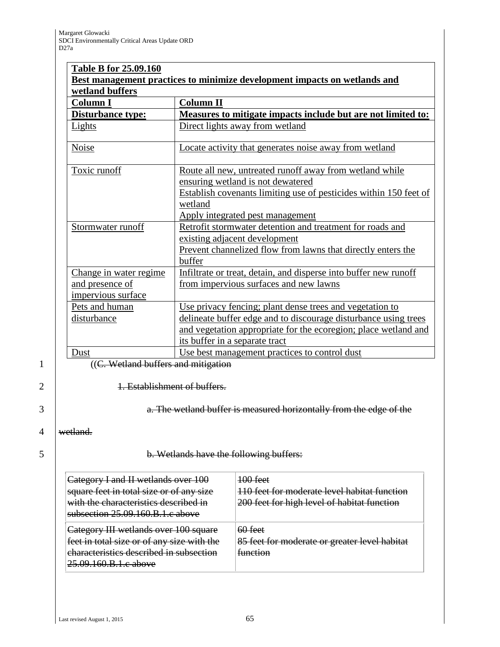| <b>Column I</b>                                                 | wetland buffers<br><b>Column II</b>                                                                                                                                                                                              |  |  |
|-----------------------------------------------------------------|----------------------------------------------------------------------------------------------------------------------------------------------------------------------------------------------------------------------------------|--|--|
| <b>Disturbance type:</b>                                        | Measures to mitigate impacts include but are not limited to:                                                                                                                                                                     |  |  |
| Lights                                                          | Direct lights away from wetland                                                                                                                                                                                                  |  |  |
| <b>Noise</b>                                                    | Locate activity that generates noise away from wetland                                                                                                                                                                           |  |  |
| Toxic runoff                                                    | Route all new, untreated runoff away from wetland while<br>ensuring wetland is not dewatered<br>Establish covenants limiting use of pesticides within 150 feet of<br>wetland                                                     |  |  |
| Stormwater runoff                                               | Apply integrated pest management<br>Retrofit stormwater detention and treatment for roads and<br>existing adjacent development<br>Prevent channelized flow from lawns that directly enters the<br>buffer                         |  |  |
| Change in water regime<br>and presence of<br>impervious surface | Infiltrate or treat, detain, and disperse into buffer new runoff<br>from impervious surfaces and new lawns                                                                                                                       |  |  |
| Pets and human<br>disturbance                                   | Use privacy fencing; plant dense trees and vegetation to<br>delineate buffer edge and to discourage disturbance using trees<br>and vegetation appropriate for the ecoregion; place wetland and<br>its buffer in a separate tract |  |  |
| Dust                                                            | Use best management practices to control dust                                                                                                                                                                                    |  |  |

2 | **1. Establishment of buffers.** 

3 **a.** The wetland buffer is measured horizontally from the edge of the

4 | wetland.

5 **b. Wetlands have the following buffers:** 

| Category I and II wetlands over 100<br>square feet in total size or of any size<br>with the characteristics described in<br>subsection 25.09.160.B.1.c above | <del>100 feet</del><br>110 feet for moderate level habitat function<br>200 feet for high level of habitat function |
|--------------------------------------------------------------------------------------------------------------------------------------------------------------|--------------------------------------------------------------------------------------------------------------------|
| Category III wetlands over 100 square<br>feet in total size or of any size with the<br>characteristics described in subsection<br>25.09.160.B.1.c above      | $60$ feet<br>85 feet for moderate or greater level habitat<br><del>function</del>                                  |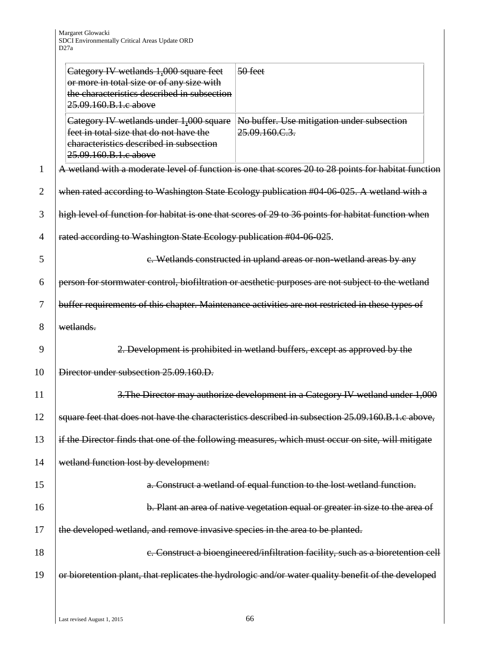|                | Category IV wetlands 1,000 square feet<br>or more in total size or of any size with<br>the characteristics described in subsection<br>25.09.160.B.1.c above | $50$ feet                                                                                           |
|----------------|-------------------------------------------------------------------------------------------------------------------------------------------------------------|-----------------------------------------------------------------------------------------------------|
|                | Category IV wetlands under 1,000 square<br>feet in total size that do not have the<br>characteristics described in subsection<br>25.09.160.B.1.c above      | No buffer. Use mitigation under subsection<br>25.09.160.C.3.                                        |
| 1              |                                                                                                                                                             | A wetland with a moderate level of function is one that scores 20 to 28 points for habitat function |
| $\overline{2}$ |                                                                                                                                                             | when rated according to Washington State Ecology publication #04-06-025. A wetland with a           |
| 3              |                                                                                                                                                             | high level of function for habitat is one that scores of 29 to 36 points for habitat function when  |
| $\overline{4}$ | rated according to Washington State Ecology publication #04 06 025.                                                                                         |                                                                                                     |
| 5              |                                                                                                                                                             | c. Wetlands constructed in upland areas or non-wetland areas by any                                 |
| 6              |                                                                                                                                                             | person for stormwater control, biofiltration or aesthetic purposes are not subject to the wetland   |
| 7              |                                                                                                                                                             | buffer requirements of this chapter. Maintenance activities are not restricted in these types of    |
| 8              | wetlands.                                                                                                                                                   |                                                                                                     |
| 9              |                                                                                                                                                             | 2. Development is prohibited in wetland buffers, except as approved by the                          |
| 10             | Director under subsection 25.09.160.D.                                                                                                                      |                                                                                                     |
| 11             |                                                                                                                                                             | 3. The Director may authorize development in a Category IV wetland under 1,000                      |
| 12             |                                                                                                                                                             | square feet that does not have the characteristics described in subsection 25.09.160.B.1.c above,   |
| 13             |                                                                                                                                                             | if the Director finds that one of the following measures, which must occur on site, will mitigate   |
| 14             | wetland function lost by development:                                                                                                                       |                                                                                                     |
| 15             |                                                                                                                                                             | a. Construct a wetland of equal function to the lost wetland function.                              |
| 16             |                                                                                                                                                             | b. Plant an area of native vegetation equal or greater in size to the area of                       |
| 17             | the developed wetland, and remove invasive species in the area to be planted.                                                                               |                                                                                                     |
| 18             |                                                                                                                                                             | e. Construct a bioengineered/infiltration facility, such as a bioretention cell                     |
| 19             |                                                                                                                                                             | or bioretention plant, that replicates the hydrologic and/or water quality benefit of the developed |
|                |                                                                                                                                                             |                                                                                                     |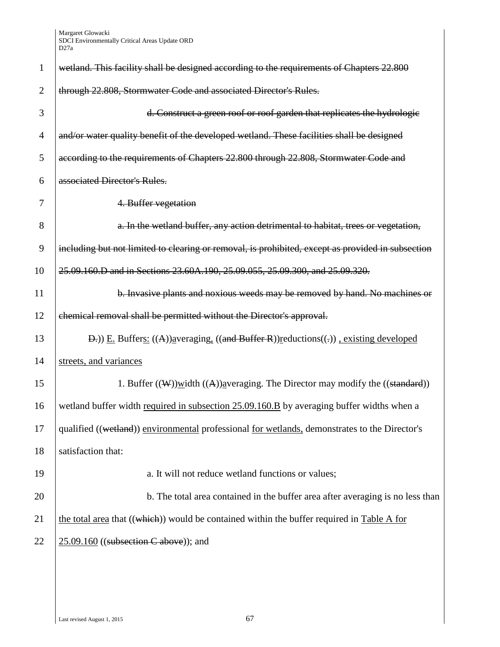| $\mathbf{1}$   | wetland. This facility shall be designed according to the requirements of Chapters 22.800                        |
|----------------|------------------------------------------------------------------------------------------------------------------|
| $\overline{2}$ | through 22.808, Stormwater Code and associated Director's Rules.                                                 |
| 3              | d. Construct a green roof or roof garden that replicates the hydrologic                                          |
| 4              | and/or water quality benefit of the developed wetland. These facilities shall be designed                        |
| 5              | according to the requirements of Chapters 22.800 through 22.808, Stormwater Code and                             |
| 6              | associated Director's Rules.                                                                                     |
| 7              | 4. Buffer vegetation                                                                                             |
| 8              | a. In the wetland buffer, any action detrimental to habitat, trees or vegetation,                                |
| 9              | including but not limited to clearing or removal, is prohibited, except as provided in subsection                |
| 10             | 25.09.160.D and in Sections 23.60A.190, 25.09.055, 25.09.300, and 25.09.320.                                     |
| 11             | b. Invasive plants and noxious weeds may be removed by hand. No machines or                                      |
| 12             | chemical removal shall be permitted without the Director's approval.                                             |
| 13             | $\Box$ $E$ . Buffers: $((A))$ averaging, $((\Box A)$ and Buffer R)) reductions $((.))$ , existing developed      |
| 14             | streets, and variances                                                                                           |
| 15             | 1. Buffer $((\mathbf{W}))$ width $((\mathbf{A}))$ averaging. The Director may modify the $((\mathbf{standard}))$ |
| 16             | wetland buffer width required in subsection 25.09.160.B by averaging buffer widths when a                        |
| 17             | qualified ((wetland)) environmental professional for wetlands, demonstrates to the Director's                    |
| 18             | satisfaction that:                                                                                               |
| 19             | a. It will not reduce wetland functions or values;                                                               |
| 20             | b. The total area contained in the buffer area after averaging is no less than                                   |
| 21             | the total area that $((which))$ would be contained within the buffer required in Table A for                     |
| 22             | $25.09.160$ ((subsection C above)); and                                                                          |
|                |                                                                                                                  |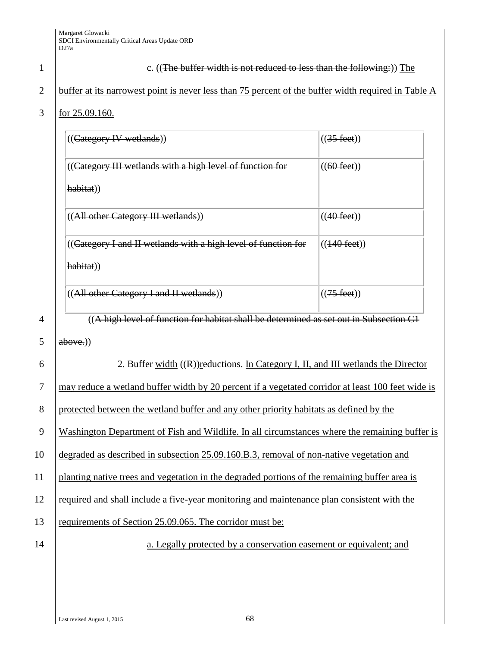|                | $101 \, \text{\it LJ}.07.100.$                                                                    |                        |
|----------------|---------------------------------------------------------------------------------------------------|------------------------|
|                | $((\text{Category IV wetlands}))$                                                                 | $((35 \text{ feet}))$  |
|                | ((Category III wetlands with a high level of function for                                         | $((60 \text{ feet}))$  |
|                | habitat))                                                                                         |                        |
|                | ((All other Category III wetlands))                                                               | $((40 \text{ feet}))$  |
|                | ((Category I and II wetlands with a high level of function for                                    | $((140 \text{ feet}))$ |
|                | habitat))                                                                                         |                        |
|                | ((All other Category I and II wetlands))                                                          | $((75 \text{ feet}))$  |
| $\overline{4}$ | ((A high level of function for habitat shall be determined as set out in Subsection C1            |                        |
| 5              | above.)                                                                                           |                        |
| 6              | 2. Buffer width $((R))$ reductions. In Category I, II, and III wetlands the Director              |                        |
| 7              | may reduce a wetland buffer width by 20 percent if a vegetated corridor at least 100 feet wide is |                        |
| 8              | protected between the wetland buffer and any other priority habitats as defined by the            |                        |
| 9              | Washington Department of Fish and Wildlife. In all circumstances where the remaining buffer is    |                        |
| 10             | degraded as described in subsection 25.09.160.B.3, removal of non-native vegetation and           |                        |
| 11             | planting native trees and vegetation in the degraded portions of the remaining buffer area is     |                        |

## 1 c. ((The buffer width is not reduced to less than the following:)) The

## 2 buffer at its narrowest point is never less than 75 percent of the buffer width required in Table A

### 3 for 25.09.160.

| $((\text{Category IV wetlands}))$                              | $((35 \text{ feet}))$  |
|----------------------------------------------------------------|------------------------|
| ((Category III wetlands with a high level of function for      | $((60 \text{ feet}))$  |
| habitat)                                                       |                        |
| ((All other Category III wetlands))                            | $((40 \text{ feet}))$  |
| ((Category I and II wetlands with a high level of function for | $((140 \text{ feet}))$ |
| habitat))                                                      |                        |
| ((All other Category I and II wetlands))                       | $((75 \text{ feet}))$  |

12 required and shall include a five-year monitoring and maintenance plan consistent with the

13 requirements of Section 25.09.065. The corridor must be:

14 a. Legally protected by a conservation easement or equivalent; and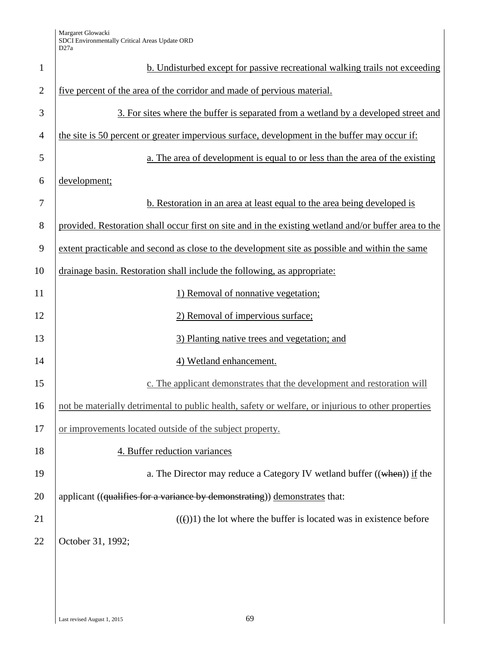| $\mathbf{1}$   | <b>b.</b> Undisturbed except for passive recreational walking trails not exceeding                    |
|----------------|-------------------------------------------------------------------------------------------------------|
| $\overline{2}$ | five percent of the area of the corridor and made of pervious material.                               |
| 3              | 3. For sites where the buffer is separated from a wetland by a developed street and                   |
| $\overline{4}$ | the site is 50 percent or greater impervious surface, development in the buffer may occur if:         |
| 5              | a. The area of development is equal to or less than the area of the existing                          |
| 6              | development;                                                                                          |
| 7              | b. Restoration in an area at least equal to the area being developed is                               |
| 8              | provided. Restoration shall occur first on site and in the existing wetland and/or buffer area to the |
| 9              | extent practicable and second as close to the development site as possible and within the same        |
| 10             | drainage basin. Restoration shall include the following, as appropriate:                              |
| 11             | 1) Removal of nonnative vegetation;                                                                   |
| 12             | 2) Removal of impervious surface;                                                                     |
| 13             | 3) Planting native trees and vegetation; and                                                          |
| 14             | 4) Wetland enhancement.                                                                               |
| 15             | c. The applicant demonstrates that the development and restoration will                               |
| 16             | not be materially detrimental to public health, safety or welfare, or injurious to other properties   |
| 17             | or improvements located outside of the subject property.                                              |
| 18             | 4. Buffer reduction variances                                                                         |
| 19             | a. The Director may reduce a Category IV wetland buffer $((\text{when}))$ if the                      |
| 20             | applicant ((qualifies for a variance by demonstrating)) demonstrates that:                            |
| 21             | $(())$ the lot where the buffer is located was in existence before                                    |
| 22             | October 31, 1992;                                                                                     |
|                |                                                                                                       |
|                |                                                                                                       |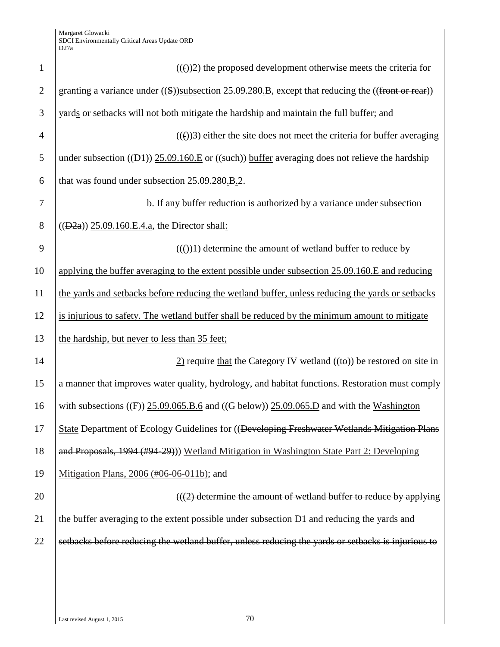| $\mathbf{1}$   | $((f))2$ ) the proposed development otherwise meets the criteria for                                                       |
|----------------|----------------------------------------------------------------------------------------------------------------------------|
|                |                                                                                                                            |
| $\overline{2}$ | granting a variance under $((S))$ subsection 25.09.280.B, except that reducing the $((front or rear))$                     |
| 3              | yards or setbacks will not both mitigate the hardship and maintain the full buffer; and                                    |
| $\overline{4}$ | $((e))3$ ) either the site does not meet the criteria for buffer averaging                                                 |
| 5              | under subsection $((\underline{D4}))$ 25.09.160.E or $((\underline{such}))$ buffer averaging does not relieve the hardship |
| 6              | that was found under subsection 25.09.280.B.2.                                                                             |
| 7              | b. If any buffer reduction is authorized by a variance under subsection                                                    |
| 8              | $((D2a)$ ) 25.09.160.E.4.a, the Director shall:                                                                            |
| 9              | $(())$ determine the amount of wetland buffer to reduce by                                                                 |
| 10             | applying the buffer averaging to the extent possible under subsection 25.09.160.E and reducing                             |
| 11             | the yards and setbacks before reducing the wetland buffer, unless reducing the yards or setbacks                           |
| 12             | is injurious to safety. The wetland buffer shall be reduced by the minimum amount to mitigate                              |
| 13             | the hardship, but never to less than 35 feet;                                                                              |
| 14             | $\frac{2}{2}$ require that the Category IV wetland ((to)) be restored on site in                                           |
| 15             | a manner that improves water quality, hydrology, and habitat functions. Restoration must comply                            |
| 16             | with subsections ( $(F)$ ) 25.09.065.B.6 and ( $(G$ below)) 25.09.065.D and with the Washington                            |
| 17             | State Department of Ecology Guidelines for ((Developing Freshwater Wetlands Mitigation Plans                               |
| 18             | and Proposals, 1994 (#94-29))) Wetland Mitigation in Washington State Part 2: Developing                                   |
| 19             | Mitigation Plans, 2006 (#06-06-011b); and                                                                                  |
| 20             | $((2)$ determine the amount of wetland buffer to reduce by applying                                                        |
| 21             | the buffer averaging to the extent possible under subsection D1 and reducing the yards and                                 |
| 22             | setbacks before reducing the wetland buffer, unless reducing the yards or setbacks is injurious to                         |
|                |                                                                                                                            |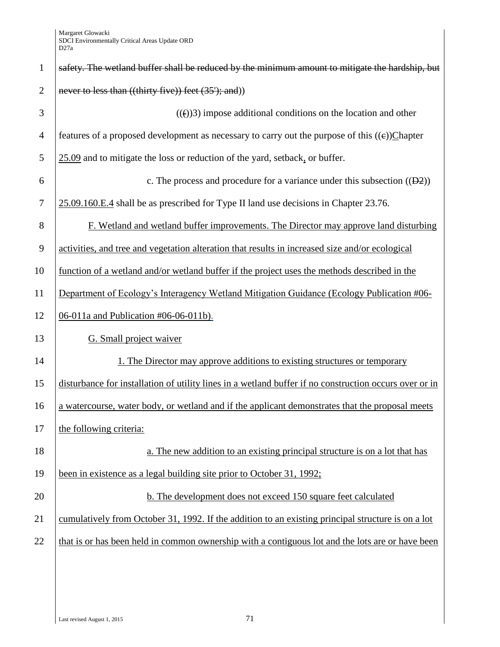| $\mathbf{1}$   | safety. The wetland buffer shall be reduced by the minimum amount to mitigate the hardship, but        |
|----------------|--------------------------------------------------------------------------------------------------------|
| $\overline{2}$ | never to less than ((thirty five)) feet (35'); and))                                                   |
| 3              | $((f))3$ ) impose additional conditions on the location and other                                      |
| 4              | features of a proposed development as necessary to carry out the purpose of this $((e))$ Chapter       |
| 5              | 25.09 and to mitigate the loss or reduction of the yard, setback, or buffer.                           |
| 6              | c. The process and procedure for a variance under this subsection $((D2))$                             |
| $\tau$         | 25.09.160.E.4 shall be as prescribed for Type II land use decisions in Chapter 23.76.                  |
| 8              | F. Wetland and wetland buffer improvements. The Director may approve land disturbing                   |
| 9              | activities, and tree and vegetation alteration that results in increased size and/or ecological        |
| 10             | function of a wetland and/or wetland buffer if the project uses the methods described in the           |
| 11             | Department of Ecology's Interagency Wetland Mitigation Guidance (Ecology Publication #06-              |
| 12             | 06-011a and Publication $\#06-06-011b$ .                                                               |
| 13             | G. Small project waiver                                                                                |
| 14             | 1. The Director may approve additions to existing structures or temporary                              |
| 15             | disturbance for installation of utility lines in a wetland buffer if no construction occurs over or in |
| 16             | a watercourse, water body, or wetland and if the applicant demonstrates that the proposal meets        |
| 17             | the following criteria:                                                                                |
| 18             | a. The new addition to an existing principal structure is on a lot that has                            |
| 19             | been in existence as a legal building site prior to October 31, 1992;                                  |
| 20             | b. The development does not exceed 150 square feet calculated                                          |
| 21             | cumulatively from October 31, 1992. If the addition to an existing principal structure is on a lot     |
| 22             | that is or has been held in common ownership with a contiguous lot and the lots are or have been       |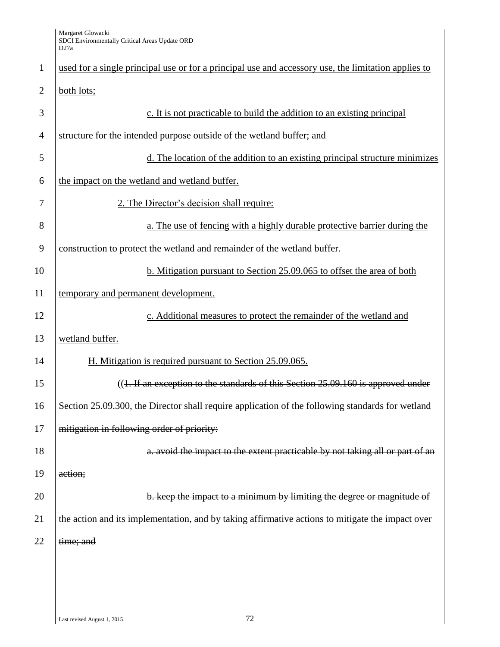| $\mathbf{1}$   | used for a single principal use or for a principal use and accessory use, the limitation applies to |
|----------------|-----------------------------------------------------------------------------------------------------|
| $\overline{2}$ | both lots;                                                                                          |
| 3              | c. It is not practicable to build the addition to an existing principal                             |
| $\overline{4}$ | structure for the intended purpose outside of the wetland buffer; and                               |
| 5              | d. The location of the addition to an existing principal structure minimizes                        |
| 6              | the impact on the wetland and wetland buffer.                                                       |
| 7              | 2. The Director's decision shall require:                                                           |
| 8              | a. The use of fencing with a highly durable protective barrier during the                           |
| 9              | construction to protect the wetland and remainder of the wetland buffer.                            |
| 10             | b. Mitigation pursuant to Section 25.09.065 to offset the area of both                              |
| 11             | temporary and permanent development.                                                                |
| 12             | c. Additional measures to protect the remainder of the wetland and                                  |
| 13             | wetland buffer.                                                                                     |
| 14             | H. Mitigation is required pursuant to Section 25.09.065.                                            |
| 15             | $((1.$ If an exception to the standards of this Section 25.09.160 is approved under                 |
| 16             | Section 25.09.300, the Director shall require application of the following standards for wetland    |
| 17             | mitigation in following order of priority:                                                          |
| 18             | a. avoid the impact to the extent practicable by not taking all or part of an                       |
| 19             | action;                                                                                             |
| 20             | b. keep the impact to a minimum by limiting the degree or magnitude of                              |
| 21             | the action and its implementation, and by taking affirmative actions to mitigate the impact over    |
| 22             | time; and                                                                                           |
|                |                                                                                                     |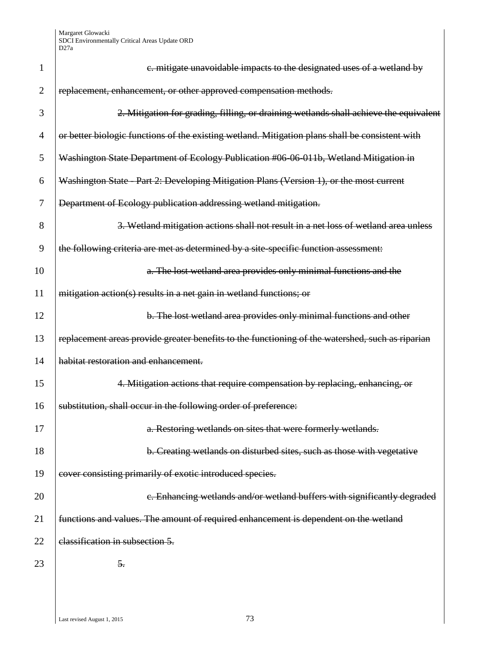| 1              | e. mitigate unavoidable impacts to the designated uses of a wetland by                           |
|----------------|--------------------------------------------------------------------------------------------------|
| $\overline{2}$ | replacement, enhancement, or other approved compensation methods.                                |
| 3              | 2. Mitigation for grading, filling, or draining wetlands shall achieve the equivalent            |
| 4              | or better biologic functions of the existing wetland. Mitigation plans shall be consistent with  |
| 5              | Washington State Department of Ecology Publication #06 06 011b, Wetland Mitigation in            |
| 6              | Washington State - Part 2: Developing Mitigation Plans (Version 1), or the most current          |
| 7              | Department of Ecology publication addressing wetland mitigation.                                 |
| 8              | 3. Wetland mitigation actions shall not result in a net loss of wetland area unless              |
| 9              | the following criteria are met as determined by a site-specific function assessment:             |
| 10             | a. The lost wetland area provides only minimal functions and the                                 |
| 11             | mitigation action(s) results in a net gain in wetland functions; or                              |
| 12             | b. The lost wetland area provides only minimal functions and other                               |
| 13             | replacement areas provide greater benefits to the functioning of the watershed, such as riparian |
| 14             | habitat restoration and enhancement.                                                             |
| 15             | 4. Mitigation actions that require compensation by replacing, enhancing, or                      |
| 16             | substitution, shall occur in the following order of preference:                                  |
| 17             | a. Restoring wetlands on sites that were formerly wetlands.                                      |
| 18             | b. Creating wetlands on disturbed sites, such as those with vegetative                           |
| 19             | cover consisting primarily of exotic introduced species.                                         |
| 20             | e. Enhancing wetlands and/or wetland buffers with significantly degraded                         |
| 21             | functions and values. The amount of required enhancement is dependent on the wetland             |
| 22             | elassification in subsection 5.                                                                  |
| 23             | 5.                                                                                               |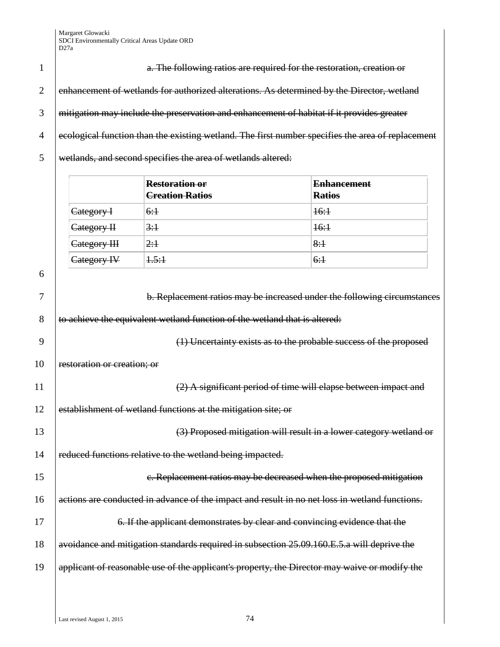|                | a. The following ratios are required for the restoration, creation or                             |
|----------------|---------------------------------------------------------------------------------------------------|
| $\mathcal{D}$  | enhancement of wetlands for authorized alterations. As determined by the Director, wetland        |
|                | mitigation may include the preservation and enhancement of habitat if it provides greater         |
| $\overline{A}$ | ecological function than the existing wetland. The first number specifies the area of replacement |
|                | wetlands, and second specifies the area of wetlands altered:                                      |

|                        | <b>Restoration or</b><br><del>Creation Ratios</del> | <b>Enhancement</b><br><b>Ratios</b> |
|------------------------|-----------------------------------------------------|-------------------------------------|
| <del>Category I</del>  | 6:1                                                 | <del>16:1</del>                     |
| <del>Category II</del> | 3:1                                                 | <del>16:1</del>                     |
| Category III           | 2:1                                                 | 8:1                                 |
| Category IV            | <del>1.5:1</del>                                    | 6:1                                 |

6

7 b. Replacement ratios may be increased under the following circumstances 8 to achieve the equivalent wetland function of the wetland that is altered: 9 (1) Uncertainty exists as to the probable success of the proposed 10 restoration or creation; or 11 | (2) A significant period of time will elapse between impact and 12 establishment of wetland functions at the mitigation site; or 13 (3) Proposed mitigation will result in a lower category wetland or 14 reduced functions relative to the wetland being impacted. 15 **c. Replacement ratios may be decreased when the proposed mitigation** 16 actions are conducted in advance of the impact and result in no net loss in wetland functions. 17 **6. If the applicant demonstrates by clear and convincing evidence that the** 18 avoidance and mitigation standards required in subsection 25.09.160.E.5.a will deprive the 19  $\theta$  applicant of reasonable use of the applicant's property, the Director may waive or modify the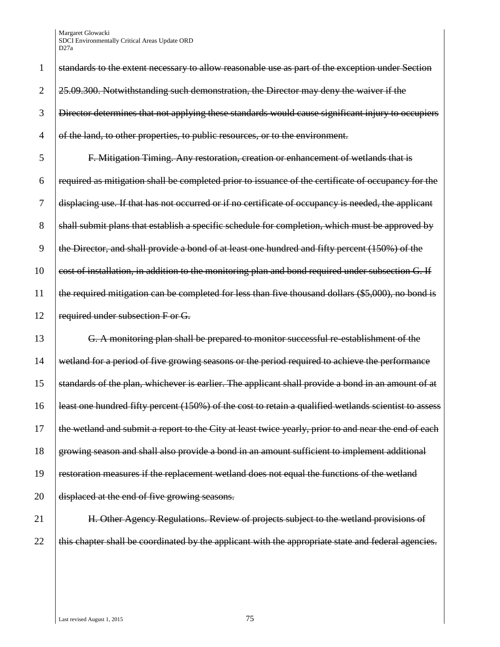| 1              | standards to the extent necessary to allow reasonable use as part of the exception under Section      |
|----------------|-------------------------------------------------------------------------------------------------------|
| $\overline{2}$ | 25.09.300. Notwithstanding such demonstration, the Director may deny the waiver if the                |
| 3              | Director determines that not applying these standards would cause significant injury to occupiers     |
| 4              | of the land, to other properties, to public resources, or to the environment.                         |
| 5              | F. Mitigation Timing. Any restoration, creation or enhancement of wetlands that is                    |
| 6              | required as mitigation shall be completed prior to issuance of the certificate of occupancy for the   |
| 7              | displacing use. If that has not occurred or if no certificate of occupancy is needed, the applicant   |
| 8              | shall submit plans that establish a specific schedule for completion, which must be approved by       |
| 9              | the Director, and shall provide a bond of at least one hundred and fifty percent (150%) of the        |
| 10             | cost of installation, in addition to the monitoring plan and bond required under subsection G. If     |
| 11             | the required mitigation can be completed for less than five thousand dollars (\$5,000), no bond is    |
| 12             | required under subsection F or G.                                                                     |
| 13             | G. A monitoring plan shall be prepared to monitor successful re-establishment of the                  |
| 14             | wetland for a period of five growing seasons or the period required to achieve the performance        |
| 15             | standards of the plan, whichever is earlier. The applicant shall provide a bond in an amount of at    |
| 16             | least one hundred fifty percent (150%) of the cost to retain a qualified wetlands scientist to assess |
| 17             | the wetland and submit a report to the City at least twice yearly, prior to and near the end of each  |
| 18             | growing season and shall also provide a bond in an amount sufficient to implement additional          |
| 19             | restoration measures if the replacement wetland does not equal the functions of the wetland           |
| 20             | displaced at the end of five growing seasons.                                                         |
| 21             | H. Other Agency Regulations. Review of projects subject to the wetland provisions of                  |

22  $\left|$  this chapter shall be coordinated by the applicant with the appropriate state and federal agencies.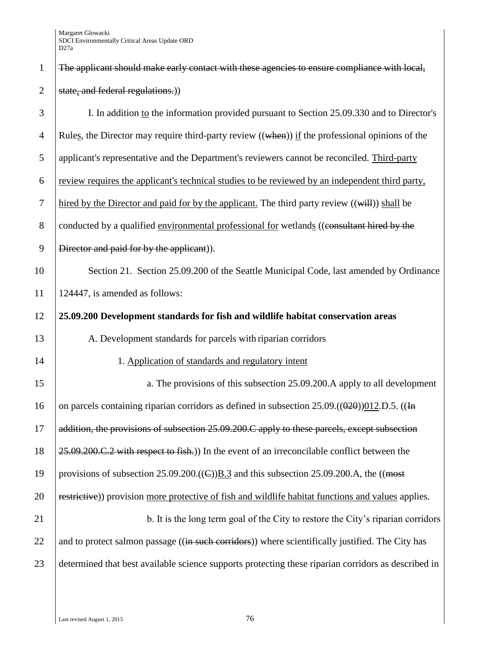| $\mathbf{1}$   | The applicant should make early contact with these agencies to ensure compliance with local,                     |
|----------------|------------------------------------------------------------------------------------------------------------------|
| $\overline{2}$ | state, and federal regulations.))                                                                                |
| 3              | I. In addition to the information provided pursuant to Section 25.09.330 and to Director's                       |
| $\overline{4}$ | Rules, the Director may require third-party review $((\text{when}))$ if the professional opinions of the         |
| 5              | applicant's representative and the Department's reviewers cannot be reconciled. Third-party                      |
| 6              | review requires the applicant's technical studies to be reviewed by an independent third party,                  |
| $\tau$         | hired by the Director and paid for by the applicant. The third party review $((\overrightarrow{will}))$ shall be |
| 8              | conducted by a qualified environmental professional for wetlands ((consultant hired by the                       |
| 9              | Director and paid for by the applicant).                                                                         |
| 10             | Section 21. Section 25.09.200 of the Seattle Municipal Code, last amended by Ordinance                           |
| 11             | 124447, is amended as follows:                                                                                   |
| 12             | 25.09.200 Development standards for fish and wildlife habitat conservation areas                                 |
| 13             | A. Development standards for parcels with riparian corridors                                                     |
| 14             | 1. Application of standards and regulatory intent                                                                |
| 15             | a. The provisions of this subsection 25.09.200. A apply to all development                                       |
| 16             | on parcels containing riparian corridors as defined in subsection $25.09\cdot((0.20))012$ .D.5. ((In             |
| 17             | addition, the provisions of subsection 25.09.200.C apply to these parcels, except subsection                     |
| 18             | 25.09.200.C.2 with respect to fish.)) In the event of an irreconcilable conflict between the                     |
| 19             | provisions of subsection 25.09.200.((E)) $\underline{B.3}$ and this subsection 25.09.200.A, the ((most           |
| 20             | restrictive)) provision more protective of fish and wildlife habitat functions and values applies.               |
| 21             | b. It is the long term goal of the City to restore the City's riparian corridors                                 |
| 22             | and to protect salmon passage ((in such corridors)) where scientifically justified. The City has                 |
| 23             | determined that best available science supports protecting these riparian corridors as described in              |
|                |                                                                                                                  |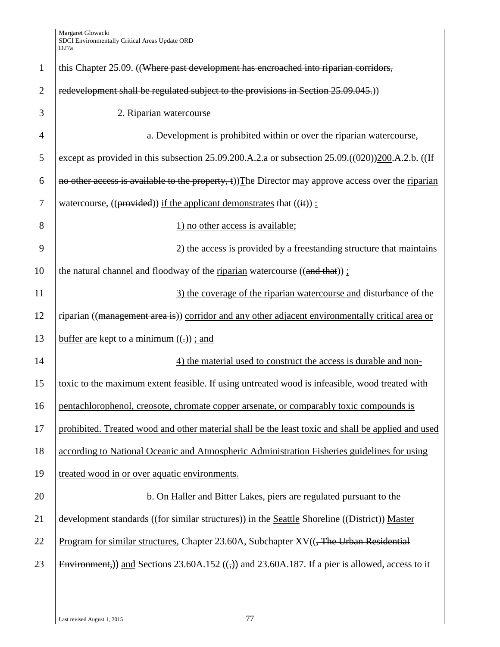| $\mathbf{1}$   | this Chapter 25.09. ((Where past development has encroached into riparian corridors,                       |
|----------------|------------------------------------------------------------------------------------------------------------|
| $\overline{2}$ | redevelopment shall be regulated subject to the provisions in Section 25.09.045.)                          |
| 3              | 2. Riparian watercourse                                                                                    |
| 4              | a. Development is prohibited within or over the riparian watercourse,                                      |
| 5              | except as provided in this subsection 25.09.200.A.2.a or subsection $25.09$ . $((0.20)200.A.2.b.$ ( $(H$   |
| 6              | no other access is available to the property, $\pm$ )) The Director may approve access over the riparian   |
| $\tau$         | watercourse, $((provided))$ if the applicant demonstrates that $((\text{if}))$ :                           |
| 8              | 1) no other access is available;                                                                           |
| 9              | 2) the access is provided by a freestanding structure that maintains                                       |
| 10             | the natural channel and floodway of the riparian watercourse $((and that))$ ;                              |
| 11             | 3) the coverage of the riparian watercourse and disturbance of the                                         |
| 12             | riparian ((management area is)) corridor and any other adjacent environmentally critical area or           |
| 13             | buffer are kept to a minimum $((.)$ ; and                                                                  |
| 14             | 4) the material used to construct the access is durable and non-                                           |
| 15             | toxic to the maximum extent feasible. If using untreated wood is infeasible, wood treated with             |
| 16             | pentachlorophenol, creosote, chromate copper arsenate, or comparably toxic compounds is                    |
| 17             | prohibited. Treated wood and other material shall be the least toxic and shall be applied and used         |
| 18             | according to National Oceanic and Atmospheric Administration Fisheries guidelines for using                |
| 19             | treated wood in or over aquatic environments.                                                              |
| 20             | b. On Haller and Bitter Lakes, piers are regulated pursuant to the                                         |
| 21             | development standards ((for similar structures)) in the Seattle Shoreline ((District)) Master              |
| 22             | <u>Program for similar structures</u> , Chapter 23.60A, Subchapter $XV((\overline{T}Re Urbaan Residential$ |
| 23             | Environment,)) and Sections 23.60A.152 $((,))$ and 23.60A.187. If a pier is allowed, access to it          |
|                |                                                                                                            |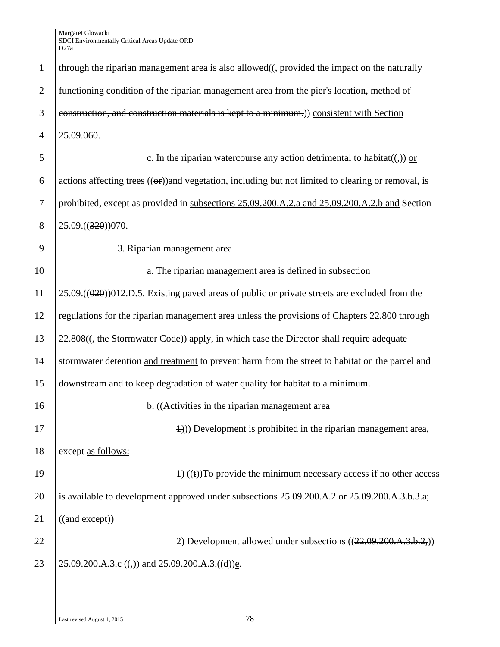| $\mathbf{1}$   | through the riparian management area is also allowed $((,$ provided the impact on the naturally                                     |
|----------------|-------------------------------------------------------------------------------------------------------------------------------------|
| $\overline{2}$ | functioning condition of the riparian management area from the pier's location, method of                                           |
| 3              | construction, and construction materials is kept to a minimum.) consistent with Section                                             |
| $\overline{4}$ | 25.09.060.                                                                                                                          |
| 5              | c. In the riparian watercourse any action detrimental to habitat( $\left(\frac{1}{2}\right)$ ) or                                   |
| 6              | $\alpha$ actions affecting trees $((\theta \cdot \mathbf{r}))$ and vegetation, including but not limited to clearing or removal, is |
| $\tau$         | prohibited, except as provided in subsections 25.09.200.A.2.a and 25.09.200.A.2.b and Section                                       |
| 8              | 25.09.((320))070.                                                                                                                   |
| 9              | 3. Riparian management area                                                                                                         |
| 10             | a. The riparian management area is defined in subsection                                                                            |
| 11             | $25.09$ .(( $0.20$ )) $0.12$ .D.5. Existing paved areas of public or private streets are excluded from the                          |
| 12             | regulations for the riparian management area unless the provisions of Chapters 22.800 through                                       |
| 13             | 22.808((, the Stormwater Code)) apply, in which case the Director shall require adequate                                            |
| 14             | stormwater detention and treatment to prevent harm from the street to habitat on the parcel and                                     |
| 15             | downstream and to keep degradation of water quality for habitat to a minimum.                                                       |
| 16             | b. ((Activities in the riparian management area                                                                                     |
| 17             | $\Rightarrow$ $\Rightarrow$ Development is prohibited in the riparian management area,                                              |
| 18             | except as follows:                                                                                                                  |
| 19             | $\underline{1}$ ((t) To provide the minimum necessary access if no other access                                                     |
| 20             | is available to development approved under subsections 25.09.200.A.2 or 25.09.200.A.3.b.3.a;                                        |
| 21             | ((and except))                                                                                                                      |
| 22             | 2) Development allowed under subsections ((22.09.200.A.3.b.2,))                                                                     |
| 23             | 25.09.200.A.3.c (( $\overline{z}$ ) and 25.09.200.A.3.((d))e.                                                                       |
|                |                                                                                                                                     |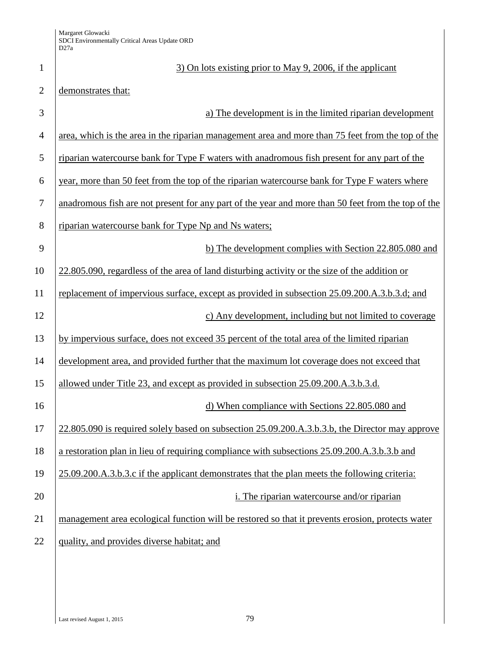| $\mathbf{1}$   | 3) On lots existing prior to May 9, 2006, if the applicant                                         |
|----------------|----------------------------------------------------------------------------------------------------|
| $\overline{2}$ | demonstrates that:                                                                                 |
| 3              | a) The development is in the limited riparian development                                          |
| $\overline{4}$ | area, which is the area in the riparian management area and more than 75 feet from the top of the  |
| 5              | riparian watercourse bank for Type F waters with anadromous fish present for any part of the       |
| 6              | year, more than 50 feet from the top of the riparian watercourse bank for Type F waters where      |
| 7              | anadromous fish are not present for any part of the year and more than 50 feet from the top of the |
| 8              | riparian watercourse bank for Type Np and Ns waters;                                               |
| 9              | b) The development complies with Section 22.805.080 and                                            |
| 10             | 22.805.090, regardless of the area of land disturbing activity or the size of the addition or      |
| 11             | replacement of impervious surface, except as provided in subsection 25.09.200.A.3.b.3.d; and       |
| 12             | c) Any development, including but not limited to coverage                                          |
| 13             | by impervious surface, does not exceed 35 percent of the total area of the limited riparian        |
| 14             | development area, and provided further that the maximum lot coverage does not exceed that          |
| 15             | allowed under Title 23, and except as provided in subsection 25.09.200.A.3.b.3.d.                  |
| 16             | d) When compliance with Sections 22.805.080 and                                                    |
| 17             | 22.805.090 is required solely based on subsection 25.09.200.A.3.b.3.b, the Director may approve    |
| 18             | a restoration plan in lieu of requiring compliance with subsections 25.09.200.A.3.b.3.b and        |
| 19             | 25.09.200.A.3.b.3.c if the applicant demonstrates that the plan meets the following criteria:      |
| 20             | i. The riparian watercourse and/or riparian                                                        |
| 21             | management area ecological function will be restored so that it prevents erosion, protects water   |
| 22             | quality, and provides diverse habitat; and                                                         |
|                |                                                                                                    |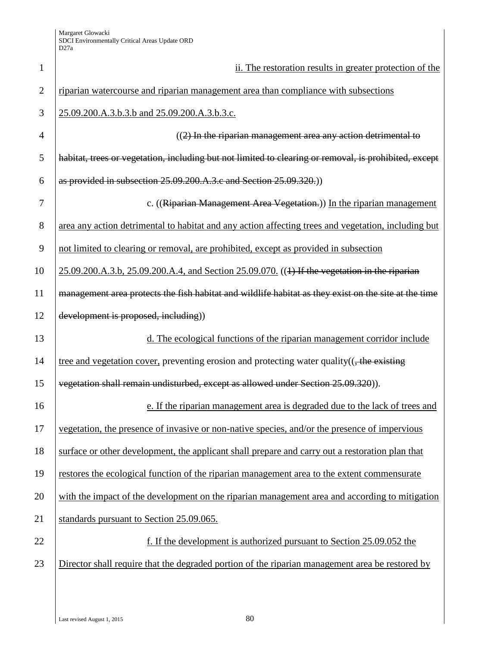| $\mathbf{1}$   | ii. The restoration results in greater protection of the                                              |
|----------------|-------------------------------------------------------------------------------------------------------|
| $\overline{2}$ | riparian watercourse and riparian management area than compliance with subsections                    |
| 3              | 25.09.200.A.3.b.3.b and 25.09.200.A.3.b.3.c.                                                          |
| 4              | $(2)$ In the riparian management area any action detrimental to                                       |
| 5              | habitat, trees or vegetation, including but not limited to clearing or removal, is prohibited, except |
| 6              | as provided in subsection 25.09.200.A.3.c and Section 25.09.320.)                                     |
| 7              | c. ((Riparian Management Area Vegetation.)) In the riparian management                                |
| 8              | area any action detrimental to habitat and any action affecting trees and vegetation, including but   |
| 9              | not limited to clearing or removal, are prohibited, except as provided in subsection                  |
| 10             | 25.09.200.A.3.b, 25.09.200.A.4, and Section 25.09.070. ((1) If the vegetation in the riparian         |
| 11             | management area protects the fish habitat and wildlife habitat as they exist on the site at the time  |
| 12             | development is proposed, including))                                                                  |
| 13             | d. The ecological functions of the riparian management corridor include                               |
| 14             | tree and vegetation cover, preventing erosion and protecting water quality((, the existing            |
| 15             | vegetation shall remain undisturbed, except as allowed under Section 25.09.320)).                     |
| 16             | e. If the riparian management area is degraded due to the lack of trees and                           |
| 17             | vegetation, the presence of invasive or non-native species, and/or the presence of impervious         |
| 18             | surface or other development, the applicant shall prepare and carry out a restoration plan that       |
| 19             | restores the ecological function of the riparian management area to the extent commensurate           |
| 20             | with the impact of the development on the riparian management area and according to mitigation        |
| 21             | standards pursuant to Section 25.09.065.                                                              |
| 22             | f. If the development is authorized pursuant to Section 25.09.052 the                                 |
| 23             | Director shall require that the degraded portion of the riparian management area be restored by       |
|                |                                                                                                       |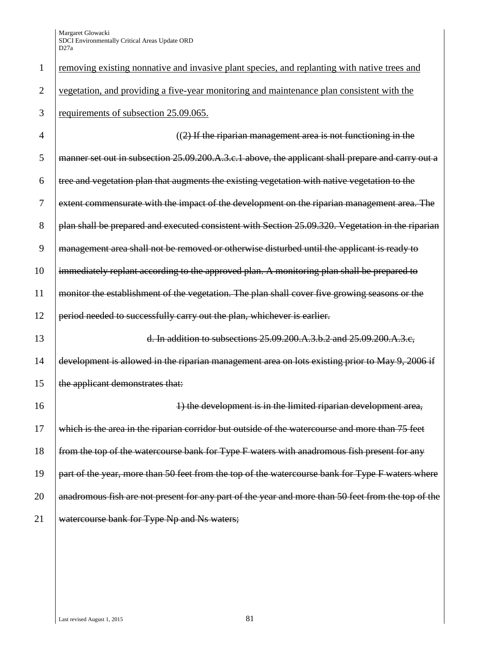| 1              | removing existing nonnative and invasive plant species, and replanting with native trees and       |
|----------------|----------------------------------------------------------------------------------------------------|
| $\overline{2}$ | vegetation, and providing a five-year monitoring and maintenance plan consistent with the          |
| 3              | requirements of subsection 25.09.065.                                                              |
| 4              | $((2)$ If the riparian management area is not functioning in the                                   |
| 5              | manner set out in subsection 25.09.200.A.3.c.1 above, the applicant shall prepare and carry out a  |
| 6              | tree and vegetation plan that augments the existing vegetation with native vegetation to the       |
| 7              | extent commensurate with the impact of the development on the riparian management area. The        |
| 8              | plan shall be prepared and executed consistent with Section 25.09.320. Vegetation in the riparian  |
| 9              | management area shall not be removed or otherwise disturbed until the applicant is ready to        |
| 10             | immediately replant according to the approved plan. A monitoring plan shall be prepared to         |
| 11             | monitor the establishment of the vegetation. The plan shall cover five growing seasons or the      |
| 12             | period needed to successfully carry out the plan, whichever is earlier.                            |
| 13             | d. In addition to subsections 25.09.200.A.3.b.2 and 25.09.200.A.3.c,                               |
| 14             | development is allowed in the riparian management area on lots existing prior to May 9, 2006 if    |
| 15             | the applicant demonstrates that:                                                                   |
| 16             | 1) the development is in the limited riparian development area,                                    |
| 17             | which is the area in the riparian corridor but outside of the watercourse and more than 75 feet    |
| 18             | from the top of the watercourse bank for Type F waters with anadromous fish present for any        |
| 19             | part of the year, more than 50 feet from the top of the watercourse bank for Type F waters where   |
| 20             | anadromous fish are not present for any part of the year and more than 50 feet from the top of the |
| 21             | watercourse bank for Type Np and Ns waters;                                                        |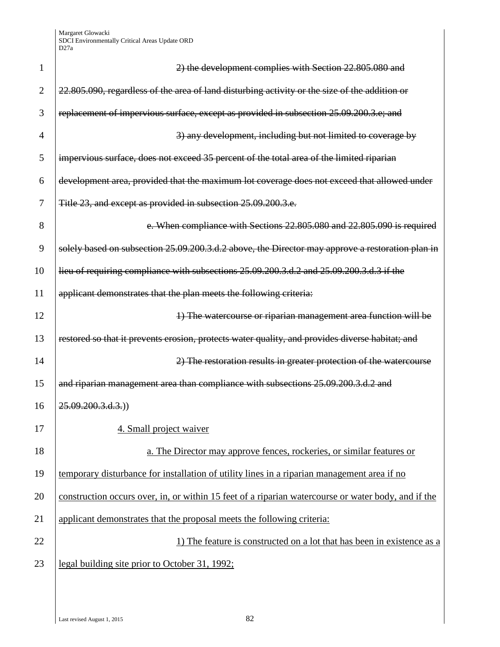| 1              | 2) the development complies with Section 22.805.080 and                                             |
|----------------|-----------------------------------------------------------------------------------------------------|
| $\overline{2}$ | 22.805.090, regardless of the area of land disturbing activity or the size of the addition or       |
| 3              | replacement of impervious surface, except as provided in subsection 25.09.200.3.e; and              |
| $\overline{4}$ | 3) any development, including but not limited to coverage by                                        |
| 5              | impervious surface, does not exceed 35 percent of the total area of the limited riparian            |
| 6              | development area, provided that the maximum lot coverage does not exceed that allowed under         |
| 7              | Title 23, and except as provided in subsection 25.09.200.3.e.                                       |
| 8              | e. When compliance with Sections 22.805.080 and 22.805.090 is required                              |
| 9              | solely based on subsection 25.09.200.3.d.2 above, the Director may approve a restoration plan in    |
| 10             | lieu of requiring compliance with subsections 25.09.200.3.d.2 and 25.09.200.3.d.3 if the            |
| 11             | applicant demonstrates that the plan meets the following criteria:                                  |
| 12             | 4) The watercourse or riparian management area function will be                                     |
| 13             | restored so that it prevents erosion, protects water quality, and provides diverse habitat; and     |
| 14             | 2) The restoration results in greater protection of the watercourse                                 |
| 15             | and riparian management area than compliance with subsections 25.09.200.3.d.2 and                   |
| 16             | 25.09.200.3.d.3.)                                                                                   |
| 17             | 4. Small project waiver                                                                             |
| 18             | a. The Director may approve fences, rockeries, or similar features or                               |
| 19             | temporary disturbance for installation of utility lines in a riparian management area if no         |
| 20             | construction occurs over, in, or within 15 feet of a riparian watercourse or water body, and if the |
| 21             | applicant demonstrates that the proposal meets the following criteria:                              |
| 22             | 1) The feature is constructed on a lot that has been in existence as a                              |
| 23             | legal building site prior to October 31, 1992;                                                      |
|                |                                                                                                     |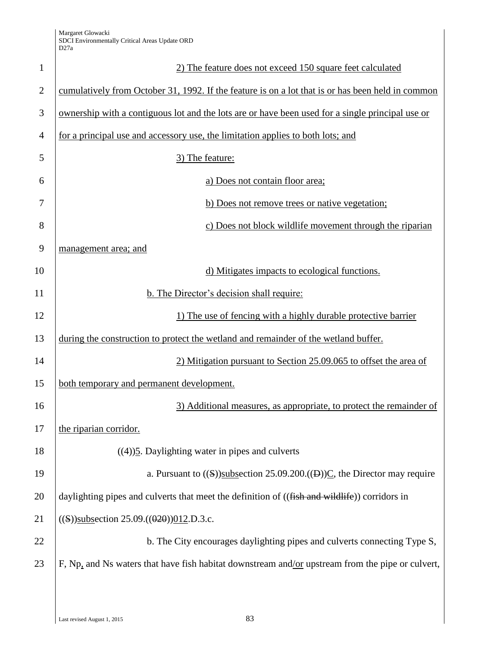| $\mathbf{1}$   | 2) The feature does not exceed 150 square feet calculated                                         |
|----------------|---------------------------------------------------------------------------------------------------|
| $\overline{2}$ | cumulatively from October 31, 1992. If the feature is on a lot that is or has been held in common |
| 3              | ownership with a contiguous lot and the lots are or have been used for a single principal use or  |
| $\overline{4}$ | for a principal use and accessory use, the limitation applies to both lots; and                   |
| 5              | 3) The feature:                                                                                   |
| 6              | a) Does not contain floor area;                                                                   |
| 7              | b) Does not remove trees or native vegetation;                                                    |
| 8              | c) Does not block wildlife movement through the riparian                                          |
| 9              | management area; and                                                                              |
| 10             | d) Mitigates impacts to ecological functions.                                                     |
| 11             | b. The Director's decision shall require:                                                         |
| 12             | 1) The use of fencing with a highly durable protective barrier                                    |
| 13             | during the construction to protect the wetland and remainder of the wetland buffer.               |
| 14             | 2) Mitigation pursuant to Section 25.09.065 to offset the area of                                 |
| 15             | both temporary and permanent development.                                                         |
| 16             | 3) Additional measures, as appropriate, to protect the remainder of                               |
| 17             | the riparian corridor.                                                                            |
| 18             | $((4))$ <sup>5</sup> . Daylighting water in pipes and culverts                                    |
| 19             | a. Pursuant to $((S))$ subsection 25.09.200. $((B))C$ , the Director may require                  |
| 20             | daylighting pipes and culverts that meet the definition of ((fish and wildlife)) corridors in     |
| 21             | $((S))$ subsection 25.09. $((0.20))$ 012.D.3.c.                                                   |
| 22             | b. The City encourages daylighting pipes and culverts connecting Type S,                          |
| 23             | F, Np, and Ns waters that have fish habitat downstream and/or upstream from the pipe or culvert,  |
|                |                                                                                                   |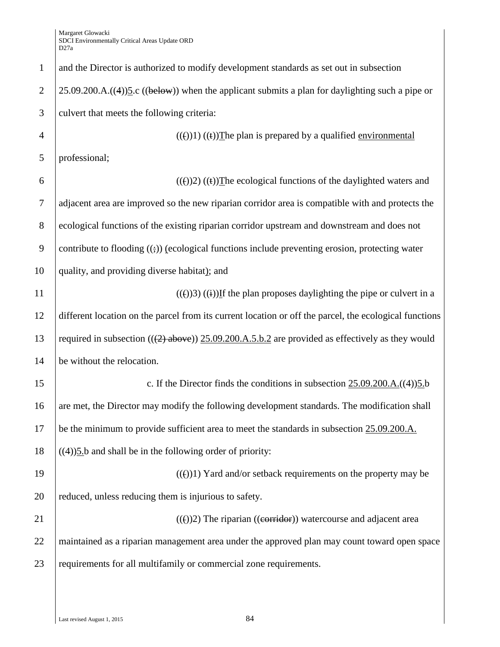| $\mathbf{1}$   | and the Director is authorized to modify development standards as set out in subsection                     |
|----------------|-------------------------------------------------------------------------------------------------------------|
| $\overline{2}$ | $25.09.200.A.$ ((4)) $5.c$ ((below)) when the applicant submits a plan for daylighting such a pipe or       |
| 3              | culvert that meets the following criteria:                                                                  |
| $\overline{4}$ | $((e))1$ $((e))$ The plan is prepared by a qualified environmental                                          |
| 5              | professional;                                                                                               |
| 6              | $((f))2$ ) $((f))$ The ecological functions of the daylighted waters and                                    |
| 7              | adjacent area are improved so the new riparian corridor area is compatible with and protects the            |
| $8\phantom{.}$ | ecological functions of the existing riparian corridor upstream and downstream and does not                 |
| 9              | contribute to flooding $((\frac{1}{2}))$ (ecological functions include preventing erosion, protecting water |
| 10             | quality, and providing diverse habitat); and                                                                |
| 11             | $(())$ 3) $((i))$ If the plan proposes daylighting the pipe or culvert in a                                 |
| 12             | different location on the parcel from its current location or off the parcel, the ecological functions      |
| 13             | required in subsection $((2)$ above)) 25.09.200.A.5.b.2 are provided as effectively as they would           |
| 14             | be without the relocation.                                                                                  |
| 15             | c. If the Director finds the conditions in subsection $25.09.200.A.((4))5.b$                                |
| 16             | are met, the Director may modify the following development standards. The modification shall                |
| 17             | be the minimum to provide sufficient area to meet the standards in subsection 25.09.200.A.                  |
| 18             | $((4))$ 5.b and shall be in the following order of priority:                                                |
| 19             | $(())$ 1) Yard and/or setback requirements on the property may be                                           |
| 20             | reduced, unless reducing them is injurious to safety.                                                       |
| 21             | $((f))2$ ) The riparian ((exerridor)) watercourse and adjacent area                                         |
| 22             | maintained as a riparian management area under the approved plan may count toward open space                |
| 23             | requirements for all multifamily or commercial zone requirements.                                           |
|                |                                                                                                             |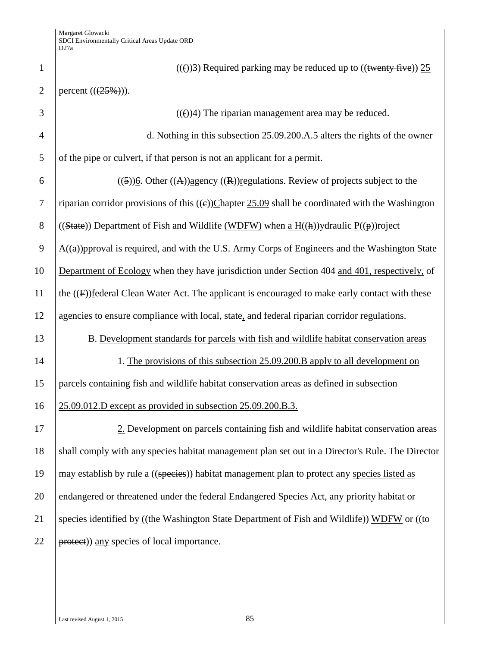| $\mathbf{1}$   | $((f))$ 3) Required parking may be reduced up to $((\text{twenty five}))$ 25                                 |
|----------------|--------------------------------------------------------------------------------------------------------------|
| $\overline{2}$ | percent $((25%))$ .                                                                                          |
| 3              | $(())$ 4) The riparian management area may be reduced.                                                       |
| $\overline{4}$ | d. Nothing in this subsection $25.09.200.A.5$ alters the rights of the owner                                 |
| 5              | of the pipe or culvert, if that person is not an applicant for a permit.                                     |
| 6              | $((5))$ <u>6</u> . Other $((A))$ <sub>agency</sub> $((R))$ regulations. Review of projects subject to the    |
| $\tau$         | riparian corridor provisions of this $((e))$ Chapter 25.09 shall be coordinated with the Washington          |
| 8              | ((State)) Department of Fish and Wildlife (WDFW) when a $H((h))$ ydraulic $P((p))$ roject                    |
| 9              | $\underline{A}((a))$ pproval is required, and with the U.S. Army Corps of Engineers and the Washington State |
| 10             | Department of Ecology when they have jurisdiction under Section 404 and 401, respectively, of                |
| 11             | the $((F))$ federal Clean Water Act. The applicant is encouraged to make early contact with these            |
| 12             | agencies to ensure compliance with local, state, and federal riparian corridor regulations.                  |
| 13             | B. Development standards for parcels with fish and wildlife habitat conservation areas                       |
| 14             | 1. The provisions of this subsection 25.09.200.B apply to all development on                                 |
| 15             | parcels containing fish and wildlife habitat conservation areas as defined in subsection                     |
| 16             | 25.09.012.D except as provided in subsection 25.09.200.B.3.                                                  |
| 17             | 2. Development on parcels containing fish and wildlife habitat conservation areas                            |
| 18             | shall comply with any species habitat management plan set out in a Director's Rule. The Director             |
| 19             | may establish by rule a ((species)) habitat management plan to protect any species listed as                 |
| 20             | endangered or threatened under the federal Endangered Species Act, any priority habitat or                   |
| 21             | species identified by ((the Washington State Department of Fish and Wildlife)) WDFW or ((to                  |
| 22             | protect)) any species of local importance.                                                                   |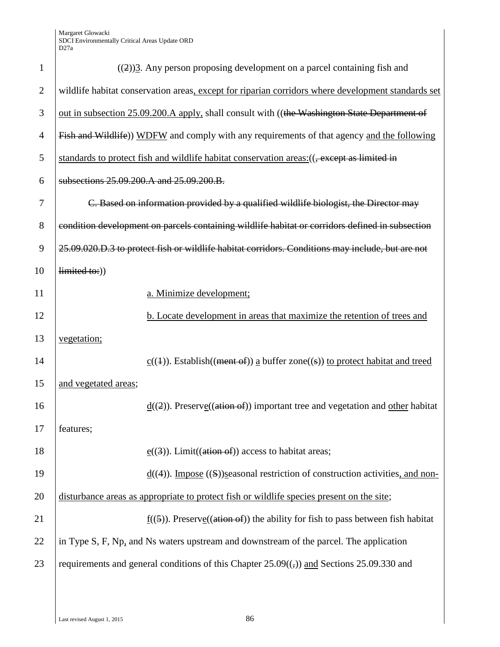| $\mathbf{1}$   | $((2))$ <sup>2</sup> . Any person proposing development on a parcel containing fish and             |
|----------------|-----------------------------------------------------------------------------------------------------|
| $\overline{2}$ | wildlife habitat conservation areas, except for riparian corridors where development standards set  |
| 3              | out in subsection 25.09.200.A apply, shall consult with ((the Washington State Department of        |
| $\overline{4}$ | Fish and Wildlife)) WDFW and comply with any requirements of that agency and the following          |
| 5              | standards to protect fish and wildlife habitat conservation areas: ((, except as limited in         |
| 6              | subsections 25.09.200.A and 25.09.200.B.                                                            |
| 7              | C. Based on information provided by a qualified wildlife biologist, the Director may                |
| 8              | condition development on parcels containing wildlife habitat or corridors defined in subsection     |
| 9              | 25.09.020.D.3 to protect fish or wildlife habitat corridors. Conditions may include, but are not    |
| 10             | limited to:))                                                                                       |
| 11             | a. Minimize development;                                                                            |
| 12             | b. Locate development in areas that maximize the retention of trees and                             |
| 13             | vegetation;                                                                                         |
| 14             | $\underline{c}((4))$ . Establish((ment of)) <u>a</u> buffer zone((s)) to protect habitat and treed  |
| 15             | and vegetated areas;                                                                                |
| 16             | $d((2))$ . Preserve((ation of)) important tree and vegetation and other habitat                     |
| 17             | features;                                                                                           |
| 18             | $e((3))$ . Limit((ation of)) access to habitat areas;                                               |
| 19             | $\underline{d}((4))$ . Impose ((S))seasonal restriction of construction activities, and non-        |
| 20             | disturbance areas as appropriate to protect fish or wildlife species present on the site;           |
| 21             | $f((5))$ . Preserve((ation of)) the ability for fish to pass between fish habitat                   |
| 22             | in Type S, F, Np, and Ns waters upstream and downstream of the parcel. The application              |
| 23             | requirements and general conditions of this Chapter $25.09(\frac{1}{2})$ and Sections 25.09.330 and |
|                |                                                                                                     |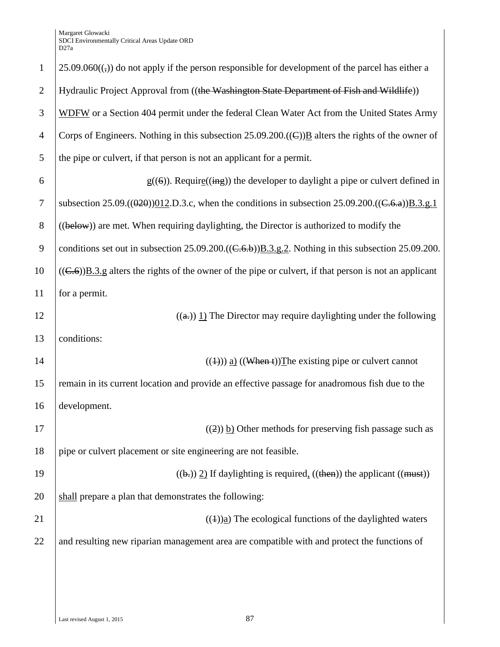| $\mathbf{1}$   | $25.09.060($ <sub>(<math>\sigma</math></sub> )) do not apply if the person responsible for development of the parcel has either a |
|----------------|-----------------------------------------------------------------------------------------------------------------------------------|
| $\overline{2}$ | Hydraulic Project Approval from ((the Washington State Department of Fish and Wildlife))                                          |
|                |                                                                                                                                   |
| 3              | WDFW or a Section 404 permit under the federal Clean Water Act from the United States Army                                        |
| $\overline{4}$ | Corps of Engineers. Nothing in this subsection $25.09.200$ . ((E)) <b>B</b> alters the rights of the owner of                     |
| 5              | the pipe or culvert, if that person is not an applicant for a permit.                                                             |
| 6              | $g((6))$ . Require((ing)) the developer to daylight a pipe or culvert defined in                                                  |
| $\overline{7}$ | subsection 25.09.( $(020)$ ) $012$ , D.3.c, when the conditions in subsection 25.09.200.( $(\text{C.6.}a)$ ) $\text{B.3.g.1}$     |
| 8              | ((below)) are met. When requiring daylighting, the Director is authorized to modify the                                           |
| 9              | conditions set out in subsection $25.09.200 \cdot ((\text{C.6.}b)) \cdot B.3.82$ . Nothing in this subsection $25.09.200$ .       |
| 10             | $((C.6))\underline{B.3.g}$ alters the rights of the owner of the pipe or culvert, if that person is not an applicant              |
| 11             | for a permit.                                                                                                                     |
| 12             | $((a))$ 1) The Director may require daylighting under the following                                                               |
| 13             | conditions:                                                                                                                       |
| 14             | $((1))$ a) $((\text{When } t))$ The existing pipe or culvert cannot                                                               |
| 15             | remain in its current location and provide an effective passage for anadromous fish due to the                                    |
| 16             | development.                                                                                                                      |
| 17             | $((2))$ b) Other methods for preserving fish passage such as                                                                      |
| 18             | pipe or culvert placement or site engineering are not feasible.                                                                   |
| 19             | $((\theta))$ 2) If daylighting is required, $((\theta))$ the applicant $((\theta))$                                               |
| 20             | shall prepare a plan that demonstrates the following:                                                                             |
| 21             | $((4))$ <sub>a</sub> ) The ecological functions of the daylighted waters                                                          |
| 22             | and resulting new riparian management area are compatible with and protect the functions of                                       |
|                |                                                                                                                                   |
|                |                                                                                                                                   |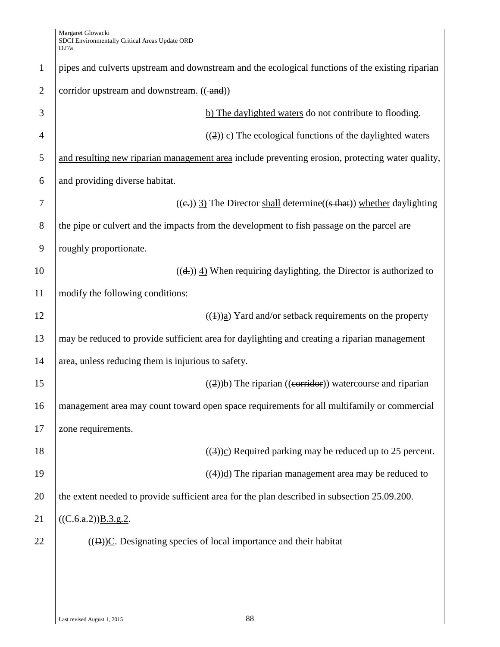| $\mathbf{1}$   | pipes and culverts upstream and downstream and the ecological functions of the existing riparian |
|----------------|--------------------------------------------------------------------------------------------------|
| $\overline{2}$ | corridor upstream and downstream. ((-and))                                                       |
| 3              | b) The daylighted waters do not contribute to flooding.                                          |
| 4              | $((2))$ c) The ecological functions of the daylighted waters                                     |
| 5              | and resulting new riparian management area include preventing erosion, protecting water quality, |
| 6              | and providing diverse habitat.                                                                   |
| 7              | $((e))$ 3) The Director shall determine((s that)) whether daylighting                            |
| 8              | the pipe or culvert and the impacts from the development to fish passage on the parcel are       |
| 9              | roughly proportionate.                                                                           |
| 10             | $((d))$ 4) When requiring daylighting, the Director is authorized to                             |
| 11             | modify the following conditions:                                                                 |
| 12             | $((1))$ <sub>a</sub> ) Yard and/or setback requirements on the property                          |
| 13             | may be reduced to provide sufficient area for daylighting and creating a riparian management     |
| 14             | area, unless reducing them is injurious to safety.                                               |
| 15             | $((2))$ The riparian ((corridor)) watercourse and riparian                                       |
| 16             | management area may count toward open space requirements for all multifamily or commercial       |
| 17             | zone requirements.                                                                               |
| 18             | $((3))c$ ) Required parking may be reduced up to 25 percent.                                     |
| 19             | $((4))$ <sup>d</sup> ) The riparian management area may be reduced to                            |
| 20             | the extent needed to provide sufficient area for the plan described in subsection 25.09.200.     |
| 21             | ((C.6.a.2))B.3.g.2.                                                                              |
| 22             | $((D))C$ . Designating species of local importance and their habitat                             |
|                |                                                                                                  |
|                |                                                                                                  |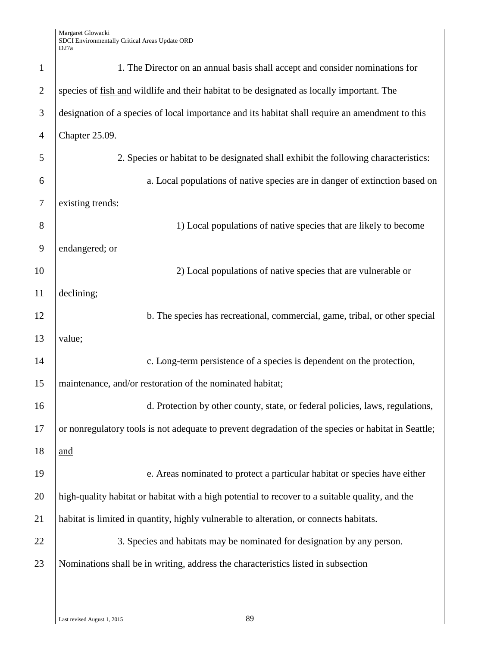| $\mathbf{1}$   | 1. The Director on an annual basis shall accept and consider nominations for                        |
|----------------|-----------------------------------------------------------------------------------------------------|
| $\overline{2}$ | species of fish and wildlife and their habitat to be designated as locally important. The           |
| 3              | designation of a species of local importance and its habitat shall require an amendment to this     |
| $\overline{4}$ | Chapter 25.09.                                                                                      |
| 5              | 2. Species or habitat to be designated shall exhibit the following characteristics:                 |
| 6              | a. Local populations of native species are in danger of extinction based on                         |
| $\tau$         | existing trends:                                                                                    |
| 8              | 1) Local populations of native species that are likely to become                                    |
| 9              | endangered; or                                                                                      |
| 10             | 2) Local populations of native species that are vulnerable or                                       |
| 11             | declining;                                                                                          |
| 12             | b. The species has recreational, commercial, game, tribal, or other special                         |
| 13             | value;                                                                                              |
| 14             | c. Long-term persistence of a species is dependent on the protection,                               |
| 15             | maintenance, and/or restoration of the nominated habitat;                                           |
| 16             | d. Protection by other county, state, or federal policies, laws, regulations,                       |
| 17             | or nonregulatory tools is not adequate to prevent degradation of the species or habitat in Seattle; |
| 18             | and                                                                                                 |
| 19             | e. Areas nominated to protect a particular habitat or species have either                           |
| 20             | high-quality habitat or habitat with a high potential to recover to a suitable quality, and the     |
| 21             | habitat is limited in quantity, highly vulnerable to alteration, or connects habitats.              |
| 22             | 3. Species and habitats may be nominated for designation by any person.                             |
| 23             | Nominations shall be in writing, address the characteristics listed in subsection                   |
|                |                                                                                                     |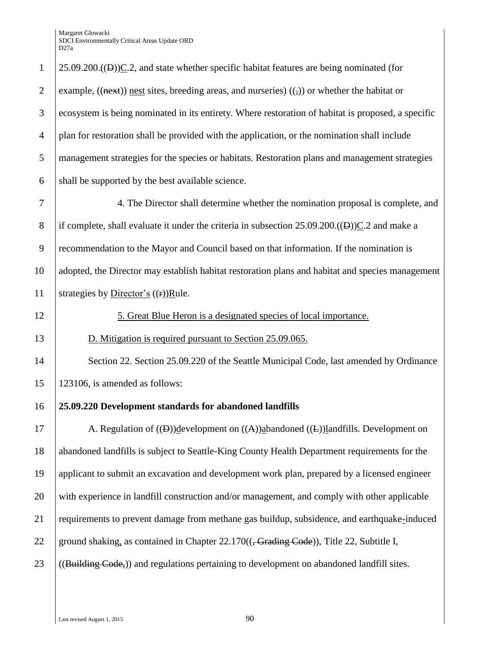$1 \mid 25.09.200 \cdot ((\text{B}))C.2$ , and state whether specific habitat features are being nominated (for 2 example,  $((next))$  nest sites, breeding areas, and nurseries)  $((\cdot))$  or whether the habitat or ecosystem is being nominated in its entirety. Where restoration of habitat is proposed, a specific plan for restoration shall be provided with the application, or the nomination shall include management strategies for the species or habitats. Restoration plans and management strategies 6 shall be supported by the best available science. 4. The Director shall determine whether the nomination proposal is complete, and 8 if complete, shall evaluate it under the criteria in subsection  $25.09.200\cdot((\text{B}))\text{C}.2$  and make a recommendation to the Mayor and Council based on that information. If the nomination is adopted, the Director may establish habitat restoration plans and habitat and species management 11 | strategies by Director's  $((**r**))$ Rule. 12 5. Great Blue Heron is a designated species of local importance. D. Mitigation is required pursuant to Section 25.09.065. 14 Section 22. Section 25.09.220 of the Seattle Municipal Code, last amended by Ordinance 123106, is amended as follows: **25.09.220 Development standards for abandoned landfills** 17 A. Regulation of  $((\text{B}))$ development on  $((\text{A}))$ abandoned  $((\text{E}))$ landfills. Development on abandoned landfills is subject to Seattle-King County Health Department requirements for the applicant to submit an excavation and development work plan, prepared by a licensed engineer with experience in landfill construction and/or management, and comply with other applicable requirements to prevent damage from methane gas buildup, subsidence, and earthquake-induced 22 ground shaking, as contained in Chapter  $22.170$ ( $\left(-\frac{Grading\,Code}{\right)}$ ), Title 22, Subtitle I,  $\left($  ((Building Code,)) and regulations pertaining to development on abandoned landfill sites.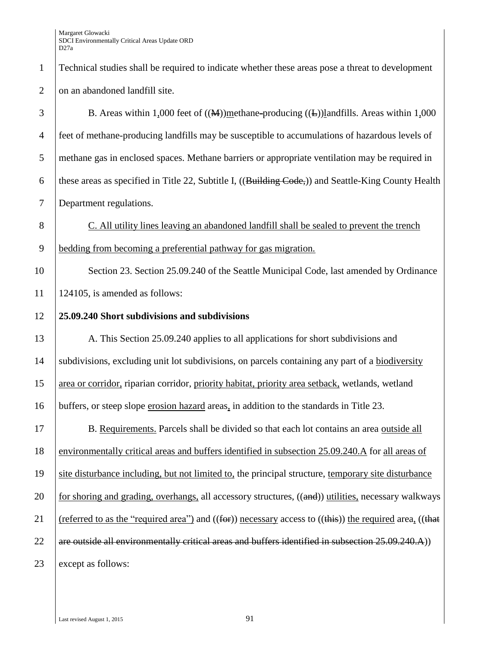| $\mathbf{1}$   | Technical studies shall be required to indicate whether these areas pose a threat to development                |
|----------------|-----------------------------------------------------------------------------------------------------------------|
| $\mathbf{2}$   | on an abandoned landfill site.                                                                                  |
| 3              | B. Areas within 1,000 feet of $((\mathbf{M}))$ methane-producing $((\mathbf{L}))$ landfills. Areas within 1,000 |
| $\overline{4}$ | feet of methane-producing landfills may be susceptible to accumulations of hazardous levels of                  |
| 5              | methane gas in enclosed spaces. Methane barriers or appropriate ventilation may be required in                  |
| 6              | these areas as specified in Title 22, Subtitle I, ((Building Code,)) and Seattle-King County Health             |
| $\tau$         | Department regulations.                                                                                         |
| $8\,$          | C. All utility lines leaving an abandoned landfill shall be sealed to prevent the trench                        |
| 9              | bedding from becoming a preferential pathway for gas migration.                                                 |
| 10             | Section 23. Section 25.09.240 of the Seattle Municipal Code, last amended by Ordinance                          |
| 11             | 124105, is amended as follows:                                                                                  |
| 12             | 25.09.240 Short subdivisions and subdivisions                                                                   |
| 13             | A. This Section 25.09.240 applies to all applications for short subdivisions and                                |
| 14             | subdivisions, excluding unit lot subdivisions, on parcels containing any part of a biodiversity                 |
| 15             | area or corridor, riparian corridor, priority habitat, priority area setback, wetlands, wetland                 |
| 16             | buffers, or steep slope erosion hazard areas, in addition to the standards in Title 23.                         |
| 17             | B. Requirements. Parcels shall be divided so that each lot contains an area outside all                         |
| 18             | environmentally critical areas and buffers identified in subsection 25.09.240.A for all areas of                |
| 19             | site disturbance including, but not limited to, the principal structure, temporary site disturbance             |
| 20             | for shoring and grading, overhangs, all accessory structures, ((and)) utilities, necessary walkways             |
| 21             | (referred to as the "required area") and $((for))$ necessary access to $((this))$ the required area, $((that$   |
| 22             | are outside all environmentally critical areas and buffers identified in subsection 25.09.240.A))               |
| 23             | except as follows:                                                                                              |
|                |                                                                                                                 |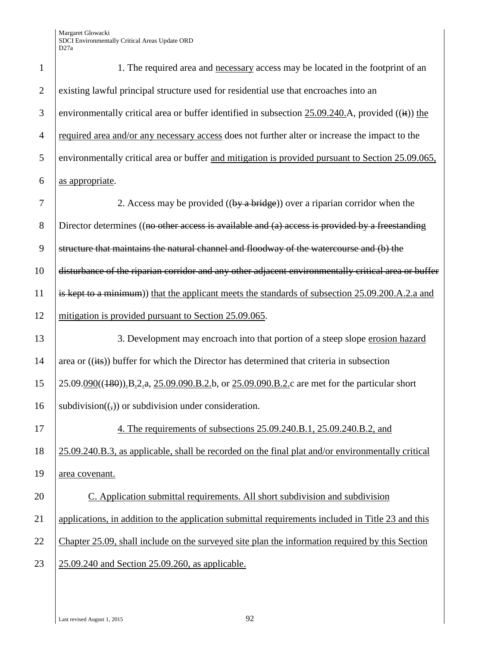| $\mathbf{1}$   | 1. The required area and necessary access may be located in the footprint of an                       |
|----------------|-------------------------------------------------------------------------------------------------------|
| $\overline{2}$ | existing lawful principal structure used for residential use that encroaches into an                  |
| 3              | environmentally critical area or buffer identified in subsection $25.09.240$ . A, provided ((it)) the |
| $\overline{4}$ | required area and/or any necessary access does not further alter or increase the impact to the        |
| 5              | environmentally critical area or buffer and mitigation is provided pursuant to Section 25.09.065,     |
| 6              | as appropriate.                                                                                       |
| 7              | 2. Access may be provided $((by a bridge))$ over a riparian corridor when the                         |
| 8              | Director determines ((no other access is available and (a) access is provided by a freestanding       |
| 9              | structure that maintains the natural channel and floodway of the watercourse and (b) the              |
| 10             | disturbance of the riparian corridor and any other adjacent environmentally critical area or buffer   |
| 11             | is kept to a minimum) that the applicant meets the standards of subsection 25.09.200.A.2.a and        |
| 12             | mitigation is provided pursuant to Section 25.09.065.                                                 |
| 13             | 3. Development may encroach into that portion of a steep slope erosion hazard                         |
| 14             | area or ((its)) buffer for which the Director has determined that criteria in subsection              |
| 15             | 25.09.090((180)) B.2.a, 25.09.090.B.2.b, or 25.09.090.B.2.c are met for the particular short          |
| 16             | subdivision( $\left(\frac{1}{2}\right)$ ) or subdivision under consideration.                         |
| 17             | 4. The requirements of subsections 25.09.240.B.1, 25.09.240.B.2, and                                  |
| 18             | 25.09.240.B.3, as applicable, shall be recorded on the final plat and/or environmentally critical     |
| 19             | area covenant.                                                                                        |
| 20             | C. Application submittal requirements. All short subdivision and subdivision                          |
| 21             | applications, in addition to the application submittal requirements included in Title 23 and this     |
| 22             | Chapter 25.09, shall include on the surveyed site plan the information required by this Section       |
| 23             | 25.09.240 and Section 25.09.260, as applicable.                                                       |
|                |                                                                                                       |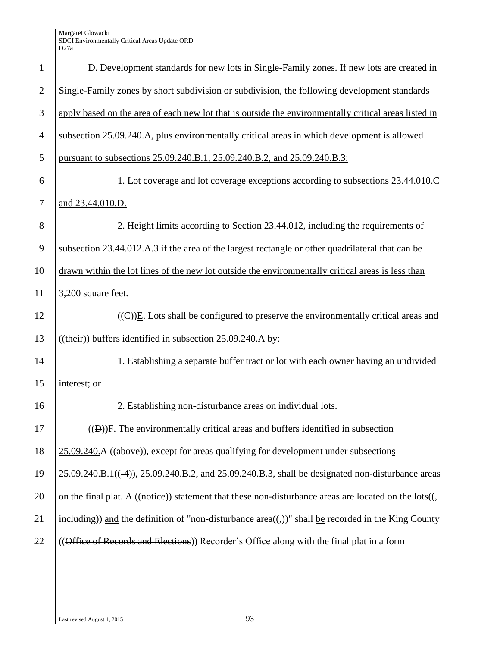| $\mathbf{1}$   | D. Development standards for new lots in Single-Family zones. If new lots are created in                                                                        |
|----------------|-----------------------------------------------------------------------------------------------------------------------------------------------------------------|
| $\overline{2}$ | Single-Family zones by short subdivision or subdivision, the following development standards                                                                    |
| 3              | apply based on the area of each new lot that is outside the environmentally critical areas listed in                                                            |
| $\overline{4}$ | subsection 25.09.240.A, plus environmentally critical areas in which development is allowed                                                                     |
| 5              | pursuant to subsections 25.09.240.B.1, 25.09.240.B.2, and 25.09.240.B.3:                                                                                        |
| 6              | <u>1. Lot coverage and lot coverage exceptions according to subsections 23.44.010.C</u>                                                                         |
| $\tau$         | and 23.44.010.D.                                                                                                                                                |
| 8              | 2. Height limits according to Section 23.44.012, including the requirements of                                                                                  |
| 9              | subsection 23.44.012.A.3 if the area of the largest rectangle or other quadrilateral that can be                                                                |
| 10             | drawn within the lot lines of the new lot outside the environmentally critical areas is less than                                                               |
| 11             | 3,200 square feet.                                                                                                                                              |
| 12             | $((\infty))E$ . Lots shall be configured to preserve the environmentally critical areas and                                                                     |
| 13             | $((their))$ buffers identified in subsection $25.09.240$ . A by:                                                                                                |
| 14             | 1. Establishing a separate buffer tract or lot with each owner having an undivided                                                                              |
| 15             | interest; or                                                                                                                                                    |
| 16             | 2. Establishing non-disturbance areas on individual lots.                                                                                                       |
| 17             | $((\theta))$ F. The environmentally critical areas and buffers identified in subsection                                                                         |
| 18             | 25.09.240.A ((above)), except for areas qualifying for development under subsections                                                                            |
| 19             | $25.09.240.B.1((-4)), 25.09.240.B.2, and 25.09.240.B.3, shall be designated non-disturbance areas$                                                              |
| 20             | on the final plat. A ((notice)) statement that these non-disturbance areas are located on the lots( $($ ,                                                       |
| 21             | $\frac{\text{including}}{\text{including}}$ ) and the definition of "non-disturbance area(( $\frac{\text{d}}{\text{d}}$ )" shall be recorded in the King County |
| 22             | ((Office of Records and Elections)) Recorder's Office along with the final plat in a form                                                                       |
|                |                                                                                                                                                                 |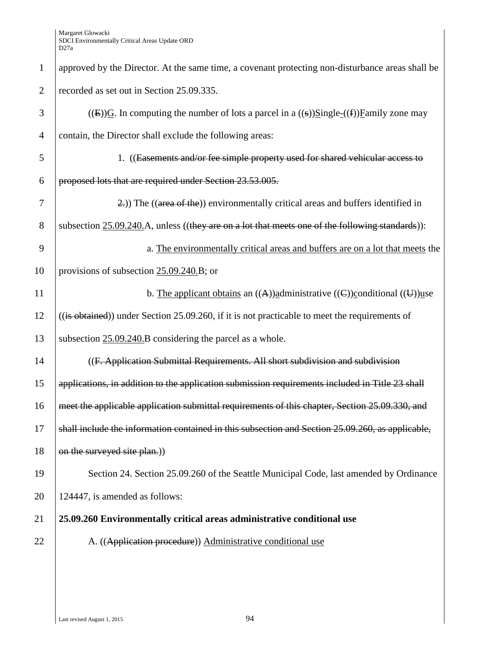| $\mathbf{1}$   | approved by the Director. At the same time, a covenant protecting non-disturbance areas shall be    |
|----------------|-----------------------------------------------------------------------------------------------------|
| $\overline{2}$ | recorded as set out in Section 25.09.335.                                                           |
| 3              | ((E))G. In computing the number of lots a parcel in a ((s))Single-((f))Family zone may              |
| $\overline{4}$ | contain, the Director shall exclude the following areas:                                            |
| 5              | 1. ((Easements and/or fee simple property used for shared vehicular access to                       |
| 6              | proposed lots that are required under Section 23.53.005.                                            |
| 7              | 2.) The ((area of the)) environmentally critical areas and buffers identified in                    |
| 8              | subsection $25.09.240$ . A, unless ((they are on a lot that meets one of the following standards)): |
| 9              | a. The environmentally critical areas and buffers are on a lot that meets the                       |
| 10             | provisions of subsection $25.09.240.B$ ; or                                                         |
| 11             | b. The applicant obtains an $((A))$ administrative $((C))$ conditional $((U))$ use                  |
| 12             | $((is obtained))$ under Section 25.09.260, if it is not practicable to meet the requirements of     |
| 13             | subsection 25.09.240.B considering the parcel as a whole.                                           |
| 14             | ((F. Application Submittal Requirements. All short subdivision and subdivision                      |
| 15             | applications, in addition to the application submission requirements included in Title 23 shall     |
| 16             | meet the applicable application submittal requirements of this chapter, Section 25.09.330, and      |
| 17             | shall include the information contained in this subsection and Section 25.09.260, as applicable,    |
| 18             | on the surveyed site plan.)                                                                         |
| 19             | Section 24. Section 25.09.260 of the Seattle Municipal Code, last amended by Ordinance              |
| 20             | 124447, is amended as follows:                                                                      |
| 21             | 25.09.260 Environmentally critical areas administrative conditional use                             |
| 22             | A. ((Application procedure)) Administrative conditional use                                         |
|                |                                                                                                     |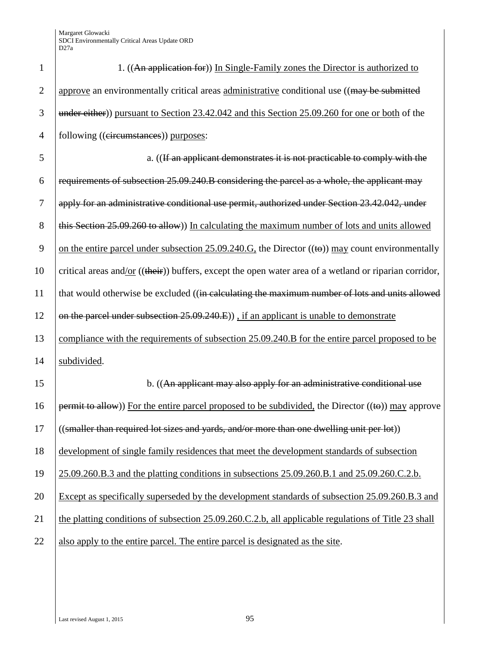| 1              | 1. ((An application for)) In Single-Family zones the Director is authorized to                                  |
|----------------|-----------------------------------------------------------------------------------------------------------------|
| $\overline{2}$ | approve an environmentally critical areas administrative conditional use ((may be submitted                     |
| 3              | under either)) pursuant to Section 23.42.042 and this Section 25.09.260 for one or both of the                  |
| $\overline{4}$ | following ((eircumstances)) purposes:                                                                           |
| 5              | a. ((If an applicant demonstrates it is not practicable to comply with the                                      |
| 6              | requirements of subsection 25.09.240.B considering the parcel as a whole, the applicant may                     |
| 7              | apply for an administrative conditional use permit, authorized under Section 23.42.042, under                   |
| 8              | this Section 25.09.260 to allow)) In calculating the maximum number of lots and units allowed                   |
| 9              | on the entire parcel under subsection $25.09.240.G$ , the Director $((\omega))$ may count environmentally       |
| 10             | critical areas and/or $((\text{their}))$ buffers, except the open water area of a wetland or riparian corridor, |
| 11             | that would otherwise be excluded ((in calculating the maximum number of lots and units allowed                  |
| 12             | on the parcel under subsection 25.09.240.E)), if an applicant is unable to demonstrate                          |
| 13             | compliance with the requirements of subsection 25.09.240.B for the entire parcel proposed to be                 |
| 14             | subdivided.                                                                                                     |
| 15             | b. ((An applicant may also apply for an administrative conditional use                                          |
| 16             | permit to allow)) For the entire parcel proposed to be subdivided, the Director $((\omega))$ may approve        |
| 17             | $\frac{1}{1}$ ((smaller than required lot sizes and yards, and/or more than one dwelling unit per lot))         |
| 18             | development of single family residences that meet the development standards of subsection                       |
| 19             | 25.09.260.B.3 and the platting conditions in subsections 25.09.260.B.1 and 25.09.260.C.2.b.                     |
| 20             | Except as specifically superseded by the development standards of subsection 25.09.260.B.3 and                  |
| 21             | the platting conditions of subsection 25.09.260.C.2.b, all applicable regulations of Title 23 shall             |
| 22             | also apply to the entire parcel. The entire parcel is designated as the site.                                   |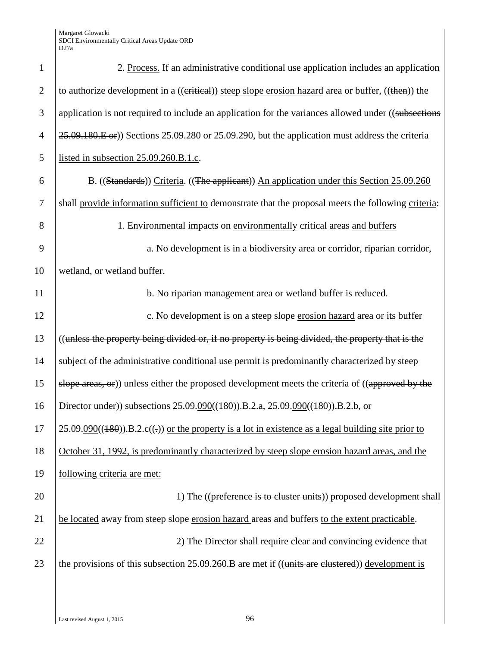| $\mathbf{1}$   | 2. Process. If an administrative conditional use application includes an application                   |
|----------------|--------------------------------------------------------------------------------------------------------|
| $\overline{2}$ | to authorize development in a ((eritical)) steep slope erosion hazard area or buffer, ((then)) the     |
| 3              | application is not required to include an application for the variances allowed under ((subsections    |
| $\overline{4}$ | 25.09.180.E or) Sections 25.09.280 or 25.09.290, but the application must address the criteria         |
| 5              | listed in subsection 25.09.260.B.1.c.                                                                  |
| 6              | B. ((Standards)) Criteria. ((The applicant)) An application under this Section 25.09.260               |
| $\tau$         | shall provide information sufficient to demonstrate that the proposal meets the following criteria:    |
| 8              | 1. Environmental impacts on environmentally critical areas and buffers                                 |
| 9              | a. No development is in a biodiversity area or corridor, riparian corridor,                            |
| 10             | wetland, or wetland buffer.                                                                            |
| 11             | b. No riparian management area or wetland buffer is reduced.                                           |
| 12             | c. No development is on a steep slope erosion hazard area or its buffer                                |
| 13             | ((unless the property being divided or, if no property is being divided, the property that is the      |
| 14             | subject of the administrative conditional use permit is predominantly characterized by steep           |
| 15             | slope areas, or)) unless either the proposed development meets the criteria of ((approved by the       |
| 16             | Director under)) subsections 25.09.090((480)).B.2.a, 25.09.090((480)).B.2.b, or                        |
| 17             | $25.09.090((180))$ .B.2.c((-)) or the property is a lot in existence as a legal building site prior to |
| 18             | October 31, 1992, is predominantly characterized by steep slope erosion hazard areas, and the          |
| 19             | following criteria are met:                                                                            |
| 20             | 1) The ((preference is to cluster units)) proposed development shall                                   |
| 21             | be located away from steep slope erosion hazard areas and buffers to the extent practicable.           |
| 22             | 2) The Director shall require clear and convincing evidence that                                       |
| 23             | the provisions of this subsection $25.09.260$ . B are met if ((units are clustered)) development is    |
|                |                                                                                                        |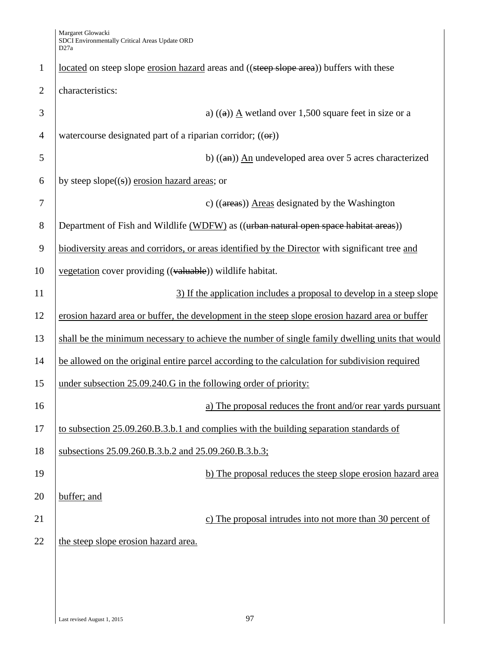| $\mathbf{1}$   | located on steep slope erosion hazard areas and ((steep slope area)) buffers with these         |
|----------------|-------------------------------------------------------------------------------------------------|
| $\overline{2}$ | characteristics:                                                                                |
| 3              | a) $((a))$ A wetland over 1,500 square feet in size or a                                        |
| $\overline{4}$ | watercourse designated part of a riparian corridor; $((\theta f))$                              |
| 5              | b) $((an))$ An undeveloped area over 5 acres characterized                                      |
| 6              | by steep slope $((s))$ erosion hazard areas; or                                                 |
| 7              | c) $((\text{areas}))$ Areas designated by the Washington                                        |
| 8              | Department of Fish and Wildlife (WDFW) as ((urban natural open space habitat areas))            |
| 9              | biodiversity areas and corridors, or areas identified by the Director with significant tree and |
| 10             | vegetation cover providing ((valuable)) wildlife habitat.                                       |
| 11             | 3) If the application includes a proposal to develop in a steep slope                           |
| 12             | erosion hazard area or buffer, the development in the steep slope erosion hazard area or buffer |
| 13             | shall be the minimum necessary to achieve the number of single family dwelling units that would |
| 14             | be allowed on the original entire parcel according to the calculation for subdivision required  |
| 15             | under subsection 25.09.240.G in the following order of priority:                                |
| 16             | a) The proposal reduces the front and/or rear yards pursuant                                    |
| 17             | to subsection 25.09.260.B.3.b.1 and complies with the building separation standards of          |
| 18             | subsections 25.09.260.B.3.b.2 and 25.09.260.B.3.b.3;                                            |
| 19             | b) The proposal reduces the steep slope erosion hazard area                                     |
| 20             | buffer; and                                                                                     |
| 21             | c) The proposal intrudes into not more than 30 percent of                                       |
| 22             | the steep slope erosion hazard area.                                                            |
|                |                                                                                                 |
|                |                                                                                                 |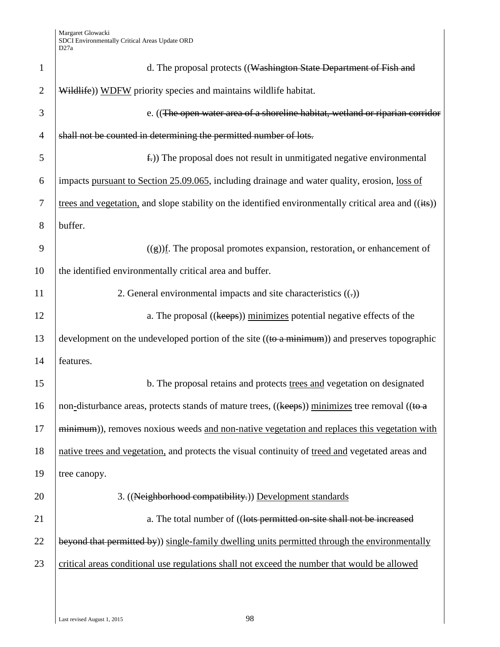| $\mathbf{1}$   | d. The proposal protects ((Washington State Department of Fish and                                             |
|----------------|----------------------------------------------------------------------------------------------------------------|
| $\overline{2}$ | Wildlife)) WDFW priority species and maintains wildlife habitat.                                               |
| 3              | e. ((The open water area of a shoreline habitat, wetland or riparian corridor                                  |
| $\overline{4}$ | shall not be counted in determining the permitted number of lots.                                              |
| 5              | $\pm$ )) The proposal does not result in unmitigated negative environmental                                    |
| 6              | impacts pursuant to Section 25.09.065, including drainage and water quality, erosion, loss of                  |
| 7              | trees and vegetation, and slope stability on the identified environmentally critical area and $((i\text{+}s))$ |
| 8              | buffer.                                                                                                        |
| 9              | $((g))$ f. The proposal promotes expansion, restoration, or enhancement of                                     |
| 10             | the identified environmentally critical area and buffer.                                                       |
| 11             | 2. General environmental impacts and site characteristics $((.)$                                               |
| 12             | a. The proposal ((keeps)) minimizes potential negative effects of the                                          |
| 13             | development on the undeveloped portion of the site ((to a minimum)) and preserves topographic                  |
| 14             | features.                                                                                                      |
| 15             | b. The proposal retains and protects trees and vegetation on designated                                        |
| 16             | non-disturbance areas, protects stands of mature trees, ((keeps)) minimizes tree removal ((to a                |
| 17             | minimum), removes noxious weeds and non-native vegetation and replaces this vegetation with                    |
| 18             | native trees and vegetation, and protects the visual continuity of treed and vegetated areas and               |
| 19             | tree canopy.                                                                                                   |
| 20             | 3. ((Neighborhood compatibility.)) Development standards                                                       |
| 21             | a. The total number of ((lots permitted on-site shall not be increased                                         |
| 22             | beyond that permitted by)) single-family dwelling units permitted through the environmentally                  |
| 23             | critical areas conditional use regulations shall not exceed the number that would be allowed                   |
|                |                                                                                                                |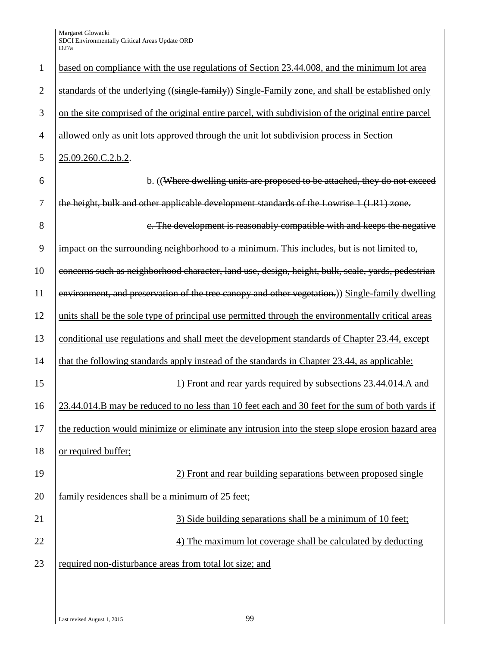| $\mathbf{1}$   | based on compliance with the use regulations of Section 23.44.008, and the minimum lot area         |
|----------------|-----------------------------------------------------------------------------------------------------|
| $\overline{2}$ | standards of the underlying ((single-family)) Single-Family zone, and shall be established only     |
| 3              | on the site comprised of the original entire parcel, with subdivision of the original entire parcel |
| $\overline{4}$ | allowed only as unit lots approved through the unit lot subdivision process in Section              |
| $\mathfrak{S}$ | 25.09.260.C.2.b.2.                                                                                  |
| 6              | b. ((Where dwelling units are proposed to be attached, they do not exceed                           |
| 7              | the height, bulk and other applicable development standards of the Lowrise 1 (LR1) zone.            |
| $8\,$          | e. The development is reasonably compatible with and keeps the negative                             |
| 9              | impact on the surrounding neighborhood to a minimum. This includes, but is not limited to,          |
| 10             | concerns such as neighborhood character, land use, design, height, bulk, scale, yards, pedestrian   |
| 11             | environment, and preservation of the tree canopy and other vegetation.) Single-family dwelling      |
| 12             | units shall be the sole type of principal use permitted through the environmentally critical areas  |
| 13             | conditional use regulations and shall meet the development standards of Chapter 23.44, except       |
| 14             | that the following standards apply instead of the standards in Chapter 23.44, as applicable:        |
| 15             | 1) Front and rear yards required by subsections 23.44.014.A and                                     |
| 16             | 23.44.014.B may be reduced to no less than 10 feet each and 30 feet for the sum of both yards if    |
| 17             | the reduction would minimize or eliminate any intrusion into the steep slope erosion hazard area    |
| 18             | or required buffer;                                                                                 |
| 19             | 2) Front and rear building separations between proposed single                                      |
| 20             | family residences shall be a minimum of 25 feet;                                                    |
| 21             | 3) Side building separations shall be a minimum of 10 feet;                                         |
| 22             | 4) The maximum lot coverage shall be calculated by deducting                                        |
| 23             | required non-disturbance areas from total lot size; and                                             |
|                |                                                                                                     |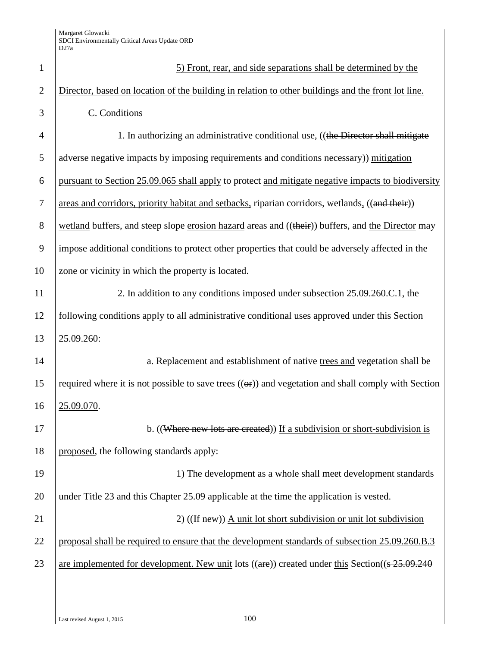| $\mathbf{1}$   | 5) Front, rear, and side separations shall be determined by the                                                   |
|----------------|-------------------------------------------------------------------------------------------------------------------|
| $\overline{2}$ | Director, based on location of the building in relation to other buildings and the front lot line.                |
| 3              | C. Conditions                                                                                                     |
| $\overline{4}$ | 1. In authorizing an administrative conditional use, ((the Director shall mitigate                                |
| 5              | adverse negative impacts by imposing requirements and conditions necessary)) mitigation                           |
| 6              | pursuant to Section 25.09.065 shall apply to protect and mitigate negative impacts to biodiversity                |
| $\tau$         | areas and corridors, priority habitat and setbacks, riparian corridors, wetlands, ((and their))                   |
| 8              | wetland buffers, and steep slope erosion hazard areas and ((their)) buffers, and the Director may                 |
| 9              | impose additional conditions to protect other properties that could be adversely affected in the                  |
| 10             | zone or vicinity in which the property is located.                                                                |
| 11             | 2. In addition to any conditions imposed under subsection 25.09.260.C.1, the                                      |
| 12             | following conditions apply to all administrative conditional uses approved under this Section                     |
| 13             | 25.09.260:                                                                                                        |
| 14             | a. Replacement and establishment of native trees and vegetation shall be                                          |
| 15             | required where it is not possible to save trees $((\theta f))$ and vegetation and shall comply with Section       |
| 16             | 25.09.070.                                                                                                        |
| 17             | b. ((Where new lots are created)) If a subdivision or short-subdivision is                                        |
| 18             | proposed, the following standards apply:                                                                          |
| 19             | 1) The development as a whole shall meet development standards                                                    |
| 20             | under Title 23 and this Chapter 25.09 applicable at the time the application is vested.                           |
| 21             | 2) $((If new))$ A unit lot short subdivision or unit lot subdivision                                              |
| 22             | proposal shall be required to ensure that the development standards of subsection 25.09.260.B.3                   |
| 23             | are implemented for development. New unit lots $((\text{are}))$ created under this Section( $(\frac{25.09}{240})$ |
|                |                                                                                                                   |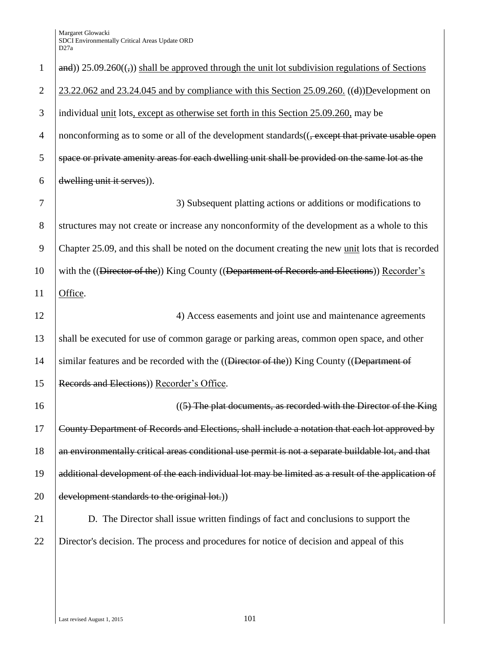| $\mathbf{1}$   | $\mathbf{and}$ )) 25.09.260 $((,))$ shall be approved through the unit lot subdivision regulations of Sections |
|----------------|----------------------------------------------------------------------------------------------------------------|
| $\overline{2}$ | $23.22.062$ and $23.24.045$ and by compliance with this Section $25.09.260$ . ((d))Development on              |
| 3              | individual <u>unit</u> lots, except as otherwise set forth in this Section 25.09.260, may be                   |
| $\overline{4}$ | nonconforming as to some or all of the development standards(( <del>, except that private usable open</del>    |
| 5              | space or private amenity areas for each dwelling unit shall be provided on the same lot as the                 |
| 6              | dwelling unit it serves)).                                                                                     |
| $\tau$         | 3) Subsequent platting actions or additions or modifications to                                                |
| $8\,$          | structures may not create or increase any nonconformity of the development as a whole to this                  |
| 9              | Chapter 25.09, and this shall be noted on the document creating the new unit lots that is recorded             |
| 10             | with the ((Director of the)) King County ((Department of Records and Elections)) Recorder's                    |
| 11             | Office.                                                                                                        |
|                |                                                                                                                |
| 12             | 4) Access easements and joint use and maintenance agreements                                                   |
|                | shall be executed for use of common garage or parking areas, common open space, and other                      |
| 14             | similar features and be recorded with the ((Director of the)) King County ((Department of                      |
| 15             | Records and Elections)) Recorder's Office.                                                                     |
| 16             | ((5) The plat documents, as recorded with the Director of the King                                             |
|                | County Department of Records and Elections, shall include a notation that each lot approved by                 |
| 13<br>17<br>18 | an environmentally critical areas conditional use permit is not a separate buildable lot, and that             |
| 19             | additional development of the each individual lot may be limited as a result of the application of             |
| 20             | development standards to the original lot.)                                                                    |
| 21             | D. The Director shall issue written findings of fact and conclusions to support the                            |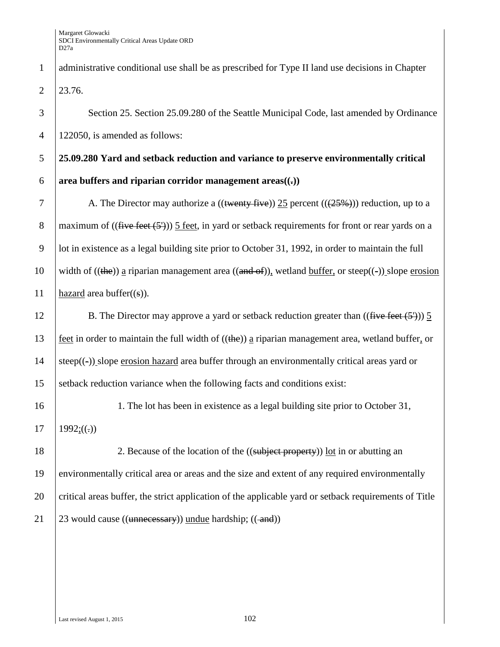1 administrative conditional use shall be as prescribed for Type II land use decisions in Chapter  $2 \mid 23.76.$ 

3 Section 25. Section 25.09.280 of the Seattle Municipal Code, last amended by Ordinance 4 122050, is amended as follows:

## 5 **25.09.280 Yard and setback reduction and variance to preserve environmentally critical**  6 **area** buffers and riparian corridor management areas $((.)$

7 A. The Director may authorize a  $((\text{~~wenty five~~)) 25 percent  $((25\%)$ ) reduction, up to a$ 8 maximum of  $((\text{five feet } (5')))$  5 feet, in yard or setback requirements for front or rear yards on a 9 lot in existence as a legal building site prior to October 31, 1992, in order to maintain the full 10 width of ((the)) a riparian management area ((and of)), wetland buffer, or steep((-)) slope erosion 11 hazard area buffer $((s))$ .

## 12 B. The Director may approve a yard or setback reduction greater than  $((\text{five feet } (5')))$  5 13 feet in order to maintain the full width of  $((the))$  a riparian management area, wetland buffer, or 14 steep( $\left(\text{-}\right)$ ) slope erosion hazard area buffer through an environmentally critical areas yard or 15 setback reduction variance when the following facts and conditions exist:

16 1. The lot has been in existence as a legal building site prior to October 31, 17 |  $1992$ ;((.))

18 2. Because of the location of the ((subject property)) lot in or abutting an environmentally critical area or areas and the size and extent of any required environmentally critical areas buffer, the strict application of the applicable yard or setback requirements of Title  $\left| 23 \text{ would cause } ((\text{unnecessary})) \text{ undue } \text{hardship}; ((\text{-and})) \right|$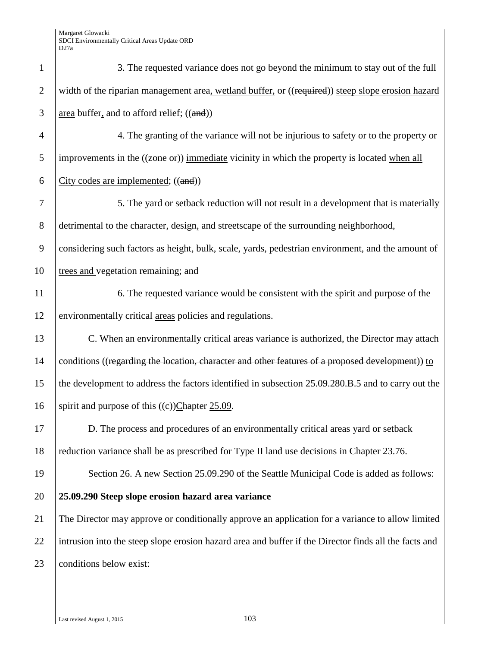| $\mathbf{1}$   | 3. The requested variance does not go beyond the minimum to stay out of the full                          |
|----------------|-----------------------------------------------------------------------------------------------------------|
| $\overline{2}$ | width of the riparian management area, wetland buffer, or ((required)) steep slope erosion hazard         |
| 3              | $area buffer, and to afford relief; ((and))$                                                              |
| $\overline{4}$ | 4. The granting of the variance will not be injurious to safety or to the property or                     |
| 5              | improvements in the $((\overline{zone or}))$ immediate vicinity in which the property is located when all |
| 6              | City codes are implemented; ((and))                                                                       |
| 7              | 5. The yard or setback reduction will not result in a development that is materially                      |
| $8\,$          | detrimental to the character, design, and streetscape of the surrounding neighborhood,                    |
| 9              | considering such factors as height, bulk, scale, yards, pedestrian environment, and the amount of         |
| 10             | trees and vegetation remaining; and                                                                       |
| 11             | 6. The requested variance would be consistent with the spirit and purpose of the                          |
| 12             | environmentally critical areas policies and regulations.                                                  |
| 13             | C. When an environmentally critical areas variance is authorized, the Director may attach                 |
| 14             | conditions ((regarding the location, character and other features of a proposed development)) to          |
| 15             | the development to address the factors identified in subsection 25.09.280.B.5 and to carry out the        |
| 16             | spirit and purpose of this $((e))$ Chapter 25.09.                                                         |
| 17             | D. The process and procedures of an environmentally critical areas yard or setback                        |
| 18             | reduction variance shall be as prescribed for Type II land use decisions in Chapter 23.76.                |
| 19             | Section 26. A new Section 25.09.290 of the Seattle Municipal Code is added as follows:                    |
| 20             | 25.09.290 Steep slope erosion hazard area variance                                                        |
| 21             | The Director may approve or conditionally approve an application for a variance to allow limited          |
| 22             | intrusion into the steep slope erosion hazard area and buffer if the Director finds all the facts and     |
| 23             | conditions below exist:                                                                                   |
|                |                                                                                                           |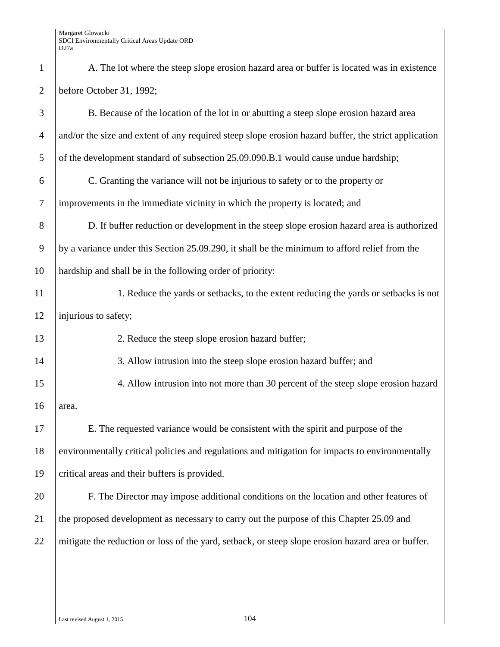| $\mathbf{1}$   | A. The lot where the steep slope erosion hazard area or buffer is located was in existence           |
|----------------|------------------------------------------------------------------------------------------------------|
| $\overline{2}$ | before October 31, 1992;                                                                             |
| 3              | B. Because of the location of the lot in or abutting a steep slope erosion hazard area               |
| $\overline{4}$ | and/or the size and extent of any required steep slope erosion hazard buffer, the strict application |
| 5              | of the development standard of subsection 25.09.090.B.1 would cause undue hardship;                  |
| 6              | C. Granting the variance will not be injurious to safety or to the property or                       |
| $\tau$         | improvements in the immediate vicinity in which the property is located; and                         |
| 8              | D. If buffer reduction or development in the steep slope erosion hazard area is authorized           |
| 9              | by a variance under this Section 25.09.290, it shall be the minimum to afford relief from the        |
| 10             | hardship and shall be in the following order of priority:                                            |
| 11             | 1. Reduce the yards or setbacks, to the extent reducing the yards or setbacks is not                 |
| 12             | injurious to safety;                                                                                 |
| 13             | 2. Reduce the steep slope erosion hazard buffer;                                                     |
| 14             | 3. Allow intrusion into the steep slope erosion hazard buffer; and                                   |
| 15             | 4. Allow intrusion into not more than 30 percent of the steep slope erosion hazard                   |
| 16             | area.                                                                                                |
| 17             | E. The requested variance would be consistent with the spirit and purpose of the                     |
| 18             | environmentally critical policies and regulations and mitigation for impacts to environmentally      |
| 19             | critical areas and their buffers is provided.                                                        |
| 20             | F. The Director may impose additional conditions on the location and other features of               |
| 21             | the proposed development as necessary to carry out the purpose of this Chapter 25.09 and             |
| 22             | mitigate the reduction or loss of the yard, setback, or steep slope erosion hazard area or buffer.   |
|                |                                                                                                      |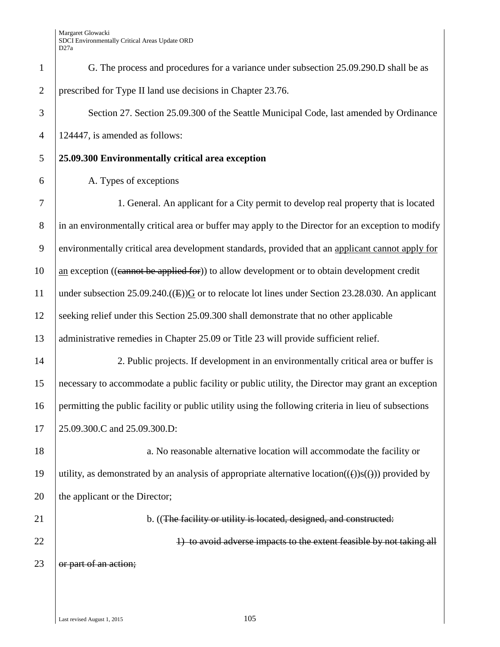| $\mathbf{1}$   | G. The process and procedures for a variance under subsection 25.09.290.D shall be as                                |
|----------------|----------------------------------------------------------------------------------------------------------------------|
| $\overline{2}$ | prescribed for Type II land use decisions in Chapter 23.76.                                                          |
| 3              | Section 27. Section 25.09.300 of the Seattle Municipal Code, last amended by Ordinance                               |
| $\overline{4}$ | 124447, is amended as follows:                                                                                       |
| 5              | 25.09.300 Environmentally critical area exception                                                                    |
| 6              | A. Types of exceptions                                                                                               |
| $\tau$         | 1. General. An applicant for a City permit to develop real property that is located                                  |
| $8\phantom{1}$ | in an environmentally critical area or buffer may apply to the Director for an exception to modify                   |
| 9              | environmentally critical area development standards, provided that an applicant cannot apply for                     |
| 10             | an exception ((cannot be applied for)) to allow development or to obtain development credit                          |
| 11             | under subsection 25.09.240.( $(E)$ ) $G$ or to relocate lot lines under Section 23.28.030. An applicant              |
| 12             | seeking relief under this Section 25.09.300 shall demonstrate that no other applicable                               |
| 13             | administrative remedies in Chapter 25.09 or Title 23 will provide sufficient relief.                                 |
| 14             | 2. Public projects. If development in an environmentally critical area or buffer is                                  |
| 15             | necessary to accommodate a public facility or public utility, the Director may grant an exception                    |
| 16             | permitting the public facility or public utility using the following criteria in lieu of subsections                 |
| 17             | 25.09.300.C and 25.09.300.D:                                                                                         |
| 18             | a. No reasonable alternative location will accommodate the facility or                                               |
| 19             | utility, as demonstrated by an analysis of appropriate alternative location( $(\theta)$ )s( $(\theta)$ ) provided by |
| 20             | the applicant or the Director;                                                                                       |
| 21             | b. ((The facility or utility is located, designed, and constructed:                                                  |
| 22             | 1) to avoid adverse impacts to the extent feasible by not taking all                                                 |
| 23             | or part of an action;                                                                                                |
|                |                                                                                                                      |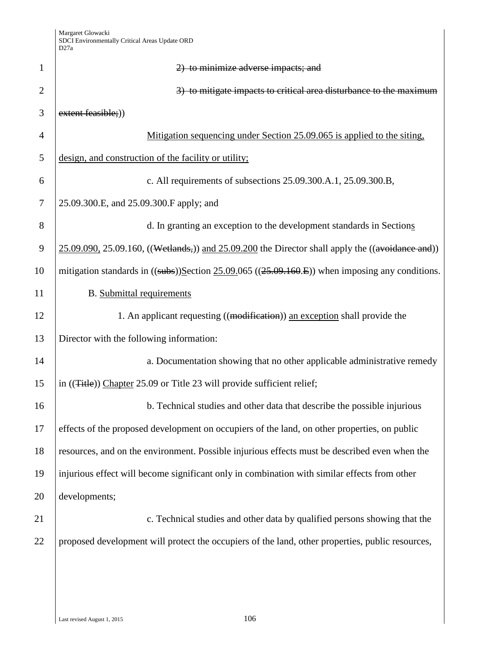| $\mathbf{1}$   | 2) to minimize adverse impacts; and                                                                         |
|----------------|-------------------------------------------------------------------------------------------------------------|
| $\overline{2}$ | 3) to mitigate impacts to critical area disturbance to the maximum                                          |
| 3              | extent feasible;))                                                                                          |
| 4              | Mitigation sequencing under Section 25.09.065 is applied to the siting,                                     |
| 5              | design, and construction of the facility or utility;                                                        |
| 6              | c. All requirements of subsections 25.09.300.A.1, 25.09.300.B,                                              |
| 7              | 25.09.300.E, and 25.09.300.F apply; and                                                                     |
| 8              | d. In granting an exception to the development standards in Sections                                        |
| 9              | $25.09.090$ , $25.09.160$ , ((Wetlands,)) and $25.09.200$ the Director shall apply the ((avoidance and))    |
| 10             | mitigation standards in $((\text{subs}))$ Section 25.09.065 $((25.09.160.E))$ when imposing any conditions. |
| 11             | <b>B.</b> Submittal requirements                                                                            |
| 12             | 1. An applicant requesting ((modification)) an exception shall provide the                                  |
| 13             | Director with the following information:                                                                    |
| 14             | a. Documentation showing that no other applicable administrative remedy                                     |
| 15             | in ((Title)) Chapter 25.09 or Title 23 will provide sufficient relief;                                      |
| 16             | b. Technical studies and other data that describe the possible injurious                                    |
| 17             | effects of the proposed development on occupiers of the land, on other properties, on public                |
| 18             | resources, and on the environment. Possible injurious effects must be described even when the               |
| 19             | injurious effect will become significant only in combination with similar effects from other                |
| 20             | developments;                                                                                               |
| 21             | c. Technical studies and other data by qualified persons showing that the                                   |
| 22             | proposed development will protect the occupiers of the land, other properties, public resources,            |
|                |                                                                                                             |
|                |                                                                                                             |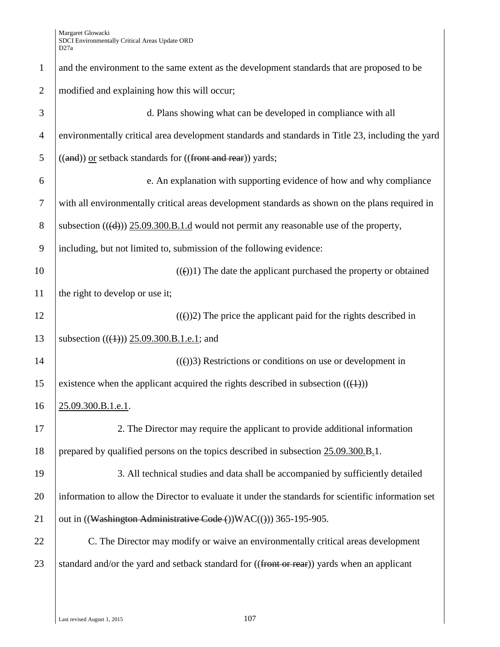| $\mathbf{1}$   | and the environment to the same extent as the development standards that are proposed to be         |
|----------------|-----------------------------------------------------------------------------------------------------|
| $\overline{2}$ | modified and explaining how this will occur;                                                        |
| 3              | d. Plans showing what can be developed in compliance with all                                       |
| $\overline{4}$ | environmentally critical area development standards and standards in Title 23, including the yard   |
| 5              | ((and)) or setback standards for ((front and rear)) yards;                                          |
| 6              | e. An explanation with supporting evidence of how and why compliance                                |
| $\tau$         | with all environmentally critical areas development standards as shown on the plans required in     |
| 8              | subsection $((d))$ 25.09.300.B.1.d would not permit any reasonable use of the property,             |
| 9              | including, but not limited to, submission of the following evidence:                                |
| 10             | $((e))1$ ) The date the applicant purchased the property or obtained                                |
| 11             | the right to develop or use it;                                                                     |
| 12             | $((e))2$ ) The price the applicant paid for the rights described in                                 |
| 13             | subsection $((4))$ 25.09.300.B.1.e.1; and                                                           |
| 14             | $((e))3$ ) Restrictions or conditions on use or development in                                      |
| 15             | existence when the applicant acquired the rights described in subsection $((+))$                    |
| 16             | 25.09.300.B.1.e.1.                                                                                  |
| 17             | 2. The Director may require the applicant to provide additional information                         |
| 18             | prepared by qualified persons on the topics described in subsection $25.09.300.B.1$ .               |
| 19             | 3. All technical studies and data shall be accompanied by sufficiently detailed                     |
| 20             | information to allow the Director to evaluate it under the standards for scientific information set |
| 21             | out in ((Washington Administrative Code ()) WAC(())) 365-195-905.                                   |
| 22             | C. The Director may modify or waive an environmentally critical areas development                   |
| 23             | standard and/or the yard and setback standard for ((front or rear)) yards when an applicant         |
|                |                                                                                                     |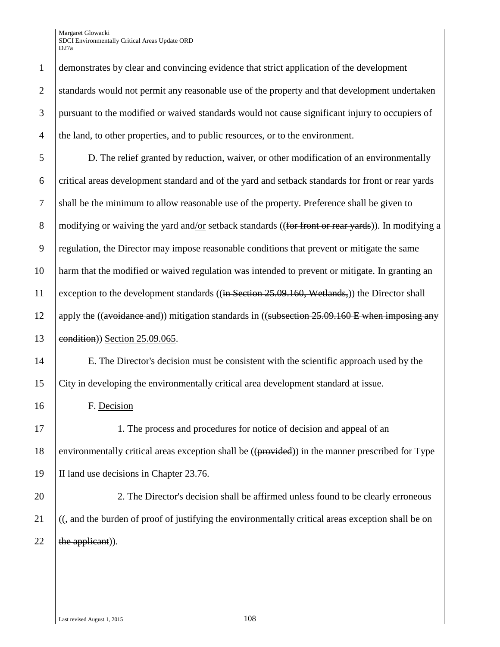1 demonstrates by clear and convincing evidence that strict application of the development 2 standards would not permit any reasonable use of the property and that development undertaken 3 pursuant to the modified or waived standards would not cause significant injury to occupiers of <sup>4</sup> the land, to other properties, and to public resources, or to the environment.

5 D. The relief granted by reduction, waiver, or other modification of an environmentally 6 critical areas development standard and of the yard and setback standards for front or rear yards 7 shall be the minimum to allow reasonable use of the property. Preference shall be given to 8 modifying or waiving the yard and/or setback standards ((for front or rear yards)). In modifying a 9 regulation, the Director may impose reasonable conditions that prevent or mitigate the same 10 harm that the modified or waived regulation was intended to prevent or mitigate. In granting an 11 exception to the development standards ((in Section 25.09.160, Wetlands,)) the Director shall 12 apply the ((avoidance and)) mitigation standards in ((subsection  $25.09.160 \text{ E}$  when imposing any 13 **condition**) Section 25.09.065.

14 E. The Director's decision must be consistent with the scientific approach used by the 15 City in developing the environmentally critical area development standard at issue.

16 F. Decision

17 1. The process and procedures for notice of decision and appeal of an 18 environmentally critical areas exception shall be ((provided)) in the manner prescribed for Type 19 II land use decisions in Chapter 23.76.

20 20 2. The Director's decision shall be affirmed unless found to be clearly erroneous  $21$  ((, and the burden of proof of justifying the environmentally critical areas exception shall be on 22  $\left| \right. \text{the application}$ ).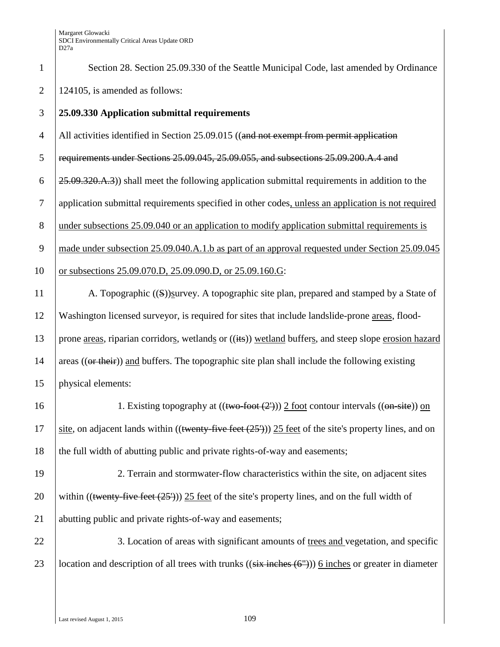| $\mathbf{1}$   | Section 28. Section 25.09.330 of the Seattle Municipal Code, last amended by Ordinance                             |
|----------------|--------------------------------------------------------------------------------------------------------------------|
| $\overline{2}$ | 124105, is amended as follows:                                                                                     |
| 3              | 25.09.330 Application submittal requirements                                                                       |
| $\overline{4}$ | All activities identified in Section 25.09.015 ((and not exempt from permit application                            |
| 5              | requirements under Sections 25.09.045, 25.09.055, and subsections 25.09.200.A.4 and                                |
| 6              | 25.09.320.A.3) shall meet the following application submittal requirements in addition to the                      |
| $\tau$         | application submittal requirements specified in other codes, unless an application is not required                 |
| $8\phantom{1}$ | under subsections 25.09.040 or an application to modify application submittal requirements is                      |
| 9              | made under subsection 25.09.040.A.1.b as part of an approval requested under Section 25.09.045                     |
| 10             | or subsections 25.09.070.D, 25.09.090.D, or 25.09.160.G:                                                           |
| 11             | A. Topographic ((S))survey. A topographic site plan, prepared and stamped by a State of                            |
| 12             | Washington licensed surveyor, is required for sites that include landslide-prone areas, flood-                     |
| 13             | prone areas, riparian corridors, wetlands or ((its)) wetland buffers, and steep slope erosion hazard               |
| 14             | areas $((\text{or their}))$ and buffers. The topographic site plan shall include the following existing            |
| 15             | physical elements:                                                                                                 |
| 16             | 1. Existing topography at $((two$ foot $(2'))$ $2$ foot contour intervals $((on$ site)) on                         |
| 17             | site, on adjacent lands within $(($ twenty-five feet $(25^{\prime}))$ 25 feet of the site's property lines, and on |
| 18             | the full width of abutting public and private rights-of-way and easements;                                         |
| 19             | 2. Terrain and stormwater-flow characteristics within the site, on adjacent sites                                  |
| 20             | within $((\text{wenty-five feet (25'))) 25 feet of the site's property lines, and on the full width of$            |
| 21             | abutting public and private rights-of-way and easements;                                                           |
| 22             | 3. Location of areas with significant amounts of trees and vegetation, and specific                                |
| 23             | location and description of all trees with trunks $((six$ inches $(6''))$ 6 inches or greater in diameter          |
|                |                                                                                                                    |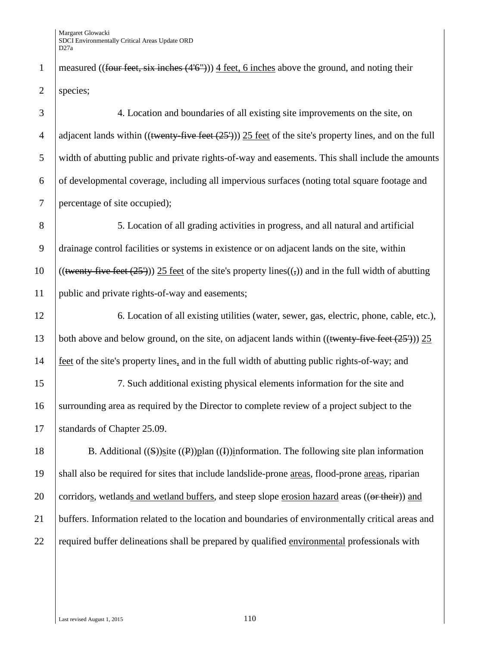1 measured ((four feet, six inches  $(4'6'')$ )) 4 feet, 6 inches above the ground, and noting their 2 | species;

3 4. Location and boundaries of all existing site improvements on the site, on 4 adjacent lands within ((twenty-five feet  $(25')$ )) 25 feet of the site's property lines, and on the full 5 width of abutting public and private rights-of-way and easements. This shall include the amounts  $\overline{6}$  of developmental coverage, including all impervious surfaces (noting total square footage and 7 percentage of site occupied);

 5. Location of all grading activities in progress, and all natural and artificial drainage control facilities or systems in existence or on adjacent lands on the site, within 10 ((twenty-five feet  $(25')$ )) 25 feet of the site's property lines(( $\epsilon$ )) and in the full width of abutting public and private rights-of-way and easements;

12 6. Location of all existing utilities (water, sewer, gas, electric, phone, cable, etc.), 13 both above and below ground, on the site, on adjacent lands within ((twenty-five feet  $(25')$ )) 25 14 feet of the site's property lines, and in the full width of abutting public rights-of-way; and

15 7. Such additional existing physical elements information for the site and 16 surrounding area as required by the Director to complete review of a project subject to the 17 Standards of Chapter 25.09.

18 B. Additional ((S))site (P))plan (I))information. The following site plan information 19 shall also be required for sites that include landslide-prone areas, flood-prone areas, riparian 20 corridors, wetlands and wetland buffers, and steep slope erosion hazard areas (( $\theta$ r their)) and 21 buffers. Information related to the location and boundaries of environmentally critical areas and 22 required buffer delineations shall be prepared by qualified environmental professionals with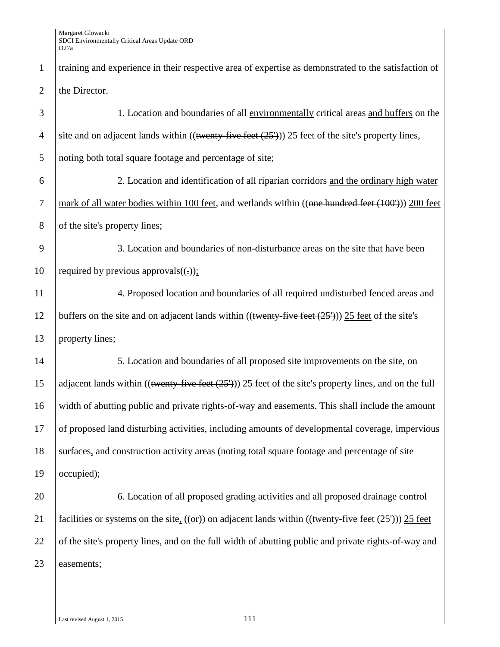| $\mathbf{1}$   | training and experience in their respective area of expertise as demonstrated to the satisfaction of                               |
|----------------|------------------------------------------------------------------------------------------------------------------------------------|
| $\overline{2}$ | the Director.                                                                                                                      |
| 3              | 1. Location and boundaries of all environmentally critical areas and buffers on the                                                |
| $\overline{4}$ | site and on adjacent lands within ((twenty-five feet $(25')$ )) 25 feet of the site's property lines,                              |
| 5              | noting both total square footage and percentage of site;                                                                           |
| 6              | 2. Location and identification of all riparian corridors and the ordinary high water                                               |
| $\tau$         | mark of all water bodies within 100 feet, and wetlands within ((one hundred feet (100'))) 200 feet                                 |
| $8\,$          | of the site's property lines;                                                                                                      |
| 9              | 3. Location and boundaries of non-disturbance areas on the site that have been                                                     |
| 10             | required by previous approvals( $(.))$ ;                                                                                           |
| 11             | 4. Proposed location and boundaries of all required undisturbed fenced areas and                                                   |
| 12             | buffers on the site and on adjacent lands within $((\text{twenty-five feet } (25')))$ 25 feet of the site's                        |
| 13             | property lines;                                                                                                                    |
| 14             | 5. Location and boundaries of all proposed site improvements on the site, on                                                       |
| 15             | adjacent lands within $((\text{twenty-five feet } (25')))$ 25 feet of the site's property lines, and on the full                   |
| 16             | width of abutting public and private rights-of-way and easements. This shall include the amount                                    |
| 17             | of proposed land disturbing activities, including amounts of developmental coverage, impervious                                    |
| 18             | surfaces, and construction activity areas (noting total square footage and percentage of site                                      |
| 19             | occupied);                                                                                                                         |
| 20             | 6. Location of all proposed grading activities and all proposed drainage control                                                   |
| 21             | facilities or systems on the site, $((\theta \cdot \theta))$ on adjacent lands within $((\text{twenty-five feet } (25')))$ 25 feet |
| 22             | of the site's property lines, and on the full width of abutting public and private rights-of-way and                               |
| 23             | easements;                                                                                                                         |
|                |                                                                                                                                    |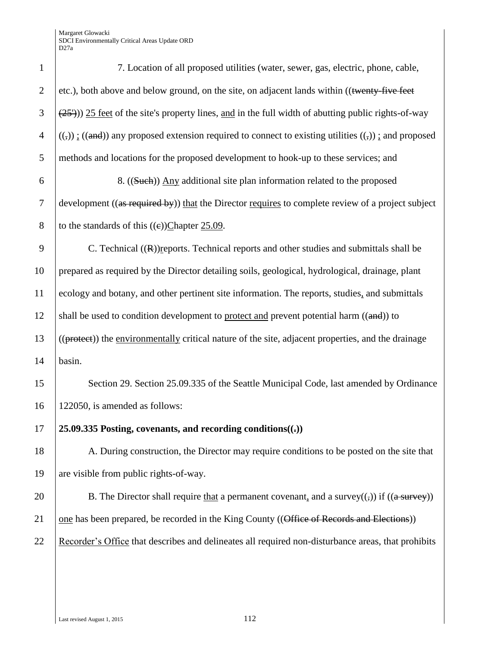| $\mathbf{1}$   | 7. Location of all proposed utilities (water, sewer, gas, electric, phone, cable,                           |
|----------------|-------------------------------------------------------------------------------------------------------------|
| $\overline{2}$ | etc.), both above and below ground, on the site, on adjacent lands within ((twenty-five feet                |
| 3              | $(25)$ )) 25 feet of the site's property lines, and in the full width of abutting public rights-of-way      |
| $\overline{4}$ | $((,))$ : $((and))$ any proposed extension required to connect to existing utilities $((,))$ : and proposed |
| 5              | methods and locations for the proposed development to hook-up to these services; and                        |
| 6              | 8. ((Such)) Any additional site plan information related to the proposed                                    |
| $\tau$         | development ((as required by)) that the Director requires to complete review of a project subject           |
| $8\,$          | to the standards of this $((e))$ Chapter 25.09.                                                             |
| 9              | C. Technical ((R))reports. Technical reports and other studies and submittals shall be                      |
| 10             | prepared as required by the Director detailing soils, geological, hydrological, drainage, plant             |
| 11             | ecology and botany, and other pertinent site information. The reports, studies, and submittals              |
| 12             | shall be used to condition development to protect and prevent potential harm ((and)) to                     |
| 13             | ((protect)) the environmentally critical nature of the site, adjacent properties, and the drainage          |
| 14             | basin.                                                                                                      |
| 15             | Section 29. Section 25.09.335 of the Seattle Municipal Code, last amended by Ordinance                      |
| 16             | 122050, is amended as follows:                                                                              |
| 17             | 25.09.335 Posting, covenants, and recording conditions( $($ , $)$ )                                         |
| 18             | A. During construction, the Director may require conditions to be posted on the site that                   |
| 19             | are visible from public rights-of-way.                                                                      |
| 20             | B. The Director shall require that a permanent covenant, and a survey( $($ , $)$ ) if ( $($ a survey $)$ )  |
| 21             | one has been prepared, be recorded in the King County ((Office of Records and Elections))                   |
| 22             | Recorder's Office that describes and delineates all required non-disturbance areas, that prohibits          |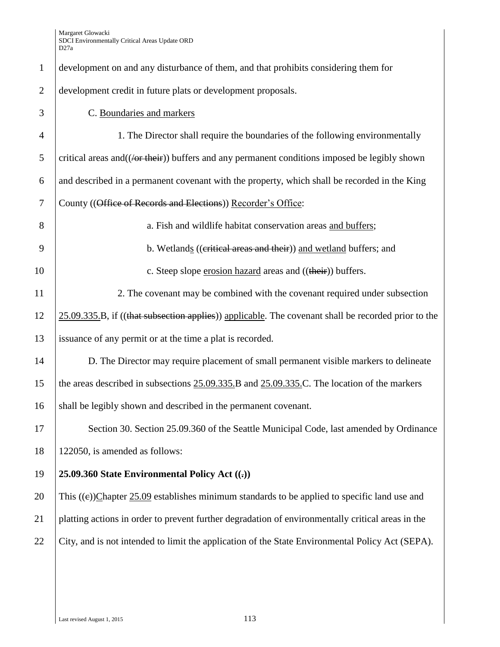| $\mathbf{1}$   | development on and any disturbance of them, and that prohibits considering them for                    |
|----------------|--------------------------------------------------------------------------------------------------------|
| $\overline{2}$ | development credit in future plats or development proposals.                                           |
| 3              | C. Boundaries and markers                                                                              |
| $\overline{4}$ | 1. The Director shall require the boundaries of the following environmentally                          |
| 5              | critical areas and((/or their)) buffers and any permanent conditions imposed be legibly shown          |
| 6              | and described in a permanent covenant with the property, which shall be recorded in the King           |
| $\tau$         | County ((Office of Records and Elections)) Recorder's Office:                                          |
| 8              | a. Fish and wildlife habitat conservation areas and buffers;                                           |
| 9              | b. Wetlands ((eritical areas and their)) and wetland buffers; and                                      |
| 10             | c. Steep slope erosion hazard areas and ((their)) buffers.                                             |
| 11             | 2. The covenant may be combined with the covenant required under subsection                            |
| 12             | $25.09.335.B$ , if ((that subsection applies)) applicable. The covenant shall be recorded prior to the |
| 13             | issuance of any permit or at the time a plat is recorded.                                              |
| 14             | D. The Director may require placement of small permanent visible markers to delineate                  |
| 15             | the areas described in subsections 25.09.335.B and 25.09.335.C. The location of the markers            |
| 16             | shall be legibly shown and described in the permanent covenant.                                        |
| 17             | Section 30. Section 25.09.360 of the Seattle Municipal Code, last amended by Ordinance                 |
| 18             | 122050, is amended as follows:                                                                         |
| 19             | 25.09.360 State Environmental Policy Act $((.)$                                                        |
| 20             | This $((e))$ Chapter 25.09 establishes minimum standards to be applied to specific land use and        |
| 21             | platting actions in order to prevent further degradation of environmentally critical areas in the      |
| 22             | City, and is not intended to limit the application of the State Environmental Policy Act (SEPA).       |
|                |                                                                                                        |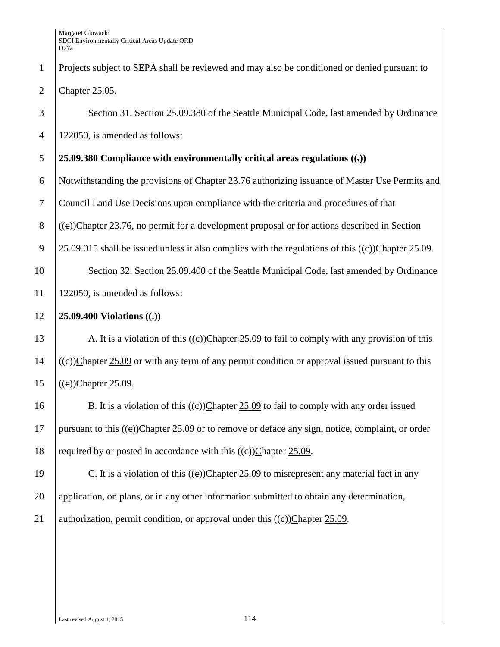| $\mathbf{1}$   | Projects subject to SEPA shall be reviewed and may also be conditioned or denied pursuant to          |
|----------------|-------------------------------------------------------------------------------------------------------|
| $\overline{2}$ | Chapter 25.05.                                                                                        |
| 3              | Section 31. Section 25.09.380 of the Seattle Municipal Code, last amended by Ordinance                |
| $\overline{4}$ | 122050, is amended as follows:                                                                        |
| 5              | 25.09.380 Compliance with environmentally critical areas regulations $((.)$                           |
| 6              | Notwithstanding the provisions of Chapter 23.76 authorizing issuance of Master Use Permits and        |
| $\tau$         | Council Land Use Decisions upon compliance with the criteria and procedures of that                   |
| 8              | $((e))$ Chapter 23.76, no permit for a development proposal or for actions described in Section       |
| 9              | 25.09.015 shall be issued unless it also complies with the regulations of this $((e))$ Chapter 25.09. |
| 10             | Section 32. Section 25.09.400 of the Seattle Municipal Code, last amended by Ordinance                |
| 11             | 122050, is amended as follows:                                                                        |
| 12             | 25.09.400 Violations $((.)$                                                                           |
| 13             | A. It is a violation of this $((e))$ Chapter 25.09 to fail to comply with any provision of this       |
| 14             | $((e))$ Chapter 25.09 or with any term of any permit condition or approval issued pursuant to this    |
| 15             | $((e))$ Chapter 25.09.                                                                                |
| 16             | B. It is a violation of this $((e))$ Chapter 25.09 to fail to comply with any order issued            |
| 17             | pursuant to this $((e))$ Chapter 25.09 or to remove or deface any sign, notice, complaint, or order   |
| 18             | required by or posted in accordance with this $((e))$ Chapter 25.09.                                  |
| 19             | C. It is a violation of this $((e))$ Chapter 25.09 to misrepresent any material fact in any           |
| 20             | application, on plans, or in any other information submitted to obtain any determination,             |
| 21             | authorization, permit condition, or approval under this $((e))$ Chapter 25.09.                        |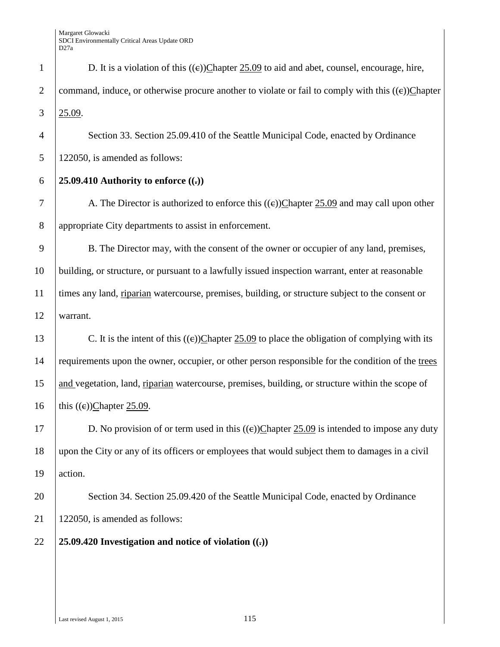| $\mathbf{1}$   | D. It is a violation of this $((e))$ Chapter 25.09 to aid and abet, counsel, encourage, hire,        |
|----------------|------------------------------------------------------------------------------------------------------|
| $\overline{2}$ | command, induce, or otherwise procure another to violate or fail to comply with this $((e))$ Chapter |
| 3              | 25.09.                                                                                               |
| $\overline{4}$ | Section 33. Section 25.09.410 of the Seattle Municipal Code, enacted by Ordinance                    |
| 5              | 122050, is amended as follows:                                                                       |
| 6              | 25.09.410 Authority to enforce $((.)$                                                                |
| 7              | A. The Director is authorized to enforce this $((e))$ Chapter 25.09 and may call upon other          |
| $8\phantom{1}$ | appropriate City departments to assist in enforcement.                                               |
| 9              | B. The Director may, with the consent of the owner or occupier of any land, premises,                |
| 10             | building, or structure, or pursuant to a lawfully issued inspection warrant, enter at reasonable     |
| 11             | times any land, riparian watercourse, premises, building, or structure subject to the consent or     |
| 12             | warrant.                                                                                             |
| 13             | C. It is the intent of this $((e))$ Chapter 25.09 to place the obligation of complying with its      |
| 14             | requirements upon the owner, occupier, or other person responsible for the condition of the trees    |
| 15             | and vegetation, land, riparian watercourse, premises, building, or structure within the scope of     |
| 16             | this $((e))$ Chapter 25.09.                                                                          |
| 17             | D. No provision of or term used in this $((e))$ Chapter 25.09 is intended to impose any duty         |
| 18             | upon the City or any of its officers or employees that would subject them to damages in a civil      |
| 19             | action.                                                                                              |
| 20             | Section 34. Section 25.09.420 of the Seattle Municipal Code, enacted by Ordinance                    |
| 21             | 122050, is amended as follows:                                                                       |
| 22             | 25.09.420 Investigation and notice of violation $((.)$                                               |
|                |                                                                                                      |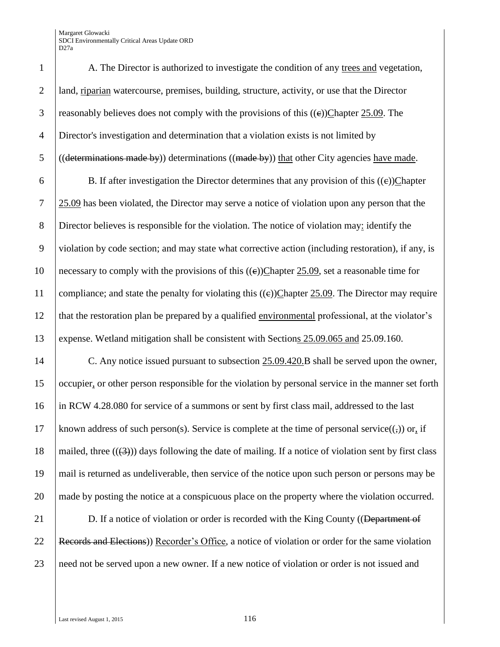1 A. The Director is authorized to investigate the condition of any trees and vegetation, 2 land, riparian watercourse, premises, building, structure, activity, or use that the Director 3 reasonably believes does not comply with the provisions of this  $((e))$ Chapter 25.09. The 4 Director's investigation and determination that a violation exists is not limited by 5 ((determinations made by)) determinations ((made by)) that other City agencies have made.

6 B. If after investigation the Director determines that any provision of this  $((e))$ Chapter 7 25.09 has been violated, the Director may serve a notice of violation upon any person that the 8 Director believes is responsible for the violation. The notice of violation may: identify the 9 violation by code section; and may state what corrective action (including restoration), if any, is 10 necessary to comply with the provisions of this  $((e))$ Chapter 25.09, set a reasonable time for 11 compliance; and state the penalty for violating this  $((e))$ Chapter 25.09. The Director may require 12 that the restoration plan be prepared by a qualified environmental professional, at the violator's 13 expense. Wetland mitigation shall be consistent with Sections 25.09.065 and 25.09.160.

14 C. Any notice issued pursuant to subsection 25.09.420.B shall be served upon the owner, 15 occupier, or other person responsible for the violation by personal service in the manner set forth 16 in RCW 4.28.080 for service of a summons or sent by first class mail, addressed to the last 17 known address of such person(s). Service is complete at the time of personal service( $(\cdot, \cdot)$ ) or, if 18 mailed, three  $((3))$  days following the date of mailing. If a notice of violation sent by first class 19 mail is returned as undeliverable, then service of the notice upon such person or persons may be 20 made by posting the notice at a conspicuous place on the property where the violation occurred.

21 **D.** If a notice of violation or order is recorded with the King County ((Department of 22 Records and Elections) Recorder's Office, a notice of violation or order for the same violation 23 need not be served upon a new owner. If a new notice of violation or order is not issued and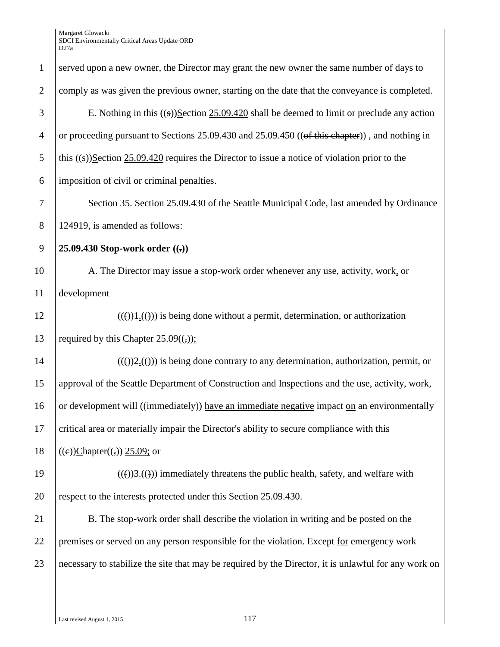| $\mathbf{1}$   | served upon a new owner, the Director may grant the new owner the same number of days to             |
|----------------|------------------------------------------------------------------------------------------------------|
| $\overline{2}$ | comply as was given the previous owner, starting on the date that the conveyance is completed.       |
| 3              | E. Nothing in this $((s))$ Section 25.09.420 shall be deemed to limit or preclude any action         |
| $\overline{4}$ | or proceeding pursuant to Sections 25.09.430 and 25.09.450 ((of this chapter)), and nothing in       |
| 5              | this $((s))$ Section 25.09.420 requires the Director to issue a notice of violation prior to the     |
| 6              | imposition of civil or criminal penalties.                                                           |
| 7              | Section 35. Section 25.09.430 of the Seattle Municipal Code, last amended by Ordinance               |
| 8              | 124919, is amended as follows:                                                                       |
| 9              | 25.09.430 Stop-work order $((.)$                                                                     |
| 10             | A. The Director may issue a stop-work order whenever any use, activity, work, or                     |
| 11             | development                                                                                          |
| 12             | $(())1())$ is being done without a permit, determination, or authorization                           |
| 13             | required by this Chapter $25.09((,))$ ;                                                              |
| 14             | $((f))2((f))$ is being done contrary to any determination, authorization, permit, or                 |
| 15             | approval of the Seattle Department of Construction and Inspections and the use, activity, work,      |
| 16             | or development will ((immediately)) have an immediate negative impact on an environmentally          |
| 17             | critical area or materially impair the Director's ability to secure compliance with this             |
| 18             | $((e))$ Chapter $((,))$ 25.09; or                                                                    |
| 19             | $((())3.(())$ immediately threatens the public health, safety, and welfare with                      |
| 20             | respect to the interests protected under this Section 25.09.430.                                     |
| 21             | B. The stop-work order shall describe the violation in writing and be posted on the                  |
| 22             | premises or served on any person responsible for the violation. Except for emergency work            |
| 23             | necessary to stabilize the site that may be required by the Director, it is unlawful for any work on |
|                |                                                                                                      |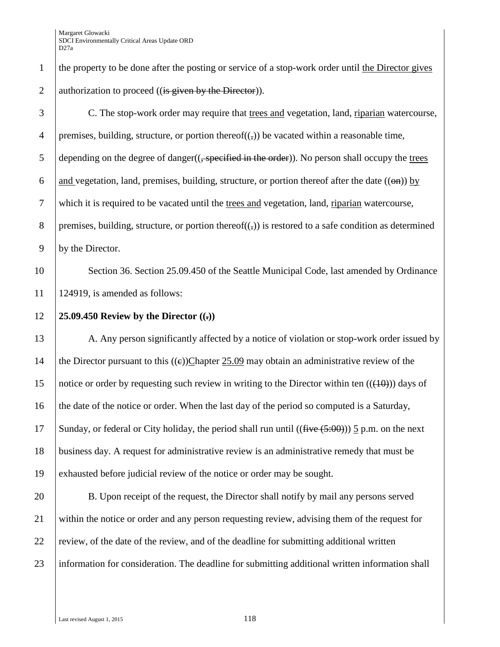| $\mathbf{1}$     | the property to be done after the posting or service of a stop-work order until the Director gives                |
|------------------|-------------------------------------------------------------------------------------------------------------------|
| $\overline{2}$   | authorization to proceed ((is given by the Director)).                                                            |
| $\mathfrak{Z}$   | C. The stop-work order may require that trees and vegetation, land, riparian watercourse,                         |
| $\overline{4}$   | premises, building, structure, or portion thereof $((,))$ be vacated within a reasonable time,                    |
| 5                | depending on the degree of danger(( <del>, specified in the order</del> )). No person shall occupy the trees      |
| 6                | and vegetation, land, premises, building, structure, or portion thereof after the date $((\Theta \mathbf{h}))$ by |
| $\boldsymbol{7}$ | which it is required to be vacated until the trees and vegetation, land, riparian watercourse,                    |
| $8\,$            | premises, building, structure, or portion thereof $((,))$ is restored to a safe condition as determined           |
| 9                | by the Director.                                                                                                  |
| 10               | Section 36. Section 25.09.450 of the Seattle Municipal Code, last amended by Ordinance                            |
| 11               | 124919, is amended as follows:                                                                                    |
| 12               | 25.09.450 Review by the Director $((.)$                                                                           |
| 13               | A. Any person significantly affected by a notice of violation or stop-work order issued by                        |
| 14               | the Director pursuant to this $((e))$ Chapter 25.09 may obtain an administrative review of the                    |
| 15               | notice or order by requesting such review in writing to the Director within ten $((10))$ days of                  |
| 16               | the date of the notice or order. When the last day of the period so computed is a Saturday,                       |
| 17               | Sunday, or federal or City holiday, the period shall run until $((\text{five} (+5.00)))$ 5 p.m. on the next       |
| 18               | business day. A request for administrative review is an administrative remedy that must be                        |
| 19               | exhausted before judicial review of the notice or order may be sought.                                            |
| 20               | B. Upon receipt of the request, the Director shall notify by mail any persons served                              |
| 21               | within the notice or order and any person requesting review, advising them of the request for                     |
| 22               | review, of the date of the review, and of the deadline for submitting additional written                          |
| 23               | information for consideration. The deadline for submitting additional written information shall                   |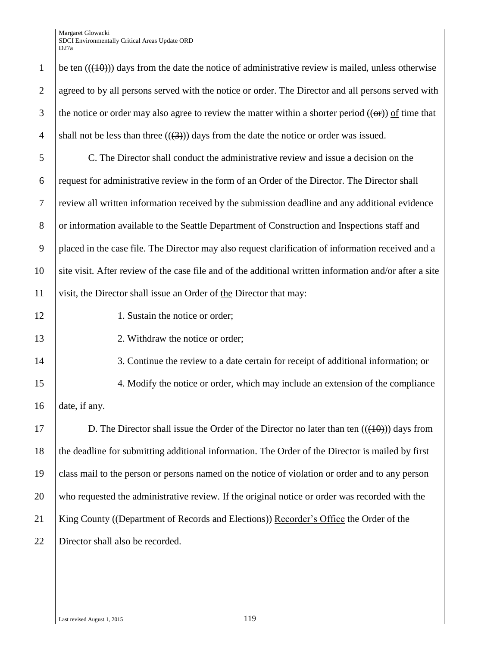1 be ten  $((10))$  days from the date the notice of administrative review is mailed, unless otherwise 2 agreed to by all persons served with the notice or order. The Director and all persons served with 3 the notice or order may also agree to review the matter within a shorter period  $((\Theta$ ) of time that 4 shall not be less than three  $((3))$  days from the date the notice or order was issued. 5 C. The Director shall conduct the administrative review and issue a decision on the 6 request for administrative review in the form of an Order of the Director. The Director shall 7 review all written information received by the submission deadline and any additional evidence 8 or information available to the Seattle Department of Construction and Inspections staff and 9 placed in the case file. The Director may also request clarification of information received and a 10 site visit. After review of the case file and of the additional written information and/or after a site 11 visit, the Director shall issue an Order of the Director that may: 12 1. Sustain the notice or order: 13 2. Withdraw the notice or order; 14 3. Continue the review to a date certain for receipt of additional information; or 15 4. Modify the notice or order, which may include an extension of the compliance 16 date, if any. 17 D. The Director shall issue the Order of the Director no later than ten  $((+0))$  days from 18 the deadline for submitting additional information. The Order of the Director is mailed by first 19 class mail to the person or persons named on the notice of violation or order and to any person 20 who requested the administrative review. If the original notice or order was recorded with the 21 King County ((Department of Records and Elections)) Recorder's Office the Order of the 22 Director shall also be recorded.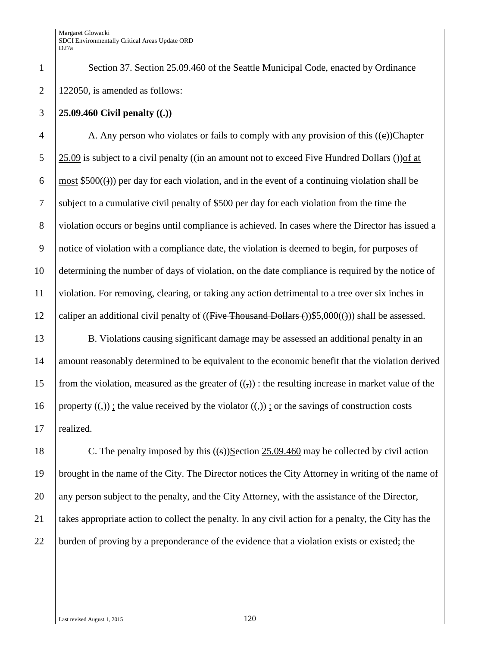1 Section 37. Section 25.09.460 of the Seattle Municipal Code, enacted by Ordinance 2 | 122050, is amended as follows:

#### 3 **25.09.460 Civil penalty ((.))**

4 A. Any person who violates or fails to comply with any provision of this  $((e))$ Chapter 5 25.09 is subject to a civil penalty ((in an amount not to exceed Five Hundred Dollars  $\epsilon$ )) of at 6 most  $$500(\theta)$  per day for each violation, and in the event of a continuing violation shall be 7 subject to a cumulative civil penalty of \$500 per day for each violation from the time the 8 violation occurs or begins until compliance is achieved. In cases where the Director has issued a 9 notice of violation with a compliance date, the violation is deemed to begin, for purposes of 10 determining the number of days of violation, on the date compliance is required by the notice of 11 violation. For removing, clearing, or taking any action detrimental to a tree over six inches in 12 caliper an additional civil penalty of  $((\text{Five}$  Thousand Dollars  $())$ \$5,000 $(())$  shall be assessed.

13 B. Violations causing significant damage may be assessed an additional penalty in an 14 amount reasonably determined to be equivalent to the economic benefit that the violation derived 15 from the violation, measured as the greater of  $((,))$ : the resulting increase in market value of the 16 property  $((,))$ ; the value received by the violator  $((,))$ ; or the savings of construction costs 17 realized.

18 C. The penalty imposed by this ((s))Section 25.09.460 may be collected by civil action 19 brought in the name of the City. The Director notices the City Attorney in writing of the name of 20 any person subject to the penalty, and the City Attorney, with the assistance of the Director, 21 takes appropriate action to collect the penalty. In any civil action for a penalty, the City has the 22 burden of proving by a preponderance of the evidence that a violation exists or existed; the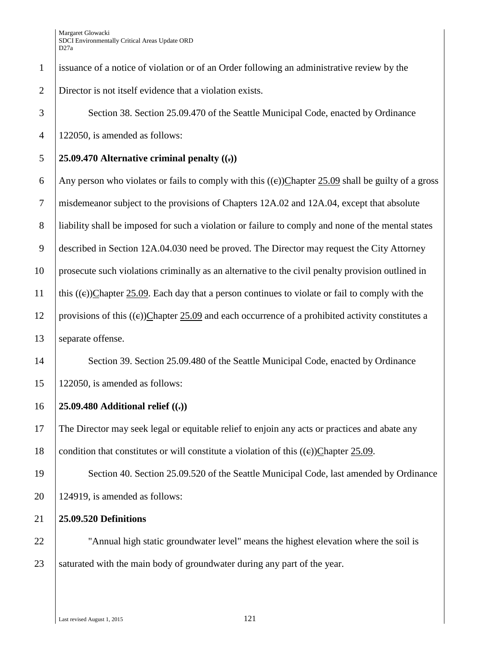1 issuance of a notice of violation or of an Order following an administrative review by the 2 Director is not itself evidence that a violation exists.

3 Section 38. Section 25.09.470 of the Seattle Municipal Code, enacted by Ordinance 4 122050, is amended as follows:

## 5 **25.09.470 Alternative criminal penalty ((.))**

6 Any person who violates or fails to comply with this  $((e))$ Chapter 25.09 shall be guilty of a gross 7 misdemeanor subject to the provisions of Chapters 12A.02 and 12A.04, except that absolute 8 liability shall be imposed for such a violation or failure to comply and none of the mental states 9 described in Section 12A.04.030 need be proved. The Director may request the City Attorney 10 prosecute such violations criminally as an alternative to the civil penalty provision outlined in 11 | this ((e))Chapter 25.09. Each day that a person continues to violate or fail to comply with the 12 provisions of this  $((e))$ Chapter 25.09 and each occurrence of a prohibited activity constitutes a 13 | separate offense.

14 Section 39. Section 25.09.480 of the Seattle Municipal Code, enacted by Ordinance 15 122050, is amended as follows:

## 16 **25.09.480 Additional relief ((.))**

17 The Director may seek legal or equitable relief to enjoin any acts or practices and abate any 18 condition that constitutes or will constitute a violation of this  $((e))$ Chapter 25.09.

19 Section 40. Section 25.09.520 of the Seattle Municipal Code, last amended by Ordinance  $20$  | 124919, is amended as follows:

21 **25.09.520 Definitions**

22 | "Annual high static groundwater level" means the highest elevation where the soil is 23 Saturated with the main body of groundwater during any part of the year.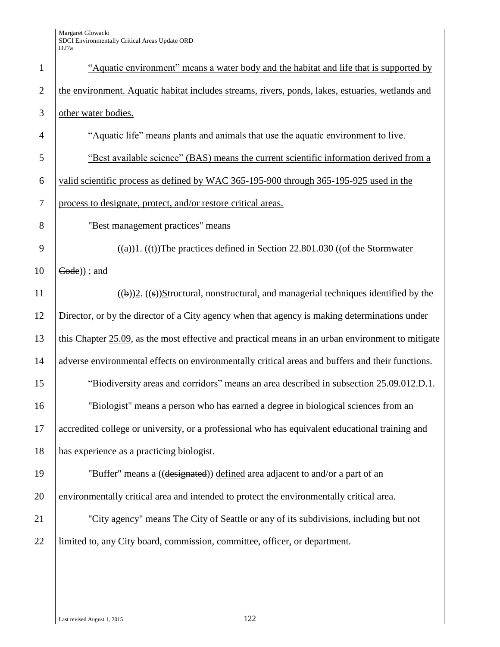| $\mathbf{1}$   | "Aquatic environment" means a water body and the habitat and life that is supported by            |
|----------------|---------------------------------------------------------------------------------------------------|
| $\overline{2}$ | the environment. Aquatic habitat includes streams, rivers, ponds, lakes, estuaries, wetlands and  |
| 3              | other water bodies.                                                                               |
| $\overline{4}$ | "Aquatic life" means plants and animals that use the aquatic environment to live.                 |
| 5              | "Best available science" (BAS) means the current scientific information derived from a            |
| 6              | valid scientific process as defined by WAC 365-195-900 through 365-195-925 used in the            |
| $\overline{7}$ | process to designate, protect, and/or restore critical areas.                                     |
| 8              | "Best management practices" means                                                                 |
| 9              | $((a))1. ((t))$ The practices defined in Section 22.801.030 ((of the Stormwater                   |
| 10             | $Code$ ) ; and                                                                                    |
| 11             | $((\theta))2.$ $((s))$ Structural, nonstructural, and managerial techniques identified by the     |
| 12             | Director, or by the director of a City agency when that agency is making determinations under     |
| 13             | this Chapter 25.09, as the most effective and practical means in an urban environment to mitigate |
| 14             | adverse environmental effects on environmentally critical areas and buffers and their functions.  |
| 15             | "Biodiversity areas and corridors" means an area described in subsection 25.09.012.D.1.           |
| 16             | "Biologist" means a person who has earned a degree in biological sciences from an                 |
| 17             | accredited college or university, or a professional who has equivalent educational training and   |
| 18             | has experience as a practicing biologist.                                                         |
| 19             | "Buffer" means a ((designated)) defined area adjacent to and/or a part of an                      |
| 20             | environmentally critical area and intended to protect the environmentally critical area.          |
| 21             | "City agency" means The City of Seattle or any of its subdivisions, including but not             |
| 22             | limited to, any City board, commission, committee, officer, or department.                        |
|                |                                                                                                   |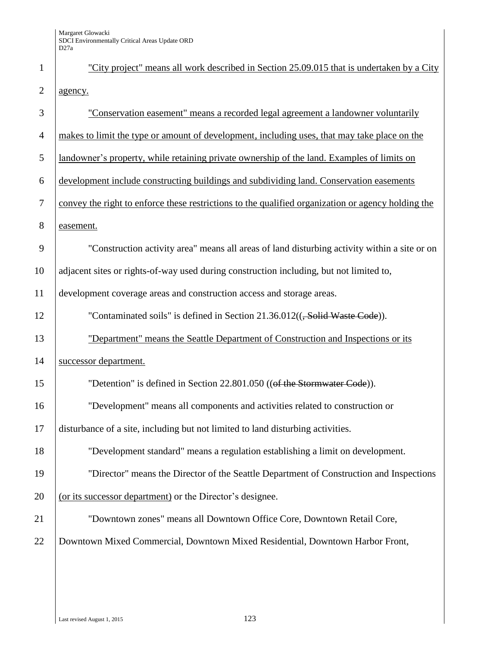| $\mathbf{1}$   | "City project" means all work described in Section 25.09.015 that is undertaken by a City          |
|----------------|----------------------------------------------------------------------------------------------------|
| $\overline{2}$ | agency.                                                                                            |
| 3              | "Conservation easement" means a recorded legal agreement a landowner voluntarily                   |
| $\overline{4}$ | makes to limit the type or amount of development, including uses, that may take place on the       |
| 5              | landowner's property, while retaining private ownership of the land. Examples of limits on         |
| 6              | development include constructing buildings and subdividing land. Conservation easements            |
| $\tau$         | convey the right to enforce these restrictions to the qualified organization or agency holding the |
| 8              | easement.                                                                                          |
| 9              | "Construction activity area" means all areas of land disturbing activity within a site or on       |
| 10             | adjacent sites or rights-of-way used during construction including, but not limited to,            |
| 11             | development coverage areas and construction access and storage areas.                              |
| 12             | "Contaminated soils" is defined in Section 21.36.012(( <del>, Solid Waste Code</del> )).           |
| 13             | "Department" means the Seattle Department of Construction and Inspections or its                   |
| 14             | successor department.                                                                              |
| 15             | "Detention" is defined in Section 22.801.050 ((of the Stormwater Code)).                           |
| 16             | "Development" means all components and activities related to construction or                       |
| 17             | disturbance of a site, including but not limited to land disturbing activities.                    |
| 18             | "Development standard" means a regulation establishing a limit on development.                     |
| 19             | "Director" means the Director of the Seattle Department of Construction and Inspections            |
| 20             | (or its successor department) or the Director's designee.                                          |
| 21             | "Downtown zones" means all Downtown Office Core, Downtown Retail Core,                             |
| 22             | Downtown Mixed Commercial, Downtown Mixed Residential, Downtown Harbor Front,                      |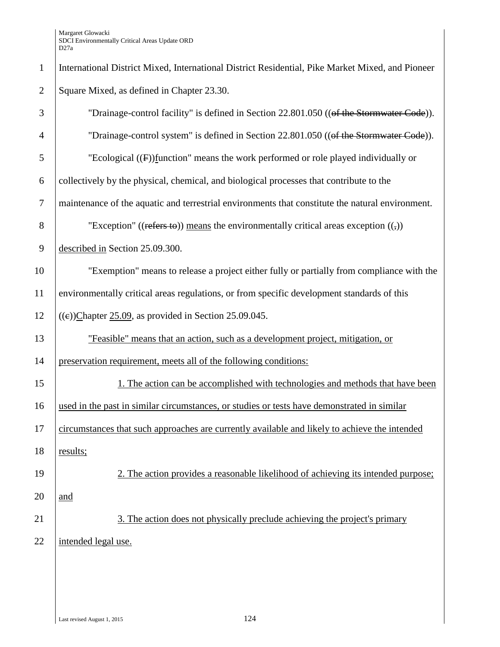| $\mathbf{1}$   | International District Mixed, International District Residential, Pike Market Mixed, and Pioneer |
|----------------|--------------------------------------------------------------------------------------------------|
| $\overline{2}$ | Square Mixed, as defined in Chapter 23.30.                                                       |
| 3              | "Drainage-control facility" is defined in Section 22.801.050 ((of the Stormwater Code)).         |
| $\overline{4}$ | "Drainage-control system" is defined in Section 22.801.050 ((of the Stormwater Code)).           |
| 5              | "Ecological $(F)$ function" means the work performed or role played individually or              |
| 6              | collectively by the physical, chemical, and biological processes that contribute to the          |
| $\tau$         | maintenance of the aquatic and terrestrial environments that constitute the natural environment. |
| 8              | "Exception" ((refers to)) means the environmentally critical areas exception $((,))$             |
| $\overline{9}$ | described in Section 25.09.300.                                                                  |
| 10             | "Exemption" means to release a project either fully or partially from compliance with the        |
| 11             | environmentally critical areas regulations, or from specific development standards of this       |
| 12             | $((e))$ Chapter 25.09, as provided in Section 25.09.045.                                         |
| 13             | "Feasible" means that an action, such as a development project, mitigation, or                   |
| 14             | preservation requirement, meets all of the following conditions:                                 |
| 15             | 1. The action can be accomplished with technologies and methods that have been                   |
| 16             | used in the past in similar circumstances, or studies or tests have demonstrated in similar      |
| 17             | circumstances that such approaches are currently available and likely to achieve the intended    |
| 18             | results;                                                                                         |
| 19             | 2. The action provides a reasonable likelihood of achieving its intended purpose;                |
| 20             | and                                                                                              |
| 21             | 3. The action does not physically preclude achieving the project's primary                       |
| 22             | intended legal use.                                                                              |
|                |                                                                                                  |
|                |                                                                                                  |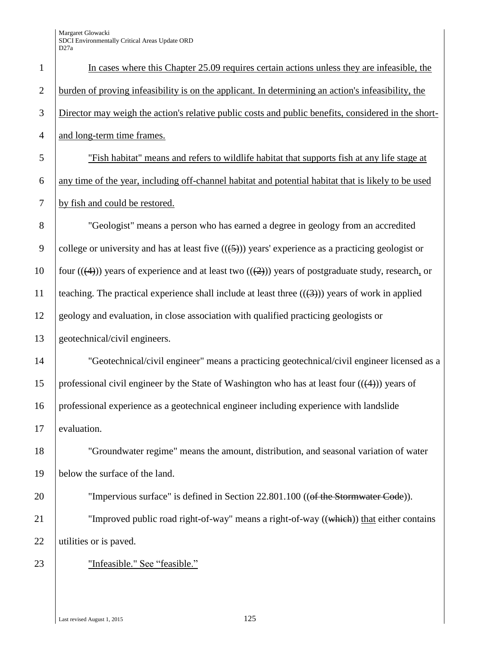| $\mathbf{1}$   | In cases where this Chapter 25.09 requires certain actions unless they are infeasible, the                     |
|----------------|----------------------------------------------------------------------------------------------------------------|
| $\overline{2}$ | burden of proving infeasibility is on the applicant. In determining an action's infeasibility, the             |
| 3              | Director may weigh the action's relative public costs and public benefits, considered in the short-            |
| $\overline{4}$ | and long-term time frames.                                                                                     |
| 5              | "Fish habitat" means and refers to wildlife habitat that supports fish at any life stage at                    |
| 6              | any time of the year, including off-channel habitat and potential habitat that is likely to be used            |
| $\tau$         | by fish and could be restored.                                                                                 |
| 8              | "Geologist" means a person who has earned a degree in geology from an accredited                               |
| 9              | college or university and has at least five $((\underline{5}))$ years' experience as a practicing geologist or |
| 10             | four $((4))$ years of experience and at least two $((2))$ years of postgraduate study, research, or            |
| 11             | teaching. The practical experience shall include at least three $((3))$ years of work in applied               |
| 12             | geology and evaluation, in close association with qualified practicing geologists or                           |
| 13             | geotechnical/civil engineers.                                                                                  |
| 14             | "Geotechnical/civil engineer" means a practicing geotechnical/civil engineer licensed as a                     |
| 15             | professional civil engineer by the State of Washington who has at least four $((4))$ years of                  |
| 16             | professional experience as a geotechnical engineer including experience with landslide                         |
| 17             | evaluation.                                                                                                    |
| 18             | "Groundwater regime" means the amount, distribution, and seasonal variation of water                           |
| 19             | below the surface of the land.                                                                                 |
| 20             | "Impervious surface" is defined in Section 22.801.100 ((of the Stormwater Code)).                              |
| 21             | "Improved public road right-of-way" means a right-of-way ((which)) that either contains                        |
| 22             | utilities or is paved.                                                                                         |
| 23             | "Infeasible." See "feasible."                                                                                  |

Last revised August 1, 2015 125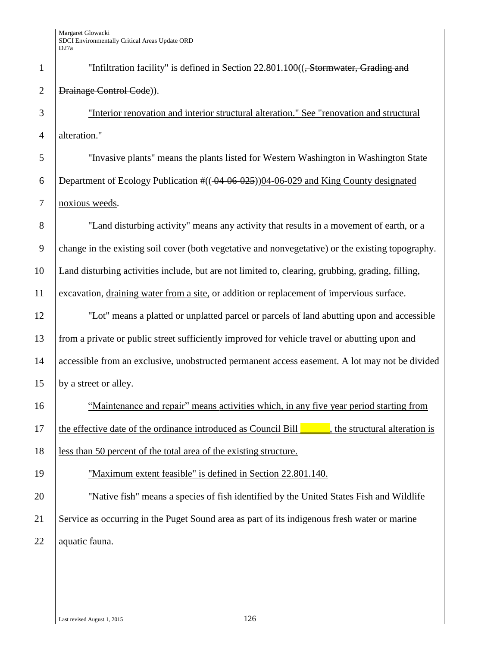1 The "Infiltration facility" is defined in Section 22.801.100((<del>, Stormwater, Grading and</del> 2 | Drainage Control Code). "Interior renovation and interior structural alteration." See "renovation and structural 4 alteration." "Invasive plants" means the plants listed for Western Washington in Washington State 6 Department of Ecology Publication  $\frac{\#((-04-06-025))04-06-029}{0.029}$  and King County designated noxious weeds. "Land disturbing activity" means any activity that results in a movement of earth, or a change in the existing soil cover (both vegetative and nonvegetative) or the existing topography. Land disturbing activities include, but are not limited to, clearing, grubbing, grading, filling, excavation, draining water from a site, or addition or replacement of impervious surface. "Lot" means a platted or unplatted parcel or parcels of land abutting upon and accessible from a private or public street sufficiently improved for vehicle travel or abutting upon and accessible from an exclusive, unobstructed permanent access easement. A lot may not be divided 15 by a street or alley. "Maintenance and repair" means activities which, in any five year period starting from 17 the effective date of the ordinance introduced as Council Bill  $\blacksquare$ , the structural alteration is less than 50 percent of the total area of the existing structure. "Maximum extent feasible" is defined in Section 22.801.140. "Native fish" means a species of fish identified by the United States Fish and Wildlife Service as occurring in the Puget Sound area as part of its indigenous fresh water or marine 22 | aquatic fauna.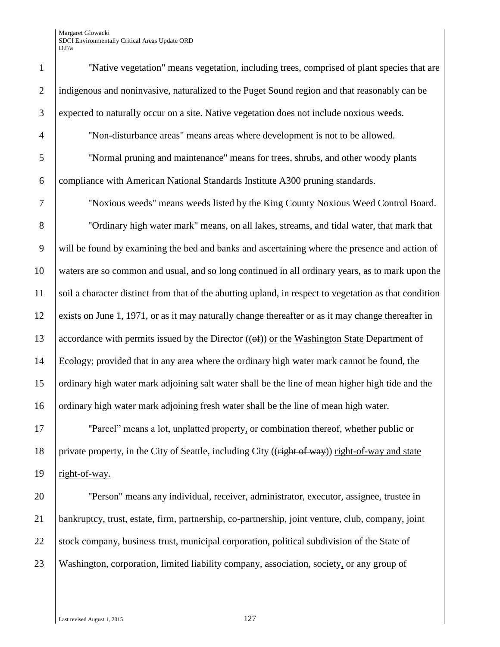"Native vegetation" means vegetation, including trees, comprised of plant species that are 2 indigenous and noninvasive, naturalized to the Puget Sound region and that reasonably can be expected to naturally occur on a site. Native vegetation does not include noxious weeds. "Non-disturbance areas" means areas where development is not to be allowed.

 "Normal pruning and maintenance" means for trees, shrubs, and other woody plants compliance with American National Standards Institute A300 pruning standards.

"Noxious weeds" means weeds listed by the King County Noxious Weed Control Board.

 "Ordinary high water mark" means, on all lakes, streams, and tidal water, that mark that will be found by examining the bed and banks and ascertaining where the presence and action of waters are so common and usual, and so long continued in all ordinary years, as to mark upon the soil a character distinct from that of the abutting upland, in respect to vegetation as that condition exists on June 1, 1971, or as it may naturally change thereafter or as it may change thereafter in 13 accordance with permits issued by the Director  $((\Theta f))$  or the Washington State Department of Ecology; provided that in any area where the ordinary high water mark cannot be found, the ordinary high water mark adjoining salt water shall be the line of mean higher high tide and the 16 ordinary high water mark adjoining fresh water shall be the line of mean high water.

 "Parcel" means a lot, unplatted property, or combination thereof, whether public or 18 | private property, in the City of Seattle, including City ( $(\vec{right of way})$ ) right-of-way and state right-of-way.

 "Person" means any individual, receiver, administrator, executor, assignee, trustee in bankruptcy, trust, estate, firm, partnership, co-partnership, joint venture, club, company, joint 22 stock company, business trust, municipal corporation, political subdivision of the State of Washington, corporation, limited liability company, association, society, or any group of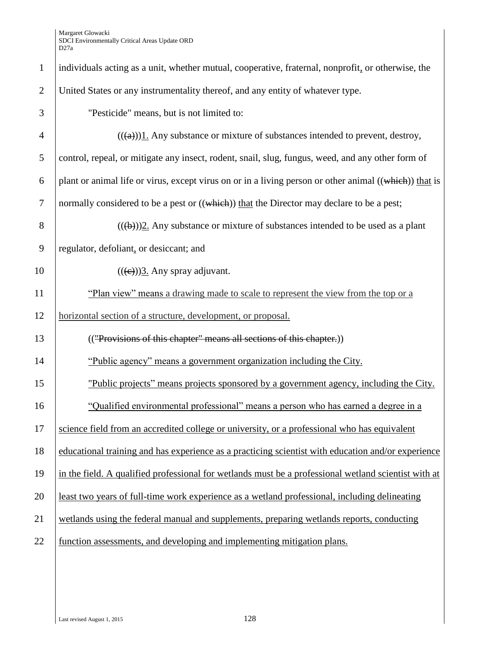| $\mathbf{1}$   | individuals acting as a unit, whether mutual, cooperative, fraternal, nonprofit, or otherwise, the     |
|----------------|--------------------------------------------------------------------------------------------------------|
| $\overline{2}$ | United States or any instrumentality thereof, and any entity of whatever type.                         |
| 3              | "Pesticide" means, but is not limited to:                                                              |
| $\overline{4}$ | $((a))1$ . Any substance or mixture of substances intended to prevent, destroy,                        |
| 5              | control, repeal, or mitigate any insect, rodent, snail, slug, fungus, weed, and any other form of      |
| 6              | plant or animal life or virus, except virus on or in a living person or other animal ((which)) that is |
| $\overline{7}$ | normally considered to be a pest or ((which)) that the Director may declare to be a pest;              |
| 8              | $((a+b))$ 2. Any substance or mixture of substances intended to be used as a plant                     |
| $\overline{9}$ | regulator, defoliant, or desiccant; and                                                                |
| 10             | $((e))$ 3. Any spray adjuvant.                                                                         |
| 11             | "Plan view" means a drawing made to scale to represent the view from the top or a                      |
| 12             | horizontal section of a structure, development, or proposal.                                           |
| 13             | (("Provisions of this chapter" means all sections of this chapter.))                                   |
| 14             | "Public agency" means a government organization including the City.                                    |
| 15             | "Public projects" means projects sponsored by a government agency, including the City.                 |
| 16             | "Qualified environmental professional" means a person who has earned a degree in a                     |
| 17             | science field from an accredited college or university, or a professional who has equivalent           |
| 18             | educational training and has experience as a practicing scientist with education and/or experience     |
| 19             | in the field. A qualified professional for wetlands must be a professional wetland scientist with at   |
| 20             | least two years of full-time work experience as a wetland professional, including delineating          |
| 21             | wetlands using the federal manual and supplements, preparing wetlands reports, conducting              |
| 22             | function assessments, and developing and implementing mitigation plans.                                |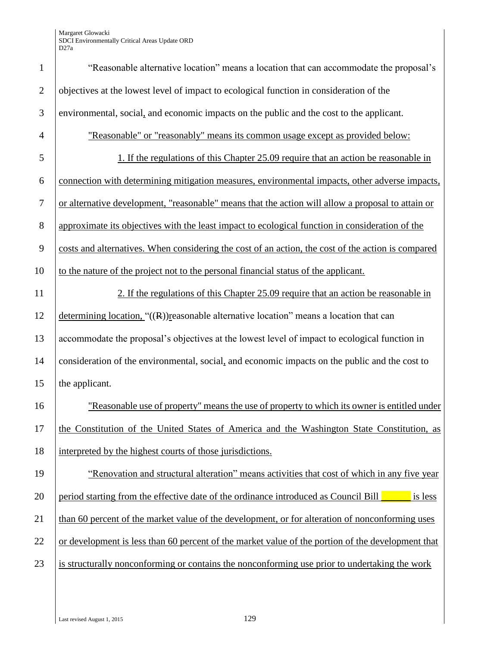| $\mathbf{1}$   | "Reasonable alternative location" means a location that can accommodate the proposal's             |
|----------------|----------------------------------------------------------------------------------------------------|
| $\mathfrak{2}$ | objectives at the lowest level of impact to ecological function in consideration of the            |
| 3              | environmental, social, and economic impacts on the public and the cost to the applicant.           |
| $\overline{4}$ | "Reasonable" or "reasonably" means its common usage except as provided below:                      |
| 5              | 1. If the regulations of this Chapter 25.09 require that an action be reasonable in                |
| 6              | connection with determining mitigation measures, environmental impacts, other adverse impacts,     |
| $\tau$         | or alternative development, "reasonable" means that the action will allow a proposal to attain or  |
| 8              | approximate its objectives with the least impact to ecological function in consideration of the    |
| $\mathbf{9}$   | costs and alternatives. When considering the cost of an action, the cost of the action is compared |
| 10             | to the nature of the project not to the personal financial status of the applicant.                |
| 11             | 2. If the regulations of this Chapter 25.09 require that an action be reasonable in                |
| 12             | determining location, $\lq\lq$ ((R)) reasonable alternative location" means a location that can    |
| 13             | accommodate the proposal's objectives at the lowest level of impact to ecological function in      |
| 14             | consideration of the environmental, social, and economic impacts on the public and the cost to     |
| 15             | the applicant.                                                                                     |
| 16             | "Reasonable use of property" means the use of property to which its owner is entitled under        |
| 17             | the Constitution of the United States of America and the Washington State Constitution, as         |
| 18             | interpreted by the highest courts of those jurisdictions.                                          |
| 19             | "Renovation and structural alteration" means activities that cost of which in any five year        |
| 20             | period starting from the effective date of the ordinance introduced as Council Bill<br>is less     |
| 21             | than 60 percent of the market value of the development, or for alteration of nonconforming uses    |
| 22             | or development is less than 60 percent of the market value of the portion of the development that  |
| 23             | is structurally nonconforming or contains the nonconforming use prior to undertaking the work      |
|                |                                                                                                    |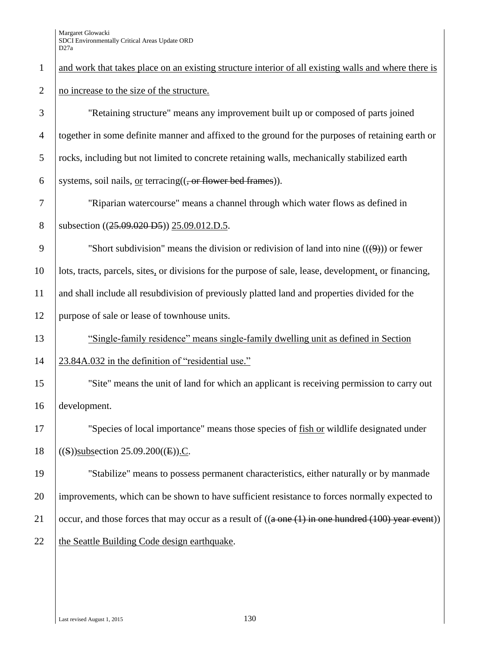and work that takes place on an existing structure interior of all existing walls and where there is 2 no increase to the size of the structure. "Retaining structure" means any improvement built up or composed of parts joined together in some definite manner and affixed to the ground for the purposes of retaining earth or rocks, including but not limited to concrete retaining walls, mechanically stabilized earth 6 systems, soil nails, or terracing( $(-$ or flower bed frames)). "Riparian watercourse" means a channel through which water flows as defined in 8 | subsection ((25.09.020 D5)) 25.09.012.D.5. 9 Short subdivision" means the division or redivision of land into nine  $((\Theta))$  or fewer lots, tracts, parcels, sites, or divisions for the purpose of sale, lease, development, or financing, and shall include all resubdivision of previously platted land and properties divided for the purpose of sale or lease of townhouse units. "Single-family residence" means single-family dwelling unit as defined in Section 23.84A.032 in the definition of "residential use." "Site" means the unit of land for which an applicant is receiving permission to carry out development. "Species of local importance" means those species of fish or wildlife designated under  $($ (S))subsection 25.09.200((E)).C. "Stabilize" means to possess permanent characteristics, either naturally or by manmade improvements, which can be shown to have sufficient resistance to forces normally expected to  $\int$  occur, and those forces that may occur as a result of  $((a \text{ one } (1) \text{ in one hundred } (100) \text{ year event}))$  $\theta$  the Seattle Building Code design earthquake.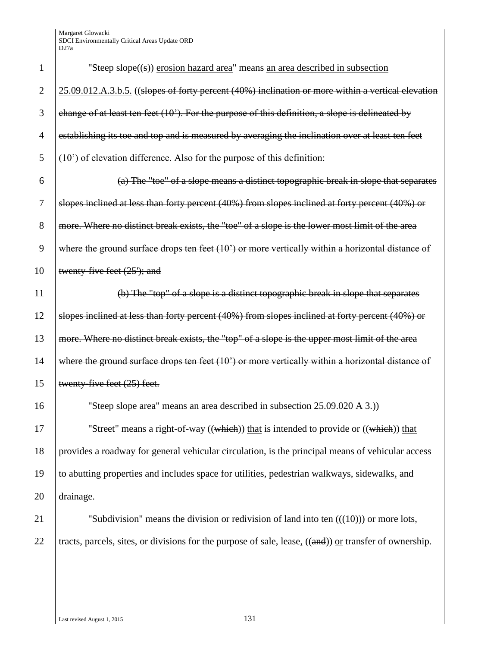| 1              | "Steep slope((s)) erosion hazard area" means an area described in subsection                             |
|----------------|----------------------------------------------------------------------------------------------------------|
| $\overline{2}$ | 25.09.012.A.3.b.5. ((slopes of forty percent (40%) inclination or more within a vertical elevation       |
| 3              | change of at least ten feet (10'). For the purpose of this definition, a slope is delineated by          |
| $\overline{4}$ | establishing its toe and top and is measured by averaging the inclination over at least ten feet         |
| 5              | (10') of elevation difference. Also for the purpose of this definition:                                  |
| 6              | (a) The "toe" of a slope means a distinct topographic break in slope that separates                      |
| 7              | slopes inclined at less than forty percent (40%) from slopes inclined at forty percent (40%) or          |
| 8              | more. Where no distinct break exists, the "toe" of a slope is the lower most limit of the area           |
| 9              | where the ground surface drops ten feet (10') or more vertically within a horizontal distance of         |
| 10             | twenty-five feet (25'); and                                                                              |
| 11             | (b) The "top" of a slope is a distinct topographic break in slope that separates                         |
| 12             | slopes inclined at less than forty percent (40%) from slopes inclined at forty percent (40%) or          |
| 13             | more. Where no distinct break exists, the "top" of a slope is the upper most limit of the area           |
| 14             | where the ground surface drops ten feet (10') or more vertically within a horizontal distance of         |
| 15             | twenty-five feet (25) feet.                                                                              |
| 16             | "Steep slope area" means an area described in subsection 25.09.020 A 3.)                                 |
| 17             | "Street" means a right-of-way ((which)) that is intended to provide or ((which)) that                    |
| 18             | provides a roadway for general vehicular circulation, is the principal means of vehicular access         |
| 19             | to abutting properties and includes space for utilities, pedestrian walkways, sidewalks, and             |
| 20             | drainage.                                                                                                |
| 21             | "Subdivision" means the division or redivision of land into ten $((10))$ or more lots,                   |
| 22             | tracts, parcels, sites, or divisions for the purpose of sale, lease, $((and))$ or transfer of ownership. |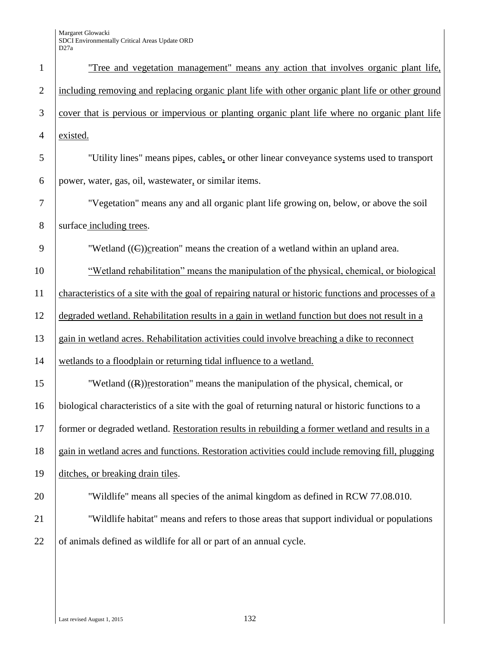| $\mathbf{1}$   | "Tree and vegetation management" means any action that involves organic plant life,                   |
|----------------|-------------------------------------------------------------------------------------------------------|
| $\overline{2}$ | including removing and replacing organic plant life with other organic plant life or other ground     |
| 3              | cover that is pervious or impervious or planting organic plant life where no organic plant life       |
| $\overline{4}$ | existed.                                                                                              |
| 5              | "Utility lines" means pipes, cables, or other linear conveyance systems used to transport             |
| 6              | power, water, gas, oil, wastewater, or similar items.                                                 |
| 7              | "Vegetation" means any and all organic plant life growing on, below, or above the soil                |
| 8              | surface including trees.                                                                              |
| 9              | "Wetland $((\in))$ creation" means the creation of a wetland within an upland area.                   |
| 10             | "Wetland rehabilitation" means the manipulation of the physical, chemical, or biological              |
| 11             | characteristics of a site with the goal of repairing natural or historic functions and processes of a |
| 12             | degraded wetland. Rehabilitation results in a gain in wetland function but does not result in a       |
| 13             | gain in wetland acres. Rehabilitation activities could involve breaching a dike to reconnect          |
| 14             | wetlands to a floodplain or returning tidal influence to a wetland.                                   |
| 15             | "Wetland $((R))$ restoration" means the manipulation of the physical, chemical, or                    |
| 16             | biological characteristics of a site with the goal of returning natural or historic functions to a    |
| 17             | former or degraded wetland. Restoration results in rebuilding a former wetland and results in a       |
| 18             | gain in wetland acres and functions. Restoration activities could include removing fill, plugging     |
| 19             | ditches, or breaking drain tiles.                                                                     |
| 20             | "Wildlife" means all species of the animal kingdom as defined in RCW 77.08.010.                       |
| 21             | "Wildlife habitat" means and refers to those areas that support individual or populations             |
| 22             | of animals defined as wildlife for all or part of an annual cycle.                                    |
|                |                                                                                                       |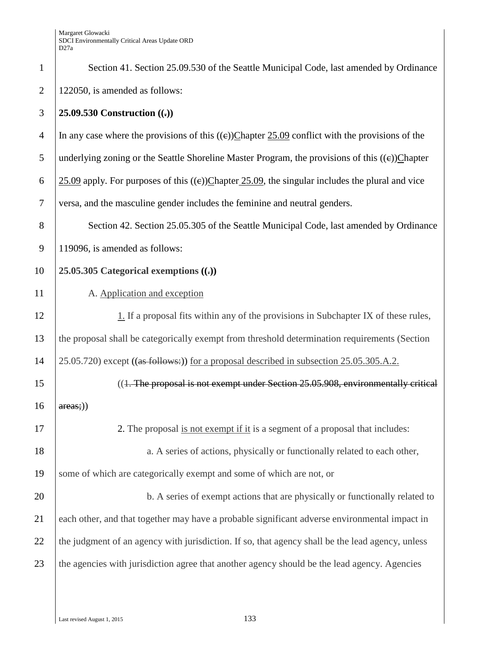| $\mathbf{1}$   | Section 41. Section 25.09.530 of the Seattle Municipal Code, last amended by Ordinance             |  |
|----------------|----------------------------------------------------------------------------------------------------|--|
| 2              | 122050, is amended as follows:                                                                     |  |
| 3              | 25.09.530 Construction $((.)$                                                                      |  |
| $\overline{4}$ | In any case where the provisions of this $((e))$ Chapter 25.09 conflict with the provisions of the |  |
| 5              | underlying zoning or the Seattle Shoreline Master Program, the provisions of this $((e))$ Chapter  |  |
| 6              | 25.09 apply. For purposes of this $((e))$ Chapter 25.09, the singular includes the plural and vice |  |
| $\tau$         | versa, and the masculine gender includes the feminine and neutral genders.                         |  |
| 8              | Section 42. Section 25.05.305 of the Seattle Municipal Code, last amended by Ordinance             |  |
| 9              | 119096, is amended as follows:                                                                     |  |
| 10             | 25.05.305 Categorical exemptions $((.)$                                                            |  |
| 11             | A. Application and exception                                                                       |  |
| 12             | 1. If a proposal fits within any of the provisions in Subchapter IX of these rules,                |  |
| 13             | the proposal shall be categorically exempt from threshold determination requirements (Section      |  |
| 14             | 25.05.720) except ((as follows:)) for a proposal described in subsection 25.05.305.A.2.            |  |
| 15             | ((1. The proposal is not exempt under Section 25.05.908, environmentally critical                  |  |
| 16             | areas;))                                                                                           |  |
| 17             | 2. The proposal is not exempt if it is a segment of a proposal that includes:                      |  |
| 18             | a. A series of actions, physically or functionally related to each other,                          |  |
| 19             | some of which are categorically exempt and some of which are not, or                               |  |
| 20             | b. A series of exempt actions that are physically or functionally related to                       |  |
| 21             | each other, and that together may have a probable significant adverse environmental impact in      |  |
| 22             | the judgment of an agency with jurisdiction. If so, that agency shall be the lead agency, unless   |  |
| 23             | the agencies with jurisdiction agree that another agency should be the lead agency. Agencies       |  |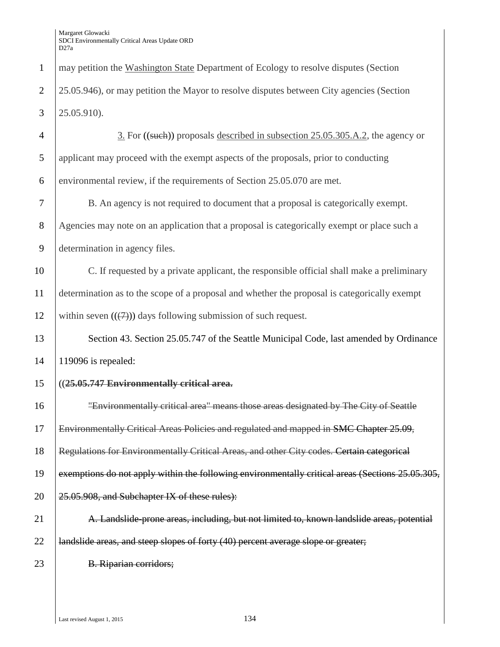may petition the Washington State Department of Ecology to resolve disputes (Section 2 25.05.946), or may petition the Mayor to resolve disputes between City agencies (Section 25.05.910). 4 3. For ((such)) proposals described in subsection 25.05.305.A.2, the agency or applicant may proceed with the exempt aspects of the proposals, prior to conducting environmental review, if the requirements of Section 25.05.070 are met. B. An agency is not required to document that a proposal is categorically exempt. Agencies may note on an application that a proposal is categorically exempt or place such a determination in agency files. C. If requested by a private applicant, the responsible official shall make a preliminary determination as to the scope of a proposal and whether the proposal is categorically exempt 12 within seven  $((\n\digamma))$  days following submission of such request. 13 Section 43. Section 25.05.747 of the Seattle Municipal Code, last amended by Ordinance 119096 is repealed: ((**25.05.747 Environmentally critical area.** "Environmentally critical area" means those areas designated by The City of Seattle 17 Environmentally Critical Areas Policies and regulated and mapped in SMC Chapter 25.09, **Regulations for Environmentally Critical Areas, and other City codes. Certain categorical** 19 exemptions do not apply within the following environmentally critical areas (Sections 25.05.305, |  $25.05.908$ , and Subchapter IX of these rules): 21 A. Landslide-prone areas, including, but not limited to, known landslide areas, potential 22 |  $\mu$  | andslide areas, and steep slopes of forty (40) percent average slope or greater; 23 B. Riparian corridors;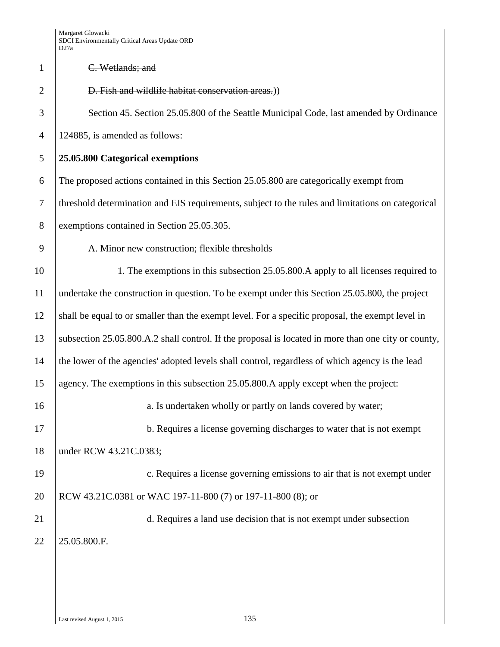# 1 C. Wetlands; and 2 **D. Fish and wildlife habitat conservation areas.**) 3 Section 45. Section 25.05.800 of the Seattle Municipal Code, last amended by Ordinance 4 124885, is amended as follows: 5 **25.05.800 Categorical exemptions**  6 The proposed actions contained in this Section 25.05.800 are categorically exempt from 7 threshold determination and EIS requirements, subject to the rules and limitations on categorical 8 exemptions contained in Section 25.05.305. 9 A. Minor new construction; flexible thresholds 10 1. The exemptions in this subsection 25.05.800. A apply to all licenses required to 11 undertake the construction in question. To be exempt under this Section 25.05.800, the project 12 shall be equal to or smaller than the exempt level. For a specific proposal, the exempt level in 13 subsection 25.05.800.A.2 shall control. If the proposal is located in more than one city or county, 14 the lower of the agencies' adopted levels shall control, regardless of which agency is the lead 15 agency. The exemptions in this subsection 25.05.800.A apply except when the project: 16 a. Is undertaken wholly or partly on lands covered by water; 17 b. Requires a license governing discharges to water that is not exempt 18 under RCW 43.21C.0383; 19 c. Requires a license governing emissions to air that is not exempt under 20 RCW 43.21C.0381 or WAC 197-11-800 (7) or 197-11-800 (8); or 21 d. Requires a land use decision that is not exempt under subsection 22 | 25.05.800.F.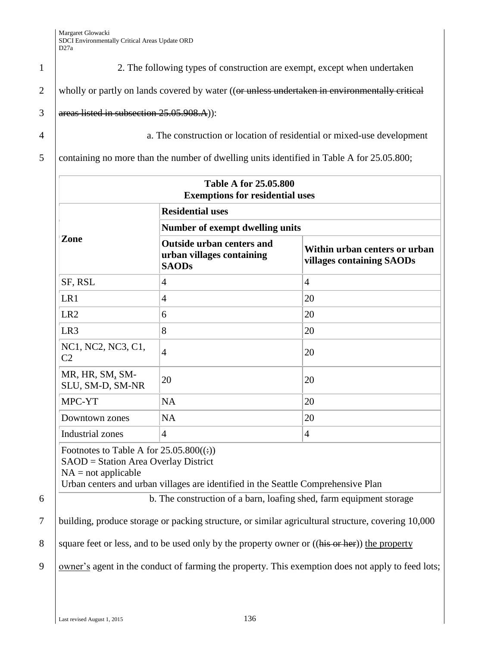1 2. The following types of construction are exempt, except when undertaken

2 wholly or partly on lands covered by water (( $\theta$ r unless undertaken in environmentally critical

3 areas listed in subsection  $25.05.908.A$ ):

4 a. The construction or location of residential or mixed-use development

5 containing no more than the number of dwelling units identified in Table A for 25.05.800;

| <b>Table A for 25.05.800</b><br><b>Exemptions for residential uses</b> |                                                                               |                                                            |  |
|------------------------------------------------------------------------|-------------------------------------------------------------------------------|------------------------------------------------------------|--|
|                                                                        | <b>Residential uses</b>                                                       |                                                            |  |
|                                                                        | Number of exempt dwelling units                                               |                                                            |  |
| Zone                                                                   | <b>Outside urban centers and</b><br>urban villages containing<br><b>SAODs</b> | Within urban centers or urban<br>villages containing SAODs |  |
| SF, RSL                                                                | 4                                                                             | $\overline{4}$                                             |  |
| LR1                                                                    | $\overline{4}$                                                                | 20                                                         |  |
| LR <sub>2</sub>                                                        | 6                                                                             | 20                                                         |  |
| LR <sub>3</sub>                                                        | 8                                                                             | 20                                                         |  |
| NC1, NC2, NC3, C1,<br>C <sub>2</sub>                                   | $\overline{4}$                                                                | 20                                                         |  |
| MR, HR, SM, SM-<br>SLU, SM-D, SM-NR                                    | 20                                                                            | 20                                                         |  |
| MPC-YT                                                                 | <b>NA</b>                                                                     | 20                                                         |  |
| Downtown zones                                                         | <b>NA</b>                                                                     | 20                                                         |  |
| Industrial zones                                                       | $\overline{4}$                                                                | $\overline{4}$                                             |  |

Footnotes to Table A for  $25.05.800(\div)$ 

SAOD = Station Area Overlay District

 $NA = not applicable$ 

Urban centers and urban villages are identified in the Seattle Comprehensive Plan

6 b. The construction of a barn, loafing shed, farm equipment storage

7 building, produce storage or packing structure, or similar agricultural structure, covering 10,000

8 square feet or less, and to be used only by the property owner or ((his or her)) the property

9 owner's agent in the conduct of farming the property. This exemption does not apply to feed lots;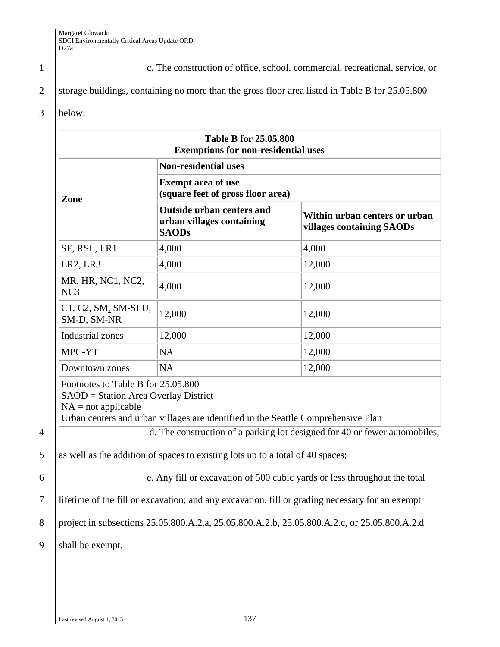1 c. The construction of office, school, commercial, recreational, service, or

2 storage buildings, containing no more than the gross floor area listed in Table B for 25.05.800

### 3 below:

| <b>Exemptions for non-residential uses</b>                                                          |                                                                                                 |                                                                                                                                                         |  |
|-----------------------------------------------------------------------------------------------------|-------------------------------------------------------------------------------------------------|---------------------------------------------------------------------------------------------------------------------------------------------------------|--|
|                                                                                                     | <b>Non-residential uses</b>                                                                     |                                                                                                                                                         |  |
| Zone                                                                                                | <b>Exempt area of use</b><br>(square feet of gross floor area)                                  |                                                                                                                                                         |  |
|                                                                                                     | <b>Outside urban centers and</b><br>urban villages containing<br><b>SAODs</b>                   | Within urban centers or urban<br>villages containing SAODs                                                                                              |  |
| SF, RSL, LR1                                                                                        | 4,000                                                                                           | 4,000                                                                                                                                                   |  |
| LR <sub>2</sub> , LR <sub>3</sub>                                                                   | 4,000                                                                                           | 12,000                                                                                                                                                  |  |
| MR, HR, NC1, NC2,<br>NC <sub>3</sub>                                                                | 4,000                                                                                           | 12,000                                                                                                                                                  |  |
| C1, C2, SM, SM-SLU,<br>SM-D, SM-NR                                                                  | 12,000                                                                                          | 12,000                                                                                                                                                  |  |
| <b>Industrial zones</b>                                                                             | 12,000                                                                                          | 12,000                                                                                                                                                  |  |
| MPC-YT                                                                                              | <b>NA</b>                                                                                       | 12,000                                                                                                                                                  |  |
|                                                                                                     | <b>NA</b>                                                                                       | 12,000                                                                                                                                                  |  |
| Downtown zones                                                                                      |                                                                                                 |                                                                                                                                                         |  |
| Footnotes to Table B for 25.05.800<br>SAOD = Station Area Overlay District<br>$NA = not applicable$ | Urban centers and urban villages are identified in the Seattle Comprehensive Plan               |                                                                                                                                                         |  |
|                                                                                                     |                                                                                                 |                                                                                                                                                         |  |
|                                                                                                     | as well as the addition of spaces to existing lots up to a total of 40 spaces;                  |                                                                                                                                                         |  |
|                                                                                                     |                                                                                                 | d. The construction of a parking lot designed for 40 or fewer automobiles,<br>e. Any fill or excavation of 500 cubic yards or less throughout the total |  |
|                                                                                                     | lifetime of the fill or excavation; and any excavation, fill or grading necessary for an exempt |                                                                                                                                                         |  |
|                                                                                                     |                                                                                                 | project in subsections 25.05.800.A.2.a, 25.05.800.A.2.b, 25.05.800.A.2.c, or 25.05.800.A.2.d                                                            |  |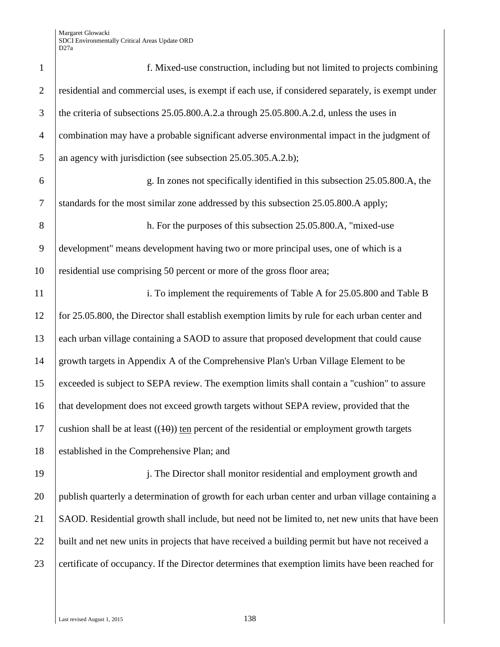| $\mathbf{1}$   | f. Mixed-use construction, including but not limited to projects combining                        |
|----------------|---------------------------------------------------------------------------------------------------|
| $\overline{2}$ | residential and commercial uses, is exempt if each use, if considered separately, is exempt under |
| 3              | the criteria of subsections 25.05.800.A.2.a through 25.05.800.A.2.d, unless the uses in           |
| $\overline{4}$ | combination may have a probable significant adverse environmental impact in the judgment of       |
| 5              | an agency with jurisdiction (see subsection 25.05.305.A.2.b);                                     |
| 6              | g. In zones not specifically identified in this subsection 25.05.800.A, the                       |
| $\overline{7}$ | standards for the most similar zone addressed by this subsection 25.05.800.A apply;               |
| 8              | h. For the purposes of this subsection 25.05.800.A, "mixed-use                                    |
| 9              | development" means development having two or more principal uses, one of which is a               |
| 10             | residential use comprising 50 percent or more of the gross floor area;                            |
| 11             | i. To implement the requirements of Table A for 25.05.800 and Table B                             |
| 12             | for 25.05.800, the Director shall establish exemption limits by rule for each urban center and    |
| 13             | each urban village containing a SAOD to assure that proposed development that could cause         |
| 14             | growth targets in Appendix A of the Comprehensive Plan's Urban Village Element to be              |
| 15             | exceeded is subject to SEPA review. The exemption limits shall contain a "cushion" to assure      |
| 16             | that development does not exceed growth targets without SEPA review, provided that the            |
| 17             | cushion shall be at least $((10))$ ten percent of the residential or employment growth targets    |
| 18             | established in the Comprehensive Plan; and                                                        |
| 19             | j. The Director shall monitor residential and employment growth and                               |
| 20             | publish quarterly a determination of growth for each urban center and urban village containing a  |
| 21             | SAOD. Residential growth shall include, but need not be limited to, net new units that have been  |
| 22             | built and net new units in projects that have received a building permit but have not received a  |
| 23             | certificate of occupancy. If the Director determines that exemption limits have been reached for  |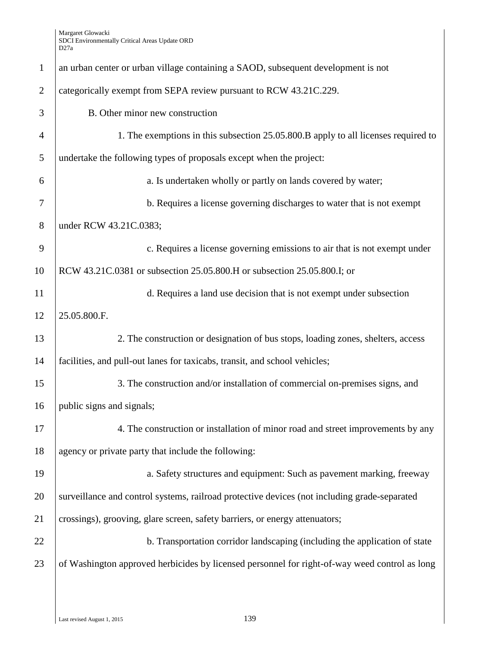| $\mathbf{1}$   | an urban center or urban village containing a SAOD, subsequent development is not             |
|----------------|-----------------------------------------------------------------------------------------------|
| $\overline{2}$ | categorically exempt from SEPA review pursuant to RCW 43.21C.229.                             |
| 3              | B. Other minor new construction                                                               |
| $\overline{4}$ | 1. The exemptions in this subsection 25.05.800.B apply to all licenses required to            |
| 5              | undertake the following types of proposals except when the project:                           |
| 6              | a. Is undertaken wholly or partly on lands covered by water;                                  |
| 7              | b. Requires a license governing discharges to water that is not exempt                        |
| 8              | under RCW 43.21C.0383;                                                                        |
| 9              | c. Requires a license governing emissions to air that is not exempt under                     |
| 10             | RCW 43.21C.0381 or subsection 25.05.800.H or subsection 25.05.800.I; or                       |
| 11             | d. Requires a land use decision that is not exempt under subsection                           |
| 12             | 25.05.800.F.                                                                                  |
| 13             | 2. The construction or designation of bus stops, loading zones, shelters, access              |
| 14             | facilities, and pull-out lanes for taxicabs, transit, and school vehicles;                    |
| 15             | 3. The construction and/or installation of commercial on-premises signs, and                  |
| 16             | public signs and signals;                                                                     |
| 17             | 4. The construction or installation of minor road and street improvements by any              |
| 18             | agency or private party that include the following:                                           |
| 19             | a. Safety structures and equipment: Such as pavement marking, freeway                         |
| 20             | surveillance and control systems, railroad protective devices (not including grade-separated  |
| 21             | crossings), grooving, glare screen, safety barriers, or energy attenuators;                   |
| 22             | b. Transportation corridor landscaping (including the application of state                    |
| 23             | of Washington approved herbicides by licensed personnel for right-of-way weed control as long |
|                |                                                                                               |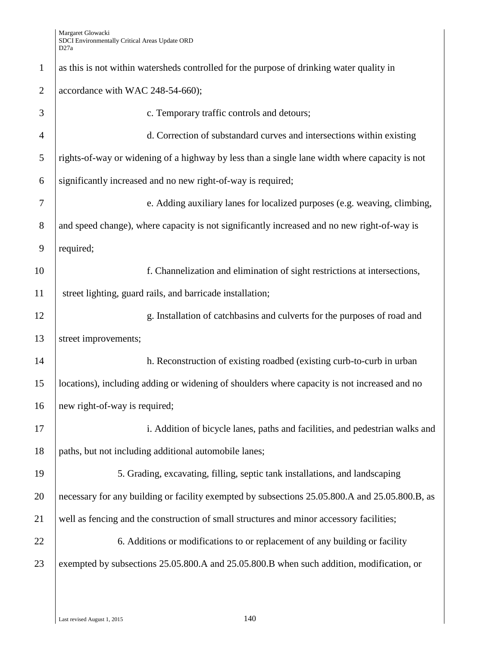| $\mathbf{1}$   | as this is not within watersheds controlled for the purpose of drinking water quality in       |
|----------------|------------------------------------------------------------------------------------------------|
| $\overline{2}$ | accordance with WAC 248-54-660);                                                               |
| 3              | c. Temporary traffic controls and detours;                                                     |
| $\overline{4}$ | d. Correction of substandard curves and intersections within existing                          |
| 5              | rights-of-way or widening of a highway by less than a single lane width where capacity is not  |
| 6              | significantly increased and no new right-of-way is required;                                   |
| 7              | e. Adding auxiliary lanes for localized purposes (e.g. weaving, climbing,                      |
| $8\phantom{1}$ | and speed change), where capacity is not significantly increased and no new right-of-way is    |
| 9              | required;                                                                                      |
| 10             | f. Channelization and elimination of sight restrictions at intersections,                      |
| 11             | street lighting, guard rails, and barricade installation;                                      |
| 12             | g. Installation of catchbasins and culverts for the purposes of road and                       |
| 13             | street improvements;                                                                           |
| 14             | h. Reconstruction of existing roadbed (existing curb-to-curb in urban                          |
| 15             | locations), including adding or widening of shoulders where capacity is not increased and no   |
| 16             | new right-of-way is required;                                                                  |
| 17             | i. Addition of bicycle lanes, paths and facilities, and pedestrian walks and                   |
| 18             | paths, but not including additional automobile lanes;                                          |
| 19             | 5. Grading, excavating, filling, septic tank installations, and landscaping                    |
| 20             | necessary for any building or facility exempted by subsections 25.05.800.A and 25.05.800.B, as |
| 21             | well as fencing and the construction of small structures and minor accessory facilities;       |
| 22             | 6. Additions or modifications to or replacement of any building or facility                    |
| 23             | exempted by subsections 25.05.800.A and 25.05.800.B when such addition, modification, or       |
|                |                                                                                                |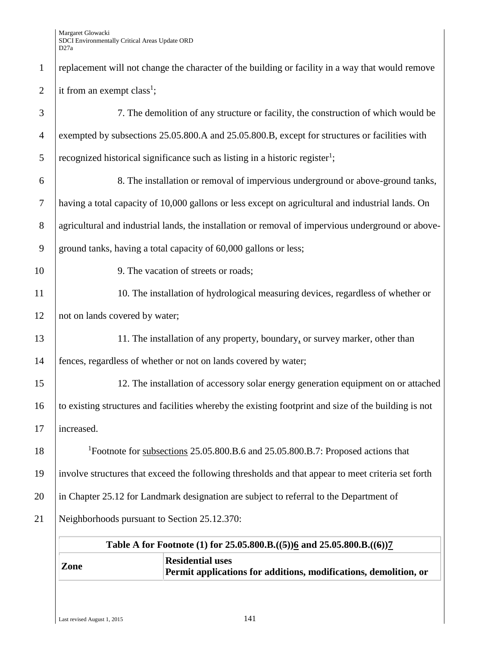| $\mathbf{1}$   | replacement will not change the character of the building or facility in a way that would remove   |                                                                                                      |  |
|----------------|----------------------------------------------------------------------------------------------------|------------------------------------------------------------------------------------------------------|--|
| $\overline{2}$ | it from an exempt class <sup>1</sup> ;                                                             |                                                                                                      |  |
| 3              |                                                                                                    | 7. The demolition of any structure or facility, the construction of which would be                   |  |
| $\overline{4}$ |                                                                                                    | exempted by subsections 25.05.800.A and 25.05.800.B, except for structures or facilities with        |  |
| 5              |                                                                                                    | recognized historical significance such as listing in a historic register <sup>1</sup> ;             |  |
| 6              |                                                                                                    | 8. The installation or removal of impervious underground or above-ground tanks,                      |  |
| $\tau$         |                                                                                                    | having a total capacity of 10,000 gallons or less except on agricultural and industrial lands. On    |  |
| $8\,$          |                                                                                                    | agricultural and industrial lands, the installation or removal of impervious underground or above-   |  |
| 9              |                                                                                                    | ground tanks, having a total capacity of 60,000 gallons or less;                                     |  |
| 10             |                                                                                                    | 9. The vacation of streets or roads;                                                                 |  |
| 11             |                                                                                                    | 10. The installation of hydrological measuring devices, regardless of whether or                     |  |
| 12             | not on lands covered by water;                                                                     |                                                                                                      |  |
| 13             |                                                                                                    | 11. The installation of any property, boundary, or survey marker, other than                         |  |
| 14             | fences, regardless of whether or not on lands covered by water;                                    |                                                                                                      |  |
| 15             |                                                                                                    | 12. The installation of accessory solar energy generation equipment on or attached                   |  |
| 16             |                                                                                                    | to existing structures and facilities whereby the existing footprint and size of the building is not |  |
| 17             | increased.                                                                                         |                                                                                                      |  |
| 18             | <sup>1</sup> Footnote for subsections 25.05.800.B.6 and 25.05.800.B.7: Proposed actions that       |                                                                                                      |  |
| 19             | involve structures that exceed the following thresholds and that appear to meet criteria set forth |                                                                                                      |  |
| 20             | in Chapter 25.12 for Landmark designation are subject to referral to the Department of             |                                                                                                      |  |
| 21             | Neighborhoods pursuant to Section 25.12.370:                                                       |                                                                                                      |  |
|                |                                                                                                    | Table A for Footnote (1) for 25.05.800.B.((5))6 and 25.05.800.B.((6))7                               |  |
|                |                                                                                                    | <b>Residential uses</b>                                                                              |  |
|                | Zone                                                                                               | Permit applications for additions, modifications, demolition, or                                     |  |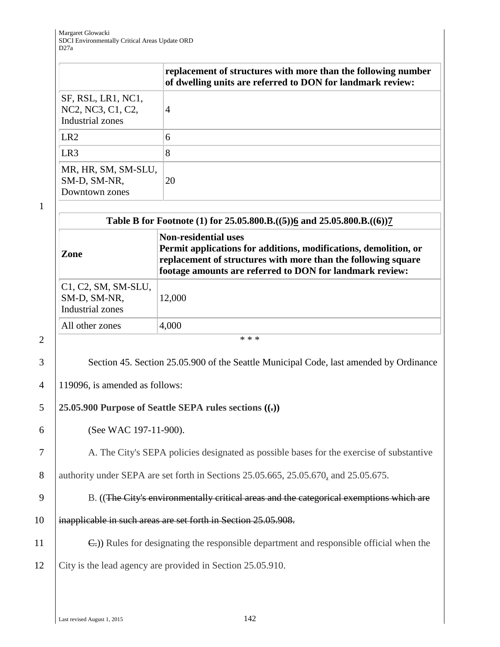|                                                             | replacement of structures with more than the following number<br>of dwelling units are referred to DON for landmark review: |
|-------------------------------------------------------------|-----------------------------------------------------------------------------------------------------------------------------|
| SF, RSL, LR1, NC1,<br>NC2, NC3, C1, C2,<br>Industrial zones | 4                                                                                                                           |
| LR <sub>2</sub>                                             | 6                                                                                                                           |
| LR <sub>3</sub>                                             | 8                                                                                                                           |
| MR, HR, SM, SM-SLU,<br>SM-D, SM-NR,<br>Downtown zones       | 20                                                                                                                          |

1

| Zone                                                             | <b>Non-residential uses</b><br>Permit applications for additions, modifications, demolition, or<br>replacement of structures with more than the following square<br>footage amounts are referred to DON for landmark review: |
|------------------------------------------------------------------|------------------------------------------------------------------------------------------------------------------------------------------------------------------------------------------------------------------------------|
| $C1, C2, SM, SM-SLU,$<br>SM-D, SM-NR,<br><b>Industrial zones</b> | 12,000                                                                                                                                                                                                                       |
| All other zones                                                  | 4,000                                                                                                                                                                                                                        |

3 Section 45. Section 25.05.900 of the Seattle Municipal Code, last amended by Ordinance

4 119096, is amended as follows:

### 5 **25.05.900 Purpose of Seattle SEPA rules sections ((.))**

6 (See WAC 197-11-900).

7 A. The City's SEPA policies designated as possible bases for the exercise of substantive

8 authority under SEPA are set forth in Sections 25.05.665, 25.05.670, and 25.05.675.

9 B. ((The City's environmentally critical areas and the categorical exemptions which are

10 | inapplicable in such areas are set forth in Section 25.05.908.

11 **C.**)) Rules for designating the responsible department and responsible official when the 12 City is the lead agency are provided in Section 25.05.910.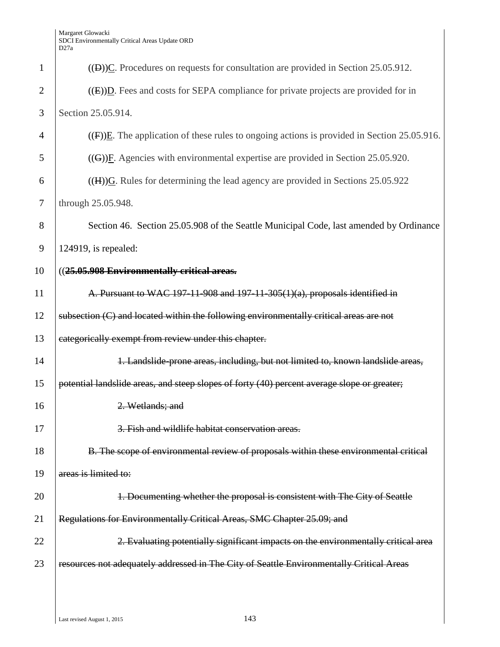| $\mathbf{1}$   | $((\Box))\underline{C}$ . Procedures on requests for consultation are provided in Section 25.05.912.                    |
|----------------|-------------------------------------------------------------------------------------------------------------------------|
| $\overline{2}$ | $((E))D$ . Fees and costs for SEPA compliance for private projects are provided for in                                  |
| 3              | Section 25.05.914.                                                                                                      |
| 4              | $((F))E$ . The application of these rules to ongoing actions is provided in Section 25.05.916.                          |
| 5              | $((G))$ F. Agencies with environmental expertise are provided in Section 25.05.920.                                     |
| 6              | $((H))$ <sup><math>\overline{G}</math></sup> . Rules for determining the lead agency are provided in Sections 25.05.922 |
| 7              | through 25.05.948.                                                                                                      |
| 8              | Section 46. Section 25.05.908 of the Seattle Municipal Code, last amended by Ordinance                                  |
| 9              | $124919$ , is repealed:                                                                                                 |
| 10             | ((25.05.908 Environmentally critical areas.                                                                             |
| 11             | A. Pursuant to WAC 197-11-908 and 197-11-305(1)(a), proposals identified in                                             |
| 12             | subsection (C) and located within the following environmentally critical areas are not                                  |
| 13             | categorically exempt from review under this chapter.                                                                    |
| 14             | 1. Landslide-prone areas, including, but not limited to, known landslide areas,                                         |
| 15             | potential landslide areas, and steep slopes of forty (40) percent average slope or greater;                             |
| 16             | 2. Wetlands: and                                                                                                        |
| 17             | 3. Fish and wildlife habitat conservation areas.                                                                        |
| 18             | B. The scope of environmental review of proposals within these environmental critical                                   |
| 19             | areas is limited to:                                                                                                    |
| 20             | 1. Documenting whether the proposal is consistent with The City of Seattle                                              |
| 21             | Regulations for Environmentally Critical Areas, SMC Chapter 25.09; and                                                  |
| 22             | 2. Evaluating potentially significant impacts on the environmentally critical area                                      |
| 23             | resources not adequately addressed in The City of Seattle Environmentally Critical Areas                                |
|                |                                                                                                                         |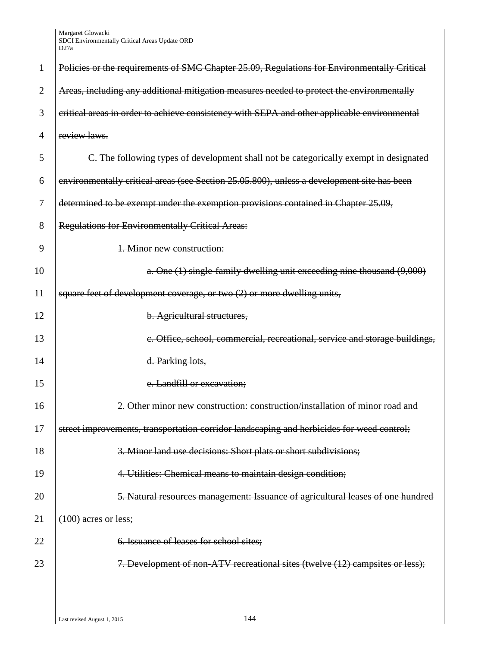| 1              | Policies or the requirements of SMC Chapter 25.09, Regulations for Environmentally Critical |
|----------------|---------------------------------------------------------------------------------------------|
| $\overline{2}$ | Areas, including any additional mitigation measures needed to protect the environmentally   |
| 3              | critical areas in order to achieve consistency with SEPA and other applicable environmental |
| 4              | review laws.                                                                                |
| 5              | C. The following types of development shall not be categorically exempt in designated       |
| 6              | environmentally critical areas (see Section 25.05.800), unless a development site has been  |
| 7              | determined to be exempt under the exemption provisions contained in Chapter 25.09,          |
| 8              | <b>Regulations for Environmentally Critical Areas:</b>                                      |
| 9              | 1. Minor new construction:                                                                  |
| 10             | a. One (1) single-family dwelling unit exceeding nine thousand (9,000)                      |
| 11             | square feet of development coverage, or two (2) or more dwelling units,                     |
| 12             | b. Agricultural structures,                                                                 |
| 13             | e. Office, school, commercial, recreational, service and storage buildings,                 |
| 14             | d. Parking lots,                                                                            |
| 15             | e. Landfill or excavation;                                                                  |
| 16             | Other minor new construction: construction/installation of minor road and                   |
| 17             | street improvements, transportation corridor landscaping and herbicides for weed control;   |
| 18             | 3. Minor land use decisions: Short plats or short subdivisions;                             |
| 19             | 4. Utilities: Chemical means to maintain design condition;                                  |
| 20             | 5. Natural resources management: Issuance of agricultural leases of one hundred             |
| 21             | $(100)$ acres or less;                                                                      |
| 22             | 6. Issuance of leases for school sites;                                                     |
| 23             | 7. Development of non-ATV recreational sites (twelve (12) campsites or less);               |
|                |                                                                                             |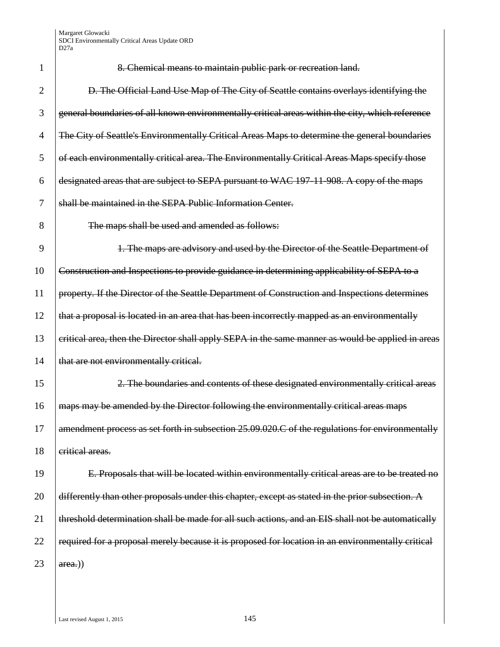|    | 1               |
|----|-----------------|
|    | $\overline{2}$  |
|    | 3               |
|    | $\overline{4}$  |
|    | 5               |
|    | 6               |
|    | $\overline{7}$  |
|    | 8               |
|    | 9               |
|    | 10              |
| 11 |                 |
|    | 12              |
|    | 13              |
|    | 14              |
|    | 15              |
| 16 |                 |
|    | 17              |
|    | 18              |
|    | 19              |
|    | 20              |
|    | $\frac{21}{2}$  |
|    | $\overline{22}$ |
|    |                 |

8. Chemical means to maintain public park or recreation land.

D. The Official Land Use Map of The City of Seattle contains overlays identifying the 3 general boundaries of all known environmentally critical areas within the city, which reference 4 The City of Seattle's Environmentally Critical Areas Maps to determine the general boundaries 5 of each environmentally critical area. The Environmentally Critical Areas Maps specify those designated areas that are subject to SEPA pursuant to WAC 197-11-908. A copy of the maps shall be maintained in the SEPA Public Information Center. The maps shall be used and amended as follows: 1. The maps are advisory and used by the Director of the Seattle Department of Construction and Inspections to provide guidance in determining applicability of SEPA to a property. If the Director of the Seattle Department of Construction and Inspections determines that a proposal is located in an area that has been incorrectly mapped as an environmentally

13 critical area, then the Director shall apply SEPA in the same manner as would be applied in areas that are not environmentally critical.

2. The boundaries and contents of these designated environmentally critical areas maps may be amended by the Director following the environmentally critical areas maps amendment process as set forth in subsection 25.09.020.C of the regulations for environmentally eritical areas.

E. Proposals that will be located within environmentally critical areas are to be treated no differently than other proposals under this chapter, except as stated in the prior subsection. A threshold determination shall be made for all such actions, and an EIS shall not be automatically required for a proposal merely because it is proposed for location in an environmentally critical 23  $|area.)$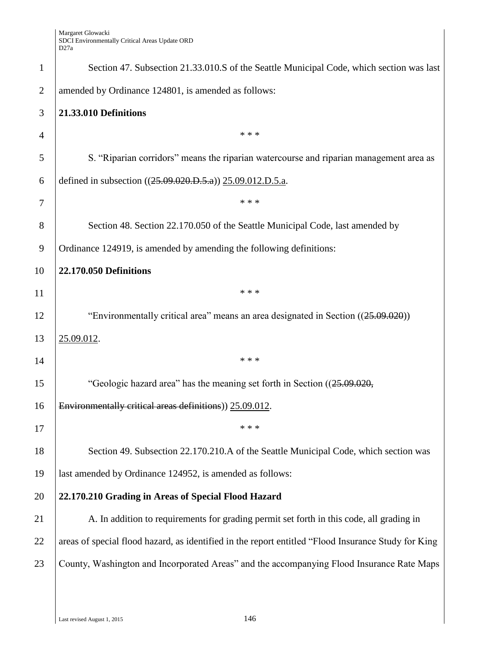| $\mathbf{1}$   | Section 47. Subsection 21.33.010.S of the Seattle Municipal Code, which section was last            |
|----------------|-----------------------------------------------------------------------------------------------------|
| $\overline{2}$ | amended by Ordinance 124801, is amended as follows:                                                 |
| 3              | 21.33.010 Definitions                                                                               |
| $\overline{4}$ | * * *                                                                                               |
| 5              | S. "Riparian corridors" means the riparian watercourse and riparian management area as              |
| 6              | defined in subsection ((25.09.020.D.5.a)) 25.09.012.D.5.a.                                          |
| $\overline{7}$ | * * *                                                                                               |
| 8              | Section 48. Section 22.170.050 of the Seattle Municipal Code, last amended by                       |
| 9              | Ordinance 124919, is amended by amending the following definitions:                                 |
| 10             | <b>22.170.050 Definitions</b>                                                                       |
| 11             | * * *                                                                                               |
| 12             | "Environmentally critical area" means an area designated in Section ((25.09.020))                   |
| 13             | 25.09.012.                                                                                          |
| 14             | * * *                                                                                               |
| 15             | "Geologic hazard area" has the meaning set forth in Section ((25.09.020,                            |
| 16             | Environmentally critical areas definitions)) 25.09.012.                                             |
| 17             | * * *                                                                                               |
| 18             | Section 49. Subsection 22.170.210.A of the Seattle Municipal Code, which section was                |
| 19             | last amended by Ordinance 124952, is amended as follows:                                            |
| 20             | 22.170.210 Grading in Areas of Special Flood Hazard                                                 |
| 21             | A. In addition to requirements for grading permit set forth in this code, all grading in            |
| 22             | areas of special flood hazard, as identified in the report entitled "Flood Insurance Study for King |
| 23             | County, Washington and Incorporated Areas" and the accompanying Flood Insurance Rate Maps           |
|                |                                                                                                     |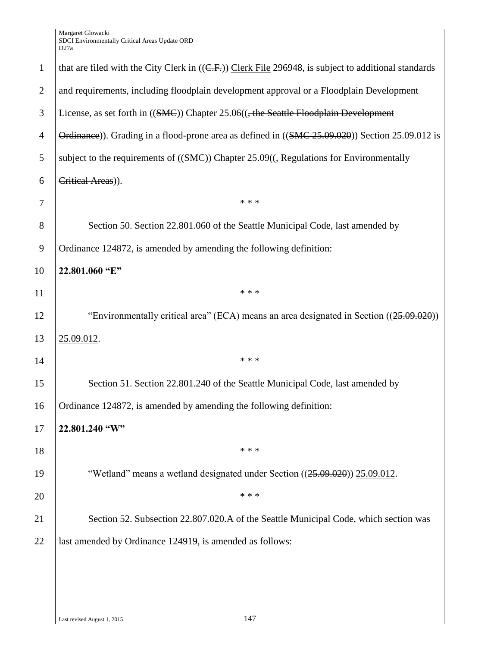| $\mathbf{1}$   | that are filed with the City Clerk in $((C.F.))$ Clerk File 296948, is subject to additional standards |
|----------------|--------------------------------------------------------------------------------------------------------|
| $\overline{2}$ | and requirements, including floodplain development approval or a Floodplain Development                |
| 3              | License, as set forth in $((SMC))$ Chapter 25.06 $((, the Seattle Floodplain Development$              |
| $\overline{4}$ | Ordinance)). Grading in a flood-prone area as defined in ((SMC 25.09.020)) Section 25.09.012 is        |
| 5              | subject to the requirements of $((SMC))$ Chapter 25.09 $((,$ Regulations for Environmentally           |
| 6              | Critical Areas)).                                                                                      |
| 7              | * * *                                                                                                  |
| 8              | Section 50. Section 22.801.060 of the Seattle Municipal Code, last amended by                          |
| 9              | Ordinance 124872, is amended by amending the following definition:                                     |
| 10             | 22.801.060 "E"                                                                                         |
| 11             | * * *                                                                                                  |
| 12             | "Environmentally critical area" (ECA) means an area designated in Section ((25.09.020))                |
| 13             | 25.09.012.                                                                                             |
| 14             | * * *                                                                                                  |
| 15             | Section 51. Section 22.801.240 of the Seattle Municipal Code, last amended by                          |
| 16             | Ordinance 124872, is amended by amending the following definition:                                     |
| 17             | 22.801.240 "W"                                                                                         |
| 18             | * * *                                                                                                  |
| 19             | "Wetland" means a wetland designated under Section ((25.09.020)) 25.09.012.                            |
| 20             | * * *                                                                                                  |
| 21             | Section 52. Subsection 22.807.020.A of the Seattle Municipal Code, which section was                   |
| 22             | last amended by Ordinance 124919, is amended as follows:                                               |
|                |                                                                                                        |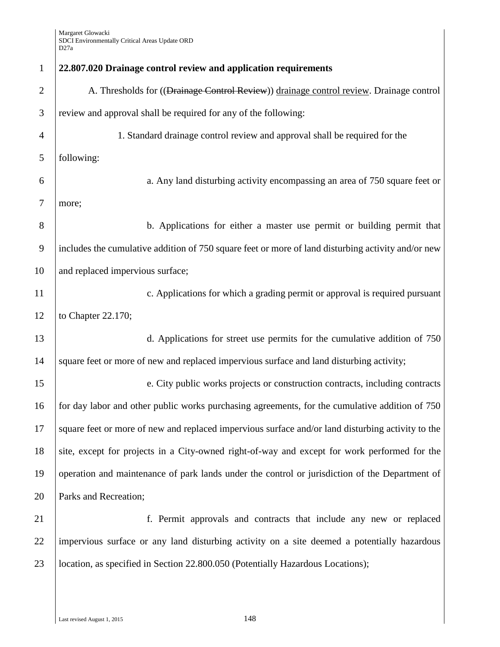| $\mathbf{1}$   | 22.807.020 Drainage control review and application requirements                                    |
|----------------|----------------------------------------------------------------------------------------------------|
| $\overline{2}$ | A. Thresholds for ((Drainage Control Review)) drainage control review. Drainage control            |
| 3              | review and approval shall be required for any of the following:                                    |
| $\overline{4}$ | 1. Standard drainage control review and approval shall be required for the                         |
| 5              | following:                                                                                         |
| 6              | a. Any land disturbing activity encompassing an area of 750 square feet or                         |
| 7              | more;                                                                                              |
| 8              | b. Applications for either a master use permit or building permit that                             |
| 9              | includes the cumulative addition of 750 square feet or more of land disturbing activity and/or new |
| 10             | and replaced impervious surface;                                                                   |
| 11             | c. Applications for which a grading permit or approval is required pursuant                        |
| 12             | to Chapter 22.170;                                                                                 |
| 13             | d. Applications for street use permits for the cumulative addition of 750                          |
| 14             | square feet or more of new and replaced impervious surface and land disturbing activity;           |
| 15             | e. City public works projects or construction contracts, including contracts                       |
| 16             | for day labor and other public works purchasing agreements, for the cumulative addition of 750     |
| 17             | square feet or more of new and replaced impervious surface and/or land disturbing activity to the  |
| 18             | site, except for projects in a City-owned right-of-way and except for work performed for the       |
| 19             | operation and maintenance of park lands under the control or jurisdiction of the Department of     |
| 20             | Parks and Recreation;                                                                              |
| 21             | f. Permit approvals and contracts that include any new or replaced                                 |
| 22             | impervious surface or any land disturbing activity on a site deemed a potentially hazardous        |
| 23             | location, as specified in Section 22.800.050 (Potentially Hazardous Locations);                    |
|                |                                                                                                    |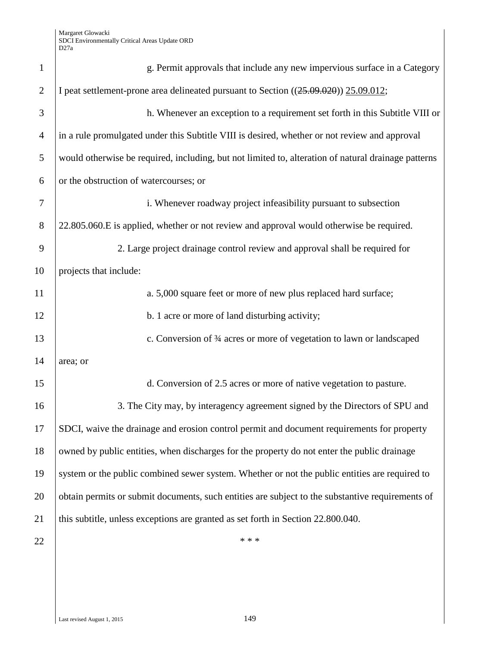| $\mathbf{1}$   | g. Permit approvals that include any new impervious surface in a Category                           |
|----------------|-----------------------------------------------------------------------------------------------------|
| $\overline{2}$ | I peat settlement-prone area delineated pursuant to Section ((25.09.020)) 25.09.012;                |
| 3              | h. Whenever an exception to a requirement set forth in this Subtitle VIII or                        |
| $\overline{4}$ | in a rule promulgated under this Subtitle VIII is desired, whether or not review and approval       |
| 5              | would otherwise be required, including, but not limited to, alteration of natural drainage patterns |
| 6              | or the obstruction of watercourses; or                                                              |
| 7              | i. Whenever roadway project infeasibility pursuant to subsection                                    |
| $8\phantom{1}$ | 22.805.060.E is applied, whether or not review and approval would otherwise be required.            |
| 9              | 2. Large project drainage control review and approval shall be required for                         |
| 10             | projects that include:                                                                              |
| 11             | a. 5,000 square feet or more of new plus replaced hard surface;                                     |
| 12             | b. 1 acre or more of land disturbing activity;                                                      |
| 13             | c. Conversion of 3⁄4 acres or more of vegetation to lawn or landscaped                              |
| 14             | area; or                                                                                            |
| 15             | d. Conversion of 2.5 acres or more of native vegetation to pasture.                                 |
| 16             | 3. The City may, by interagency agreement signed by the Directors of SPU and                        |
| 17             | SDCI, waive the drainage and erosion control permit and document requirements for property          |
| 18             | owned by public entities, when discharges for the property do not enter the public drainage         |
| 19             | system or the public combined sewer system. Whether or not the public entities are required to      |
| 20             | obtain permits or submit documents, such entities are subject to the substantive requirements of    |
| 21             | this subtitle, unless exceptions are granted as set forth in Section 22.800.040.                    |
| 22             | * * *                                                                                               |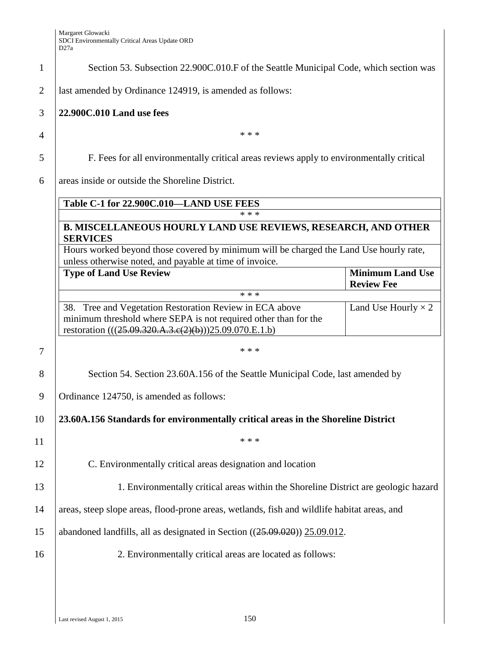| $\mathbf{1}$   | Section 53. Subsection 22.900C.010.F of the Seattle Municipal Code, which section was                                                                                                |                                              |
|----------------|--------------------------------------------------------------------------------------------------------------------------------------------------------------------------------------|----------------------------------------------|
| $\overline{2}$ | last amended by Ordinance 124919, is amended as follows:                                                                                                                             |                                              |
| 3              | 22.900C.010 Land use fees                                                                                                                                                            |                                              |
| 4              | * * *                                                                                                                                                                                |                                              |
| 5              | F. Fees for all environmentally critical areas reviews apply to environmentally critical                                                                                             |                                              |
| 6              | areas inside or outside the Shoreline District.                                                                                                                                      |                                              |
|                | Table C-1 for 22.900C.010-LAND USE FEES                                                                                                                                              |                                              |
|                | * * *                                                                                                                                                                                |                                              |
|                | <b>B. MISCELLANEOUS HOURLY LAND USE REVIEWS, RESEARCH, AND OTHER</b><br><b>SERVICES</b>                                                                                              |                                              |
|                | Hours worked beyond those covered by minimum will be charged the Land Use hourly rate,<br>unless otherwise noted, and payable at time of invoice.                                    |                                              |
|                | <b>Type of Land Use Review</b>                                                                                                                                                       | <b>Minimum Land Use</b><br><b>Review Fee</b> |
|                | * * *                                                                                                                                                                                |                                              |
|                | 38. Tree and Vegetation Restoration Review in ECA above<br>minimum threshold where SEPA is not required other than for the<br>restoration (((25.09.320.A.3.e(2)(b)))25.09.070.E.1.b) | Land Use Hourly $\times$ 2                   |
| 7              | * * *                                                                                                                                                                                |                                              |
| 8              | Section 54. Section 23.60A.156 of the Seattle Municipal Code, last amended by                                                                                                        |                                              |
| 9              | Ordinance 124750, is amended as follows:                                                                                                                                             |                                              |
| 10             | 23.60A.156 Standards for environmentally critical areas in the Shoreline District                                                                                                    |                                              |
| 11             | * * *                                                                                                                                                                                |                                              |
| 12             | C. Environmentally critical areas designation and location                                                                                                                           |                                              |
| 13             | 1. Environmentally critical areas within the Shoreline District are geologic hazard                                                                                                  |                                              |
| 14             | areas, steep slope areas, flood-prone areas, wetlands, fish and wildlife habitat areas, and                                                                                          |                                              |
| 15             | abandoned landfills, all as designated in Section $((25.09.020))$ $25.09.012$ .                                                                                                      |                                              |
| 16             | 2. Environmentally critical areas are located as follows:                                                                                                                            |                                              |
|                |                                                                                                                                                                                      |                                              |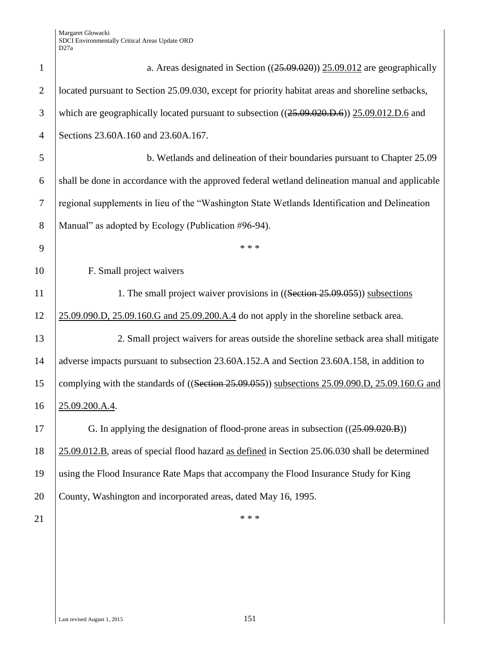| $\mathbf{1}$   | a. Areas designated in Section $((25.09.020))$ $25.09.012$ are geographically                    |
|----------------|--------------------------------------------------------------------------------------------------|
| $\overline{2}$ | located pursuant to Section 25.09.030, except for priority habitat areas and shoreline setbacks, |
| 3              | which are geographically located pursuant to subsection $((25.09.020.D.6))$ 25.09.012.D.6 and    |
| $\overline{4}$ | Sections 23.60A.160 and 23.60A.167.                                                              |
| 5              | b. Wetlands and delineation of their boundaries pursuant to Chapter 25.09                        |
| 6              | shall be done in accordance with the approved federal wetland delineation manual and applicable  |
| $\tau$         | regional supplements in lieu of the "Washington State Wetlands Identification and Delineation    |
| 8              | Manual" as adopted by Ecology (Publication #96-94).                                              |
| 9              | * * *                                                                                            |
| 10             | F. Small project waivers                                                                         |
| 11             | 1. The small project waiver provisions in ((Section 25.09.055)) subsections                      |
| 12             | 25.09.090.D, 25.09.160.G and 25.09.200.A.4 do not apply in the shoreline setback area.           |
| 13             | 2. Small project waivers for areas outside the shoreline setback area shall mitigate             |
| 14             | adverse impacts pursuant to subsection 23.60A.152.A and Section 23.60A.158, in addition to       |
| 15             | complying with the standards of ((Section 25.09.055)) subsections 25.09.090.D, 25.09.160.G and   |
| 16             | 25.09.200.A.4.                                                                                   |
| 17             | G. In applying the designation of flood-prone areas in subsection $((25.09.020.B))$              |
| 18             | 25.09.012.B, areas of special flood hazard as defined in Section 25.06.030 shall be determined   |
| 19             | using the Flood Insurance Rate Maps that accompany the Flood Insurance Study for King            |
| 20             | County, Washington and incorporated areas, dated May 16, 1995.                                   |
| 21             | * * *                                                                                            |
|                |                                                                                                  |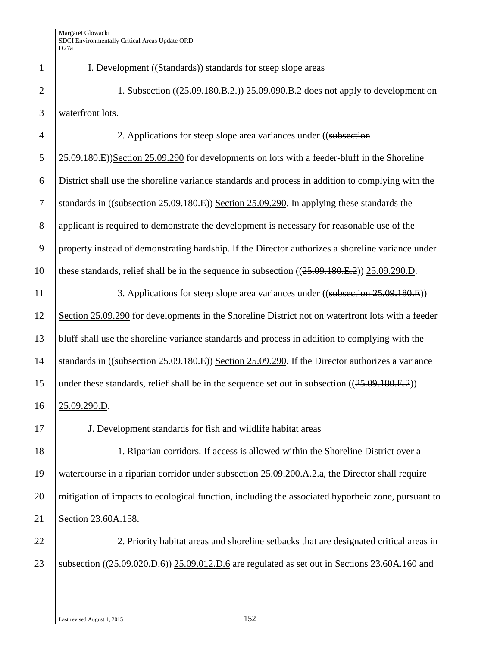1 I. Development ((Standards) standards for steep slope areas 2 1. Subsection  $((25.09.180,B.2))$  25.09.090.B.2 does not apply to development on 3 waterfront lots. 4 2. Applications for steep slope area variances under ((subsection  $\frac{25.09.180 \text{ m}}{25.09.180 \text{ m}}$ )Section 25.09.290 for developments on lots with a feeder-bluff in the Shoreline 6 District shall use the shoreline variance standards and process in addition to complying with the 7 Standards in ((subsection 25.09.180.E)) Section 25.09.290. In applying these standards the 8 applicant is required to demonstrate the development is necessary for reasonable use of the 9 property instead of demonstrating hardship. If the Director authorizes a shoreline variance under 10 these standards, relief shall be in the sequence in subsection ((25.09.180.E.2)) 25.09.290.D. 11 3. Applications for steep slope area variances under ((subsection 25.09.180.E)) 12 Section 25.09.290 for developments in the Shoreline District not on waterfront lots with a feeder 13 bluff shall use the shoreline variance standards and process in addition to complying with the 14 Standards in ((subsection 25.09.180.E)) Section 25.09.290. If the Director authorizes a variance 15 under these standards, relief shall be in the sequence set out in subsection  $((25.09.180.E.2))$ 16 25.09.290.D. 17 J. Development standards for fish and wildlife habitat areas 18 1. Riparian corridors. If access is allowed within the Shoreline District over a 19 watercourse in a riparian corridor under subsection 25.09.200.A.2.a, the Director shall require 20 mitigation of impacts to ecological function, including the associated hyporheic zone, pursuant to 21 Section 23.60A.158. 22 2. Priority habitat areas and shoreline setbacks that are designated critical areas in 23 Subsection ((25.09.020.D.6)) 25.09.012.D.6 are regulated as set out in Sections 23.60A.160 and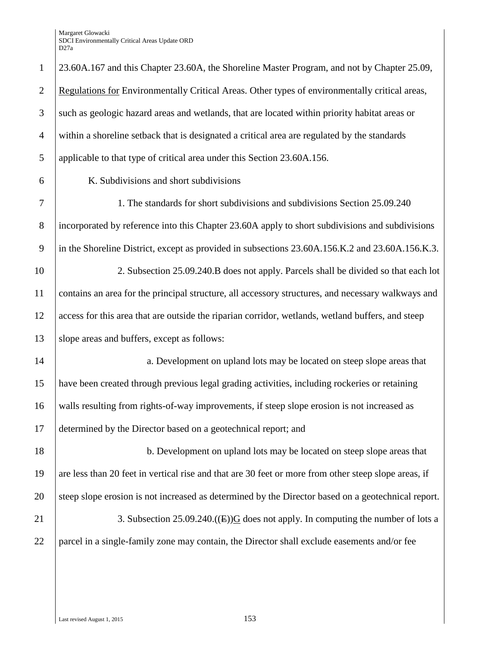Margaret Glowacki SDCI Environmentally Critical Areas Update ORD D27a

| $\mathbf{1}$   | 23.60A.167 and this Chapter 23.60A, the Shoreline Master Program, and not by Chapter 25.09,          |
|----------------|------------------------------------------------------------------------------------------------------|
| $\overline{2}$ | Regulations for Environmentally Critical Areas. Other types of environmentally critical areas,       |
| 3              | such as geologic hazard areas and wetlands, that are located within priority habitat areas or        |
| 4              | within a shoreline setback that is designated a critical area are regulated by the standards         |
| 5              | applicable to that type of critical area under this Section 23.60A.156.                              |
| 6              | K. Subdivisions and short subdivisions                                                               |
| $\tau$         | 1. The standards for short subdivisions and subdivisions Section 25.09.240                           |
| $8\phantom{.}$ | incorporated by reference into this Chapter 23.60A apply to short subdivisions and subdivisions      |
| 9              | in the Shoreline District, except as provided in subsections 23.60A.156.K.2 and 23.60A.156.K.3.      |
| 10             | 2. Subsection 25.09.240.B does not apply. Parcels shall be divided so that each lot                  |
| 11             | contains an area for the principal structure, all accessory structures, and necessary walkways and   |
| 12             | access for this area that are outside the riparian corridor, wetlands, wetland buffers, and steep    |
| 13             | slope areas and buffers, except as follows:                                                          |
| 14             | a. Development on upland lots may be located on steep slope areas that                               |
| 15             | have been created through previous legal grading activities, including rockeries or retaining        |
| 16             | walls resulting from rights-of-way improvements, if steep slope erosion is not increased as          |
| 17             | determined by the Director based on a geotechnical report; and                                       |
| 18             | b. Development on upland lots may be located on steep slope areas that                               |
| 19             | are less than 20 feet in vertical rise and that are 30 feet or more from other steep slope areas, if |
| 20             | steep slope erosion is not increased as determined by the Director based on a geotechnical report.   |
| 21             | 3. Subsection 25.09.240.((E)) $G$ does not apply. In computing the number of lots a                  |
| 22             | parcel in a single-family zone may contain, the Director shall exclude easements and/or fee          |
|                |                                                                                                      |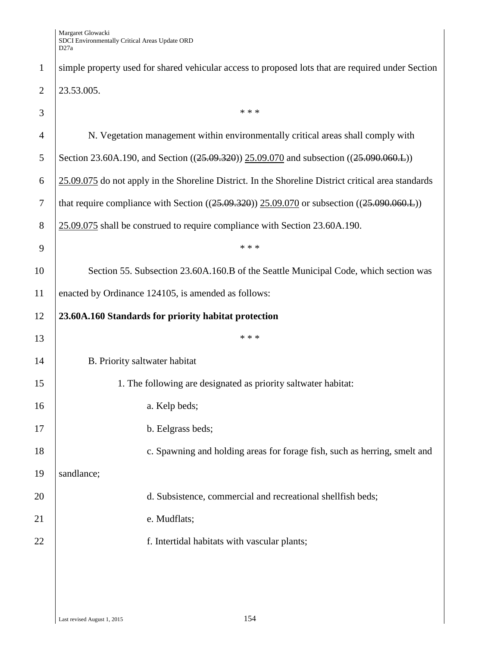| $\mathbf{1}$   | simple property used for shared vehicular access to proposed lots that are required under Section   |
|----------------|-----------------------------------------------------------------------------------------------------|
| $\overline{2}$ | 23.53.005.                                                                                          |
| 3              | * * *                                                                                               |
| $\overline{4}$ | N. Vegetation management within environmentally critical areas shall comply with                    |
| 5              | Section 23.60A.190, and Section ((25.09.320)) 25.09.070 and subsection ((25.090.060.L))             |
| 6              | 25.09.075 do not apply in the Shoreline District. In the Shoreline District critical area standards |
| $\overline{7}$ | that require compliance with Section $((25.09.320))$ 25.09.070 or subsection $((25.090.060)$ .      |
| 8              | 25.09.075 shall be construed to require compliance with Section 23.60A.190.                         |
| 9              | * * *                                                                                               |
| 10             | Section 55. Subsection 23.60A.160.B of the Seattle Municipal Code, which section was                |
| 11             | enacted by Ordinance 124105, is amended as follows:                                                 |
| 12             | 23.60A.160 Standards for priority habitat protection                                                |
| 13             | * * *                                                                                               |
| 14             | B. Priority saltwater habitat                                                                       |
| 15             | 1. The following are designated as priority saltwater habitat:                                      |
| 16             | a. Kelp beds;                                                                                       |
| 17             | b. Eelgrass beds;                                                                                   |
| 18             | c. Spawning and holding areas for forage fish, such as herring, smelt and                           |
| 19             | sandlance;                                                                                          |
| 20             | d. Subsistence, commercial and recreational shellfish beds;                                         |
| 21             | e. Mudflats;                                                                                        |
|                |                                                                                                     |
| 22             | f. Intertidal habitats with vascular plants;                                                        |
|                |                                                                                                     |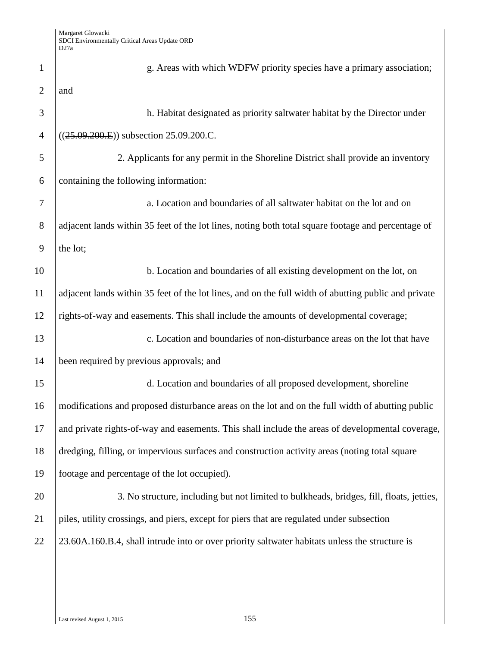| $\mathbf{1}$   | g. Areas with which WDFW priority species have a primary association;                                |
|----------------|------------------------------------------------------------------------------------------------------|
| $\overline{2}$ | and                                                                                                  |
| 3              | h. Habitat designated as priority saltwater habitat by the Director under                            |
| $\overline{4}$ | $((25.09.200.E))$ subsection $25.09.200.C$ .                                                         |
| 5              | 2. Applicants for any permit in the Shoreline District shall provide an inventory                    |
| 6              | containing the following information:                                                                |
| 7              | a. Location and boundaries of all saltwater habitat on the lot and on                                |
| 8              | adjacent lands within 35 feet of the lot lines, noting both total square footage and percentage of   |
| 9              | the lot;                                                                                             |
| 10             | b. Location and boundaries of all existing development on the lot, on                                |
| 11             | adjacent lands within 35 feet of the lot lines, and on the full width of abutting public and private |
| 12             | rights-of-way and easements. This shall include the amounts of developmental coverage;               |
| 13             | c. Location and boundaries of non-disturbance areas on the lot that have                             |
| 14             | been required by previous approvals; and                                                             |
| 15             | d. Location and boundaries of all proposed development, shoreline                                    |
| 16             | modifications and proposed disturbance areas on the lot and on the full width of abutting public     |
| 17             | and private rights-of-way and easements. This shall include the areas of developmental coverage,     |
| 18             | dredging, filling, or impervious surfaces and construction activity areas (noting total square       |
| 19             | footage and percentage of the lot occupied).                                                         |
| 20             | 3. No structure, including but not limited to bulkheads, bridges, fill, floats, jetties,             |
| 21             | piles, utility crossings, and piers, except for piers that are regulated under subsection            |
| 22             | 23.60A.160.B.4, shall intrude into or over priority saltwater habitats unless the structure is       |
|                |                                                                                                      |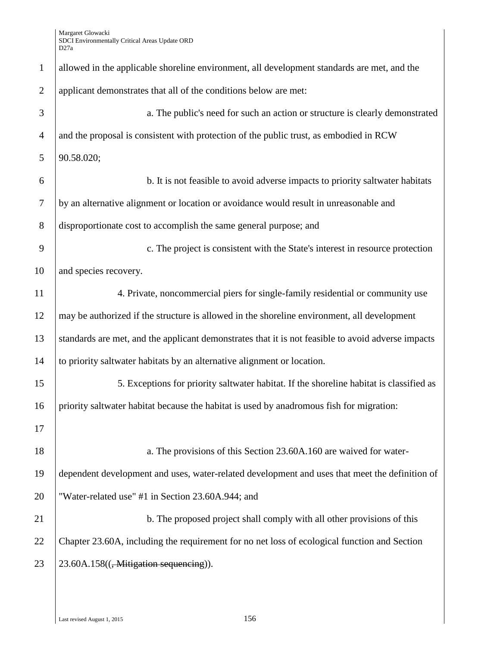| $\mathbf{1}$   | allowed in the applicable shoreline environment, all development standards are met, and the        |
|----------------|----------------------------------------------------------------------------------------------------|
| $\overline{2}$ | applicant demonstrates that all of the conditions below are met:                                   |
| 3              | a. The public's need for such an action or structure is clearly demonstrated                       |
| $\overline{4}$ | and the proposal is consistent with protection of the public trust, as embodied in RCW             |
| 5              | 90.58.020;                                                                                         |
| 6              | b. It is not feasible to avoid adverse impacts to priority saltwater habitats                      |
| $\tau$         | by an alternative alignment or location or avoidance would result in unreasonable and              |
| 8              | disproportionate cost to accomplish the same general purpose; and                                  |
| 9              | c. The project is consistent with the State's interest in resource protection                      |
| 10             | and species recovery.                                                                              |
| 11             | 4. Private, noncommercial piers for single-family residential or community use                     |
| 12             | may be authorized if the structure is allowed in the shoreline environment, all development        |
| 13             | standards are met, and the applicant demonstrates that it is not feasible to avoid adverse impacts |
| 14             | to priority saltwater habitats by an alternative alignment or location.                            |
| 15             | 5. Exceptions for priority saltwater habitat. If the shoreline habitat is classified as            |
| 16             | priority saltwater habitat because the habitat is used by anadromous fish for migration:           |
| 17             |                                                                                                    |
| 18             | a. The provisions of this Section 23.60A.160 are waived for water-                                 |
| 19             | dependent development and uses, water-related development and uses that meet the definition of     |
| 20             | "Water-related use" #1 in Section 23.60A.944; and                                                  |
| 21             | b. The proposed project shall comply with all other provisions of this                             |
| 22             | Chapter 23.60A, including the requirement for no net loss of ecological function and Section       |
| 23             | 23.60A.158(( <del>, Mitigation sequencing</del> )).                                                |
|                |                                                                                                    |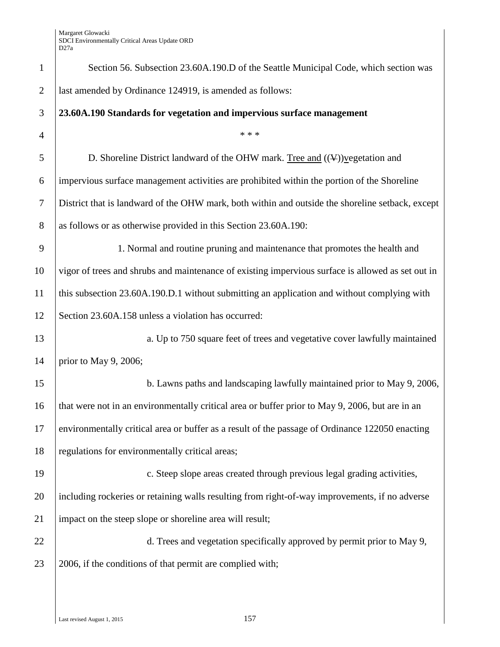| $\mathbf{1}$   | Section 56. Subsection 23.60A.190.D of the Seattle Municipal Code, which section was              |
|----------------|---------------------------------------------------------------------------------------------------|
| $\overline{2}$ | last amended by Ordinance 124919, is amended as follows:                                          |
| 3              | 23.60A.190 Standards for vegetation and impervious surface management                             |
| $\overline{4}$ | * * *                                                                                             |
| 5              | D. Shoreline District landward of the OHW mark. Tree and $((\Psi))$ yegetation and                |
| 6              | impervious surface management activities are prohibited within the portion of the Shoreline       |
| $\tau$         | District that is landward of the OHW mark, both within and outside the shoreline setback, except  |
| 8              | as follows or as otherwise provided in this Section 23.60A.190:                                   |
| 9              | 1. Normal and routine pruning and maintenance that promotes the health and                        |
| 10             | vigor of trees and shrubs and maintenance of existing impervious surface is allowed as set out in |
| 11             | this subsection 23.60A.190.D.1 without submitting an application and without complying with       |
| 12             | Section 23.60A.158 unless a violation has occurred:                                               |
| 13             | a. Up to 750 square feet of trees and vegetative cover lawfully maintained                        |
| 14             | prior to May 9, 2006;                                                                             |
| 15             | b. Lawns paths and landscaping lawfully maintained prior to May 9, 2006,                          |
| 16             | that were not in an environmentally critical area or buffer prior to May 9, 2006, but are in an   |
| 17             | environmentally critical area or buffer as a result of the passage of Ordinance 122050 enacting   |
| 18             | regulations for environmentally critical areas;                                                   |
| 19             | c. Steep slope areas created through previous legal grading activities,                           |
| 20             | including rockeries or retaining walls resulting from right-of-way improvements, if no adverse    |
| 21             | impact on the steep slope or shoreline area will result;                                          |
| 22             | d. Trees and vegetation specifically approved by permit prior to May 9,                           |
| 23             | 2006, if the conditions of that permit are complied with;                                         |
|                |                                                                                                   |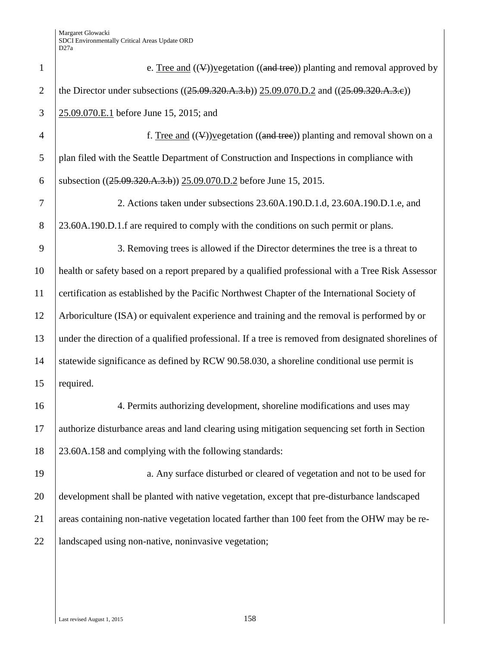| $\mathbf{1}$   | e. Tree and $((\nabla))$ vegetation $((\nabla \times \mathbf{R})$ planting and removal approved by  |
|----------------|-----------------------------------------------------------------------------------------------------|
| $\overline{2}$ | the Director under subsections $((25.09.320.A.3.b))$ $(25.09.070.D.2$ and $((25.09.320.A.3.e))$     |
| 3              | 25.09.070.E.1 before June 15, 2015; and                                                             |
| $\overline{4}$ | f. Tree and $((\Psi))$ y egetation $((\text{and tree}))$ planting and removal shown on a            |
| 5              | plan filed with the Seattle Department of Construction and Inspections in compliance with           |
| 6              | subsection ((25.09.320.A.3.b)) 25.09.070.D.2 before June 15, 2015.                                  |
| 7              | 2. Actions taken under subsections 23.60A.190.D.1.d, 23.60A.190.D.1.e, and                          |
| 8              | 23.60A.190.D.1.f are required to comply with the conditions on such permit or plans.                |
| 9              | 3. Removing trees is allowed if the Director determines the tree is a threat to                     |
| 10             | health or safety based on a report prepared by a qualified professional with a Tree Risk Assessor   |
| 11             | certification as established by the Pacific Northwest Chapter of the International Society of       |
| 12             | Arboriculture (ISA) or equivalent experience and training and the removal is performed by or        |
| 13             | under the direction of a qualified professional. If a tree is removed from designated shorelines of |
| 14             | statewide significance as defined by RCW 90.58.030, a shoreline conditional use permit is           |
| 15             | required.                                                                                           |
| 16             | 4. Permits authorizing development, shoreline modifications and uses may                            |
| 17             | authorize disturbance areas and land clearing using mitigation sequencing set forth in Section      |
| 18             | 23.60A.158 and complying with the following standards:                                              |
| 19             | a. Any surface disturbed or cleared of vegetation and not to be used for                            |
| 20             | development shall be planted with native vegetation, except that pre-disturbance landscaped         |
| 21             | areas containing non-native vegetation located farther than 100 feet from the OHW may be re-        |
| 22             | landscaped using non-native, noninvasive vegetation;                                                |
|                |                                                                                                     |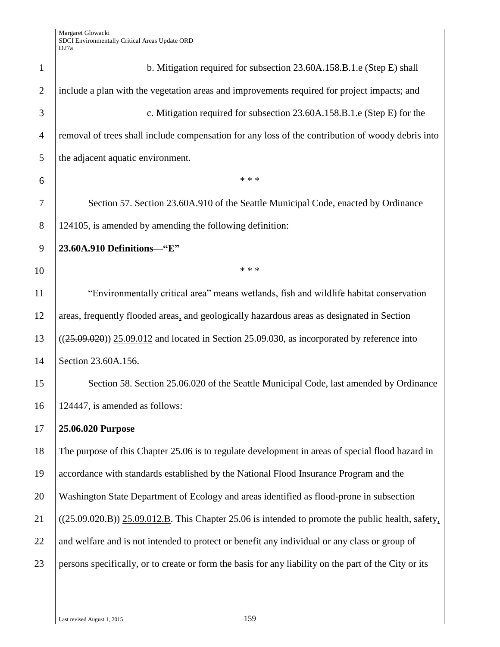| $\mathbf{1}$   | b. Mitigation required for subsection 23.60A.158.B.1.e (Step E) shall                                 |
|----------------|-------------------------------------------------------------------------------------------------------|
| $\overline{2}$ | include a plan with the vegetation areas and improvements required for project impacts; and           |
| 3              | c. Mitigation required for subsection 23.60A.158.B.1.e (Step E) for the                               |
| $\overline{4}$ | removal of trees shall include compensation for any loss of the contribution of woody debris into     |
| 5              | the adjacent aquatic environment.                                                                     |
| 6              | * * *                                                                                                 |
| 7              | Section 57. Section 23.60A.910 of the Seattle Municipal Code, enacted by Ordinance                    |
| 8              | 124105, is amended by amending the following definition:                                              |
| 9              | 23.60A.910 Definitions-"E"                                                                            |
| 10             | * * *                                                                                                 |
| 11             | "Environmentally critical area" means wetlands, fish and wildlife habitat conservation                |
| 12             | areas, frequently flooded areas, and geologically hazardous areas as designated in Section            |
| 13             | $((25.09.020))$ $25.09.012$ and located in Section 25.09.030, as incorporated by reference into       |
| 14             | Section 23.60A.156.                                                                                   |
| 15             | Section 58. Section 25.06.020 of the Seattle Municipal Code, last amended by Ordinance                |
| 16             | 124447, is amended as follows:                                                                        |
| 17             | 25.06.020 Purpose                                                                                     |
| 18             | The purpose of this Chapter 25.06 is to regulate development in areas of special flood hazard in      |
| 19             | accordance with standards established by the National Flood Insurance Program and the                 |
| 20             | Washington State Department of Ecology and areas identified as flood-prone in subsection              |
| 21             | $((25.09.020.B))$ 25.09.012.B. This Chapter 25.06 is intended to promote the public health, safety,   |
| 22             | and welfare and is not intended to protect or benefit any individual or any class or group of         |
| 23             | persons specifically, or to create or form the basis for any liability on the part of the City or its |
|                |                                                                                                       |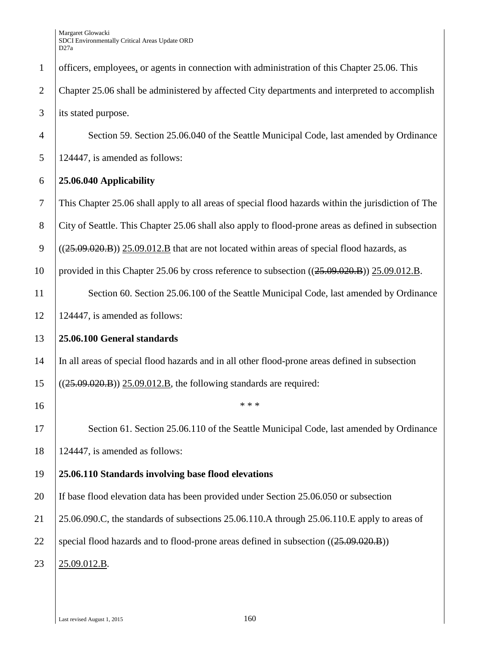| $\mathbf{1}$   | officers, employees, or agents in connection with administration of this Chapter 25.06. This        |
|----------------|-----------------------------------------------------------------------------------------------------|
| $\overline{2}$ | Chapter 25.06 shall be administered by affected City departments and interpreted to accomplish      |
| 3              | its stated purpose.                                                                                 |
| $\overline{4}$ | Section 59. Section 25.06.040 of the Seattle Municipal Code, last amended by Ordinance              |
| 5              | 124447, is amended as follows:                                                                      |
| 6              | 25.06.040 Applicability                                                                             |
| $\overline{7}$ | This Chapter 25.06 shall apply to all areas of special flood hazards within the jurisdiction of The |
| 8              | City of Seattle. This Chapter 25.06 shall also apply to flood-prone areas as defined in subsection  |
| 9              | $((25.09.020.B))$ $(25.09.012.B$ that are not located within areas of special flood hazards, as     |
| 10             | provided in this Chapter 25.06 by cross reference to subsection $((25.09.020.B)) 25.09.012.B.$      |
| 11             | Section 60. Section 25.06.100 of the Seattle Municipal Code, last amended by Ordinance              |
| 12             | 124447, is amended as follows:                                                                      |
| 13             | 25.06.100 General standards                                                                         |
| 14             | In all areas of special flood hazards and in all other flood-prone areas defined in subsection      |
| 15             | $((25.09.020.B)) 25.09.012.B$ , the following standards are required:                               |
| 16             | * * *                                                                                               |
| 17             | Section 61. Section 25.06.110 of the Seattle Municipal Code, last amended by Ordinance              |
| 18             | 124447, is amended as follows:                                                                      |
| 19             | 25.06.110 Standards involving base flood elevations                                                 |
| 20             | If base flood elevation data has been provided under Section 25.06.050 or subsection                |
| 21             | 25.06.090.C, the standards of subsections 25.06.110.A through 25.06.110.E apply to areas of         |
| 22             | special flood hazards and to flood-prone areas defined in subsection ((25.09.020.B))                |
| 23             | 25.09.012.B.                                                                                        |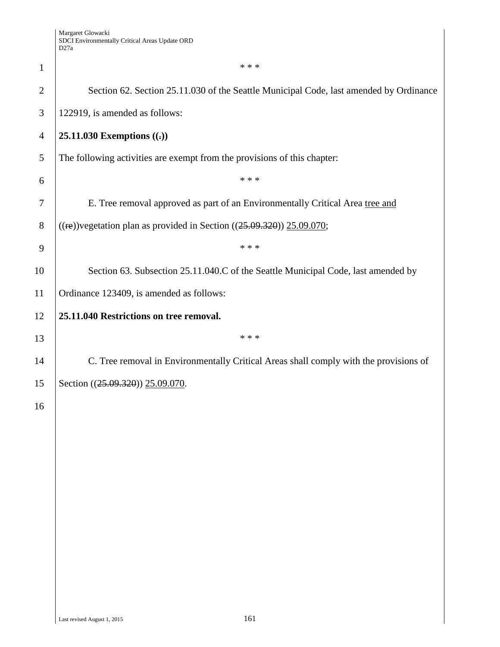| $\mathbf{1}$   | * * *                                                                                  |  |  |  |
|----------------|----------------------------------------------------------------------------------------|--|--|--|
| $\overline{2}$ | Section 62. Section 25.11.030 of the Seattle Municipal Code, last amended by Ordinance |  |  |  |
| 3              | 122919, is amended as follows:                                                         |  |  |  |
| $\overline{4}$ | 25.11.030 Exemptions $((.)$                                                            |  |  |  |
| 5              | The following activities are exempt from the provisions of this chapter:               |  |  |  |
| 6              | * * *                                                                                  |  |  |  |
| 7              | E. Tree removal approved as part of an Environmentally Critical Area tree and          |  |  |  |
| 8              | $((\text{re}))$ vegetation plan as provided in Section $((25.09.320))$ 25.09.070;      |  |  |  |
| 9              | * * *                                                                                  |  |  |  |
| 10             | Section 63. Subsection 25.11.040.C of the Seattle Municipal Code, last amended by      |  |  |  |
| 11             | Ordinance 123409, is amended as follows:                                               |  |  |  |
| 12             | 25.11.040 Restrictions on tree removal.                                                |  |  |  |
| 13             | * * *                                                                                  |  |  |  |
| 14             | C. Tree removal in Environmentally Critical Areas shall comply with the provisions of  |  |  |  |
| 15             | Section ((25.09.320)) 25.09.070.                                                       |  |  |  |
| 16             |                                                                                        |  |  |  |
|                |                                                                                        |  |  |  |
|                |                                                                                        |  |  |  |
|                |                                                                                        |  |  |  |
|                |                                                                                        |  |  |  |
|                |                                                                                        |  |  |  |
|                |                                                                                        |  |  |  |
|                |                                                                                        |  |  |  |
|                |                                                                                        |  |  |  |